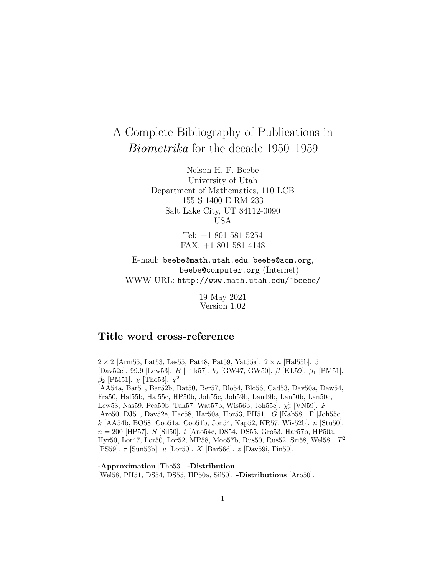# A Complete Bibliography of Publications in Biometrika for the decade 1950–1959

Nelson H. F. Beebe University of Utah Department of Mathematics, 110 LCB 155 S 1400 E RM 233 Salt Lake City, UT 84112-0090 USA

> Tel: +1 801 581 5254 FAX: +1 801 581 4148

E-mail: beebe@math.utah.edu, beebe@acm.org, beebe@computer.org (Internet) WWW URL: http://www.math.utah.edu/~beebe/

> 19 May 2021 Version 1.02

# **Title word cross-reference**

 $2 \times 2$  [Arm55, Lat53, Les55, Pat48, Pat59, Yat55a].  $2 \times n$  [Hal55b]. 5 [Dav52e]. 99.9 [Lew53]. B [Tuk57]. b<sup>2</sup> [GW47, GW50]. β [KL59]. β<sup>1</sup> [PM51].  $β_2$  [PM51].  $χ$  [Tho53].  $χ^2$ [AA54a, Bar51, Bar52b, Bat50, Ber57, Blo54, Blo56, Cad53, Dav50a, Daw54, Fra50, Hal55b, Hal55c, HP50b, Joh55c, Joh59b, Lan49b, Lan50b, Lan50c, Lew53, Nas59, Pea59b, Tuk57, Wat57b, Wis56b, Joh55c].  $\chi^2_r$  [VN59]. F [Aro50, DJ51, Dav52e, Hac58, Har50a, Hor53, PH51]. G [Kab58]. Γ [Joh55c]. k [AA54b, BO58, Coo51a, Coo51b, Jon54, Kap52, KR57, Wis52b]. n [Stu50].  $n = 200$  [HP57]. S [Sil50]. t [Ano54c, DS54, DS55, Gro53, Har57b, HP50a, Hyr50, Lor47, Lor50, Lor52, MP58, Moo57b, Rus50, Rus52, Sri58, Wel58].  $T^2$ [PS59]. τ [Sun53b]. u [Lor50]. X [Bar56d]. z [Dav59i, Fin50].

**-Approximation** [Tho53]. **-Distribution** [Wel58, PH51, DS54, DS55, HP50a, Sil50]. **-Distributions** [Aro50].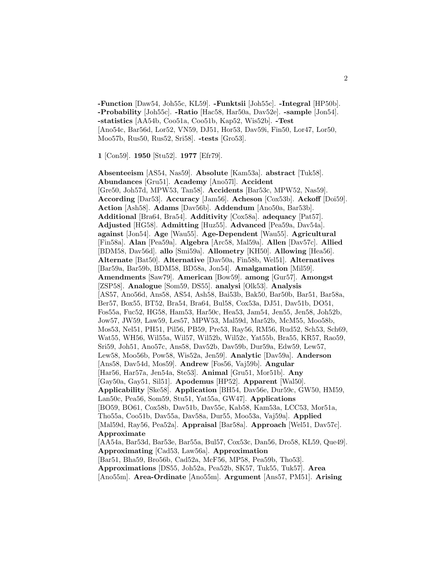**-Function** [Daw54, Joh55c, KL59]. **-Funktsii** [Joh55c]. **-Integral** [HP50b]. **-Probability** [Joh55c]. **-Ratio** [Hac58, Har50a, Dav52e]. **-sample** [Jon54]. **-statistics** [AA54b, Coo51a, Coo51b, Kap52, Wis52b]. **-Test** [Ano54c, Bar56d, Lor52, VN59, DJ51, Hor53, Dav59i, Fin50, Lor47, Lor50, Moo57b, Rus50, Rus52, Sri58]. **-tests** [Gro53].

**1** [Con59]. **1950** [Stu52]. **1977** [Efr79].

**Absenteeism** [AS54, Nas59]. **Absolute** [Kam53a]. **abstract** [Tuk58]. **Abundances** [Gru51]. **Academy** [Ano57l]. **Accident** [Gre50, Joh57d, MPW53, Tan58]. **Accidents** [Bar53c, MPW52, Nas59]. **According** [Dar53]. **Accuracy** [Jam56]. **Acheson** [Cox53b]. **Ackoff** [Doi59]. **Action** [Ash58]. **Adams** [Dav56b]. **Addendum** [Ano50a, Bar53b]. **Additional** [Bra64, Bra54]. **Additivity** [Cox58a]. **adequacy** [Pat57]. **Adjusted** [HG58]. **Admitting** [Huz55]. **Advanced** [Pea59a, Dav54a]. **against** [Jon54]. **Age** [Wau55]. **Age-Dependent** [Wau55]. **Agricultural** [Fin58a]. **Alan** [Pea59a]. **Algebra** [Arc58, Mal59a]. **Allen** [Dav57c]. **Allied** [BDM58, Dav56d]. **allo** [Smi59a]. **Allometry** [KH50]. **Allowing** [Hea56]. **Alternate** [Bat50]. **Alternative** [Dav50a, Fin58b, Wel51]. **Alternatives** [Bar59a, Bar59b, BDM58, BD58a, Jon54]. **Amalgamation** [Mil59]. **Amendments** [Saw79]. **American** [Bow59]. **among** [Gur57]. **Amongst** [ZSP58]. **Analogue** [Som59, DS55]. **analysi** [Olk53]. **Analysis** [AS57, Ano56d, Ans58, AS54, Ash58, Bai53b, Bak50, Bar50b, Bar51, Bar58a, Ber57, Box55, BT52, Bra54, Bra64, Bul58, Cox53a, DJ51, Dav51b, DO51, Fos55a, Fuc52, HG58, Ham53, Har50c, Hea53, Jam54, Jen55, Jen58, Joh52b, Jow57, JW59, Law59, Les57, MPW53, Mal59d, Mar52b, McM55, Moo58b, Mos53, Nel51, PH51, Pil56, PB59, Pre53, Ray56, RM56, Rud52, Sch53, Sch69, Wat55, WH56, Wil55a, Wil57, Wil52b, Wil52c, Yat55b, Bra55, KR57, Rao59, Sri59, Joh51, Ano57c, Ans58, Dav52b, Dav59b, Dur59a, Edw59, Lew57, Lew58, Moo56b, Pow58, Wis52a, Jen59]. **Analytic** [Dav59a]. **Anderson** [Ans58, Dav54d, Mos59]. **Andrew** [Fos56, Vaj59b]. **Angular** [Har56, Har57a, Jen54a, Ste53]. **Animal** [Gru51, Mor51b]. **Any** [Gay50a, Gay51, Sil51]. **Apodemus** [HP52]. **Apparent** [Wal50]. **Applicability** [Ske58]. **Application** [BH54, Dav56e, Dur59c, GW50, HM59, Lan50c, Pea56, Som59, Stu51, Yat55a, GW47]. **Applications** [BO59, BO61, Cox58b, Dav51b, Dav55c, Kab58, Kam53a, LCC53, Mor51a, Tho55a, Coo51b, Dav55a, Dav58a, Dur55, Moo53a, Vaj59a]. **Applied** [Mal59d, Ray56, Pea52a]. **Appraisal** [Bar58a]. **Approach** [Wel51, Dav57c]. **Approximate** [AA54a, Bar53d, Bar53e, Bar55a, Bul57, Cox53c, Dan56, Dro58, KL59, Que49]. **Approximating** [Cad53, Law56a]. **Approximation** [Bar51, Bha59, Bro56b, Cad52a, McF56, MP58, Pea59b, Tho53]. **Approximations** [DS55, Joh52a, Pea52b, SK57, Tuk55, Tuk57]. **Area**

[Ano55m]. **Area-Ordinate** [Ano55m]. **Argument** [Ans57, PM51]. **Arising**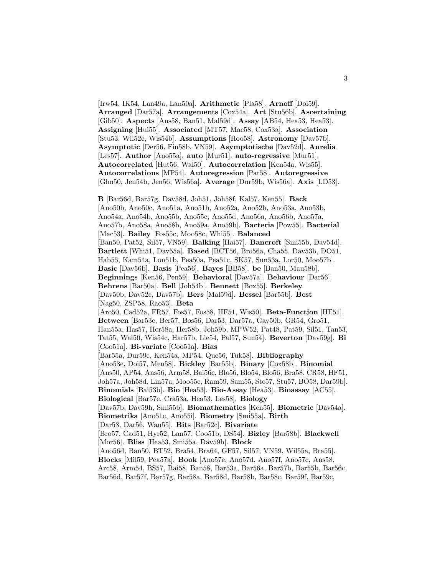[Irw54, IK54, Lan49a, Lan50a]. **Arithmetic** [Pla58]. **Arnoff** [Doi59]. **Arranged** [Dar57a]. **Arrangements** [Cox54a]. **Art** [Stu56b]. **Ascertaining** [Gib50]. **Aspects** [Ans58, Ban51, Mal59d]. **Assay** [AB54, Hea53, Hea53]. **Assigning** [Hui55]. **Associated** [MT57, Mac58, Cox53a]. **Association** [Stu53, Wil52c, Wis54b]. **Assumptions** [Hoo58]. **Astronomy** [Dav57b]. **Asymptotic** [Der56, Fin58b, VN59]. **Asymptotische** [Dav52d]. **Aurelia** [Les57]. **Author** [Ano55a]. **auto** [Mur51]. **auto-regressive** [Mur51]. **Autocorrelated** [Hut56, Wal50]. **Autocorrelation** [Ken54a, Wis55]. **Autocorrelations** [MP54]. **Autoregression** [Pat58]. **Autoregressive** [Ghu50, Jen54b, Jen56, Wis56a]. **Average** [Dur59b, Wis56a]. **Axis** [LD53].

**B** [Bar56d, Bar57g, Dav58d, Joh51, Joh58f, Kal57, Ken55]. **Back** [Ano50b, Ano50c, Ano51a, Ano51b, Ano52a, Ano52b, Ano53a, Ano53b, Ano54a, Ano54b, Ano55b, Ano55c, Ano55d, Ano56a, Ano56b, Ano57a, Ano57b, Ano58a, Ano58b, Ano59a, Ano59b]. **Bacteria** [Pow55]. **Bacterial** [Mac53]. **Bailey** [Fos55c, Moo58c, Whi55]. **Balanced** [Ban50, Pat52, Sil57, VN59]. **Balking** [Hai57]. **Bancroft** [Smi55b, Dav54d]. **Bartlett** [Whi51, Dav55a]. **Based** [BCT56, Bro56a, Cha55, Dav53b, DO51, Hab55, Kam54a, Lon51b, Pea50a, Pea51c, SK57, Sun53a, Lor50, Moo57b]. **Basic** [Dav56b]. **Basis** [Pea56]. **Bayes** [BB58]. **be** [Ban50, Mau58b]. **Beginnings** [Ken56, Pen59]. **Behavioral** [Dav57a]. **Behaviour** [Dar56]. **Behrens** [Bar50a]. **Bell** [Joh54b]. **Bennett** [Box55]. **Berkeley** [Dav50b, Dav52c, Dav57b]. **Bers** [Mal59d]. **Bessel** [Bar55b]. **Best** [Nag50, ZSP58, Rao53]. **Beta** [Aro50, Cad52a, FR57, Fos57, Fos58, HF51, Wis50]. **Beta-Function** [HF51]. **Between** [Bar53c, Ber57, Bos56, Dar53, Dar57a, Gay50b, GR54, Gro51, Han55a, Has57, Her58a, Her58b, Joh59b, MPW52, Pat48, Pat59, Sil51, Tan53, Tat55, Wal50, Wis54c, Har57b, Lie54, Pal57, Sun54]. **Beverton** [Dav59g]. **Bi** [Coo51a]. **Bi-variate** [Coo51a]. **Bias** [Bar55a, Dur59c, Ken54a, MP54, Que56, Tuk58]. **Bibliography** [Ano58e, Doi57, Men58]. **Bickley** [Bar55b]. **Binary** [Cox58b]. **Binomial** [Ans50, AP54, Ans56, Arm58, Bai56c, Bla56, Blo54, Blo56, Bra58, CR58, HF51, Joh57a, Joh58d, Lin57a, Moo55c, Ram59, Sam55, Ste57, Stu57, BO58, Dar59b]. **Binomials** [Bai53b]. **Bio** [Hea53]. **Bio-Assay** [Hea53]. **Bioassay** [AC55]. **Biological** [Bar57e, Cra53a, Hea53, Les58]. **Biology** [Dav57b, Dav59h, Smi55b]. **Biomathematics** [Ken55]. **Biometric** [Dav54a]. **Biometrika** [Ano51c, Ano55i]. **Biometry** [Smi55a]. **Birth** [Dar53, Dar56, Wau55]. **Bits** [Bar52c]. **Bivariate** [Bro57, Cad51, Hyr52, Lan57, Coo51b, DS54]. **Bizley** [Bar58b]. **Blackwell** [Mor56]. **Bliss** [Hea53, Smi55a, Dav59h]. **Block** [Ano56d, Ban50, BT52, Bra54, Bra64, GF57, Sil57, VN59, Wil55a, Bra55]. **Blocks** [Mil59, Pea57a]. **Book** [Ano57e, Ano57d, Ano57f, Ano57c, Ans58, Arc58, Arm54, BS57, Bai58, Ban58, Bar53a, Bar56a, Bar57b, Bar55b, Bar56c, Bar56d, Bar57f, Bar57g, Bar58a, Bar58d, Bar58b, Bar58c, Bar59f, Bar59c,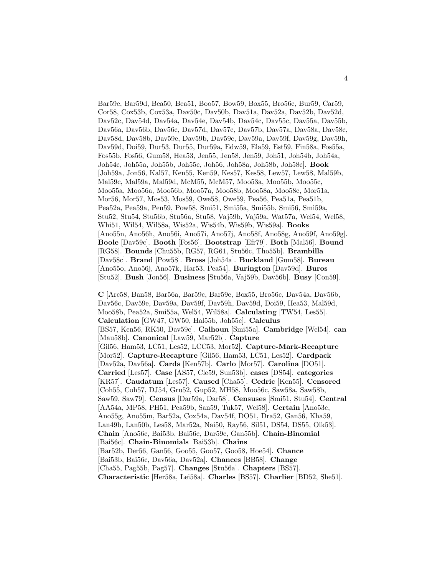Bar59e, Bar59d, Bea50, Bea51, Boo57, Bow59, Box55, Bro56c, Bur59, Car59, Cor58, Cox53b, Cox53a, Dav50c, Dav50b, Dav51a, Dav52a, Dav52b, Dav52d, Dav52c, Dav54d, Dav54a, Dav54e, Dav54b, Dav54c, Dav55c, Dav55a, Dav55b, Dav56a, Dav56b, Dav56c, Dav57d, Dav57c, Dav57b, Dav57a, Dav58a, Dav58c, Dav58d, Dav58b, Dav59e, Dav59b, Dav59c, Dav59a, Dav59f, Dav59g, Dav59h, Dav59d, Doi59, Dur53, Dur55, Dur59a, Edw59, Ela59, Est59, Fin58a, Fos55a, Fos55b, Fos56, Gum58, Hea53, Jen55, Jen58, Jen59, Joh51, Joh54b, Joh54a, Joh54c, Joh55a, Joh55b, Joh55c, Joh56, Joh58a, Joh58b, Joh58c]. **Book** [Joh59a, Jon56, Kal57, Ken55, Ken59, Kes57, Kes58, Lew57, Lew58, Mal59b, Mal59c, Mal59a, Mal59d, McM55, McM57, Moo53a, Moo55b, Moo55c, Moo55a, Moo56a, Moo56b, Moo57a, Moo58b, Moo58a, Moo58c, Mor51a, Mor56, Mor57, Mos53, Mos59, Owe58, Owe59, Pea56, Pea51a, Pea51b, Pea52a, Pea59a, Pen59, Pow58, Smi51, Smi55a, Smi55b, Smi56, Smi59a, Stu52, Stu54, Stu56b, Stu56a, Stu58, Vaj59b, Vaj59a, Wat57a, Wel54, Wel58, Whi51, Wil54, Wil58a, Wis52a, Wis54b, Wis59b, Wis59a]. **Books** [Ano55n, Ano56h, Ano56i, Ano57i, Ano57j, Ano58f, Ano58g, Ano59f, Ano59g]. **Boole** [Dav59c]. **Booth** [Fos56]. **Bootstrap** [Efr79]. **Both** [Mal56]. **Bound** [RG58]. **Bounds** [Chu55b, RG57, RG61, Stu56c, Tho55b]. **Brambilla** [Dav58c]. **Brand** [Pow58]. **Bross** [Joh54a]. **Buckland** [Gum58]. **Bureau** [Ano55o, Ano56j, Ano57k, Har53, Pea54]. **Burington** [Dav59d]. **Buros** [Stu52]. **Bush** [Jon56]. **Business** [Stu56a, Vaj59b, Dav56b]. **Busy** [Con59].

**C** [Arc58, Ban58, Bar56a, Bar59c, Bar59e, Box55, Bro56c, Dav54a, Dav56b, Dav56c, Dav59e, Dav59a, Dav59f, Dav59h, Dav59d, Doi59, Hea53, Mal59d, Moo58b, Pea52a, Smi55a, Wel54, Wil58a]. **Calculating** [TW54, Les55]. **Calculation** [GW47, GW50, Hal55b, Joh55c]. **Calculus** [BS57, Ken56, RK50, Dav59c]. **Calhoun** [Smi55a]. **Cambridge** [Wel54]. **can** [Mau58b]. **Canonical** [Law59, Mar52b]. **Capture** [Gil56, Ham53, LC51, Les52, LCC53, Mor52]. **Capture-Mark-Recapture** [Mor52]. **Capture-Recapture** [Gil56, Ham53, LC51, Les52]. **Cardpack** [Dav52a, Dav56a]. **Cards** [Ken57b]. **Carlo** [Mor57]. **Carolina** [DO51]. **Carried** [Les57]. **Case** [AS57, Cle59, Sun53b]. **cases** [DS54]. **categories** [KR57]. **Caudatum** [Les57]. **Caused** [Cha55]. **Cedric** [Ken55]. **Censored** [Coh55, Coh57, DJ54, Gru52, Gup52, MH58, Moo56c, Saw58a, Saw58b, Saw59, Saw79]. **Census** [Dar59a, Dar58]. **Censuses** [Smi51, Stu54]. **Central** [AA54a, MP58, PH51, Pea59b, San59, Tuk57, Wel58]. **Certain** [Ano53c, Ano55g, Ano55m, Bar52a, Cox54a, Dav54f, DO51, Dra52, Gan56, Kha59, Lan49b, Lan50b, Les58, Mar52a, Nai50, Ray56, Sil51, DS54, DS55, Olk53]. **Chain** [Ano56c, Bai53b, Bai56c, Dar59c, Gan55b]. **Chain-Binomial** [Bai56c]. **Chain-Binomials** [Bai53b]. **Chains** [Bar52b, Der56, Gan56, Goo55, Goo57, Goo58, Hoe54]. **Chance** [Bai53b, Bai56c, Dav56a, Dav52a]. **Chances** [BB58]. **Change** [Cha55, Pag55b, Pag57]. **Changes** [Stu56a]. **Chapters** [BS57]. **Characteristic** [Her58a, Lei58a]. **Charles** [BS57]. **Charlier** [BD52, She51].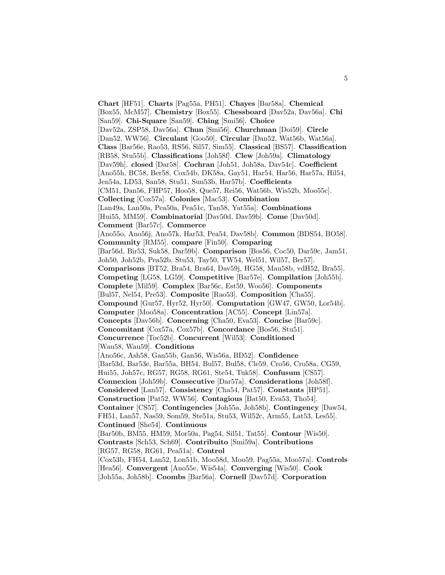**Chart** [HF51]. **Charts** [Pag55a, PH51]. **Chayes** [Bar58a]. **Chemical** [Box55, McM57]. **Chemistry** [Box55]. **Chessboard** [Dav52a, Dav56a]. **Chi** [San59]. **Chi-Square** [San59]. **Ching** [Smi56]. **Choice** [Dav52a, ZSP58, Dav56a]. **Chun** [Smi56]. **Churchman** [Doi59]. **Circle** [Dan52, WW56]. **Circulant** [Goo50]. **Circular** [Dan52, Wat56b, Wat56a]. **Class** [Bar56e, Rao53, RS56, Sil57, Sim55]. **Classical** [BS57]. **Classification** [RB58, Stu55b]. **Classifications** [Joh58f]. **Clew** [Joh59a]. **Climatology** [Dav59h]. **closed** [Dar58]. **Cochran** [Joh51, Joh58a, Dav54c]. **Coefficient** [Ano55h, BC58, Ber58, Cox54b, DK58a, Gay51, Har54, Har56, Har57a, Hil54, Jen54a, LD53, San58, Stu51, Sun53b, Har57b]. **Coefficients** [CM51, Dan56, FHP57, Hoo58, Que57, Rei56, Wat56b, Wis52b, Moo55c]. **Collecting** [Cox57a]. **Colonies** [Mac53]. **Combination** [Lan49a, Lan50a, Pea50a, Pea51c, Tan58, Yat55a]. **Combinations** [Hui55, MM59]. **Combinatorial** [Dav50d, Dav59b]. **Come** [Dav50d]. **Comment** [Bar57c]. **Commerce** [Ano55o, Ano56j, Ano57k, Har53, Pea54, Dav58b]. **Common** [BDS54, BO58]. **Community** [RM55]. **compare** [Fin50]. **Comparing** [Bar56d, Bir53, Suk58, Dar59b]. **Comparison** [Bos56, Coc50, Dar59c, Jam51, Joh50, Joh52b, Pea52b, Stu53, Tay50, TW54, Wel51, Wil57, Ber57]. **Comparisons** [BT52, Bra54, Bra64, Dav59j, HG58, Mau58b, vdH52, Bra55]. **Competing** [LG58, LG59]. **Competitive** [Bar57e]. **Compilation** [Joh55b]. **Complete** [Mil59]. **Complex** [Bar56c, Est59, Woo56]. **Components** [Bul57, Nel54, Pre53]. **Composite** [Rao53]. **Composition** [Cha55]. **Compound** [Gur57, Hyr52, Hyr50]. **Computation** [GW47, GW50, Lor54b]. **Computer** [Moo58a]. **Concentration** [AC55]. **Concept** [Lin57a]. **Concepts** [Dav56b]. **Concerning** [Cha50, Eva53]. **Concise** [Bar59c]. **Concomitant** [Cox57a, Cox57b]. **Concordance** [Bos56, Stu51]. **Concurrence** [Toc52b]. **Concurrent** [Wil53]. **Conditioned** [Wau58, Wau59]. **Conditions** [Ano56c, Ash58, Gan55b, Gan56, Wis56a, BD52]. **Confidence** [Bar53d, Bar53e, Bar55a, BH54, Bul57, Bul58, Cle59, Cro56, Cro58a, CG59, Hui55, Joh57c, RG57, RG58, RG61, Ste54, Tuk58]. **Confusum** [CS57]. **Connexion** [Joh59b]. **Consecutive** [Dar57a]. **Considerations** [Joh58f]. **Considered** [Lan57]. **Consistency** [Cha54, Pat57]. **Constants** [HP51]. **Construction** [Pat52, WW56]. **Contagious** [Bat50, Eva53, Tho54]. **Container** [CS57]. **Contingencies** [Joh55a, Joh58b]. **Contingency** [Daw54, FH51, Lan57, Nas59, Som59, Ste51a, Stu53, Wil52c, Arm55, Lat53, Les55]. **Continued** [She54]. **Continuous** [Bar50b, BM55, HM59, Mor50a, Pag54, Sil51, Tat55]. **Contour** [Wis50]. **Contrasts** [Sch53, Sch69]. **Contribuito** [Smi59a]. **Contributions** [RG57, RG58, RG61, Pea51a]. **Control** [Cox53b, FH54, Lan52, Lon51b, Moo58d, Moo59, Pag55a, Moo57a]. **Controls** [Hea56]. **Convergent** [Ano55e, Wis54a]. **Converging** [Wis50]. **Cook** [Joh55a, Joh58b]. **Coombs** [Bar56a]. **Cornell** [Dav57d]. **Corporation**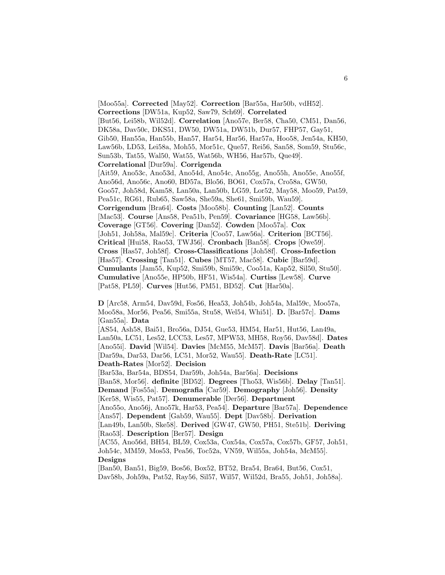[Moo55a]. **Corrected** [May52]. **Correction** [Bar55a, Har50b, vdH52]. **Corrections** [DW51a, Kup52, Saw79, Sch69]. **Correlated** [But56, Lei58b, Wil52d]. **Correlation** [Ano57e, Ber58, Cha50, CM51, Dan56, DK58a, Dav50c, DKS51, DW50, DW51a, DW51b, Dur57, FHP57, Gay51, Gib50, Han55a, Han55b, Han57, Har54, Har56, Har57a, Hoo58, Jen54a, KH50, Law56b, LD53, Lei58a, Moh55, Mor51c, Que57, Rei56, San58, Som59, Stu56c, Sun53b, Tat55, Wal50, Wat55, Wat56b, WH56, Har57b, Que49]. **Correlational** [Dur59a]. **Corrigenda** [Ait59, Ano53c, Ano53d, Ano54d, Ano54c, Ano55g, Ano55h, Ano55e, Ano55f, Ano56d, Ano56c, Ano60, BD57a, Blo56, BO61, Cox57a, Cro58a, GW50, Goo57, Joh58d, Kam58, Lan50a, Lan50b, LG59, Lor52, May58, Moo59, Pat59, Pea51c, RG61, Rub65, Saw58a, She59a, She61, Smi59b, Wau59]. **Corrigendum** [Bra64]. **Costs** [Moo58b]. **Counting** [Lan52]. **Counts** [Mac53]. **Course** [Ans58, Pea51b, Pen59]. **Covariance** [HG58, Law56b]. **Coverage** [GT56]. **Covering** [Dan52]. **Cowden** [Moo57a]. **Cox** [Joh51, Joh58a, Mal59c]. **Criteria** [Coo57, Law56a]. **Criterion** [BCT56]. **Critical** [Hui58, Rao53, TWJ56]. **Cronbach** [Ban58]. **Crops** [Owe59]. **Cross** [Has57, Joh58f]. **Cross-Classifications** [Joh58f]. **Cross-Infection** [Has57]. **Crossing** [Tan51]. **Cubes** [MT57, Mac58]. **Cubic** [Bar59d]. **Cumulants** [Jam55, Kup52, Smi59b, Smi59c, Coo51a, Kap52, Sil50, Stu50]. **Cumulative** [Ano55e, HP50b, HF51, Wis54a]. **Curtiss** [Lew58]. **Curve** [Pat58, PL59]. **Curves** [Hut56, PM51, BD52]. **Cut** [Har50a].

**D** [Arc58, Arm54, Dav59d, Fos56, Hea53, Joh54b, Joh54a, Mal59c, Moo57a, Moo58a, Mor56, Pea56, Smi55a, Stu58, Wel54, Whi51]. **D.** [Bar57c]. **Dams** [Gan55a]. **Data**

[AS54, Ash58, Bai51, Bro56a, DJ54, Gue53, HM54, Har51, Hut56, Lan49a, Lan50a, LC51, Les52, LCC53, Les57, MPW53, MH58, Roy56, Dav58d]. **Dates** [Ano55i]. **David** [Wil54]. **Davies** [McM55, McM57]. **Davis** [Bar56a]. **Death** [Dar59a, Dar53, Dar56, LC51, Mor52, Wau55]. **Death-Rate** [LC51]. **Death-Rates** [Mor52]. **Decision**

[Bar53a, Bar54a, BDS54, Dar59b, Joh54a, Bar56a]. **Decisions**

[Ban58, Mor56]. **definite** [BD52]. **Degrees** [Tho53, Wis56b]. **Delay** [Tan51].

**Demand** [Fos55a]. **Demografia** [Car59]. **Demography** [Joh56]. **Density**

[Ker58, Wis55, Pat57]. **Denumerable** [Der56]. **Department**

[Ano55o, Ano56j, Ano57k, Har53, Pea54]. **Departure** [Bar57a]. **Dependence** [Ans57]. **Dependent** [Gab59, Wau55]. **Dept** [Dav58b]. **Derivation**

[Lan49b, Lan50b, Ske58]. **Derived** [GW47, GW50, PH51, Ste51b]. **Deriving** [Rao53]. **Description** [Ber57]. **Design**

[AC55, Ano56d, BH54, BL59, Cox53a, Cox54a, Cox57a, Cox57b, GF57, Joh51, Joh54c, MM59, Mos53, Pea56, Toc52a, VN59, Wil55a, Joh54a, McM55]. **Designs**

[Ban50, Ban51, Big59, Bos56, Box52, BT52, Bra54, Bra64, But56, Cox51, Dav58b, Joh59a, Pat52, Ray56, Sil57, Wil57, Wil52d, Bra55, Joh51, Joh58a].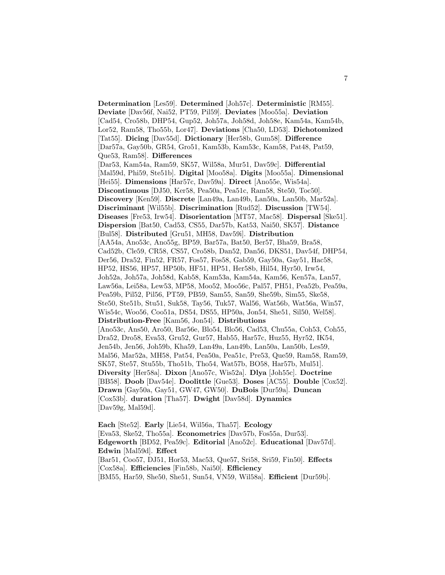**Determination** [Les59]. **Determined** [Joh57c]. **Deterministic** [RM55]. **Deviate** [Dav56f, Nai52, PT59, Pil59]. **Deviates** [Moo55a]. **Deviation** [Cad54, Cro58b, DHP54, Gup52, Joh57a, Joh58d, Joh58e, Kam54a, Kam54b, Lor52, Ram58, Tho55b, Lor47]. **Deviations** [Cha50, LD53]. **Dichotomized** [Tat55]. **Dicing** [Dav55d]. **Dictionary** [Her58b, Gum58]. **Difference** [Dar57a, Gay50b, GR54, Gro51, Kam53b, Kam53c, Kam58, Pat48, Pat59, Que53, Ram58]. **Differences** [Dar53, Kam54a, Ram59, SK57, Wil58a, Mur51, Dav59c]. **Differential** [Mal59d, Phi59, Ste51b]. **Digital** [Moo58a]. **Digits** [Moo55a]. **Dimensional** [Hei55]. **Dimensions** [Har57c, Dav59a]. **Direct** [Ano55e, Wis54a]. **Discontinuous** [DJ50, Ker58, Pea50a, Pea51c, Ram58, Ste50, Toc50]. **Discovery** [Ken59]. **Discrete** [Lan49a, Lan49b, Lan50a, Lan50b, Mar52a]. **Discriminant** [Wil55b]. **Discrimination** [Rud52]. **Discussion** [TW54]. **Diseases** [Fre53, Irw54]. **Disorientation** [MT57, Mac58]. **Dispersal** [Ske51]. **Dispersion** [Bat50, Cad53, CS55, Dar57b, Kat53, Nai50, SK57]. **Distance** [Bul58]. **Distributed** [Gru51, MH58, Dav59i]. **Distribution** [AA54a, Ano53c, Ano55g, BP59, Bar57a, Bat50, Ber57, Bha59, Bra58, Cad52b, Cle59, CR58, CS57, Cro58b, Dan52, Dan56, DKS51, Dav54f, DHP54, Der56, Dra52, Fin52, FR57, Fos57, Fos58, Gab59, Gay50a, Gay51, Hac58, HP52, HS56, HP57, HP50b, HF51, HP51, Her58b, Hil54, Hyr50, Irw54, Joh52a, Joh57a, Joh58d, Kab58, Kam53a, Kam54a, Kam56, Ken57a, Lan57, Law56a, Lei58a, Lew53, MP58, Moo52, Moo56c, Pal57, PH51, Pea52b, Pea59a, Pea59b, Pil52, Pil56, PT59, PB59, Sam55, San59, She59b, Sim55, Ske58, Ste50, Ste51b, Stu51, Suk58, Tay56, Tuk57, Wal56, Wat56b, Wat56a, Win57, Wis54c, Woo56, Coo51a, DS54, DS55, HP50a, Jon54, She51, Sil50, Wel58]. **Distribution-Free** [Kam56, Jon54]. **Distributions** [Ano53c, Ans50, Aro50, Bar56e, Blo54, Blo56, Cad53, Chu55a, Coh53, Coh55, Dra52, Dro58, Eva53, Gru52, Gur57, Hab55, Har57c, Huz55, Hyr52, IK54, Jen54b, Jen56, Joh59b, Kha59, Lan49a, Lan49b, Lan50a, Lan50b, Les59, Mal56, Mar52a, MH58, Pat54, Pea50a, Pea51c, Pre53, Que59, Ram58, Ram59, SK57, Ste57, Stu55b, Tho51b, Tho54, Wat57b, BO58, Har57b, Mul51]. **Diversity** [Her58a]. **Dixon** [Ano57c, Wis52a]. **Dlya** [Joh55c]. **Doctrine** [BB58]. **Doob** [Dav54e]. **Doolittle** [Gue53]. **Doses** [AC55]. **Double** [Cox52]. **Drawn** [Gay50a, Gay51, GW47, GW50]. **DuBois** [Dur59a]. **Duncan** [Cox53b]. **duration** [Tha57]. **Dwight** [Dav58d]. **Dynamics** [Dav59g, Mal59d].

**Each** [Ste52]. **Early** [Lie54, Wil56a, Tha57]. **Ecology** [Eva53, Ske52, Tho55a]. **Econometrics** [Dav57b, Fos55a, Dur53]. **Edgeworth** [BD52, Pea59c]. **Editorial** [Ano52c]. **Educational** [Dav57d]. **Edwin** [Mal59d]. **Effect** [Bar51, Coo57, DJ51, Hor53, Mac53, Que57, Sri58, Sri59, Fin50]. **Effects** [Cox58a]. **Efficiencies** [Fin58b, Nai50]. **Efficiency** [BM55, Har59, She50, She51, Sun54, VN59, Wil58a]. **Efficient** [Dur59b].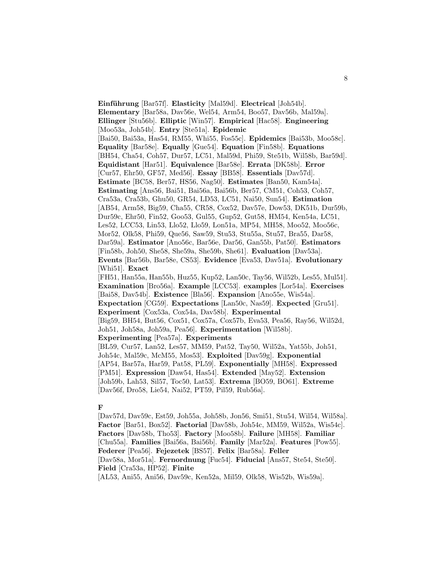**Einführung** [Bar57f]. **Elasticity** [Mal59d]. **Electrical** [Joh54b]. **Elementary** [Bar58a, Dav56e, Wel54, Arm54, Boo57, Dav56b, Mal59a]. **Ellinger** [Stu56b]. **Elliptic** [Win57]. **Empirical** [Hac58]. **Engineering** [Moo53a, Joh54b]. **Entry** [Ste51a]. **Epidemic** [Bai50, Bai53a, Has54, RM55, Whi55, Fos55c]. **Epidemics** [Bai53b, Moo58c]. **Equality** [Bar58e]. **Equally** [Gue54]. **Equation** [Fin58b]. **Equations** [BH54, Cha54, Coh57, Dur57, LC51, Mal59d, Phi59, Ste51b, Wil58b, Bar59d]. **Equidistant** [Har51]. **Equivalence** [Bar58e]. **Errata** [DK58b]. **Error** [Cur57, Ehr50, GF57, Med56]. **Essay** [BB58]. **Essentials** [Dav57d]. **Estimate** [BC58, Ber57, HS56, Nag50]. **Estimates** [Ban50, Kam54a]. **Estimating** [Ans56, Bai51, Bai56a, Bai56b, Ber57, CM51, Coh53, Coh57, Cra53a, Cra53b, Ghu50, GR54, LD53, LC51, Nai50, Sun54]. **Estimation** [AB54, Arm58, Big59, Cha55, CR58, Cox52, Dav57e, Dow53, DK51b, Dur59b, Dur59c, Ehr50, Fin52, Goo53, Gul55, Gup52, Gut58, HM54, Ken54a, LC51, Les52, LCC53, Lin53, Llo52, Llo59, Lon51a, MP54, MH58, Moo52, Moo56c, Mor52, Olk58, Phi59, Que56, Saw59, Stu53, Stu55a, Stu57, Bra55, Dar58, Dar59a]. **Estimator** [Ano56c, Bar56e, Dar56, Gan55b, Pat50]. **Estimators** [Fin58b, Joh50, She58, She59a, She59b, She61]. **Evaluation** [Dav53a]. **Events** [Bar56b, Bar58e, CS53]. **Evidence** [Eva53, Dav51a]. **Evolutionary** [Whi51]. **Exact** [FH51, Han55a, Han55b, Huz55, Kup52, Lan50c, Tay56, Wil52b, Les55, Mul51]. **Examination** [Bro56a]. **Example** [LCC53]. **examples** [Lor54a]. **Exercises** [Bai58, Dav54b]. **Existence** [Bla56]. **Expansion** [Ano55e, Wis54a]. **Expectation** [CG59]. **Expectations** [Lan50c, Nas59]. **Expected** [Gru51]. **Experiment** [Cox53a, Cox54a, Dav58b]. **Experimental** [Big59, BH54, But56, Cox51, Cox57a, Cox57b, Eva53, Pea56, Ray56, Wil52d, Joh51, Joh58a, Joh59a, Pea56]. **Experimentation** [Wil58b]. **Experimenting** [Pea57a]. **Experiments** [BL59, Cur57, Lan52, Les57, MM59, Pat52, Tay50, Wil52a, Yat55b, Joh51, Joh54c, Mal59c, McM55, Mos53]. **Exploited** [Dav59g]. **Exponential** [AP54, Bar57a, Har59, Pat58, PL59]. **Exponentially** [MH58]. **Expressed** [PM51]. **Expression** [Daw54, Has54]. **Extended** [May52]. **Extension** [Joh59b, Lah53, Sil57, Toc50, Lat53]. **Extrema** [BO59, BO61]. **Extreme** [Dav56f, Dro58, Lie54, Nai52, PT59, Pil59, Rub56a].

## **F**

[Dav57d, Dav59c, Est59, Joh55a, Joh58b, Jon56, Smi51, Stu54, Wil54, Wil58a]. **Factor** [Bar51, Box52]. **Factorial** [Dav58b, Joh54c, MM59, Wil52a, Wis54c]. **Factors** [Dav58b, Tho53]. **Factory** [Moo58b]. **Failure** [MH58]. **Familiar** [Chu55a]. **Families** [Bai56a, Bai56b]. **Family** [Mar52a]. **Features** [Pow55]. **Federer** [Pea56]. **Fejezetek** [BS57]. **Felix** [Bar58a]. **Feller** [Dav58a, Mor51a]. **Fernordnung** [Fuc54]. **Fiducial** [Ans57, Ste54, Ste50]. **Field** [Cra53a, HP52]. **Finite**

[AL53, Ani55, Ani56, Dav59c, Ken52a, Mil59, Olk58, Wis52b, Wis59a].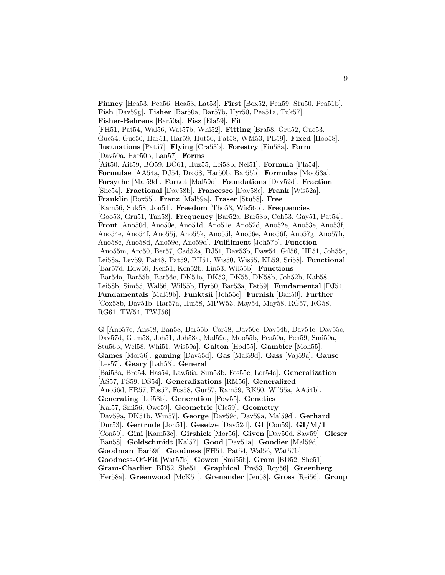**Finney** [Hea53, Pea56, Hea53, Lat53]. **First** [Box52, Pen59, Stu50, Pea51b]. **Fish** [Dav59g]. **Fisher** [Bar50a, Bar57b, Hyr50, Pea51a, Tuk57]. **Fisher-Behrens** [Bar50a]. **Fisz** [Ela59]. **Fit** [FH51, Pat54, Wal56, Wat57b, Whi52]. **Fitting** [Bra58, Gru52, Gue53, Gue54, Gue56, Har51, Har59, Hut56, Pat58, WM53, PL59]. **Fixed** [Hoo58]. **fluctuations** [Pat57]. **Flying** [Cra53b]. **Forestry** [Fin58a]. **Form** [Dav50a, Har50b, Lan57]. **Forms** [Ait50, Ait59, BO59, BO61, Huz55, Lei58b, Nel51]. **Formula** [Pla54]. **Formulae** [AA54a, DJ54, Dro58, Har50b, Bar55b]. **Formulas** [Moo53a]. **Forsythe** [Mal59d]. **Fortet** [Mal59d]. **Foundations** [Dav52d]. **Fraction** [She54]. **Fractional** [Dav58b]. **Francesco** [Dav58c]. **Frank** [Wis52a]. **Franklin** [Box55]. **Franz** [Mal59a]. **Fraser** [Stu58]. **Free** [Kam56, Suk58, Jon54]. **Freedom** [Tho53, Wis56b]. **Frequencies** [Goo53, Gru51, Tan58]. **Frequency** [Bar52a, Bar53b, Coh53, Gay51, Pat54]. **Front** [Ano50d, Ano50e, Ano51d, Ano51e, Ano52d, Ano52e, Ano53e, Ano53f, Ano54e, Ano54f, Ano55j, Ano55k, Ano55l, Ano56e, Ano56f, Ano57g, Ano57h, Ano58c, Ano58d, Ano59c, Ano59d]. **Fulfilment** [Joh57b]. **Function** [Ano55m, Aro50, Ber57, Cad52a, DJ51, Dav53b, Daw54, Gil56, HF51, Joh55c, Lei58a, Lev59, Pat48, Pat59, PH51, Wis50, Wis55, KL59, Sri58]. **Functional** [Bar57d, Edw59, Ken51, Ken52b, Lin53, Wil55b]. **Functions** [Bar54a, Bar55b, Bar56c, DK51a, DK53, DK55, DK58b, Joh52b, Kab58, Lei58b, Sim55, Wal56, Wil55b, Hyr50, Bar53a, Est59]. **Fundamental** [DJ54]. **Fundamentals** [Mal59b]. **Funktsii** [Joh55c]. **Furnish** [Ban50]. **Further** [Cox58b, Dav51b, Har57a, Hui58, MPW53, May54, May58, RG57, RG58, RG61, TW54, TWJ56].

**G** [Ano57e, Ans58, Ban58, Bar55b, Cor58, Dav50c, Dav54b, Dav54c, Dav55c, Dav57d, Gum58, Joh51, Joh58a, Mal59d, Moo55b, Pea59a, Pen59, Smi59a, Stu56b, Wel58, Whi51, Wis59a]. **Galton** [Hod55]. **Gambler** [Moh55]. **Games** [Mor56]. **gaming** [Dav55d]. **Gas** [Mal59d]. **Gass** [Vaj59a]. **Gause** [Les57]. **Geary** [Lah53]. **General** [Bai53a, Bro54, Has54, Law56a, Sun53b, Fos55c, Lor54a]. **Generalization** [AS57, PS59, DS54]. **Generalizations** [RM56]. **Generalized** [Ano56d, FR57, Fos57, Fos58, Gur57, Ram59, RK50, Wil55a, AA54b]. **Generating** [Lei58b]. **Generation** [Pow55]. **Genetics** [Kal57, Smi56, Owe59]. **Geometric** [Cle59]. **Geometry** [Dav59a, DK51b, Win57]. **George** [Dav59c, Dav59a, Mal59d]. **Gerhard** [Dur53]. **Gertrude** [Joh51]. **Gesetze** [Dav52d]. **GI** [Con59]. **GI/M/1** [Con59]. **Gini** [Kam53c]. **Girshick** [Mor56]. **Given** [Dav50d, Saw59]. **Gleser** [Ban58]. **Goldschmidt** [Kal57]. **Good** [Dav51a]. **Goodier** [Mal59d]. **Goodman** [Bar59f]. **Goodness** [FH51, Pat54, Wal56, Wat57b]. **Goodness-Of-Fit** [Wat57b]. **Gowen** [Smi55b]. **Gram** [BD52, She51]. **Gram-Charlier** [BD52, She51]. **Graphical** [Pre53, Roy56]. **Greenberg** [Her58a]. **Greenwood** [McK51]. **Grenander** [Jen58]. **Gross** [Rei56]. **Group**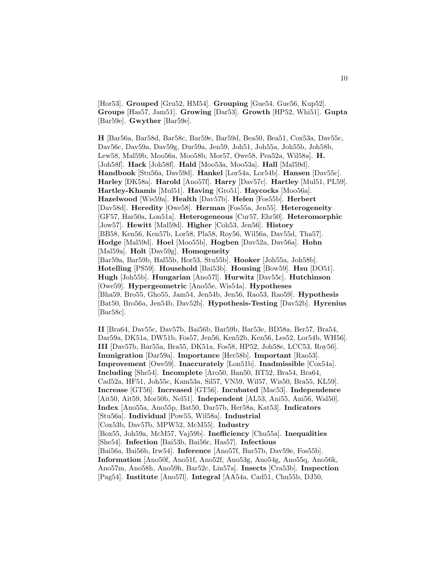[Hor53]. **Grouped** [Gru52, HM54]. **Grouping** [Gue54, Gue56, Kup52]. **Groups** [Has57, Jam51]. **Growing** [Dar53]. **Growth** [HP52, Whi51]. **Gupta** [Bar59e]. **Gwyther** [Bar59e].

**H** [Bar56a, Bar58d, Bar58c, Bar59e, Bar59d, Bea50, Bea51, Cox53a, Dav55c, Dav56c, Dav59a, Dav59g, Dur59a, Jen59, Joh51, Joh55a, Joh55b, Joh58b, Lew58, Mal59b, Moo56a, Moo58b, Mor57, Owe58, Pea52a, Wil58a]. **H.** [Joh58f]. **Hack** [Joh58f]. **Hald** [Moo53a, Moo53a]. **Hall** [Mal59d]. **Handbook** [Stu56a, Dav59d]. **Hankel** [Lor54a, Lor54b]. **Hansen** [Dav55c]. **Harley** [DK58a]. **Harold** [Ano57f]. **Harry** [Dav57c]. **Hartley** [Mul51, PL59]. **Hartley-Khamis** [Mul51]. **Having** [Gro51]. **Haycocks** [Moo56a]. **Hazelwood** [Wis59a]. **Health** [Dav57b]. **Helen** [Fos55b]. **Herbert** [Dav58d]. **Heredity** [Owe58]. **Herman** [Fos55a, Jen55]. **Heterogeneity** [GF57, Har50a, Lon51a]. **Heterogeneous** [Cur57, Ehr50]. **Heteromorphic** [Jow57]. **Hewitt** [Mal59d]. **Higher** [Coh53, Jen56]. **History** [BB58, Ken56, Ken57b, Lor58, Pla58, Roy56, Wil56a, Dav55d, Tha57]. **Hodge** [Mal59d]. **Hoel** [Moo55b]. **Hogben** [Dav52a, Dav56a]. **Hohn** [Mal59a]. **Holt** [Dav59g]. **Homogeneity** [Bar59a, Bar59b, Hal55b, Hor53, Stu55b]. **Hooker** [Joh55a, Joh58b]. **Hotelling** [PS59]. **Household** [Bai53b]. **Housing** [Bow59]. **Hsu** [DO51]. **Hugh** [Joh55b]. **Hungarian** [Ano57l]. **Hurwitz** [Dav55c]. **Hutchinson** [Owe59]. **Hypergeometric** [Ano55e, Wis54a]. **Hypotheses** [Bha59, Bro55, Gho55, Jam54, Jen54b, Jen56, Rao53, Rao59]. **Hypothesis** [Bat50, Bro56a, Jen54b, Dav52b]. **Hypothesis-Testing** [Dav52b]. **Hyrenius** [Bar58c].

**II** [Bra64, Dav55c, Dav57b, Bai56b, Bar59b, Bar53e, BD58a, Ber57, Bra54, Dar59a, DK51a, DW51b, Fos57, Jen56, Ken52b, Ken56, Les52, Lor54b, WH56]. **III** [Dav57b, Bar55a, Bra55, DK51a, Fos58, HP52, Joh58e, LCC53, Roy56]. **Immigration** [Dar59a]. **Importance** [Her58b]. **Important** [Rao53]. **Improvement** [Owe59]. **Inaccurately** [Lon51b]. **Inadmissible** [Cox54a]. **Including** [She54]. **Incomplete** [Aro50, Ban50, BT52, Bra54, Bra64, Cad52a, HF51, Joh55c, Kam53a, Sil57, VN59, Wil57, Wis50, Bra55, KL59]. **Increase** [GT56]. **Increased** [GT56]. **Incubated** [Mac53]. **Independence** [Ait50, Ait59, Mor50b, Nel51]. **Independent** [AL53, Ani55, Ani56, Wal50]. **Index** [Ano55a, Ano55p, Bat50, Dar57b, Her58a, Kat53]. **Indicators** [Stu56a]. **Individual** [Pow55, Wil58a]. **Industrial** [Cox53b, Dav57b, MPW52, McM55]. **Industry** [Box55, Joh59a, McM57, Vaj59b]. **Inefficiency** [Chu55a]. **Inequalities** [She54]. **Infection** [Bai53b, Bai56c, Has57]. **Infectious** [Bai56a, Bai56b, Irw54]. **Inference** [Ano57f, Bar57b, Dav59e, Fos55b]. **Information** [Ano50f, Ano51f, Ano52f, Ano53g, Ano54g, Ano55q, Ano56k, Ano57m, Ano58h, Ano59h, Bar52c, Lin57a]. **Insects** [Cra53b]. **Inspection** [Pag54]. **Institute** [Ano57l]. **Integral** [AA54a, Cad51, Chu55b, DJ50,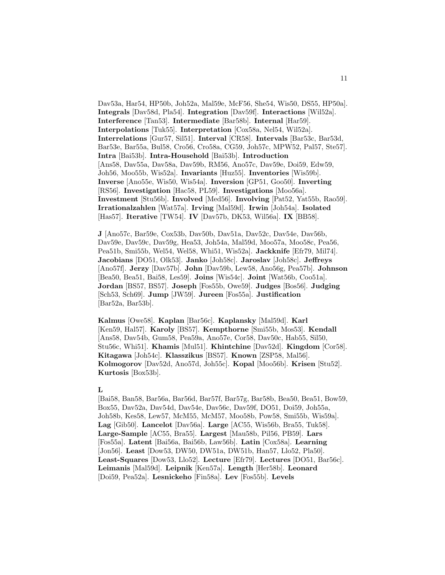Dav53a, Har54, HP50b, Joh52a, Mal59e, McF56, She54, Wis50, DS55, HP50a]. **Integrals** [Dav58d, Pla54]. **Integration** [Dav59f]. **Interactions** [Wil52a]. **Interference** [Tan53]. **Intermediate** [Bar58b]. **Internal** [Har59]. **Interpolations** [Tuk55]. **Interpretation** [Cox58a, Nel54, Wil52a]. **Interrelations** [Gur57, Sil51]. **Interval** [CR58]. **Intervals** [Bar53c, Bar53d, Bar53e, Bar55a, Bul58, Cro56, Cro58a, CG59, Joh57c, MPW52, Pal57, Ste57]. **Intra** [Bai53b]. **Intra-Household** [Bai53b]. **Introduction** [Ans58, Dav55a, Dav58a, Dav59b, RM56, Ano57c, Dav59e, Doi59, Edw59, Joh56, Moo55b, Wis52a]. **Invariants** [Huz55]. **Inventories** [Wis59b]. **Inverse** [Ano55e, Wis50, Wis54a]. **Inversion** [GP51, Goo50]. **Inverting** [RS56]. **Investigation** [Hac58, PL59]. **Investigations** [Moo56a]. **Investment** [Stu56b]. **Involved** [Med56]. **Involving** [Pat52, Yat55b, Rao59]. **Irrationalzahlen** [Wat57a]. **Irving** [Mal59d]. **Irwin** [Joh54a]. **Isolated** [Has57]. **Iterative** [TW54]. **IV** [Dav57b, DK53, Wil56a]. **IX** [BB58].

**J** [Ano57c, Bar59e, Cox53b, Dav50b, Dav51a, Dav52c, Dav54e, Dav56b, Dav59e, Dav59c, Dav59g, Hea53, Joh54a, Mal59d, Moo57a, Moo58c, Pea56, Pea51b, Smi55b, Wel54, Wel58, Whi51, Wis52a]. **Jackknife** [Efr79, Mil74]. **Jacobians** [DO51, Olk53]. **Janko** [Joh58c]. **Jaroslav** [Joh58c]. **Jeffreys** [Ano57f]. **Jerzy** [Dav57b]. **John** [Dav59b, Lew58, Ano56g, Pea57b]. **Johnson** [Bea50, Bea51, Bai58, Les59]. **Joins** [Wis54c]. **Joint** [Wat56b, Coo51a]. **Jordan** [BS57, BS57]. **Joseph** [Fos55b, Owe59]. **Judges** [Bos56]. **Judging** [Sch53, Sch69]. **Jump** [JW59]. **Jureen** [Fos55a]. **Justification** [Bar52a, Bar53b].

**Kalmus** [Owe58]. **Kaplan** [Bar56c]. **Kaplansky** [Mal59d]. **Karl** [Ken59, Hal57]. **Karoly** [BS57]. **Kempthorne** [Smi55b, Mos53]. **Kendall** [Ans58, Dav54b, Gum58, Pea59a, Ano57e, Cor58, Dav50c, Hab55, Sil50, Stu56c, Whi51]. **Khamis** [Mul51]. **Khintchine** [Dav52d]. **Kingdom** [Cor58]. **Kitagawa** [Joh54c]. **Klasszikus** [BS57]. **Known** [ZSP58, Mal56]. **Kolmogorov** [Dav52d, Ano57d, Joh55c]. **Kopal** [Moo56b]. **Krisen** [Stu52]. **Kurtosis** [Box53b].

#### **L**

[Bai58, Ban58, Bar56a, Bar56d, Bar57f, Bar57g, Bar58b, Bea50, Bea51, Bow59, Box55, Dav52a, Dav54d, Dav54e, Dav56c, Dav59f, DO51, Doi59, Joh55a, Joh58b, Kes58, Lew57, McM55, McM57, Moo58b, Pow58, Smi55b, Wis59a]. **Lag** [Gib50]. **Lancelot** [Dav56a]. **Large** [AC55, Wis56b, Bra55, Tuk58]. **Large-Sample** [AC55, Bra55]. **Largest** [Mau58b, Pil56, PB59]. **Lars** [Fos55a]. **Latent** [Bai56a, Bai56b, Law56b]. **Latin** [Cox58a]. **Learning** [Jon56]. **Least** [Dow53, DW50, DW51a, DW51b, Han57, Llo52, Pla50]. **Least-Squares** [Dow53, Llo52]. **Lecture** [Efr79]. **Lectures** [DO51, Bar56c]. **Leimanis** [Mal59d]. **Leipnik** [Ken57a]. **Length** [Her58b]. **Leonard** [Doi59, Pea52a]. **Lesnickeho** [Fin58a]. **Lev** [Fos55b]. **Levels**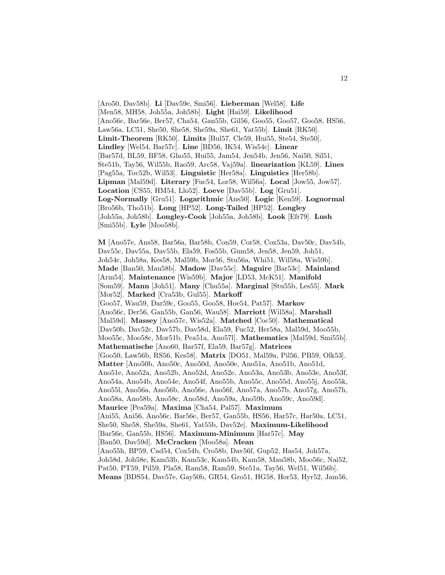[Aro50, Dav58b]. **Li** [Dav59e, Smi56]. **Lieberman** [Wel58]. **Life** [Men58, MH58, Joh55a, Joh58b]. **Light** [Hai59]. **Likelihood** [Ano56c, Bar56e, Ber57, Cha54, Gan55b, Gil56, Goo55, Goo57, Goo58, HS56, Law56a, LC51, She50, She58, She59a, She61, Yat55b]. **Limit** [RK50]. **Limit-Theorem** [RK50]. **Limits** [Bul57, Cle59, Hui55, Ste54, Ste50]. **Lindley** [Wel54, Bar57c]. **Line** [BD56, IK54, Wis54c]. **Linear** [Bar57d, BL59, BF58, Gho55, Hui55, Jam54, Jen54b, Jen56, Nai50, Sil51, Ste51b, Tay56, Wil55b, Rao59, Arc58, Vaj59a]. **linearization** [KL59]. **Lines** [Pag55a, Toc52b, Wil53]. **Linguistic** [Her58a]. **Linguistics** [Her58b]. **Lipman** [Mal59d]. **Literary** [Fuc54, Lor58, Wil56a]. **Local** [Jow55, Jow57]. **Location** [CS55, HM54, Llo52]. **Loeve** [Dav55b]. **Log** [Gru51]. **Log-Normally** [Gru51]. **Logarithmic** [Ans50]. **Logic** [Ken59]. **Lognormal** [Bro56b, Tho51b]. **Long** [HP52]. **Long-Tailed** [HP52]. **Longley** [Joh55a, Joh58b]. **Longley-Cook** [Joh55a, Joh58b]. **Look** [Efr79]. **Lush** [Smi55b]. **Lyle** [Moo58b].

**M** [Ano57e, Ans58, Bar56a, Bar58b, Con59, Cor58, Cox53a, Dav50c, Dav54b, Dav55c, Dav55a, Dav55b, Ela59, Fos55b, Gum58, Jen58, Jen59, Joh51, Joh54c, Joh58a, Kes58, Mal59b, Mor56, Stu56a, Whi51, Wil58a, Wis59b]. **Made** [Ban50, Mau58b]. **Madow** [Dav55c]. **Maguire** [Bar53c]. **Mainland** [Arm54]. **Maintenance** [Wis59b]. **Major** [LD53, McK51]. **Manifold** [Som59]. **Mann** [Joh51]. **Many** [Chu55a]. **Marginal** [Stu55b, Les55]. **Mark** [Mor52]. **Marked** [Cra53b, Gul55]. **Markoff** [Goo57, Wau59, Dar59c, Goo55, Goo58, Hoe54, Pat57]. **Markov** [Ano56c, Der56, Gan55b, Gan56, Wau58]. **Marriott** [Wil58a]. **Marshall** [Mal59d]. **Massey** [Ano57c, Wis52a]. **Matched** [Coc50]. **Mathematical** [Dav50b, Dav52c, Dav57b, Dav58d, Ela59, Fuc52, Her58a, Mal59d, Moo55b, Moo55c, Moo58c, Mor51b, Pea51a, Ano57l]. **Mathematics** [Mal59d, Smi55b]. **Mathematische** [Ano60, Bar57f, Ela59, Bar57g]. **Matrices** [Goo50, Law56b, RS56, Kes58]. **Matrix** [DO51, Mal59a, Pil56, PB59, Olk53]. **Matter** [Ano50b, Ano50c, Ano50d, Ano50e, Ano51a, Ano51b, Ano51d, Ano51e, Ano52a, Ano52b, Ano52d, Ano52e, Ano53a, Ano53b, Ano53e, Ano53f, Ano54a, Ano54b, Ano54e, Ano54f, Ano55b, Ano55c, Ano55d, Ano55j, Ano55k, Ano55l, Ano56a, Ano56b, Ano56e, Ano56f, Ano57a, Ano57b, Ano57g, Ano57h, Ano58a, Ano58b, Ano58c, Ano58d, Ano59a, Ano59b, Ano59c, Ano59d]. **Maurice** [Pea59a]. **Maxima** [Cha54, Pal57]. **Maximum** [Ani55, Ani56, Ano56c, Bar56e, Ber57, Gan55b, HS56, Har57c, Har50a, LC51, She50, She58, She59a, She61, Yat55b, Dav52e]. **Maximum-Likelihood** [Bar56e, Gan55b, HS56]. **Maximum-Minimum** [Har57c]. **May** [Ban50, Dav59d]. **McCracken** [Moo58a]. **Mean** [Ano55h, BP59, Cad54, Cox54b, Cro58b, Dav56f, Gup52, Has54, Joh57a, Joh58d, Joh58e, Kam53b, Kam53c, Kam54b, Kam58, Mau58b, Moo56c, Nai52, Pat50, PT59, Pil59, Pla58, Ram58, Ram59, Ste51a, Tay56, Wel51, Wil56b]. **Means** [BDS54, Dav57e, Gay50b, GR54, Gro51, HG58, Hor53, Hyr52, Jam56,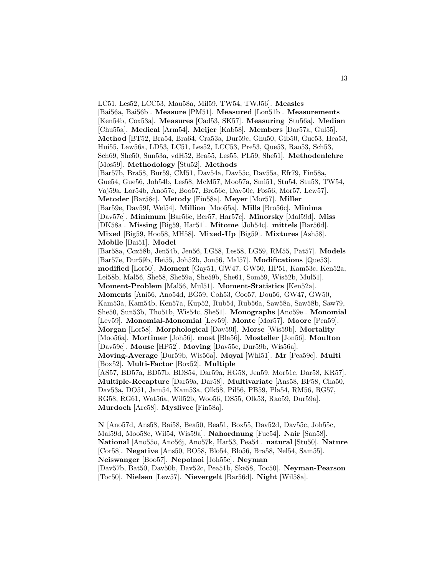LC51, Les52, LCC53, Mau58a, Mil59, TW54, TWJ56]. **Measles** [Bai56a, Bai56b]. **Measure** [PM51]. **Measured** [Lon51b]. **Measurements** [Ken54b, Cox53a]. **Measures** [Cad53, SK57]. **Measuring** [Stu56a]. **Median** [Chu55a]. **Medical** [Arm54]. **Meijer** [Kab58]. **Members** [Dar57a, Gul55]. **Method** [BT52, Bra54, Bra64, Cra53a, Dur59c, Ghu50, Gib50, Gue53, Hea53, Hui55, Law56a, LD53, LC51, Les52, LCC53, Pre53, Que53, Rao53, Sch53, Sch69, She50, Sun53a, vdH52, Bra55, Les55, PL59, She51]. **Methodenlehre** [Mos59]. **Methodology** [Stu52]. **Methods** [Bar57b, Bra58, Bur59, CM51, Dav54a, Dav55c, Dav55a, Efr79, Fin58a, Gue54, Gue56, Joh54b, Les58, McM57, Moo57a, Smi51, Stu54, Stu58, TW54, Vaj59a, Lor54b, Ano57e, Boo57, Bro56c, Dav50c, Fos56, Mor57, Lew57]. **Metoder** [Bar58c]. **Metody** [Fin58a]. **Meyer** [Mor57]. **Miller** [Bar59e, Dav59f, Wel54]. **Million** [Moo55a]. **Mills** [Bro56c]. **Minima** [Dav57e]. **Minimum** [Bar56e, Ber57, Har57c]. **Minorsky** [Mal59d]. **Miss** [DK58a]. **Missing** [Big59, Har51]. **Mitome** [Joh54c]. **mittels** [Bar56d]. **Mixed** [Big59, Hoo58, MH58]. **Mixed-Up** [Big59]. **Mixtures** [Ash58]. **Mobile** [Bai51]. **Model** [Bar58a, Cox58b, Jen54b, Jen56, LG58, Les58, LG59, RM55, Pat57]. **Models** [Bar57e, Dur59b, Hei55, Joh52b, Jon56, Mal57]. **Modifications** [Que53]. **modified** [Lor50]. **Moment** [Gay51, GW47, GW50, HP51, Kam53c, Ken52a, Lei58b, Mal56, She58, She59a, She59b, She61, Som59, Wis52b, Mul51]. **Moment-Problem** [Mal56, Mul51]. **Moment-Statistics** [Ken52a]. **Moments** [Ani56, Ano54d, BG59, Coh53, Coo57, Dou56, GW47, GW50, Kam53a, Kam54b, Ken57a, Kup52, Rub54, Rub56a, Saw58a, Saw58b, Saw79, She50, Sun53b, Tho51b, Wis54c, She51]. **Monographs** [Ano59e]. **Monomial** [Lev59]. **Monomial-Monomial** [Lev59]. **Monte** [Mor57]. **Moore** [Pen59]. **Morgan** [Lor58]. **Morphological** [Dav59f]. **Morse** [Wis59b]. **Mortality** [Moo56a]. **Mortimer** [Joh56]. **most** [Bla56]. **Mosteller** [Jon56]. **Moulton** [Dav59c]. **Mouse** [HP52]. **Moving** [Dav55e, Dur59b, Wis56a]. **Moving-Average** [Dur59b, Wis56a]. **Moyal** [Whi51]. **Mr** [Pea59c]. **Multi** [Box52]. **Multi-Factor** [Box52]. **Multiple** [AS57, BD57a, BD57b, BDS54, Dar59a, HG58, Jen59, Mor51c, Dar58, KR57]. **Multiple-Recapture** [Dar59a, Dar58]. **Multivariate** [Ans58, BF58, Cha50, Dav53a, DO51, Jam54, Kam53a, Olk58, Pil56, PB59, Pla54, RM56, RG57, RG58, RG61, Wat56a, Wil52b, Woo56, DS55, Olk53, Rao59, Dur59a]. **Murdoch** [Arc58]. **Myslivec** [Fin58a].

**N** [Ano57d, Ans58, Bai58, Bea50, Bea51, Box55, Dav52d, Dav55c, Joh55c, Mal59d, Moo58c, Wil54, Wis59a]. **Nahordnung** [Fuc54]. **Nair** [San58]. **National** [Ano55o, Ano56j, Ano57k, Har53, Pea54]. **natural** [Stu50]. **Nature** [Cor58]. **Negative** [Ans50, BO58, Blo54, Blo56, Bra58, Nel54, Sam55]. **Neiswanger** [Boo57]. **Nepolnoi** [Joh55c]. **Neyman** [Dav57b, Bat50, Dav50b, Dav52c, Pea51b, Ske58, Toc50]. **Neyman-Pearson** [Toc50]. **Nielsen** [Lew57]. **Nievergelt** [Bar56d]. **Night** [Wil58a].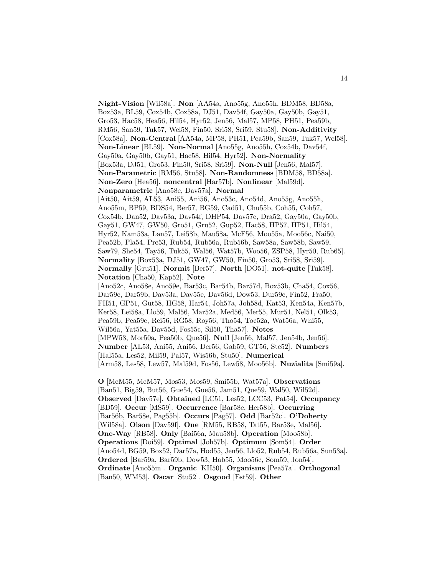**Night-Vision** [Wil58a]. **Non** [AA54a, Ano55g, Ano55h, BDM58, BD58a, Box53a, BL59, Cox54b, Cox58a, DJ51, Dav54f, Gay50a, Gay50b, Gay51, Gro53, Hac58, Hea56, Hil54, Hyr52, Jen56, Mal57, MP58, PH51, Pea59b, RM56, San59, Tuk57, Wel58, Fin50, Sri58, Sri59, Stu58]. **Non-Additivity** [Cox58a]. **Non-Central** [AA54a, MP58, PH51, Pea59b, San59, Tuk57, Wel58]. **Non-Linear** [BL59]. **Non-Normal** [Ano55g, Ano55h, Cox54b, Dav54f, Gay50a, Gay50b, Gay51, Hac58, Hil54, Hyr52]. **Non-Normality** [Box53a, DJ51, Gro53, Fin50, Sri58, Sri59]. **Non-Null** [Jen56, Mal57]. **Non-Parametric** [RM56, Stu58]. **Non-Randomness** [BDM58, BD58a]. **Non-Zero** [Hea56]. **noncentral** [Har57b]. **Nonlinear** [Mal59d]. **Nonparametric** [Ano58e, Dav57a]. **Normal** [Ait50, Ait59, AL53, Ani55, Ani56, Ano53c, Ano54d, Ano55g, Ano55h, Ano55m, BP59, BDS54, Ber57, BG59, Cad51, Chu55b, Coh55, Coh57, Cox54b, Dan52, Dav53a, Dav54f, DHP54, Dav57e, Dra52, Gay50a, Gay50b, Gay51, GW47, GW50, Gro51, Gru52, Gup52, Hac58, HP57, HP51, Hil54, Hyr52, Kam53a, Lan57, Lei58b, Mau58a, McF56, Moo55a, Moo56c, Nai50, Pea52b, Pla54, Pre53, Rub54, Rub56a, Rub56b, Saw58a, Saw58b, Saw59, Saw79, She54, Tay56, Tuk55, Wal56, Wat57b, Woo56, ZSP58, Hyr50, Rub65]. **Normality** [Box53a, DJ51, GW47, GW50, Fin50, Gro53, Sri58, Sri59]. **Normally** [Gru51]. **Normit** [Ber57]. **North** [DO51]. **not-quite** [Tuk58]. **Notation** [Cha50, Kap52]. **Note** [Ano52c, Ano58e, Ano59e, Bar53c, Bar54b, Bar57d, Box53b, Cha54, Cox56, Dar59c, Dar59b, Dav53a, Dav55e, Dav56d, Dow53, Dur59c, Fin52, Fra50, FH51, GP51, Gut58, HG58, Har54, Joh57a, Joh58d, Kat53, Ken54a, Ken57b, Ker58, Lei58a, Llo59, Mal56, Mar52a, Med56, Mer55, Mur51, Nel51, Olk53, Pea59b, Pea59c, Rei56, RG58, Roy56, Tho54, Toc52a, Wat56a, Whi55, Wil56a, Yat55a, Dav55d, Fos55c, Sil50, Tha57]. **Notes** [MPW53, Mor50a, Pea50b, Que56]. **Null** [Jen56, Mal57, Jen54b, Jen56]. **Number** [AL53, Ani55, Ani56, Der56, Gab59, GT56, Ste52]. **Numbers** [Hal55a, Les52, Mil59, Pal57, Wis56b, Stu50]. **Numerical** [Arm58, Les58, Lew57, Mal59d, Fos56, Lew58, Moo56b]. **Nuzialita** [Smi59a]. **O** [McM55, McM57, Mos53, Mos59, Smi55b, Wat57a]. **Observations**

[Ban51, Big59, But56, Gue54, Gue56, Jam51, Que59, Wal50, Wil52d]. **Observed** [Dav57e]. **Obtained** [LC51, Les52, LCC53, Pat54]. **Occupancy** [BD59]. **Occur** [MS59]. **Occurrence** [Bar58e, Her58b]. **Occurring** [Bar56b, Bar58e, Pag55b]. **Occurs** [Pag57]. **Odd** [Bar52c]. **O'Doherty** [Wil58a]. **Olson** [Dav59f]. **One** [RM55, RB58, Tat55, Bar53e, Mal56]. **One-Way** [RB58]. **Only** [Bai56a, Mau58b]. **Operation** [Moo58b]. **Operations** [Doi59]. **Optimal** [Joh57b]. **Optimum** [Som54]. **Order** [Ano54d, BG59, Box52, Dar57a, Hod55, Jen56, Llo52, Rub54, Rub56a, Sun53a]. **Ordered** [Bar59a, Bar59b, Dow53, Hab55, Moo56c, Som59, Jon54]. **Ordinate** [Ano55m]. **Organic** [KH50]. **Organisms** [Pea57a]. **Orthogonal** [Ban50, WM53]. **Oscar** [Stu52]. **Osgood** [Est59]. **Other**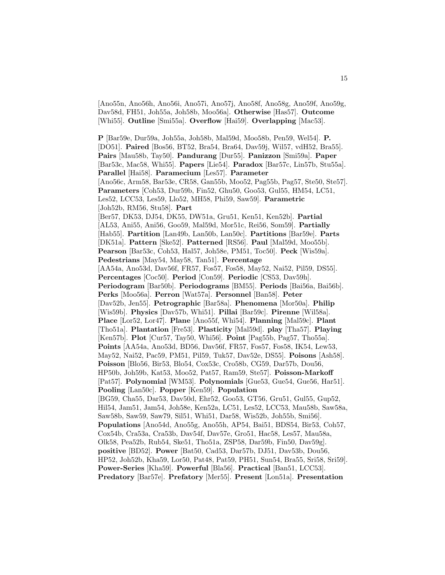[Ano55n, Ano56h, Ano56i, Ano57i, Ano57j, Ano58f, Ano58g, Ano59f, Ano59g, Dav58d, FH51, Joh55a, Joh58b, Moo56a]. **Otherwise** [Has57]. **Outcome** [Whi55]. **Outline** [Smi55a]. **Overflow** [Hai59]. **Overlapping** [Mac53].

**P** [Bar59e, Dur59a, Joh55a, Joh58b, Mal59d, Moo58b, Pen59, Wel54]. **P.** [DO51]. **Paired** [Bos56, BT52, Bra54, Bra64, Dav59j, Wil57, vdH52, Bra55]. **Pairs** [Mau58b, Tay50]. **Pandurang** [Dur55]. **Panizzon** [Smi59a]. **Paper** [Bar53c, Mac58, Whi55]. **Papers** [Lie54]. **Paradox** [Bar57c, Lin57b, Stu55a]. **Parallel** [Hai58]. **Paramecium** [Les57]. **Parameter** [Ano56c, Arm58, Bar53e, CR58, Gan55b, Moo52, Pag55b, Pag57, Ste50, Ste57]. **Parameters** [Coh53, Dur59b, Fin52, Ghu50, Goo53, Gul55, HM54, LC51, Les52, LCC53, Les59, Llo52, MH58, Phi59, Saw59]. **Parametric** [Joh52b, RM56, Stu58]. **Part** [Ber57, DK53, DJ54, DK55, DW51a, Gru51, Ken51, Ken52b]. **Partial** [AL53, Ani55, Ani56, Goo59, Mal59d, Mor51c, Rei56, Som59]. **Partially** [Hab55]. **Partition** [Lan49b, Lan50b, Lan50c]. **Partitions** [Bar59e]. **Parts** [DK51a]. **Pattern** [Ske52]. **Patterned** [RS56]. **Paul** [Mal59d, Moo55b]. **Pearson** [Bar53c, Coh53, Hal57, Joh58e, PM51, Toc50]. **Peck** [Wis59a]. **Pedestrians** [May54, May58, Tan51]. **Percentage** [AA54a, Ano53d, Dav56f, FR57, Fos57, Fos58, May52, Nai52, Pil59, DS55]. **Percentages** [Coc50]. **Period** [Con59]. **Periodic** [CS53, Dav59h]. **Periodogram** [Bar50b]. **Periodograms** [BM55]. **Periods** [Bai56a, Bai56b]. **Perks** [Moo56a]. **Perron** [Wat57a]. **Personnel** [Ban58]. **Peter** [Dav52b, Jen55]. **Petrographic** [Bar58a]. **Phenomena** [Mor50a]. **Philip** [Wis59b]. **Physics** [Dav57b, Whi51]. **Pillai** [Bar59c]. **Pirenne** [Wil58a]. **Place** [Lor52, Lor47]. **Plane** [Ano55f, Whi54]. **Planning** [Mal59c]. **Plant** [Tho51a]. **Plantation** [Fre53]. **Plasticity** [Mal59d]. **play** [Tha57]. **Playing** [Ken57b]. **Plot** [Cur57, Tay50, Whi56]. **Point** [Pag55b, Pag57, Tho55a]. **Points** [AA54a, Ano53d, BD56, Dav56f, FR57, Fos57, Fos58, IK54, Lew53, May52, Nai52, Pac59, PM51, Pil59, Tuk57, Dav52e, DS55]. **Poisons** [Ash58]. **Poisson** [Blo56, Bir53, Blo54, Cox53c, Cro58b, CG59, Dar57b, Dou56, HP50b, Joh59b, Kat53, Moo52, Pat57, Ram59, Ste57]. **Poisson-Markoff** [Pat57]. **Polynomial** [WM53]. **Polynomials** [Gue53, Gue54, Gue56, Har51]. **Pooling** [Lan50c]. **Popper** [Ken59]. **Population** [BG59, Cha55, Dar53, Dav50d, Ehr52, Goo53, GT56, Gru51, Gul55, Gup52, Hil54, Jam51, Jam54, Joh58e, Ken52a, LC51, Les52, LCC53, Mau58b, Saw58a, Saw58b, Saw59, Saw79, Sil51, Whi51, Dar58, Wis52b, Joh55b, Smi56]. **Populations** [Ano54d, Ano55g, Ano55h, AP54, Bai51, BDS54, Bir53, Coh57, Cox54b, Cra53a, Cra53b, Dav54f, Dav57e, Gro51, Hac58, Les57, Mau58a, Olk58, Pea52b, Rub54, Ske51, Tho51a, ZSP58, Dar59b, Fin50, Dav59g]. **positive** [BD52]. **Power** [Bat50, Cad53, Dar57b, DJ51, Dav53b, Dou56, HP52, Joh52b, Kha59, Lor50, Pat48, Pat59, PH51, Sun54, Bra55, Sri58, Sri59]. **Power-Series** [Kha59]. **Powerful** [Bla56]. **Practical** [Ban51, LCC53]. **Predatory** [Bar57e]. **Prefatory** [Mer55]. **Present** [Lon51a]. **Presentation**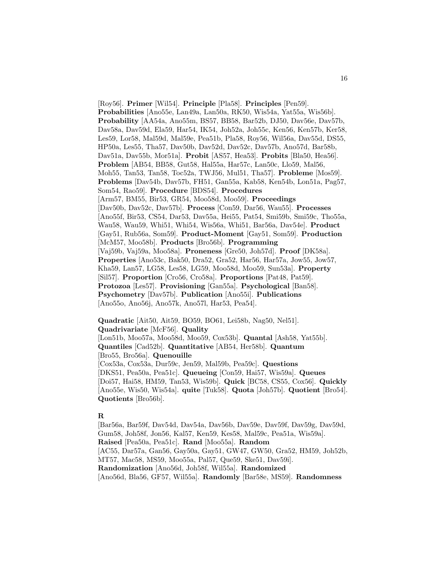[Roy56]. **Primer** [Wil54]. **Principle** [Pla58]. **Principles** [Pen59]. **Probabilities** [Ano55e, Lan49a, Lan50a, RK50, Wis54a, Yat55a, Wis56b]. **Probability** [AA54a, Ano55m, BS57, BB58, Bar52b, DJ50, Dav56e, Dav57b, Dav58a, Dav59d, Ela59, Har54, IK54, Joh52a, Joh55c, Ken56, Ken57b, Ker58, Les59, Lor58, Mal59d, Mal59e, Pea51b, Pla58, Roy56, Wil56a, Dav55d, DS55, HP50a, Les55, Tha57, Dav50b, Dav52d, Dav52c, Dav57b, Ano57d, Bar58b, Dav51a, Dav55b, Mor51a]. **Probit** [AS57, Hea53]. **Probits** [Bla50, Hea56]. **Problem** [AB54, BB58, Gut58, Hal55a, Har57c, Lan50c, Llo59, Mal56, Moh55, Tan53, Tan58, Toc52a, TWJ56, Mul51, Tha57]. **Probleme** [Mos59]. **Problems** [Dav54b, Dav57b, FH51, Gan55a, Kab58, Ken54b, Lon51a, Pag57, Som54, Rao59]. **Procedure** [BDS54]. **Procedures** [Arm57, BM55, Bir53, GR54, Moo58d, Moo59]. **Proceedings** [Dav50b, Dav52c, Dav57b]. **Process** [Con59, Dar56, Wau55]. **Processes** [Ano55f, Bir53, CS54, Dar53, Dav55a, Hei55, Pat54, Smi59b, Smi59c, Tho55a, Wau58, Wau59, Whi51, Whi54, Wis56a, Whi51, Bar56a, Dav54e]. **Product** [Gay51, Rub56a, Som59]. **Product-Moment** [Gay51, Som59]. **Production** [McM57, Moo58b]. **Products** [Bro56b]. **Programming** [Vaj59b, Vaj59a, Moo58a]. **Proneness** [Gre50, Joh57d]. **Proof** [DK58a]. **Properties** [Ano53c, Bak50, Dra52, Gra52, Har56, Har57a, Jow55, Jow57, Kha59, Lan57, LG58, Les58, LG59, Moo58d, Moo59, Sun53a]. **Property** [Sil57]. **Proportion** [Cro56, Cro58a]. **Proportions** [Pat48, Pat59]. **Protozoa** [Les57]. **Provisioning** [Gan55a]. **Psychological** [Ban58]. **Psychometry** [Dav57b]. **Publication** [Ano55i]. **Publications** [Ano55o, Ano56j, Ano57k, Ano57l, Har53, Pea54].

**Quadratic** [Ait50, Ait59, BO59, BO61, Lei58b, Nag50, Nel51]. **Quadrivariate** [McF56]. **Quality** [Lon51b, Moo57a, Moo58d, Moo59, Cox53b]. **Quantal** [Ash58, Yat55b]. **Quantiles** [Cad52b]. **Quantitative** [AB54, Her58b]. **Quantum** [Bro55, Bro56a]. **Quenouille** [Cox53a, Cox53a, Dur59c, Jen59, Mal59b, Pea59c]. **Questions** [DKS51, Pea50a, Pea51c]. **Queueing** [Con59, Hai57, Wis59a]. **Queues**

[Doi57, Hai58, HM59, Tan53, Wis59b]. **Quick** [BC58, CS55, Cox56]. **Quickly** [Ano55e, Wis50, Wis54a]. **quite** [Tuk58]. **Quota** [Joh57b]. **Quotient** [Bro54]. **Quotients** [Bro56b].

#### **R**

[Bar56a, Bar59f, Dav54d, Dav54a, Dav56b, Dav59e, Dav59f, Dav59g, Dav59d, Gum58, Joh58f, Jon56, Kal57, Ken59, Kes58, Mal59c, Pea51a, Wis59a]. **Raised** [Pea50a, Pea51c]. **Rand** [Moo55a]. **Random** [AC55, Dar57a, Gan56, Gay50a, Gay51, GW47, GW50, Gra52, HM59, Joh52b, MT57, Mac58, MS59, Moo55a, Pal57, Que59, Ske51, Dav59i]. **Randomization** [Ano56d, Joh58f, Wil55a]. **Randomized** [Ano56d, Bla56, GF57, Wil55a]. **Randomly** [Bar58e, MS59]. **Randomness**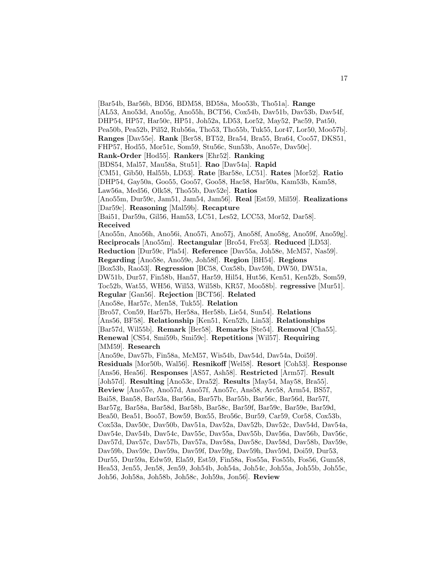[Bar54b, Bar56b, BD56, BDM58, BD58a, Moo53b, Tho51a]. **Range** [AL53, Ano53d, Ano55g, Ano55h, BCT56, Cox54b, Dav51b, Dav53b, Dav54f, DHP54, HP57, Har50c, HP51, Joh52a, LD53, Lor52, May52, Pac59, Pat50, Pea50b, Pea52b, Pil52, Rub56a, Tho53, Tho55b, Tuk55, Lor47, Lor50, Moo57b]. **Ranges** [Dav55e]. **Rank** [Ber58, BT52, Bra54, Bra55, Bra64, Coo57, DKS51, FHP57, Hod55, Mor51c, Som59, Stu56c, Sun53b, Ano57e, Dav50c]. **Rank-Order** [Hod55]. **Rankers** [Ehr52]. **Ranking** [BDS54, Mal57, Mau58a, Stu51]. **Rao** [Dav54a]. **Rapid** [CM51, Gib50, Hal55b, LD53]. **Rate** [Bar58e, LC51]. **Rates** [Mor52]. **Ratio** [DHP54, Gay50a, Goo55, Goo57, Goo58, Hac58, Har50a, Kam53b, Kam58, Law56a, Med56, Olk58, Tho55b, Dav52e]. **Ratios** [Ano55m, Dur59c, Jam51, Jam54, Jam56]. **Real** [Est59, Mil59]. **Realizations** [Dar59c]. **Reasoning** [Mal59b]. **Recapture** [Bai51, Dar59a, Gil56, Ham53, LC51, Les52, LCC53, Mor52, Dar58]. **Received** [Ano55n, Ano56h, Ano56i, Ano57i, Ano57j, Ano58f, Ano58g, Ano59f, Ano59g]. **Reciprocals** [Ano55m]. **Rectangular** [Bro54, Fre53]. **Reduced** [LD53]. **Reduction** [Dur59c, Pla54]. **Reference** [Dav55a, Joh58e, McM57, Nas59]. **Regarding** [Ano58e, Ano59e, Joh58f]. **Region** [BH54]. **Regions** [Box53b, Rao53]. **Regression** [BC58, Cox58b, Dav59h, DW50, DW51a, DW51b, Dur57, Fin58b, Han57, Har59, Hil54, Hut56, Ken51, Ken52b, Som59, Toc52b, Wat55, WH56, Wil53, Wil58b, KR57, Moo58b]. **regressive** [Mur51]. **Regular** [Gan56]. **Rejection** [BCT56]. **Related** [Ano58e, Har57c, Men58, Tuk55]. **Relation** [Bro57, Con59, Har57b, Her58a, Her58b, Lie54, Sun54]. **Relations** [Ans56, BF58]. **Relationship** [Ken51, Ken52b, Lin53]. **Relationships** [Bar57d, Wil55b]. **Remark** [Ber58]. **Remarks** [Ste54]. **Removal** [Cha55]. **Renewal** [CS54, Smi59b, Smi59c]. **Repetitions** [Wil57]. **Requiring** [MM59]. **Research** [Ano59e, Dav57b, Fin58a, McM57, Wis54b, Dav54d, Dav54a, Doi59]. **Residuals** [Mor50b, Wal56]. **Resnikoff** [Wel58]. **Resort** [Coh53]. **Response** [Ans56, Hea56]. **Responses** [AS57, Ash58]. **Restricted** [Arm57]. **Result** [Joh57d]. **Resulting** [Ano53c, Dra52]. **Results** [May54, May58, Bra55]. **Review** [Ano57e, Ano57d, Ano57f, Ano57c, Ans58, Arc58, Arm54, BS57, Bai58, Ban58, Bar53a, Bar56a, Bar57b, Bar55b, Bar56c, Bar56d, Bar57f, Bar57g, Bar58a, Bar58d, Bar58b, Bar58c, Bar59f, Bar59c, Bar59e, Bar59d, Bea50, Bea51, Boo57, Bow59, Box55, Bro56c, Bur59, Car59, Cor58, Cox53b, Cox53a, Dav50c, Dav50b, Dav51a, Dav52a, Dav52b, Dav52c, Dav54d, Dav54a, Dav54e, Dav54b, Dav54c, Dav55c, Dav55a, Dav55b, Dav56a, Dav56b, Dav56c, Dav57d, Dav57c, Dav57b, Dav57a, Dav58a, Dav58c, Dav58d, Dav58b, Dav59e, Dav59b, Dav59c, Dav59a, Dav59f, Dav59g, Dav59h, Dav59d, Doi59, Dur53, Dur55, Dur59a, Edw59, Ela59, Est59, Fin58a, Fos55a, Fos55b, Fos56, Gum58, Hea53, Jen55, Jen58, Jen59, Joh54b, Joh54a, Joh54c, Joh55a, Joh55b, Joh55c, Joh56, Joh58a, Joh58b, Joh58c, Joh59a, Jon56]. **Review**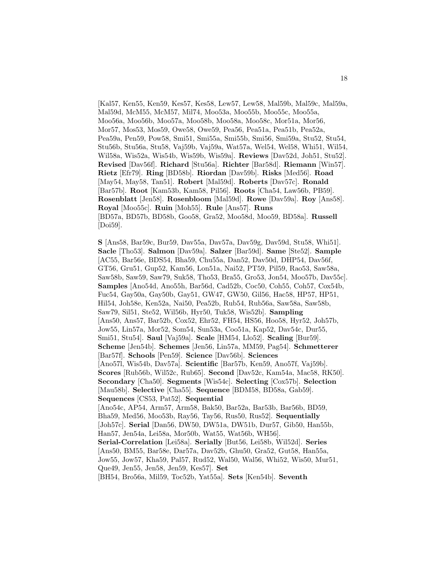[Kal57, Ken55, Ken59, Kes57, Kes58, Lew57, Lew58, Mal59b, Mal59c, Mal59a, Mal59d, McM55, McM57, Mil74, Moo53a, Moo55b, Moo55c, Moo55a, Moo56a, Moo56b, Moo57a, Moo58b, Moo58a, Moo58c, Mor51a, Mor56, Mor57, Mos53, Mos59, Owe58, Owe59, Pea56, Pea51a, Pea51b, Pea52a, Pea59a, Pen59, Pow58, Smi51, Smi55a, Smi55b, Smi56, Smi59a, Stu52, Stu54, Stu56b, Stu56a, Stu58, Vaj59b, Vaj59a, Wat57a, Wel54, Wel58, Whi51, Wil54, Wil58a, Wis52a, Wis54b, Wis59b, Wis59a]. **Reviews** [Dav52d, Joh51, Stu52]. **Revised** [Dav56f]. **Richard** [Stu56a]. **Richter** [Bar58d]. **Riemann** [Win57]. **Rietz** [Efr79]. **Ring** [BD58b]. **Riordan** [Dav59b]. **Risks** [Med56]. **Road** [May54, May58, Tan51]. **Robert** [Mal59d]. **Roberts** [Dav57c]. **Ronald** [Bar57b]. **Root** [Kam53b, Kam58, Pil56]. **Roots** [Cha54, Law56b, PB59]. **Rosenblatt** [Jen58]. **Rosenbloom** [Mal59d]. **Rowe** [Dav59a]. **Roy** [Ans58]. **Royal** [Moo55c]. **Ruin** [Moh55]. **Rule** [Ans57]. **Runs** [BD57a, BD57b, BD58b, Goo58, Gra52, Moo58d, Moo59, BD58a]. **Russell** [Doi59].

**S** [Ans58, Bar59c, Bur59, Dav55a, Dav57a, Dav59g, Dav59d, Stu58, Whi51]. **Sacle** [Tho53]. **Salmon** [Dav59a]. **Salzer** [Bar59d]. **Same** [Ste52]. **Sample** [AC55, Bar56e, BDS54, Bha59, Chu55a, Dan52, Dav50d, DHP54, Dav56f, GT56, Gru51, Gup52, Kam56, Lon51a, Nai52, PT59, Pil59, Rao53, Saw58a, Saw58b, Saw59, Saw79, Suk58, Tho53, Bra55, Gro53, Jon54, Moo57b, Dav55c]. **Samples** [Ano54d, Ano55h, Bar56d, Cad52b, Coc50, Coh55, Coh57, Cox54b, Fuc54, Gay50a, Gay50b, Gay51, GW47, GW50, Gil56, Hac58, HP57, HP51, Hil54, Joh58e, Ken52a, Nai50, Pea52b, Rub54, Rub56a, Saw58a, Saw58b, Saw79, Sil51, Ste52, Wil56b, Hyr50, Tuk58, Wis52b]. **Sampling** [Ans50, Ans57, Bar52b, Cox52, Ehr52, FH54, HS56, Hoo58, Hyr52, Joh57b, Jow55, Lin57a, Mor52, Som54, Sun53a, Coo51a, Kap52, Dav54c, Dur55, Smi51, Stu54]. **Saul** [Vaj59a]. **Scale** [HM54, Llo52]. **Scaling** [Bur59]. **Scheme** [Jen54b]. **Schemes** [Jen56, Lin57a, MM59, Pag54]. **Schmetterer** [Bar57f]. **Schools** [Pen59]. **Science** [Dav56b]. **Sciences** [Ano57l, Wis54b, Dav57a]. **Scientific** [Bar57b, Ken59, Ano57f, Vaj59b]. **Scores** [Rub56b, Wil52c, Rub65]. **Second** [Dav52c, Kam54a, Mac58, RK50]. **Secondary** [Cha50]. **Segments** [Wis54c]. **Selecting** [Cox57b]. **Selection** [Mau58b]. **Selective** [Cha55]. **Sequence** [BDM58, BD58a, Gab59]. **Sequences** [CS53, Pat52]. **Sequential** [Ano54c, AP54, Arm57, Arm58, Bak50, Bar52a, Bar53b, Bar56b, BD59, Bha59, Med56, Moo53b, Ray56, Tay56, Rus50, Rus52]. **Sequentially** [Joh57c]. **Serial** [Dan56, DW50, DW51a, DW51b, Dur57, Gib50, Han55b, Han57, Jen54a, Lei58a, Mor50b, Wat55, Wat56b, WH56]. **Serial-Correlation** [Lei58a]. **Serially** [But56, Lei58b, Wil52d]. **Series** [Ans50, BM55, Bar58e, Dar57a, Dav52b, Ghu50, Gra52, Gut58, Han55a, Jow55, Jow57, Kha59, Pal57, Rud52, Wal50, Wal56, Whi52, Wis50, Mur51, Que49, Jen55, Jen58, Jen59, Kes57]. **Set** [BH54, Bro56a, Mil59, Toc52b, Yat55a]. **Sets** [Ken54b]. **Seventh**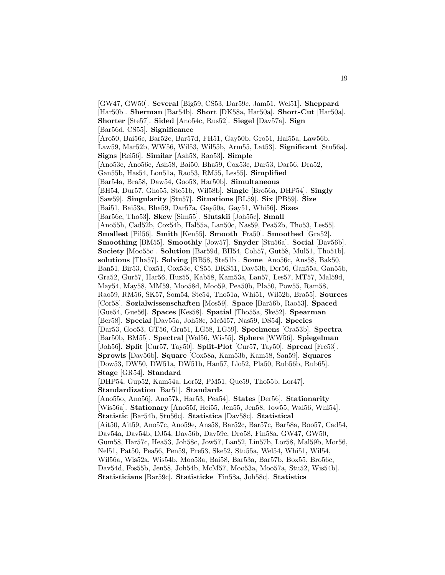[GW47, GW50]. **Several** [Big59, CS53, Dar59c, Jam51, Wel51]. **Sheppard** [Har50b]. **Sherman** [Bar54b]. **Short** [DK58a, Har50a]. **Short-Cut** [Har50a]. **Shorter** [Ste57]. **Sided** [Ano54c, Rus52]. **Siegel** [Dav57a]. **Sign** [Bar56d, CS55]. **Significance** [Aro50, Bai56c, Bar52c, Bar57d, FH51, Gay50b, Gro51, Hal55a, Law56b, Law59, Mar52b, WW56, Wil53, Wil55b, Arm55, Lat53]. **Significant** [Stu56a]. **Signs** [Rei56]. **Similar** [Ash58, Rao53]. **Simple** [Ano53c, Ano56c, Ash58, Bai50, Bha59, Cox53c, Dar53, Dar56, Dra52, Gan55b, Has54, Lon51a, Rao53, RM55, Les55]. **Simplified** [Bar54a, Bra58, Daw54, Goo58, Har50b]. **Simultaneous** [BH54, Dur57, Gho55, Ste51b, Wil58b]. **Single** [Bro56a, DHP54]. **Singly** [Saw59]. **Singularity** [Stu57]. **Situations** [BL59]. **Six** [PB59]. **Size** [Bai51, Bai53a, Bha59, Dar57a, Gay50a, Gay51, Whi56]. **Sizes** [Bar56e, Tho53]. **Skew** [Sim55]. **Slutskii** [Joh55c]. **Small** [Ano55h, Cad52b, Cox54b, Hal55a, Lan50c, Nas59, Pea52b, Tho53, Les55]. **Smallest** [Pil56]. **Smith** [Ken55]. **Smooth** [Fra50]. **Smoothed** [Gra52]. **Smoothing** [BM55]. **Smoothly** [Jow57]. **Snyder** [Stu56a]. **Social** [Dav56b]. **Society** [Moo55c]. **Solution** [Bar59d, BH54, Coh57, Gut58, Mul51, Tho51b]. **solutions** [Tha57]. **Solving** [BB58, Ste51b]. **Some** [Ano56c, Ans58, Bak50, Ban51, Bir53, Cox51, Cox53c, CS55, DKS51, Dav53b, Der56, Gan55a, Gan55b, Gra52, Gur57, Har56, Huz55, Kab58, Kam53a, Lan57, Les57, MT57, Mal59d, May54, May58, MM59, Moo58d, Moo59, Pea50b, Pla50, Pow55, Ram58, Rao59, RM56, SK57, Som54, Ste54, Tho51a, Whi51, Wil52b, Bra55]. **Sources** [Cor58]. **Sozialwissenschaften** [Mos59]. **Space** [Bar56b, Rao53]. **Spaced** [Gue54, Gue56]. **Spaces** [Kes58]. **Spatial** [Tho55a, Ske52]. **Spearman** [Ber58]. **Special** [Dav55a, Joh58e, McM57, Nas59, DS54]. **Species** [Dar53, Goo53, GT56, Gru51, LG58, LG59]. **Specimens** [Cra53b]. **Spectra** [Bar50b, BM55]. **Spectral** [Wal56, Wis55]. **Sphere** [WW56]. **Spiegelman** [Joh56]. **Split** [Cur57, Tay50]. **Split-Plot** [Cur57, Tay50]. **Spread** [Fre53]. **Sprowls** [Dav56b]. **Square** [Cox58a, Kam53b, Kam58, San59]. **Squares** [Dow53, DW50, DW51a, DW51b, Han57, Llo52, Pla50, Rub56b, Rub65]. **Stage** [GR54]. **Standard** [DHP54, Gup52, Kam54a, Lor52, PM51, Que59, Tho55b, Lor47]. **Standardization** [Bar51]. **Standards** [Ano55o, Ano56j, Ano57k, Har53, Pea54]. **States** [Der56]. **Stationarity** [Wis56a]. **Stationary** [Ano55f, Hei55, Jen55, Jen58, Jow55, Wal56, Whi54]. **Statistic** [Bar54b, Stu56c]. **Statistica** [Dav58c]. **Statistical** [Ait50, Ait59, Ano57c, Ano59e, Ans58, Bar52c, Bar57c, Bar58a, Boo57, Cad54, Dav54a, Dav54b, DJ54, Dav56b, Dav59e, Dro58, Fin58a, GW47, GW50, Gum58, Har57c, Hea53, Joh58c, Jow57, Lan52, Lin57b, Lor58, Mal59b, Mor56, Nel51, Pat50, Pea56, Pen59, Pre53, Ske52, Stu55a, Wel54, Whi51, Wil54, Wil56a, Wis52a, Wis54b, Moo53a, Bai58, Bar53a, Bar57b, Box55, Bro56c, Dav54d, Fos55b, Jen58, Joh54b, McM57, Moo53a, Moo57a, Stu52, Wis54b]. **Statisticians** [Bar59c]. **Statisticke** [Fin58a, Joh58c]. **Statistics**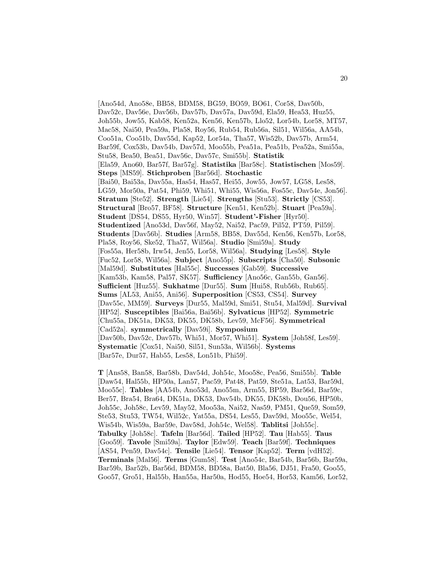[Ano54d, Ano58e, BB58, BDM58, BG59, BO59, BO61, Cor58, Dav50b, Dav52c, Dav56e, Dav56b, Dav57b, Dav57a, Dav59d, Ela59, Hea53, Huz55, Joh55b, Jow55, Kab58, Ken52a, Ken56, Ken57b, Llo52, Lor54b, Lor58, MT57, Mac58, Nai50, Pea59a, Pla58, Roy56, Rub54, Rub56a, Sil51, Wil56a, AA54b, Coo51a, Coo51b, Dav55d, Kap52, Lor54a, Tha57, Wis52b, Dav57b, Arm54, Bar59f, Cox53b, Dav54b, Dav57d, Moo55b, Pea51a, Pea51b, Pea52a, Smi55a, Stu58, Bea50, Bea51, Dav56c, Dav57c, Smi55b]. **Statistik** [Ela59, Ano60, Bar57f, Bar57g]. **Statistika** [Bar58c]. **Statistischen** [Mos59]. **Steps** [MS59]. **Stichproben** [Bar56d]. **Stochastic** [Bai50, Bai53a, Dav55a, Has54, Has57, Hei55, Jow55, Jow57, LG58, Les58, LG59, Mor50a, Pat54, Phi59, Whi51, Whi55, Wis56a, Fos55c, Dav54e, Jon56]. **Stratum** [Ste52]. **Strength** [Lie54]. **Strengths** [Stu53]. **Strictly** [CS53]. **Structural** [Bro57, BF58]. **Structure** [Ken51, Ken52b]. **Stuart** [Pea59a]. **Student** [DS54, DS55, Hyr50, Win57]. **Student'-Fisher** [Hyr50]. **Studentized** [Ano53d, Dav56f, May52, Nai52, Pac59, Pil52, PT59, Pil59]. **Students** [Dav56b]. **Studies** [Arm58, BB58, Dav55d, Ken56, Ken57b, Lor58, Pla58, Roy56, Ske52, Tha57, Wil56a]. **Studio** [Smi59a]. **Study** [Fos55a, Her58b, Irw54, Jen55, Lor58, Wil56a]. **Studying** [Les58]. **Style** [Fuc52, Lor58, Wil56a]. **Subject** [Ano55p]. **Subscripts** [Cha50]. **Subsonic** [Mal59d]. **Substitutes** [Hal55c]. **Successes** [Gab59]. **Successive** [Kam53b, Kam58, Pal57, SK57]. **Sufficiency** [Ano56c, Gan55b, Gan56]. **Sufficient** [Huz55]. **Sukhatme** [Dur55]. **Sum** [Hui58, Rub56b, Rub65]. **Sums** [AL53, Ani55, Ani56]. **Superposition** [CS53, CS54]. **Survey** [Dav55c, MM59]. **Surveys** [Dur55, Mal59d, Smi51, Stu54, Mal59d]. **Survival** [HP52]. **Susceptibles** [Bai56a, Bai56b]. **Sylvaticus** [HP52]. **Symmetric** [Chu55a, DK51a, DK53, DK55, DK58b, Lev59, McF56]. **Symmetrical** [Cad52a]. **symmetrically** [Dav59i]. **Symposium** [Dav50b, Dav52c, Dav57b, Whi51, Mor57, Whi51]. **System** [Joh58f, Les59]. **Systematic** [Cox51, Nai50, Sil51, Sun53a, Wil56b]. **Systems** [Bar57e, Dur57, Hab55, Les58, Lon51b, Phi59].

**T** [Ans58, Ban58, Bar58b, Dav54d, Joh54c, Moo58c, Pea56, Smi55b]. **Table** [Daw54, Hal55b, HP50a, Lan57, Pac59, Pat48, Pat59, Ste51a, Lat53, Bar59d, Moo55c]. **Tables** [AA54b, Ano53d, Ano55m, Arm55, BP59, Bar56d, Bar59c, Ber57, Bra54, Bra64, DK51a, DK53, Dav54b, DK55, DK58b, Dou56, HP50b, Joh55c, Joh58c, Lev59, May52, Moo53a, Nai52, Nas59, PM51, Que59, Som59, Ste53, Stu53, TW54, Wil52c, Yat55a, DS54, Les55, Dav59d, Moo55c, Wel54, Wis54b, Wis59a, Bar59e, Dav58d, Joh54c, Wel58]. **Tablitsi** [Joh55c]. **Tabulky** [Joh58c]. **Tafeln** [Bar56d]. **Tailed** [HP52]. **Tau** [Hab55]. **Taus** [Goo59]. **Tavole** [Smi59a]. **Taylor** [Edw59]. **Teach** [Bar59f]. **Techniques** [AS54, Pen59, Dav54c]. **Tensile** [Lie54]. **Tensor** [Kap52]. **Term** [vdH52]. **Terminals** [Mal56]. **Terms** [Gum58]. **Test** [Ano54c, Bar54b, Bar56b, Bar59a, Bar59b, Bar52b, Bar56d, BDM58, BD58a, Bat50, Bla56, DJ51, Fra50, Goo55, Goo57, Gro51, Hal55b, Han55a, Har50a, Hod55, Hoe54, Hor53, Kam56, Lor52,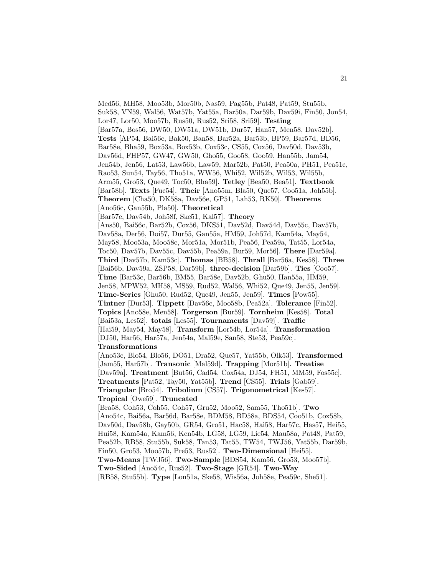Med56, MH58, Moo53b, Mor50b, Nas59, Pag55b, Pat48, Pat59, Stu55b, Suk58, VN59, Wal56, Wat57b, Yat55a, Bar50a, Dar59b, Dav59i, Fin50, Jon54, Lor47, Lor50, Moo57b, Rus50, Rus52, Sri58, Sri59]. **Testing** [Bar57a, Bos56, DW50, DW51a, DW51b, Dur57, Han57, Men58, Dav52b]. **Tests** [AP54, Bai56c, Bak50, Ban58, Bar52a, Bar53b, BP59, Bar57d, BD56, Bar58e, Bha59, Box53a, Box53b, Cox53c, CS55, Cox56, Dav50d, Dav53b, Dav56d, FHP57, GW47, GW50, Gho55, Goo58, Goo59, Han55b, Jam54, Jen54b, Jen56, Lat53, Law56b, Law59, Mar52b, Pat50, Pea50a, PH51, Pea51c, Rao53, Sun54, Tay56, Tho51a, WW56, Whi52, Wil52b, Wil53, Wil55b, Arm55, Gro53, Que49, Toc50, Bha59]. **Tetley** [Bea50, Bea51]. **Textbook** [Bar58b]. **Texts** [Fuc54]. **Their** [Ano55m, Bla50, Que57, Coo51a, Joh55b]. **Theorem** [Cha50, DK58a, Dav56e, GP51, Lah53, RK50]. **Theorems** [Ano56c, Gan55b, Pla50]. **Theoretical** [Bar57e, Dav54b, Joh58f, Ske51, Kal57]. **Theory** [Ans50, Bai56c, Bar52b, Cox56, DKS51, Dav52d, Dav54d, Dav55c, Dav57b, Dav58a, Der56, Doi57, Dur55, Gan55a, HM59, Joh57d, Kam54a, May54, May58, Moo53a, Moo58c, Mor51a, Mor51b, Pea56, Pea59a, Tat55, Lor54a, Toc50, Dav57b, Dav55c, Dav55b, Pea59a, Bur59, Mor56]. **There** [Dar59a]. **Third** [Dav57b, Kam53c]. **Thomas** [BB58]. **Thrall** [Bar56a, Kes58]. **Three** [Bai56b, Dav59a, ZSP58, Dar59b]. **three-decision** [Dar59b]. **Ties** [Coo57]. **Time** [Bar53c, Bar56b, BM55, Bar58e, Dav52b, Ghu50, Han55a, HM59, Jen58, MPW52, MH58, MS59, Rud52, Wal56, Whi52, Que49, Jen55, Jen59]. **Time-Series** [Ghu50, Rud52, Que49, Jen55, Jen59]. **Times** [Pow55]. **Tintner** [Dur53]. **Tippett** [Dav56c, Moo58b, Pea52a]. **Tolerance** [Fin52]. **Topics** [Ano58e, Men58]. **Torgerson** [Bur59]. **Tornheim** [Kes58]. **Total** [Bai53a, Les52]. **totals** [Les55]. **Tournaments** [Dav59j]. **Traffic** [Hai59, May54, May58]. **Transform** [Lor54b, Lor54a]. **Transformation** [DJ50, Har56, Har57a, Jen54a, Mal59e, San58, Ste53, Pea59c]. **Transformations** [Ano53c, Blo54, Blo56, DO51, Dra52, Que57, Yat55b, Olk53]. **Transformed** [Jam55, Har57b]. **Transonic** [Mal59d]. **Trapping** [Mor51b]. **Treatise** [Dav59a]. **Treatment** [But56, Cad54, Cox54a, DJ54, FH51, MM59, Fos55c]. **Treatments** [Pat52, Tay50, Yat55b]. **Trend** [CS55]. **Trials** [Gab59]. **Triangular** [Bro54]. **Tribolium** [CS57]. **Trigonometrical** [Kes57]. **Tropical** [Owe59]. **Truncated** [Bra58, Coh53, Coh55, Coh57, Gru52, Moo52, Sam55, Tho51b]. **Two** [Ano54c, Bai56a, Bar56d, Bar58e, BDM58, BD58a, BDS54, Coo51b, Cox58b, Dav50d, Dav58b, Gay50b, GR54, Gro51, Hac58, Hai58, Har57c, Has57, Hei55, Hui58, Kam54a, Kam56, Ken54b, LG58, LG59, Lie54, Mau58a, Pat48, Pat59, Pea52b, RB58, Stu55b, Suk58, Tan53, Tat55, TW54, TWJ56, Yat55b, Dar59b, Fin50, Gro53, Moo57b, Pre53, Rus52]. **Two-Dimensional** [Hei55]. **Two-Means** [TWJ56]. **Two-Sample** [BDS54, Kam56, Gro53, Moo57b].

**Two-Sided** [Ano54c, Rus52]. **Two-Stage** [GR54]. **Two-Way**

[RB58, Stu55b]. **Type** [Lon51a, Ske58, Wis56a, Joh58e, Pea59c, She51].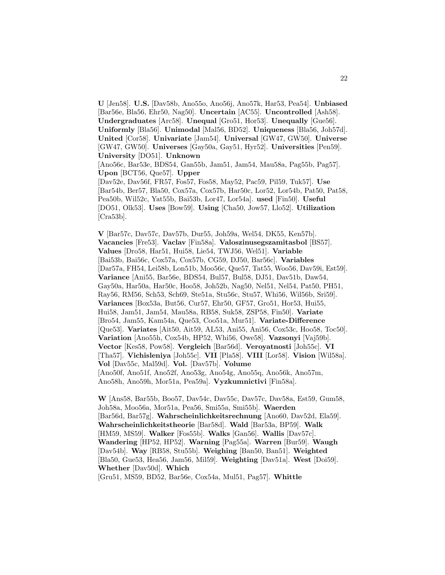**U** [Jen58]. **U.S.** [Dav58b, Ano55o, Ano56j, Ano57k, Har53, Pea54]. **Unbiased** [Bar56e, Bla56, Ehr50, Nag50]. **Uncertain** [AC55]. **Uncontrolled** [Ash58]. **Undergraduates** [Arc58]. **Unequal** [Gro51, Hor53]. **Unequally** [Gue56]. **Uniformly** [Bla56]. **Unimodal** [Mal56, BD52]. **Uniqueness** [Bla56, Joh57d]. **United** [Cor58]. **Univariate** [Jam54]. **Universal** [GW47, GW50]. **Universe** [GW47, GW50]. **Universes** [Gay50a, Gay51, Hyr52]. **Universities** [Pen59]. **University** [DO51]. **Unknown** [Ano56c, Bar53e, BDS54, Gan55b, Jam51, Jam54, Mau58a, Pag55b, Pag57]. **Upon** [BCT56, Que57]. **Upper** [Dav52e, Dav56f, FR57, Fos57, Fos58, May52, Pac59, Pil59, Tuk57]. **Use**

[Bar54b, Ber57, Bla50, Cox57a, Cox57b, Har50c, Lor52, Lor54b, Pat50, Pat58, Pea50b, Wil52c, Yat55b, Bai53b, Lor47, Lor54a]. **used** [Fin50]. **Useful** [DO51, Olk53]. **Uses** [Bow59]. **Using** [Cha50, Jow57, Llo52]. **Utilization** [Cra53b].

**V** [Bar57c, Dav57c, Dav57b, Dur55, Joh59a, Wel54, DK55, Ken57b]. **Vacancies** [Fre53]. **Vaclav** [Fin58a]. **Valoszinusegszamitasbol** [BS57]. **Values** [Dro58, Har51, Hui58, Lie54, TWJ56, Wel51]. **Variable** [Bai53b, Bai56c, Cox57a, Cox57b, CG59, DJ50, Bar56c]. **Variables** [Dar57a, FH54, Lei58b, Lon51b, Moo56c, Que57, Tat55, Woo56, Dav59i, Est59]. **Variance** [Ani55, Bar56e, BDS54, Bul57, Bul58, DJ51, Dav51b, Daw54, Gay50a, Har50a, Har50c, Hoo58, Joh52b, Nag50, Nel51, Nel54, Pat50, PH51, Ray56, RM56, Sch53, Sch69, Ste51a, Stu56c, Stu57, Whi56, Wil56b, Sri59]. **Variances** [Box53a, But56, Cur57, Ehr50, GF57, Gro51, Hor53, Hui55, Hui58, Jam51, Jam54, Mau58a, RB58, Suk58, ZSP58, Fin50]. **Variate** [Bro54, Jam55, Kam54a, Que53, Coo51a, Mur51]. **Variate-Difference** [Que53]. **Variates** [Ait50, Ait59, AL53, Ani55, Ani56, Cox53c, Hoo58, Toc50]. **Variation** [Ano55h, Cox54b, HP52, Whi56, Owe58]. **Vazsonyi** [Vaj59b]. **Vector** [Kes58, Pow58]. **Vergleich** [Bar56d]. **Veroyatnosti** [Joh55c]. **VI** [Tha57]. **Vichisleniya** [Joh55c]. **VII** [Pla58]. **VIII** [Lor58]. **Vision** [Wil58a]. **Vol** [Dav55c, Mal59d]. **Vol.** [Dav57b]. **Volume** [Ano50f, Ano51f, Ano52f, Ano53g, Ano54g, Ano55q, Ano56k, Ano57m, Ano58h, Ano59h, Mor51a, Pea59a]. **Vyzkumnictivi** [Fin58a].

**W** [Ans58, Bar55b, Boo57, Dav54c, Dav55c, Dav57c, Dav58a, Est59, Gum58, Joh58a, Moo56a, Mor51a, Pea56, Smi55a, Smi55b]. **Waerden** [Bar56d, Bar57g]. **Wahrscheinlichkeitsrechnung** [Ano60, Dav52d, Ela59]. **Wahrscheinlichkeitstheorie** [Bar58d]. **Wald** [Bar53a, BP59]. **Walk** [HM59, MS59]. **Walker** [Fos55b]. **Walks** [Gan56]. **Wallis** [Dav57c]. **Wandering** [HP52, HP52]. **Warning** [Pag55a]. **Warren** [Bur59]. **Waugh** [Dav54b]. **Way** [RB58, Stu55b]. **Weighing** [Ban50, Ban51]. **Weighted** [Bla50, Gue53, Hea56, Jam56, Mil59]. **Weighting** [Dav51a]. **West** [Doi59]. **Whether** [Dav50d]. **Which**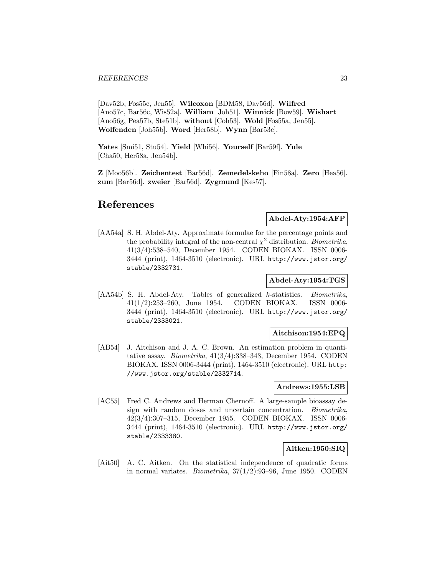[Dav52b, Fos55c, Jen55]. **Wilcoxon** [BDM58, Dav56d]. **Wilfred** [Ano57c, Bar56c, Wis52a]. **William** [Joh51]. **Winnick** [Bow59]. **Wishart** [Ano56g, Pea57b, Ste51b]. **without** [Coh53]. **Wold** [Fos55a, Jen55]. **Wolfenden** [Joh55b]. **Word** [Her58b]. **Wynn** [Bar53c].

**Yates** [Smi51, Stu54]. **Yield** [Whi56]. **Yourself** [Bar59f]. **Yule** [Cha50, Her58a, Jen54b].

**Z** [Moo56b]. **Zeichentest** [Bar56d]. **Zemedelskeho** [Fin58a]. **Zero** [Hea56]. **zum** [Bar56d]. **zweier** [Bar56d]. **Zygmund** [Kes57].

## **References**

**Abdel-Aty:1954:AFP**

[AA54a] S. H. Abdel-Aty. Approximate formulae for the percentage points and the probability integral of the non-central  $\chi^2$  distribution. *Biometrika*, 41(3/4):538–540, December 1954. CODEN BIOKAX. ISSN 0006- 3444 (print), 1464-3510 (electronic). URL http://www.jstor.org/ stable/2332731.

#### **Abdel-Aty:1954:TGS**

[AA54b] S. H. Abdel-Aty. Tables of generalized k-statistics. *Biometrika*, 41(1/2):253–260, June 1954. CODEN BIOKAX. ISSN 0006- 3444 (print), 1464-3510 (electronic). URL http://www.jstor.org/ stable/2333021.

## **Aitchison:1954:EPQ**

[AB54] J. Aitchison and J. A. C. Brown. An estimation problem in quantitative assay. *Biometrika*,  $41(3/4):338-343$ , December 1954. CODEN BIOKAX. ISSN 0006-3444 (print), 1464-3510 (electronic). URL http: //www.jstor.org/stable/2332714.

#### **Andrews:1955:LSB**

[AC55] Fred C. Andrews and Herman Chernoff. A large-sample bioassay design with random doses and uncertain concentration. Biometrika, 42(3/4):307–315, December 1955. CODEN BIOKAX. ISSN 0006- 3444 (print), 1464-3510 (electronic). URL http://www.jstor.org/ stable/2333380.

## **Aitken:1950:SIQ**

[Ait50] A. C. Aitken. On the statistical independence of quadratic forms in normal variates. *Biometrika*,  $37(1/2):93-96$ , June 1950. CODEN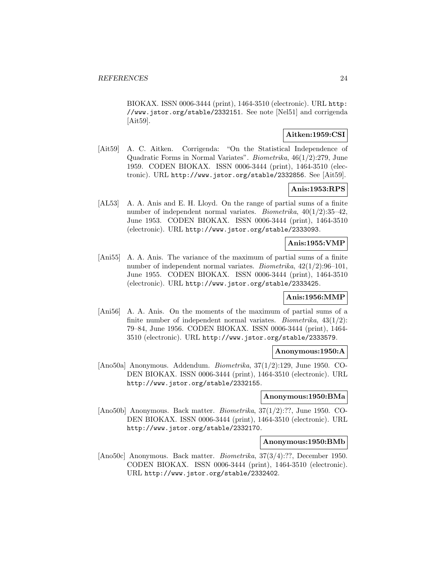BIOKAX. ISSN 0006-3444 (print), 1464-3510 (electronic). URL http: //www.jstor.org/stable/2332151. See note [Nel51] and corrigenda [Ait59].

## **Aitken:1959:CSI**

[Ait59] A. C. Aitken. Corrigenda: "On the Statistical Independence of Quadratic Forms in Normal Variates". Biometrika, 46(1/2):279, June 1959. CODEN BIOKAX. ISSN 0006-3444 (print), 1464-3510 (electronic). URL http://www.jstor.org/stable/2332856. See [Ait59].

## **Anis:1953:RPS**

[AL53] A. A. Anis and E. H. Lloyd. On the range of partial sums of a finite number of independent normal variates. Biometrika, 40(1/2):35–42, June 1953. CODEN BIOKAX. ISSN 0006-3444 (print), 1464-3510 (electronic). URL http://www.jstor.org/stable/2333093.

#### **Anis:1955:VMP**

[Ani55] A. A. Anis. The variance of the maximum of partial sums of a finite number of independent normal variates. Biometrika,  $42(1/2):96-101$ , June 1955. CODEN BIOKAX. ISSN 0006-3444 (print), 1464-3510 (electronic). URL http://www.jstor.org/stable/2333425.

## **Anis:1956:MMP**

[Ani56] A. A. Anis. On the moments of the maximum of partial sums of a finite number of independent normal variates. *Biometrika*,  $43(1/2)$ : 79–84, June 1956. CODEN BIOKAX. ISSN 0006-3444 (print), 1464- 3510 (electronic). URL http://www.jstor.org/stable/2333579.

#### **Anonymous:1950:A**

[Ano50a] Anonymous. Addendum. Biometrika, 37(1/2):129, June 1950. CO-DEN BIOKAX. ISSN 0006-3444 (print), 1464-3510 (electronic). URL http://www.jstor.org/stable/2332155.

#### **Anonymous:1950:BMa**

[Ano50b] Anonymous. Back matter. Biometrika, 37(1/2):??, June 1950. CO-DEN BIOKAX. ISSN 0006-3444 (print), 1464-3510 (electronic). URL http://www.jstor.org/stable/2332170.

#### **Anonymous:1950:BMb**

[Ano50c] Anonymous. Back matter. Biometrika, 37(3/4):??, December 1950. CODEN BIOKAX. ISSN 0006-3444 (print), 1464-3510 (electronic). URL http://www.jstor.org/stable/2332402.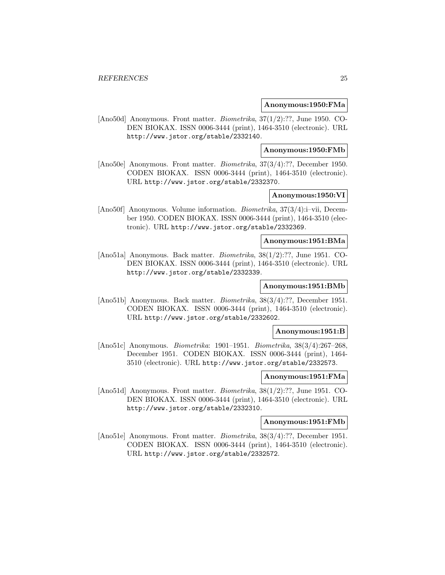#### **Anonymous:1950:FMa**

[Ano50d] Anonymous. Front matter. *Biometrika*, 37(1/2):??, June 1950. CO-DEN BIOKAX. ISSN 0006-3444 (print), 1464-3510 (electronic). URL http://www.jstor.org/stable/2332140.

## **Anonymous:1950:FMb**

[Ano50e] Anonymous. Front matter. Biometrika, 37(3/4):??, December 1950. CODEN BIOKAX. ISSN 0006-3444 (print), 1464-3510 (electronic). URL http://www.jstor.org/stable/2332370.

## **Anonymous:1950:VI**

[Ano50f] Anonymous. Volume information. Biometrika, 37(3/4):i–vii, December 1950. CODEN BIOKAX. ISSN 0006-3444 (print), 1464-3510 (electronic). URL http://www.jstor.org/stable/2332369.

### **Anonymous:1951:BMa**

[Ano51a] Anonymous. Back matter. Biometrika, 38(1/2):??, June 1951. CO-DEN BIOKAX. ISSN 0006-3444 (print), 1464-3510 (electronic). URL http://www.jstor.org/stable/2332339.

## **Anonymous:1951:BMb**

[Ano51b] Anonymous. Back matter. Biometrika, 38(3/4):??, December 1951. CODEN BIOKAX. ISSN 0006-3444 (print), 1464-3510 (electronic). URL http://www.jstor.org/stable/2332602.

#### **Anonymous:1951:B**

[Ano51c] Anonymous. Biometrika: 1901–1951. Biometrika, 38(3/4):267–268, December 1951. CODEN BIOKAX. ISSN 0006-3444 (print), 1464- 3510 (electronic). URL http://www.jstor.org/stable/2332573.

#### **Anonymous:1951:FMa**

[Ano51d] Anonymous. Front matter. Biometrika, 38(1/2):??, June 1951. CO-DEN BIOKAX. ISSN 0006-3444 (print), 1464-3510 (electronic). URL http://www.jstor.org/stable/2332310.

## **Anonymous:1951:FMb**

[Ano51e] Anonymous. Front matter. Biometrika, 38(3/4):??, December 1951. CODEN BIOKAX. ISSN 0006-3444 (print), 1464-3510 (electronic). URL http://www.jstor.org/stable/2332572.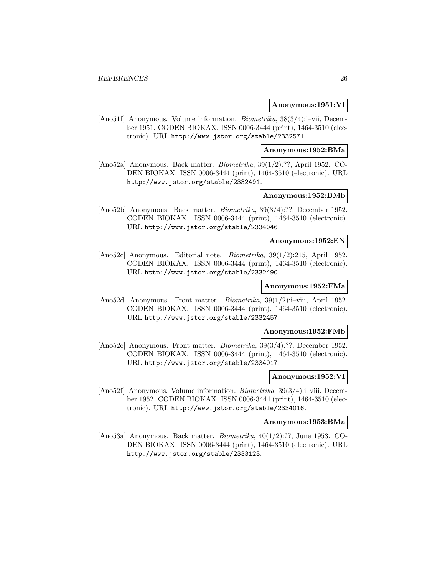#### **Anonymous:1951:VI**

[Ano51f] Anonymous. Volume information. *Biometrika*, 38(3/4):i–vii, December 1951. CODEN BIOKAX. ISSN 0006-3444 (print), 1464-3510 (electronic). URL http://www.jstor.org/stable/2332571.

#### **Anonymous:1952:BMa**

[Ano52a] Anonymous. Back matter. Biometrika, 39(1/2):??, April 1952. CO-DEN BIOKAX. ISSN 0006-3444 (print), 1464-3510 (electronic). URL http://www.jstor.org/stable/2332491.

## **Anonymous:1952:BMb**

[Ano52b] Anonymous. Back matter. Biometrika, 39(3/4):??, December 1952. CODEN BIOKAX. ISSN 0006-3444 (print), 1464-3510 (electronic). URL http://www.jstor.org/stable/2334046.

#### **Anonymous:1952:EN**

[Ano52c] Anonymous. Editorial note. Biometrika, 39(1/2):215, April 1952. CODEN BIOKAX. ISSN 0006-3444 (print), 1464-3510 (electronic). URL http://www.jstor.org/stable/2332490.

## **Anonymous:1952:FMa**

[Ano52d] Anonymous. Front matter. *Biometrika*, 39(1/2):i–viii, April 1952. CODEN BIOKAX. ISSN 0006-3444 (print), 1464-3510 (electronic). URL http://www.jstor.org/stable/2332457.

#### **Anonymous:1952:FMb**

[Ano52e] Anonymous. Front matter. Biometrika, 39(3/4):??, December 1952. CODEN BIOKAX. ISSN 0006-3444 (print), 1464-3510 (electronic). URL http://www.jstor.org/stable/2334017.

#### **Anonymous:1952:VI**

[Ano52f] Anonymous. Volume information. Biometrika, 39(3/4):i–viii, December 1952. CODEN BIOKAX. ISSN 0006-3444 (print), 1464-3510 (electronic). URL http://www.jstor.org/stable/2334016.

#### **Anonymous:1953:BMa**

[Ano53a] Anonymous. Back matter. Biometrika, 40(1/2):??, June 1953. CO-DEN BIOKAX. ISSN 0006-3444 (print), 1464-3510 (electronic). URL http://www.jstor.org/stable/2333123.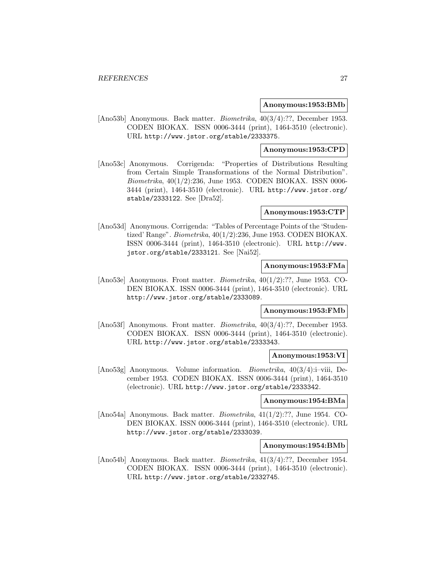#### **Anonymous:1953:BMb**

[Ano53b] Anonymous. Back matter. *Biometrika*,  $40(3/4)$ :??, December 1953. CODEN BIOKAX. ISSN 0006-3444 (print), 1464-3510 (electronic). URL http://www.jstor.org/stable/2333375.

## **Anonymous:1953:CPD**

[Ano53c] Anonymous. Corrigenda: "Properties of Distributions Resulting from Certain Simple Transformations of the Normal Distribution". Biometrika, 40(1/2):236, June 1953. CODEN BIOKAX. ISSN 0006- 3444 (print), 1464-3510 (electronic). URL http://www.jstor.org/ stable/2333122. See [Dra52].

#### **Anonymous:1953:CTP**

[Ano53d] Anonymous. Corrigenda: "Tables of Percentage Points of the 'Studentized' Range". Biometrika, 40(1/2):236, June 1953. CODEN BIOKAX. ISSN 0006-3444 (print), 1464-3510 (electronic). URL http://www. jstor.org/stable/2333121. See [Nai52].

## **Anonymous:1953:FMa**

[Ano53e] Anonymous. Front matter. Biometrika, 40(1/2):??, June 1953. CO-DEN BIOKAX. ISSN 0006-3444 (print), 1464-3510 (electronic). URL http://www.jstor.org/stable/2333089.

## **Anonymous:1953:FMb**

[Ano53f] Anonymous. Front matter. *Biometrika*,  $40(3/4)$ :??, December 1953. CODEN BIOKAX. ISSN 0006-3444 (print), 1464-3510 (electronic). URL http://www.jstor.org/stable/2333343.

#### **Anonymous:1953:VI**

[Ano53g] Anonymous. Volume information. *Biometrika*, 40(3/4):i–viii, December 1953. CODEN BIOKAX. ISSN 0006-3444 (print), 1464-3510 (electronic). URL http://www.jstor.org/stable/2333342.

#### **Anonymous:1954:BMa**

[Ano54a] Anonymous. Back matter. Biometrika, 41(1/2):??, June 1954. CO-DEN BIOKAX. ISSN 0006-3444 (print), 1464-3510 (electronic). URL http://www.jstor.org/stable/2333039.

#### **Anonymous:1954:BMb**

[Ano54b] Anonymous. Back matter. Biometrika, 41(3/4):??, December 1954. CODEN BIOKAX. ISSN 0006-3444 (print), 1464-3510 (electronic). URL http://www.jstor.org/stable/2332745.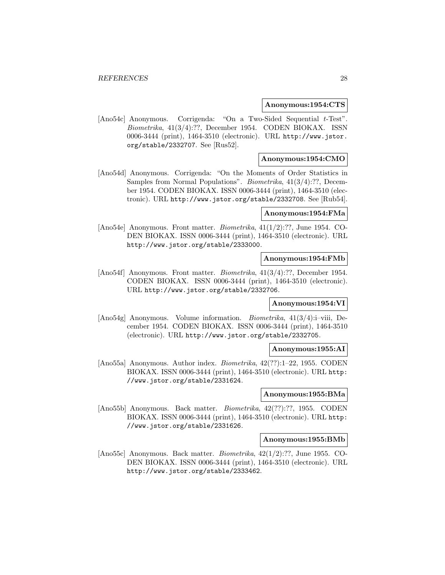#### **Anonymous:1954:CTS**

[Ano54c] Anonymous. Corrigenda: "On a Two-Sided Sequential t-Test". Biometrika, 41(3/4):??, December 1954. CODEN BIOKAX. ISSN 0006-3444 (print), 1464-3510 (electronic). URL http://www.jstor. org/stable/2332707. See [Rus52].

## **Anonymous:1954:CMO**

[Ano54d] Anonymous. Corrigenda: "On the Moments of Order Statistics in Samples from Normal Populations". Biometrika, 41(3/4):??, December 1954. CODEN BIOKAX. ISSN 0006-3444 (print), 1464-3510 (electronic). URL http://www.jstor.org/stable/2332708. See [Rub54].

## **Anonymous:1954:FMa**

[Ano54e] Anonymous. Front matter. Biometrika, 41(1/2):??, June 1954. CO-DEN BIOKAX. ISSN 0006-3444 (print), 1464-3510 (electronic). URL http://www.jstor.org/stable/2333000.

#### **Anonymous:1954:FMb**

[Ano54f] Anonymous. Front matter. Biometrika, 41(3/4):??, December 1954. CODEN BIOKAX. ISSN 0006-3444 (print), 1464-3510 (electronic). URL http://www.jstor.org/stable/2332706.

## **Anonymous:1954:VI**

[Ano54g] Anonymous. Volume information. *Biometrika*,  $41(3/4)$ :i–viii, December 1954. CODEN BIOKAX. ISSN 0006-3444 (print), 1464-3510 (electronic). URL http://www.jstor.org/stable/2332705.

## **Anonymous:1955:AI**

[Ano55a] Anonymous. Author index. Biometrika, 42(??):1–22, 1955. CODEN BIOKAX. ISSN 0006-3444 (print), 1464-3510 (electronic). URL http: //www.jstor.org/stable/2331624.

## **Anonymous:1955:BMa**

[Ano55b] Anonymous. Back matter. Biometrika, 42(??):??, 1955. CODEN BIOKAX. ISSN 0006-3444 (print), 1464-3510 (electronic). URL http: //www.jstor.org/stable/2331626.

#### **Anonymous:1955:BMb**

[Ano55c] Anonymous. Back matter. Biometrika, 42(1/2):??, June 1955. CO-DEN BIOKAX. ISSN 0006-3444 (print), 1464-3510 (electronic). URL http://www.jstor.org/stable/2333462.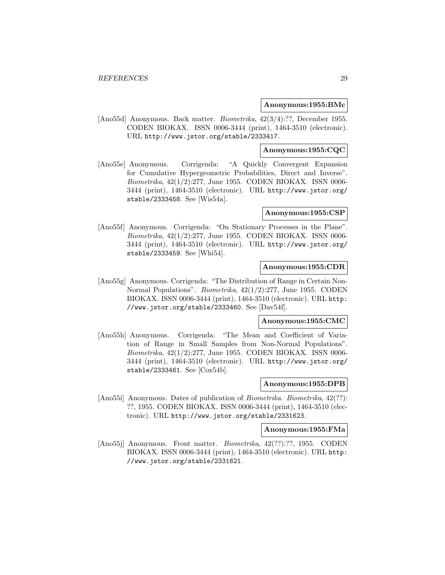#### **Anonymous:1955:BMc**

[Ano55d] Anonymous. Back matter. Biometrika, 42(3/4):??, December 1955. CODEN BIOKAX. ISSN 0006-3444 (print), 1464-3510 (electronic). URL http://www.jstor.org/stable/2333417.

#### **Anonymous:1955:CQC**

[Ano55e] Anonymous. Corrigenda: "A Quickly Convergent Expansion for Cumulative Hypergeometric Probabilities, Direct and Inverse". Biometrika,  $42(1/2):277$ , June 1955. CODEN BIOKAX. ISSN 0006-3444 (print), 1464-3510 (electronic). URL http://www.jstor.org/ stable/2333458. See [Wis54a].

#### **Anonymous:1955:CSP**

[Ano55f] Anonymous. Corrigenda: "On Stationary Processes in the Plane". Biometrika, 42(1/2):277, June 1955. CODEN BIOKAX. ISSN 0006- 3444 (print), 1464-3510 (electronic). URL http://www.jstor.org/ stable/2333459. See [Whi54].

#### **Anonymous:1955:CDR**

[Ano55g] Anonymous. Corrigenda: "The Distribution of Range in Certain Non-Normal Populations". Biometrika, 42(1/2):277, June 1955. CODEN BIOKAX. ISSN 0006-3444 (print), 1464-3510 (electronic). URL http: //www.jstor.org/stable/2333460. See [Dav54f].

#### **Anonymous:1955:CMC**

[Ano55h] Anonymous. Corrigenda: "The Mean and Coefficient of Variation of Range in Small Samples from Non-Normal Populations". Biometrika, 42(1/2):277, June 1955. CODEN BIOKAX. ISSN 0006- 3444 (print), 1464-3510 (electronic). URL http://www.jstor.org/ stable/2333461. See [Cox54b].

## **Anonymous:1955:DPB**

[Ano55i] Anonymous. Dates of publication of Biometrika. Biometrika, 42(??): ??, 1955. CODEN BIOKAX. ISSN 0006-3444 (print), 1464-3510 (electronic). URL http://www.jstor.org/stable/2331623.

## **Anonymous:1955:FMa**

[Ano55j] Anonymous. Front matter. Biometrika, 42(??):??, 1955. CODEN BIOKAX. ISSN 0006-3444 (print), 1464-3510 (electronic). URL http: //www.jstor.org/stable/2331621.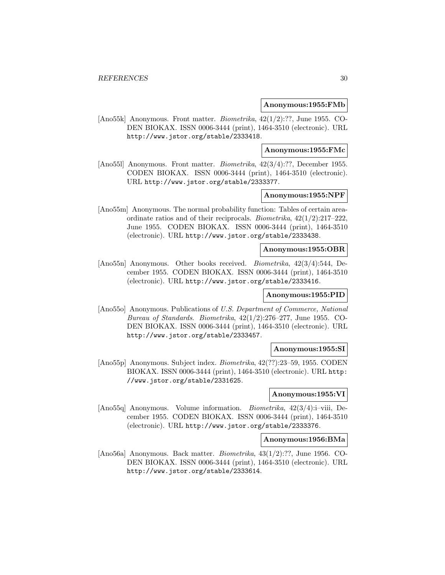#### **Anonymous:1955:FMb**

[Ano55k] Anonymous. Front matter. Biometrika, 42(1/2):??, June 1955. CO-DEN BIOKAX. ISSN 0006-3444 (print), 1464-3510 (electronic). URL http://www.jstor.org/stable/2333418.

#### **Anonymous:1955:FMc**

[Ano55l] Anonymous. Front matter. Biometrika, 42(3/4):??, December 1955. CODEN BIOKAX. ISSN 0006-3444 (print), 1464-3510 (electronic). URL http://www.jstor.org/stable/2333377.

## **Anonymous:1955:NPF**

[Ano55m] Anonymous. The normal probability function: Tables of certain areaordinate ratios and of their reciprocals. *Biometrika*,  $42(1/2):217-222$ , June 1955. CODEN BIOKAX. ISSN 0006-3444 (print), 1464-3510 (electronic). URL http://www.jstor.org/stable/2333438.

#### **Anonymous:1955:OBR**

[Ano55n] Anonymous. Other books received. Biometrika, 42(3/4):544, December 1955. CODEN BIOKAX. ISSN 0006-3444 (print), 1464-3510 (electronic). URL http://www.jstor.org/stable/2333416.

#### **Anonymous:1955:PID**

[Ano55o] Anonymous. Publications of U.S. Department of Commerce, National Bureau of Standards. Biometrika,  $42(1/2):276-277$ , June 1955. CO-DEN BIOKAX. ISSN 0006-3444 (print), 1464-3510 (electronic). URL http://www.jstor.org/stable/2333457.

#### **Anonymous:1955:SI**

[Ano55p] Anonymous. Subject index. Biometrika, 42(??):23–59, 1955. CODEN BIOKAX. ISSN 0006-3444 (print), 1464-3510 (electronic). URL http: //www.jstor.org/stable/2331625.

## **Anonymous:1955:VI**

[Ano55q] Anonymous. Volume information. *Biometrika*, 42(3/4):i–viii, December 1955. CODEN BIOKAX. ISSN 0006-3444 (print), 1464-3510 (electronic). URL http://www.jstor.org/stable/2333376.

#### **Anonymous:1956:BMa**

[Ano56a] Anonymous. Back matter. Biometrika, 43(1/2):??, June 1956. CO-DEN BIOKAX. ISSN 0006-3444 (print), 1464-3510 (electronic). URL http://www.jstor.org/stable/2333614.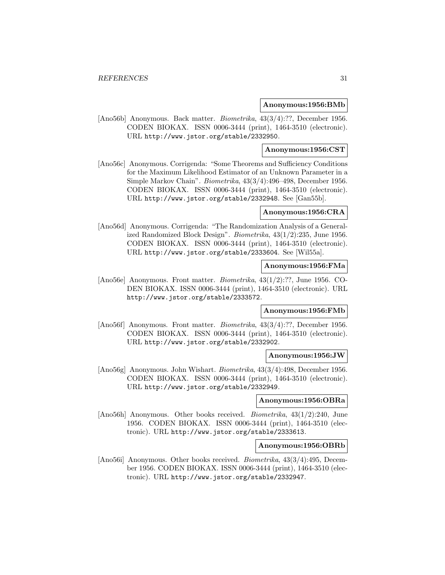#### **Anonymous:1956:BMb**

[Ano56b] Anonymous. Back matter. Biometrika, 43(3/4):??, December 1956. CODEN BIOKAX. ISSN 0006-3444 (print), 1464-3510 (electronic). URL http://www.jstor.org/stable/2332950.

## **Anonymous:1956:CST**

[Ano56c] Anonymous. Corrigenda: "Some Theorems and Sufficiency Conditions for the Maximum Likelihood Estimator of an Unknown Parameter in a Simple Markov Chain". Biometrika, 43(3/4):496–498, December 1956. CODEN BIOKAX. ISSN 0006-3444 (print), 1464-3510 (electronic). URL http://www.jstor.org/stable/2332948. See [Gan55b].

#### **Anonymous:1956:CRA**

[Ano56d] Anonymous. Corrigenda: "The Randomization Analysis of a Generalized Randomized Block Design". Biometrika, 43(1/2):235, June 1956. CODEN BIOKAX. ISSN 0006-3444 (print), 1464-3510 (electronic). URL http://www.jstor.org/stable/2333604. See [Wil55a].

## **Anonymous:1956:FMa**

[Ano56e] Anonymous. Front matter. Biometrika, 43(1/2):??, June 1956. CO-DEN BIOKAX. ISSN 0006-3444 (print), 1464-3510 (electronic). URL http://www.jstor.org/stable/2333572.

## **Anonymous:1956:FMb**

[Ano56f] Anonymous. Front matter. Biometrika, 43(3/4):??, December 1956. CODEN BIOKAX. ISSN 0006-3444 (print), 1464-3510 (electronic). URL http://www.jstor.org/stable/2332902.

#### **Anonymous:1956:JW**

[Ano56g] Anonymous. John Wishart. Biometrika, 43(3/4):498, December 1956. CODEN BIOKAX. ISSN 0006-3444 (print), 1464-3510 (electronic). URL http://www.jstor.org/stable/2332949.

#### **Anonymous:1956:OBRa**

[Ano56h] Anonymous. Other books received. Biometrika, 43(1/2):240, June 1956. CODEN BIOKAX. ISSN 0006-3444 (print), 1464-3510 (electronic). URL http://www.jstor.org/stable/2333613.

#### **Anonymous:1956:OBRb**

[Ano56i] Anonymous. Other books received. Biometrika, 43(3/4):495, December 1956. CODEN BIOKAX. ISSN 0006-3444 (print), 1464-3510 (electronic). URL http://www.jstor.org/stable/2332947.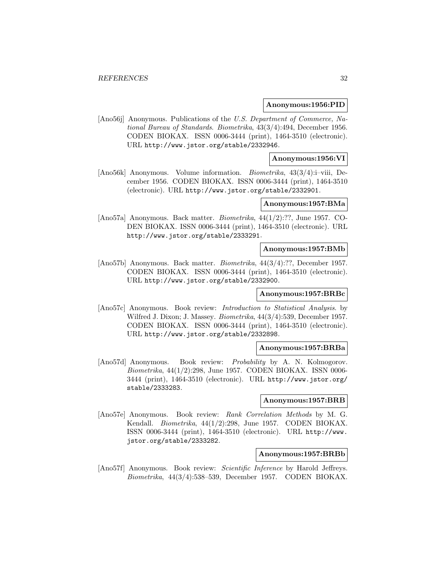#### **Anonymous:1956:PID**

[Ano56j] Anonymous. Publications of the U.S. Department of Commerce, National Bureau of Standards. Biometrika, 43(3/4):494, December 1956. CODEN BIOKAX. ISSN 0006-3444 (print), 1464-3510 (electronic). URL http://www.jstor.org/stable/2332946.

## **Anonymous:1956:VI**

[Ano56k] Anonymous. Volume information. *Biometrika*, 43(3/4):i–viii, December 1956. CODEN BIOKAX. ISSN 0006-3444 (print), 1464-3510 (electronic). URL http://www.jstor.org/stable/2332901.

## **Anonymous:1957:BMa**

[Ano57a] Anonymous. Back matter. Biometrika, 44(1/2):??, June 1957. CO-DEN BIOKAX. ISSN 0006-3444 (print), 1464-3510 (electronic). URL http://www.jstor.org/stable/2333291.

#### **Anonymous:1957:BMb**

[Ano57b] Anonymous. Back matter. Biometrika, 44(3/4):??, December 1957. CODEN BIOKAX. ISSN 0006-3444 (print), 1464-3510 (electronic). URL http://www.jstor.org/stable/2332900.

#### **Anonymous:1957:BRBc**

[Ano57c] Anonymous. Book review: Introduction to Statistical Analysis. by Wilfred J. Dixon; J. Massey. Biometrika, 44(3/4):539, December 1957. CODEN BIOKAX. ISSN 0006-3444 (print), 1464-3510 (electronic). URL http://www.jstor.org/stable/2332898.

#### **Anonymous:1957:BRBa**

[Ano57d] Anonymous. Book review: Probability by A. N. Kolmogorov. Biometrika, 44(1/2):298, June 1957. CODEN BIOKAX. ISSN 0006- 3444 (print), 1464-3510 (electronic). URL http://www.jstor.org/ stable/2333283.

#### **Anonymous:1957:BRB**

[Ano57e] Anonymous. Book review: Rank Correlation Methods by M. G. Kendall. Biometrika, 44(1/2):298, June 1957. CODEN BIOKAX. ISSN 0006-3444 (print), 1464-3510 (electronic). URL http://www. jstor.org/stable/2333282.

#### **Anonymous:1957:BRBb**

[Ano57f] Anonymous. Book review: Scientific Inference by Harold Jeffreys. Biometrika, 44(3/4):538–539, December 1957. CODEN BIOKAX.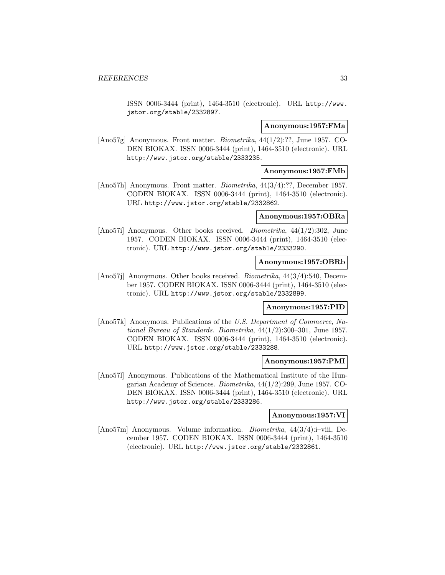ISSN 0006-3444 (print), 1464-3510 (electronic). URL http://www. jstor.org/stable/2332897.

#### **Anonymous:1957:FMa**

[Ano57g] Anonymous. Front matter. Biometrika, 44(1/2):??, June 1957. CO-DEN BIOKAX. ISSN 0006-3444 (print), 1464-3510 (electronic). URL http://www.jstor.org/stable/2333235.

## **Anonymous:1957:FMb**

[Ano57h] Anonymous. Front matter. *Biometrika*,  $44(3/4)$ :??, December 1957. CODEN BIOKAX. ISSN 0006-3444 (print), 1464-3510 (electronic). URL http://www.jstor.org/stable/2332862.

## **Anonymous:1957:OBRa**

[Ano57i] Anonymous. Other books received. Biometrika, 44(1/2):302, June 1957. CODEN BIOKAX. ISSN 0006-3444 (print), 1464-3510 (electronic). URL http://www.jstor.org/stable/2333290.

#### **Anonymous:1957:OBRb**

[Ano57j] Anonymous. Other books received. Biometrika, 44(3/4):540, December 1957. CODEN BIOKAX. ISSN 0006-3444 (print), 1464-3510 (electronic). URL http://www.jstor.org/stable/2332899.

#### **Anonymous:1957:PID**

[Ano57k] Anonymous. Publications of the U.S. Department of Commerce, National Bureau of Standards. Biometrika, 44(1/2):300–301, June 1957. CODEN BIOKAX. ISSN 0006-3444 (print), 1464-3510 (electronic). URL http://www.jstor.org/stable/2333288.

## **Anonymous:1957:PMI**

[Ano57l] Anonymous. Publications of the Mathematical Institute of the Hungarian Academy of Sciences. Biometrika, 44(1/2):299, June 1957. CO-DEN BIOKAX. ISSN 0006-3444 (print), 1464-3510 (electronic). URL http://www.jstor.org/stable/2333286.

#### **Anonymous:1957:VI**

[Ano57m] Anonymous. Volume information. Biometrika, 44(3/4):i–viii, December 1957. CODEN BIOKAX. ISSN 0006-3444 (print), 1464-3510 (electronic). URL http://www.jstor.org/stable/2332861.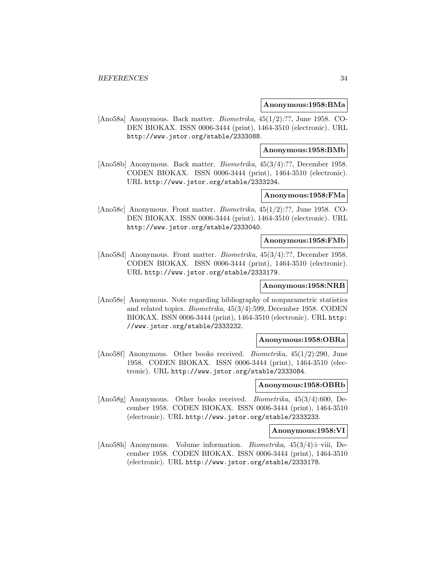#### **Anonymous:1958:BMa**

[Ano58a] Anonymous. Back matter. Biometrika, 45(1/2):??, June 1958. CO-DEN BIOKAX. ISSN 0006-3444 (print), 1464-3510 (electronic). URL http://www.jstor.org/stable/2333088.

#### **Anonymous:1958:BMb**

[Ano58b] Anonymous. Back matter. Biometrika, 45(3/4):??, December 1958. CODEN BIOKAX. ISSN 0006-3444 (print), 1464-3510 (electronic). URL http://www.jstor.org/stable/2333234.

## **Anonymous:1958:FMa**

[Ano58c] Anonymous. Front matter. Biometrika, 45(1/2):??, June 1958. CO-DEN BIOKAX. ISSN 0006-3444 (print), 1464-3510 (electronic). URL http://www.jstor.org/stable/2333040.

## **Anonymous:1958:FMb**

[Ano58d] Anonymous. Front matter. Biometrika, 45(3/4):??, December 1958. CODEN BIOKAX. ISSN 0006-3444 (print), 1464-3510 (electronic). URL http://www.jstor.org/stable/2333179.

## **Anonymous:1958:NRB**

[Ano58e] Anonymous. Note regarding bibliography of nonparametric statistics and related topics. Biometrika, 45(3/4):599, December 1958. CODEN BIOKAX. ISSN 0006-3444 (print), 1464-3510 (electronic). URL http: //www.jstor.org/stable/2333232.

#### **Anonymous:1958:OBRa**

[Ano58f] Anonymous. Other books received. Biometrika, 45(1/2):290, June 1958. CODEN BIOKAX. ISSN 0006-3444 (print), 1464-3510 (electronic). URL http://www.jstor.org/stable/2333084.

## **Anonymous:1958:OBRb**

[Ano58g] Anonymous. Other books received. Biometrika, 45(3/4):600, December 1958. CODEN BIOKAX. ISSN 0006-3444 (print), 1464-3510 (electronic). URL http://www.jstor.org/stable/2333233.

## **Anonymous:1958:VI**

[Ano58h] Anonymous. Volume information. *Biometrika*, 45(3/4):i–viii, December 1958. CODEN BIOKAX. ISSN 0006-3444 (print), 1464-3510 (electronic). URL http://www.jstor.org/stable/2333178.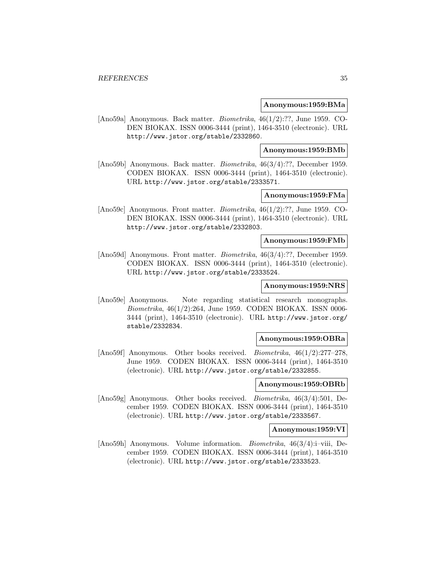#### **Anonymous:1959:BMa**

[Ano59a] Anonymous. Back matter. Biometrika, 46(1/2):??, June 1959. CO-DEN BIOKAX. ISSN 0006-3444 (print), 1464-3510 (electronic). URL http://www.jstor.org/stable/2332860.

#### **Anonymous:1959:BMb**

[Ano59b] Anonymous. Back matter. Biometrika, 46(3/4):??, December 1959. CODEN BIOKAX. ISSN 0006-3444 (print), 1464-3510 (electronic). URL http://www.jstor.org/stable/2333571.

## **Anonymous:1959:FMa**

[Ano59c] Anonymous. Front matter. Biometrika, 46(1/2):??, June 1959. CO-DEN BIOKAX. ISSN 0006-3444 (print), 1464-3510 (electronic). URL http://www.jstor.org/stable/2332803.

## **Anonymous:1959:FMb**

[Ano59d] Anonymous. Front matter. *Biometrika*,  $46(3/4)$ :??, December 1959. CODEN BIOKAX. ISSN 0006-3444 (print), 1464-3510 (electronic). URL http://www.jstor.org/stable/2333524.

## **Anonymous:1959:NRS**

[Ano59e] Anonymous. Note regarding statistical research monographs. Biometrika, 46(1/2):264, June 1959. CODEN BIOKAX. ISSN 0006- 3444 (print), 1464-3510 (electronic). URL http://www.jstor.org/ stable/2332834.

#### **Anonymous:1959:OBRa**

[Ano59f] Anonymous. Other books received. *Biometrika*, 46(1/2):277–278, June 1959. CODEN BIOKAX. ISSN 0006-3444 (print), 1464-3510 (electronic). URL http://www.jstor.org/stable/2332855.

## **Anonymous:1959:OBRb**

[Ano59g] Anonymous. Other books received. Biometrika, 46(3/4):501, December 1959. CODEN BIOKAX. ISSN 0006-3444 (print), 1464-3510 (electronic). URL http://www.jstor.org/stable/2333567.

## **Anonymous:1959:VI**

[Ano59h] Anonymous. Volume information. Biometrika, 46(3/4):i–viii, December 1959. CODEN BIOKAX. ISSN 0006-3444 (print), 1464-3510 (electronic). URL http://www.jstor.org/stable/2333523.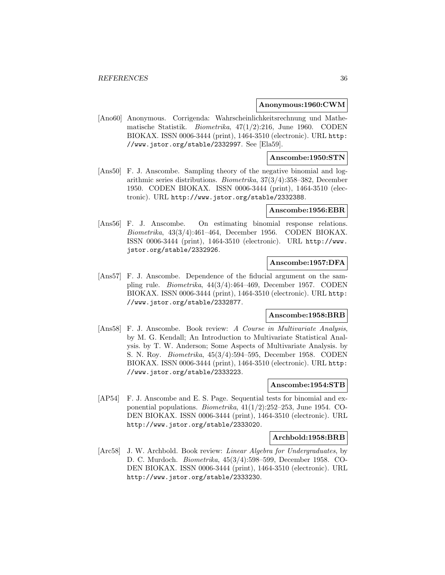#### **Anonymous:1960:CWM**

[Ano60] Anonymous. Corrigenda: Wahrscheinlichkeitsrechnung und Mathematische Statistik. Biometrika, 47(1/2):216, June 1960. CODEN BIOKAX. ISSN 0006-3444 (print), 1464-3510 (electronic). URL http: //www.jstor.org/stable/2332997. See [Ela59].

#### **Anscombe:1950:STN**

[Ans50] F. J. Anscombe. Sampling theory of the negative binomial and logarithmic series distributions. Biometrika, 37(3/4):358–382, December 1950. CODEN BIOKAX. ISSN 0006-3444 (print), 1464-3510 (electronic). URL http://www.jstor.org/stable/2332388.

#### **Anscombe:1956:EBR**

[Ans56] F. J. Anscombe. On estimating binomial response relations. Biometrika, 43(3/4):461–464, December 1956. CODEN BIOKAX. ISSN 0006-3444 (print), 1464-3510 (electronic). URL http://www. jstor.org/stable/2332926.

## **Anscombe:1957:DFA**

[Ans57] F. J. Anscombe. Dependence of the fiducial argument on the sampling rule. Biometrika, 44(3/4):464–469, December 1957. CODEN BIOKAX. ISSN 0006-3444 (print), 1464-3510 (electronic). URL http: //www.jstor.org/stable/2332877.

## **Anscombe:1958:BRB**

[Ans58] F. J. Anscombe. Book review: A Course in Multivariate Analysis, by M. G. Kendall; An Introduction to Multivariate Statistical Analysis. by T. W. Anderson; Some Aspects of Multivariate Analysis. by S. N. Roy. Biometrika, 45(3/4):594–595, December 1958. CODEN BIOKAX. ISSN 0006-3444 (print), 1464-3510 (electronic). URL http: //www.jstor.org/stable/2333223.

#### **Anscombe:1954:STB**

[AP54] F. J. Anscombe and E. S. Page. Sequential tests for binomial and exponential populations. Biometrika, 41(1/2):252–253, June 1954. CO-DEN BIOKAX. ISSN 0006-3444 (print), 1464-3510 (electronic). URL http://www.jstor.org/stable/2333020.

#### **Archbold:1958:BRB**

[Arc58] J. W. Archbold. Book review: *Linear Algebra for Undergraduates*, by D. C. Murdoch. Biometrika, 45(3/4):598–599, December 1958. CO-DEN BIOKAX. ISSN 0006-3444 (print), 1464-3510 (electronic). URL http://www.jstor.org/stable/2333230.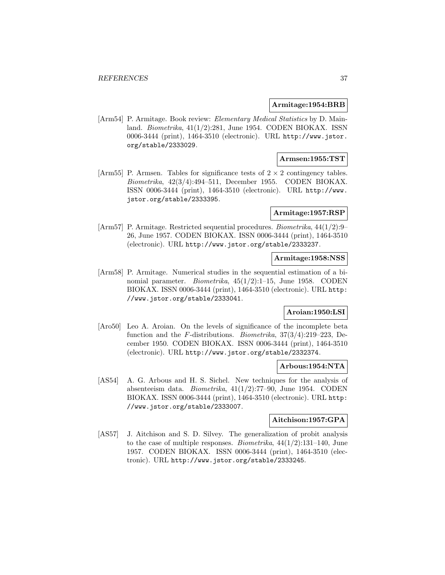### **Armitage:1954:BRB**

[Arm54] P. Armitage. Book review: Elementary Medical Statistics by D. Mainland. Biometrika, 41(1/2):281, June 1954. CODEN BIOKAX. ISSN 0006-3444 (print), 1464-3510 (electronic). URL http://www.jstor. org/stable/2333029.

## **Armsen:1955:TST**

[Arm55] P. Armsen. Tables for significance tests of  $2 \times 2$  contingency tables. Biometrika, 42(3/4):494–511, December 1955. CODEN BIOKAX. ISSN 0006-3444 (print), 1464-3510 (electronic). URL http://www. jstor.org/stable/2333395.

### **Armitage:1957:RSP**

[Arm57] P. Armitage. Restricted sequential procedures. Biometrika, 44(1/2):9– 26, June 1957. CODEN BIOKAX. ISSN 0006-3444 (print), 1464-3510 (electronic). URL http://www.jstor.org/stable/2333237.

### **Armitage:1958:NSS**

[Arm58] P. Armitage. Numerical studies in the sequential estimation of a binomial parameter. Biometrika, 45(1/2):1–15, June 1958. CODEN BIOKAX. ISSN 0006-3444 (print), 1464-3510 (electronic). URL http: //www.jstor.org/stable/2333041.

# **Aroian:1950:LSI**

[Aro50] Leo A. Aroian. On the levels of significance of the incomplete beta function and the F-distributions. Biometrika, 37(3/4):219–223, December 1950. CODEN BIOKAX. ISSN 0006-3444 (print), 1464-3510 (electronic). URL http://www.jstor.org/stable/2332374.

#### **Arbous:1954:NTA**

[AS54] A. G. Arbous and H. S. Sichel. New techniques for the analysis of absenteeism data. Biometrika, 41(1/2):77–90, June 1954. CODEN BIOKAX. ISSN 0006-3444 (print), 1464-3510 (electronic). URL http: //www.jstor.org/stable/2333007.

## **Aitchison:1957:GPA**

[AS57] J. Aitchison and S. D. Silvey. The generalization of probit analysis to the case of multiple responses. *Biometrika*,  $44(1/2):131-140$ , June 1957. CODEN BIOKAX. ISSN 0006-3444 (print), 1464-3510 (electronic). URL http://www.jstor.org/stable/2333245.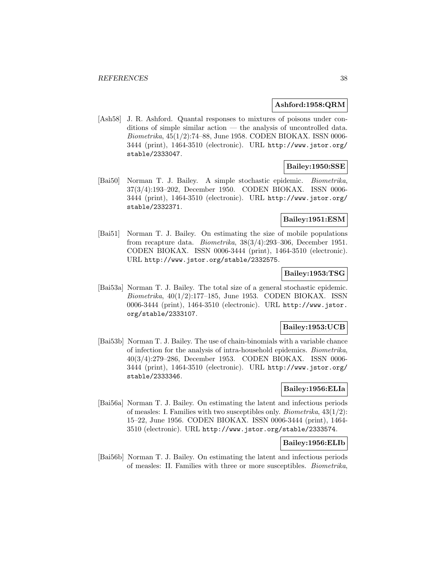### **Ashford:1958:QRM**

[Ash58] J. R. Ashford. Quantal responses to mixtures of poisons under conditions of simple similar action — the analysis of uncontrolled data. Biometrika, 45(1/2):74–88, June 1958. CODEN BIOKAX. ISSN 0006- 3444 (print), 1464-3510 (electronic). URL http://www.jstor.org/ stable/2333047.

### **Bailey:1950:SSE**

[Bai50] Norman T. J. Bailey. A simple stochastic epidemic. Biometrika, 37(3/4):193–202, December 1950. CODEN BIOKAX. ISSN 0006- 3444 (print), 1464-3510 (electronic). URL http://www.jstor.org/ stable/2332371.

# **Bailey:1951:ESM**

[Bai51] Norman T. J. Bailey. On estimating the size of mobile populations from recapture data. Biometrika, 38(3/4):293–306, December 1951. CODEN BIOKAX. ISSN 0006-3444 (print), 1464-3510 (electronic). URL http://www.jstor.org/stable/2332575.

# **Bailey:1953:TSG**

[Bai53a] Norman T. J. Bailey. The total size of a general stochastic epidemic. Biometrika, 40(1/2):177–185, June 1953. CODEN BIOKAX. ISSN 0006-3444 (print), 1464-3510 (electronic). URL http://www.jstor. org/stable/2333107.

## **Bailey:1953:UCB**

[Bai53b] Norman T. J. Bailey. The use of chain-binomials with a variable chance of infection for the analysis of intra-household epidemics. Biometrika, 40(3/4):279–286, December 1953. CODEN BIOKAX. ISSN 0006- 3444 (print), 1464-3510 (electronic). URL http://www.jstor.org/ stable/2333346.

## **Bailey:1956:ELIa**

[Bai56a] Norman T. J. Bailey. On estimating the latent and infectious periods of measles: I. Families with two susceptibles only. Biometrika, 43(1/2): 15–22, June 1956. CODEN BIOKAX. ISSN 0006-3444 (print), 1464- 3510 (electronic). URL http://www.jstor.org/stable/2333574.

## **Bailey:1956:ELIb**

[Bai56b] Norman T. J. Bailey. On estimating the latent and infectious periods of measles: II. Families with three or more susceptibles. Biometrika,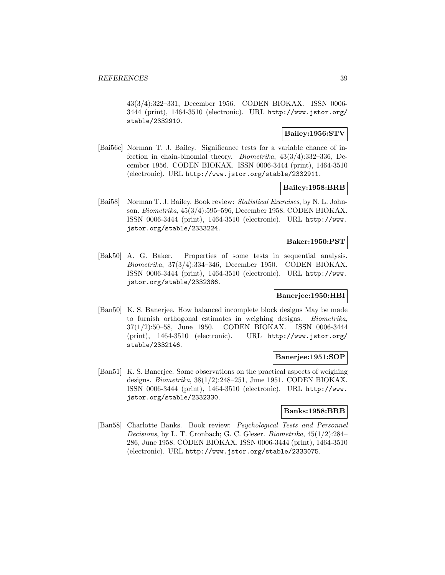43(3/4):322–331, December 1956. CODEN BIOKAX. ISSN 0006- 3444 (print), 1464-3510 (electronic). URL http://www.jstor.org/ stable/2332910.

# **Bailey:1956:STV**

[Bai56c] Norman T. J. Bailey. Significance tests for a variable chance of infection in chain-binomial theory. Biometrika, 43(3/4):332–336, December 1956. CODEN BIOKAX. ISSN 0006-3444 (print), 1464-3510 (electronic). URL http://www.jstor.org/stable/2332911.

## **Bailey:1958:BRB**

[Bai58] Norman T. J. Bailey. Book review: Statistical Exercises, by N. L. Johnson. Biometrika, 45(3/4):595–596, December 1958. CODEN BIOKAX. ISSN 0006-3444 (print), 1464-3510 (electronic). URL http://www. jstor.org/stable/2333224.

## **Baker:1950:PST**

[Bak50] A. G. Baker. Properties of some tests in sequential analysis. Biometrika, 37(3/4):334–346, December 1950. CODEN BIOKAX. ISSN 0006-3444 (print), 1464-3510 (electronic). URL http://www. jstor.org/stable/2332386.

## **Banerjee:1950:HBI**

[Ban50] K. S. Banerjee. How balanced incomplete block designs May be made to furnish orthogonal estimates in weighing designs. Biometrika, 37(1/2):50–58, June 1950. CODEN BIOKAX. ISSN 0006-3444 (print), 1464-3510 (electronic). URL http://www.jstor.org/ stable/2332146.

#### **Banerjee:1951:SOP**

[Ban51] K. S. Banerjee. Some observations on the practical aspects of weighing designs. Biometrika, 38(1/2):248–251, June 1951. CODEN BIOKAX. ISSN 0006-3444 (print), 1464-3510 (electronic). URL http://www. jstor.org/stable/2332330.

# **Banks:1958:BRB**

[Ban58] Charlotte Banks. Book review: Psychological Tests and Personnel Decisions, by L. T. Cronbach; G. C. Gleser. Biometrika, 45(1/2):284– 286, June 1958. CODEN BIOKAX. ISSN 0006-3444 (print), 1464-3510 (electronic). URL http://www.jstor.org/stable/2333075.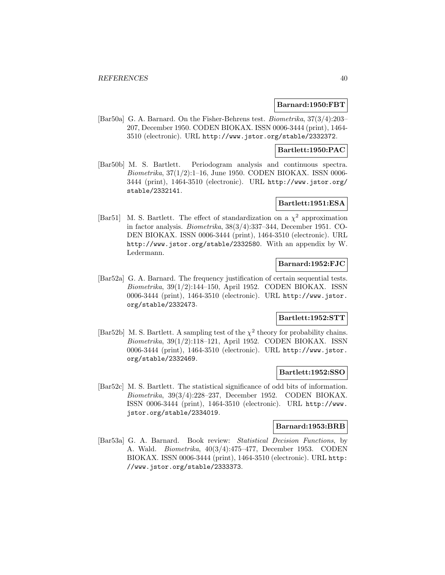### **Barnard:1950:FBT**

[Bar50a] G. A. Barnard. On the Fisher-Behrens test. Biometrika, 37(3/4):203– 207, December 1950. CODEN BIOKAX. ISSN 0006-3444 (print), 1464- 3510 (electronic). URL http://www.jstor.org/stable/2332372.

### **Bartlett:1950:PAC**

[Bar50b] M. S. Bartlett. Periodogram analysis and continuous spectra. Biometrika, 37(1/2):1–16, June 1950. CODEN BIOKAX. ISSN 0006- 3444 (print), 1464-3510 (electronic). URL http://www.jstor.org/ stable/2332141.

# **Bartlett:1951:ESA**

[Bar51] M. S. Bartlett. The effect of standardization on a  $\chi^2$  approximation in factor analysis. Biometrika, 38(3/4):337–344, December 1951. CO-DEN BIOKAX. ISSN 0006-3444 (print), 1464-3510 (electronic). URL http://www.jstor.org/stable/2332580. With an appendix by W. Ledermann.

# **Barnard:1952:FJC**

[Bar52a] G. A. Barnard. The frequency justification of certain sequential tests. Biometrika, 39(1/2):144–150, April 1952. CODEN BIOKAX. ISSN 0006-3444 (print), 1464-3510 (electronic). URL http://www.jstor. org/stable/2332473.

## **Bartlett:1952:STT**

[Bar52b] M. S. Bartlett. A sampling test of the  $\chi^2$  theory for probability chains. Biometrika, 39(1/2):118–121, April 1952. CODEN BIOKAX. ISSN 0006-3444 (print), 1464-3510 (electronic). URL http://www.jstor. org/stable/2332469.

### **Bartlett:1952:SSO**

[Bar52c] M. S. Bartlett. The statistical significance of odd bits of information. Biometrika, 39(3/4):228–237, December 1952. CODEN BIOKAX. ISSN 0006-3444 (print), 1464-3510 (electronic). URL http://www. jstor.org/stable/2334019.

## **Barnard:1953:BRB**

[Bar53a] G. A. Barnard. Book review: Statistical Decision Functions, by A. Wald. Biometrika, 40(3/4):475–477, December 1953. CODEN BIOKAX. ISSN 0006-3444 (print), 1464-3510 (electronic). URL http: //www.jstor.org/stable/2333373.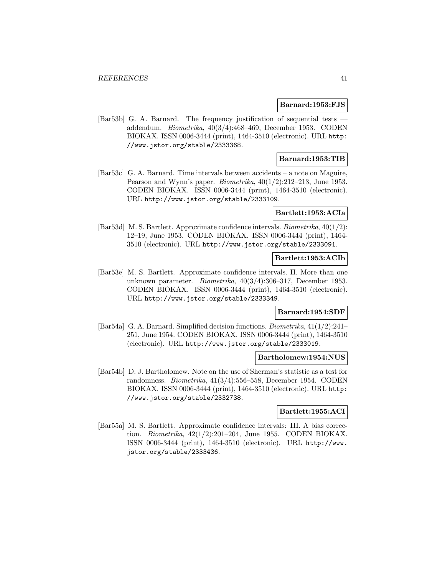#### **Barnard:1953:FJS**

[Bar53b] G. A. Barnard. The frequency justification of sequential tests addendum. Biometrika, 40(3/4):468–469, December 1953. CODEN BIOKAX. ISSN 0006-3444 (print), 1464-3510 (electronic). URL http: //www.jstor.org/stable/2333368.

## **Barnard:1953:TIB**

[Bar53c] G. A. Barnard. Time intervals between accidents – a note on Maguire, Pearson and Wynn's paper. *Biometrika*,  $40(1/2):212-213$ , June 1953. CODEN BIOKAX. ISSN 0006-3444 (print), 1464-3510 (electronic). URL http://www.jstor.org/stable/2333109.

### **Bartlett:1953:ACIa**

[Bar53d] M. S. Bartlett. Approximate confidence intervals. Biometrika, 40(1/2): 12–19, June 1953. CODEN BIOKAX. ISSN 0006-3444 (print), 1464- 3510 (electronic). URL http://www.jstor.org/stable/2333091.

#### **Bartlett:1953:ACIb**

[Bar53e] M. S. Bartlett. Approximate confidence intervals. II. More than one unknown parameter. Biometrika, 40(3/4):306–317, December 1953. CODEN BIOKAX. ISSN 0006-3444 (print), 1464-3510 (electronic). URL http://www.jstor.org/stable/2333349.

## **Barnard:1954:SDF**

[Bar54a] G. A. Barnard. Simplified decision functions. Biometrika, 41(1/2):241– 251, June 1954. CODEN BIOKAX. ISSN 0006-3444 (print), 1464-3510 (electronic). URL http://www.jstor.org/stable/2333019.

#### **Bartholomew:1954:NUS**

[Bar54b] D. J. Bartholomew. Note on the use of Sherman's statistic as a test for randomness. Biometrika, 41(3/4):556–558, December 1954. CODEN BIOKAX. ISSN 0006-3444 (print), 1464-3510 (electronic). URL http: //www.jstor.org/stable/2332738.

### **Bartlett:1955:ACI**

[Bar55a] M. S. Bartlett. Approximate confidence intervals: III. A bias correction. Biometrika, 42(1/2):201–204, June 1955. CODEN BIOKAX. ISSN 0006-3444 (print), 1464-3510 (electronic). URL http://www. jstor.org/stable/2333436.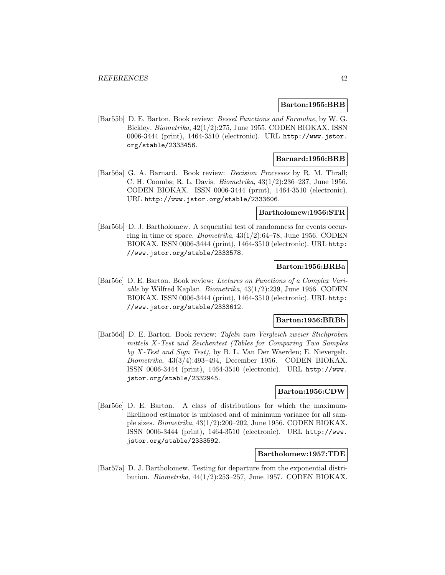#### **Barton:1955:BRB**

[Bar55b] D. E. Barton. Book review: Bessel Functions and Formulae, by W. G. Bickley. Biometrika, 42(1/2):275, June 1955. CODEN BIOKAX. ISSN 0006-3444 (print), 1464-3510 (electronic). URL http://www.jstor. org/stable/2333456.

# **Barnard:1956:BRB**

[Bar56a] G. A. Barnard. Book review: Decision Processes by R. M. Thrall; C. H. Coombs; R. L. Davis. Biometrika, 43(1/2):236–237, June 1956. CODEN BIOKAX. ISSN 0006-3444 (print), 1464-3510 (electronic). URL http://www.jstor.org/stable/2333606.

#### **Bartholomew:1956:STR**

[Bar56b] D. J. Bartholomew. A sequential test of randomness for events occurring in time or space. *Biometrika*,  $43(1/2):64-78$ , June 1956. CODEN BIOKAX. ISSN 0006-3444 (print), 1464-3510 (electronic). URL http: //www.jstor.org/stable/2333578.

## **Barton:1956:BRBa**

[Bar56c] D. E. Barton. Book review: Lectures on Functions of a Complex Variable by Wilfred Kaplan. Biometrika, 43(1/2):239, June 1956. CODEN BIOKAX. ISSN 0006-3444 (print), 1464-3510 (electronic). URL http: //www.jstor.org/stable/2333612.

## **Barton:1956:BRBb**

[Bar56d] D. E. Barton. Book review: Tafeln zum Vergleich zweier Stichproben mittels X-Test und Zeichentest (Tables for Comparing Two Samples by X-Test and Sign Test), by B. L. Van Der Waerden; E. Nievergelt. Biometrika, 43(3/4):493–494, December 1956. CODEN BIOKAX. ISSN 0006-3444 (print), 1464-3510 (electronic). URL http://www. jstor.org/stable/2332945.

# **Barton:1956:CDW**

[Bar56e] D. E. Barton. A class of distributions for which the maximumlikelihood estimator is unbiased and of minimum variance for all sample sizes. Biometrika, 43(1/2):200–202, June 1956. CODEN BIOKAX. ISSN 0006-3444 (print), 1464-3510 (electronic). URL http://www. jstor.org/stable/2333592.

### **Bartholomew:1957:TDE**

[Bar57a] D. J. Bartholomew. Testing for departure from the exponential distribution. Biometrika, 44(1/2):253–257, June 1957. CODEN BIOKAX.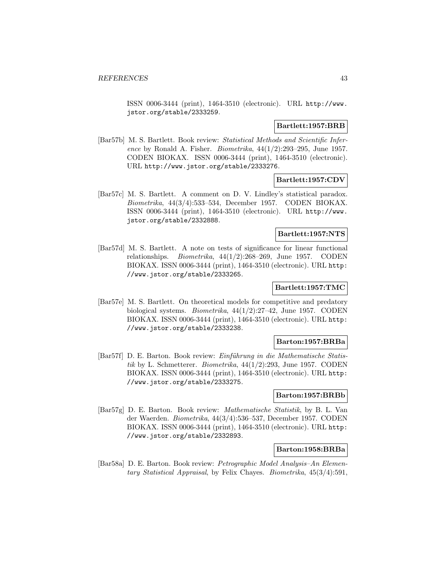ISSN 0006-3444 (print), 1464-3510 (electronic). URL http://www. jstor.org/stable/2333259.

## **Bartlett:1957:BRB**

[Bar57b] M. S. Bartlett. Book review: Statistical Methods and Scientific Inference by Ronald A. Fisher. *Biometrika*,  $44(1/2):293-295$ , June 1957. CODEN BIOKAX. ISSN 0006-3444 (print), 1464-3510 (electronic). URL http://www.jstor.org/stable/2333276.

## **Bartlett:1957:CDV**

[Bar57c] M. S. Bartlett. A comment on D. V. Lindley's statistical paradox. Biometrika, 44(3/4):533–534, December 1957. CODEN BIOKAX. ISSN 0006-3444 (print), 1464-3510 (electronic). URL http://www. jstor.org/stable/2332888.

## **Bartlett:1957:NTS**

[Bar57d] M. S. Bartlett. A note on tests of significance for linear functional relationships. Biometrika, 44(1/2):268–269, June 1957. CODEN BIOKAX. ISSN 0006-3444 (print), 1464-3510 (electronic). URL http: //www.jstor.org/stable/2333265.

# **Bartlett:1957:TMC**

[Bar57e] M. S. Bartlett. On theoretical models for competitive and predatory biological systems. Biometrika, 44(1/2):27–42, June 1957. CODEN BIOKAX. ISSN 0006-3444 (print), 1464-3510 (electronic). URL http: //www.jstor.org/stable/2333238.

## **Barton:1957:BRBa**

[Bar57f] D. E. Barton. Book review: *Einführung in die Mathematische Statis*tik by L. Schmetterer. Biometrika, 44(1/2):293, June 1957. CODEN BIOKAX. ISSN 0006-3444 (print), 1464-3510 (electronic). URL http: //www.jstor.org/stable/2333275.

### **Barton:1957:BRBb**

[Bar57g] D. E. Barton. Book review: Mathematische Statistik, by B. L. Van der Waerden. Biometrika, 44(3/4):536–537, December 1957. CODEN BIOKAX. ISSN 0006-3444 (print), 1464-3510 (electronic). URL http: //www.jstor.org/stable/2332893.

## **Barton:1958:BRBa**

[Bar58a] D. E. Barton. Book review: Petrographic Model Analysis–An Elementary Statistical Appraisal, by Felix Chayes. Biometrika, 45(3/4):591,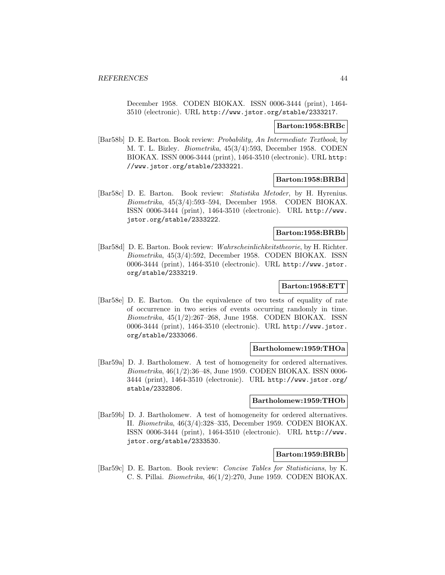December 1958. CODEN BIOKAX. ISSN 0006-3444 (print), 1464- 3510 (electronic). URL http://www.jstor.org/stable/2333217.

#### **Barton:1958:BRBc**

[Bar58b] D. E. Barton. Book review: Probability, An Intermediate Textbook, by M. T. L. Bizley. Biometrika, 45(3/4):593, December 1958. CODEN BIOKAX. ISSN 0006-3444 (print), 1464-3510 (electronic). URL http: //www.jstor.org/stable/2333221.

### **Barton:1958:BRBd**

[Bar58c] D. E. Barton. Book review: Statistika Metoder, by H. Hyrenius. Biometrika, 45(3/4):593–594, December 1958. CODEN BIOKAX. ISSN 0006-3444 (print), 1464-3510 (electronic). URL http://www. jstor.org/stable/2333222.

### **Barton:1958:BRBb**

[Bar58d] D. E. Barton. Book review: Wahrscheinlichkeitstheorie, by H. Richter. Biometrika, 45(3/4):592, December 1958. CODEN BIOKAX. ISSN 0006-3444 (print), 1464-3510 (electronic). URL http://www.jstor. org/stable/2333219.

## **Barton:1958:ETT**

[Bar58e] D. E. Barton. On the equivalence of two tests of equality of rate of occurrence in two series of events occurring randomly in time. Biometrika, 45(1/2):267–268, June 1958. CODEN BIOKAX. ISSN 0006-3444 (print), 1464-3510 (electronic). URL http://www.jstor. org/stable/2333066.

### **Bartholomew:1959:THOa**

[Bar59a] D. J. Bartholomew. A test of homogeneity for ordered alternatives. Biometrika, 46(1/2):36–48, June 1959. CODEN BIOKAX. ISSN 0006- 3444 (print), 1464-3510 (electronic). URL http://www.jstor.org/ stable/2332806.

### **Bartholomew:1959:THOb**

[Bar59b] D. J. Bartholomew. A test of homogeneity for ordered alternatives. II. Biometrika, 46(3/4):328–335, December 1959. CODEN BIOKAX. ISSN 0006-3444 (print), 1464-3510 (electronic). URL http://www. jstor.org/stable/2333530.

## **Barton:1959:BRBb**

[Bar59c] D. E. Barton. Book review: Concise Tables for Statisticians, by K. C. S. Pillai. Biometrika, 46(1/2):270, June 1959. CODEN BIOKAX.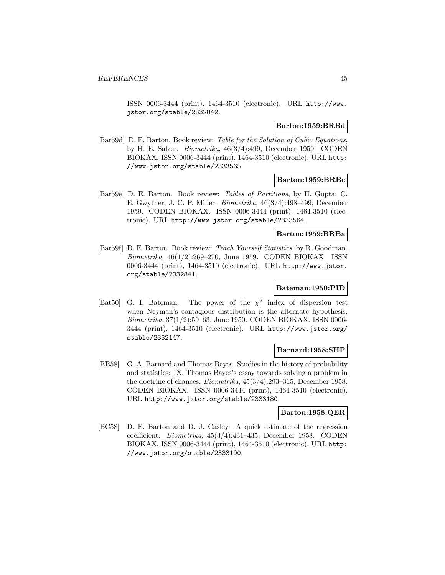ISSN 0006-3444 (print), 1464-3510 (electronic). URL http://www. jstor.org/stable/2332842.

## **Barton:1959:BRBd**

[Bar59d] D. E. Barton. Book review: Table for the Solution of Cubic Equations, by H. E. Salzer. Biometrika, 46(3/4):499, December 1959. CODEN BIOKAX. ISSN 0006-3444 (print), 1464-3510 (electronic). URL http: //www.jstor.org/stable/2333565.

### **Barton:1959:BRBc**

[Bar59e] D. E. Barton. Book review: Tables of Partitions, by H. Gupta; C. E. Gwyther; J. C. P. Miller. Biometrika, 46(3/4):498–499, December 1959. CODEN BIOKAX. ISSN 0006-3444 (print), 1464-3510 (electronic). URL http://www.jstor.org/stable/2333564.

### **Barton:1959:BRBa**

[Bar59f] D. E. Barton. Book review: Teach Yourself Statistics, by R. Goodman. Biometrika, 46(1/2):269–270, June 1959. CODEN BIOKAX. ISSN 0006-3444 (print), 1464-3510 (electronic). URL http://www.jstor. org/stable/2332841.

# **Bateman:1950:PID**

[Bat50] G. I. Bateman. The power of the  $\chi^2$  index of dispersion test when Neyman's contagious distribution is the alternate hypothesis. Biometrika, 37(1/2):59–63, June 1950. CODEN BIOKAX. ISSN 0006- 3444 (print), 1464-3510 (electronic). URL http://www.jstor.org/ stable/2332147.

## **Barnard:1958:SHP**

[BB58] G. A. Barnard and Thomas Bayes. Studies in the history of probability and statistics: IX. Thomas Bayes's essay towards solving a problem in the doctrine of chances. Biometrika, 45(3/4):293–315, December 1958. CODEN BIOKAX. ISSN 0006-3444 (print), 1464-3510 (electronic). URL http://www.jstor.org/stable/2333180.

## **Barton:1958:QER**

[BC58] D. E. Barton and D. J. Casley. A quick estimate of the regression coefficient. Biometrika, 45(3/4):431–435, December 1958. CODEN BIOKAX. ISSN 0006-3444 (print), 1464-3510 (electronic). URL http: //www.jstor.org/stable/2333190.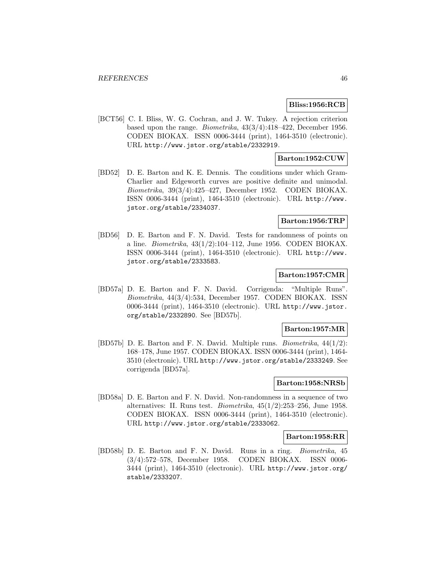### **Bliss:1956:RCB**

[BCT56] C. I. Bliss, W. G. Cochran, and J. W. Tukey. A rejection criterion based upon the range. Biometrika, 43(3/4):418–422, December 1956. CODEN BIOKAX. ISSN 0006-3444 (print), 1464-3510 (electronic). URL http://www.jstor.org/stable/2332919.

## **Barton:1952:CUW**

[BD52] D. E. Barton and K. E. Dennis. The conditions under which Gram-Charlier and Edgeworth curves are positive definite and unimodal. Biometrika, 39(3/4):425–427, December 1952. CODEN BIOKAX. ISSN 0006-3444 (print), 1464-3510 (electronic). URL http://www. jstor.org/stable/2334037.

### **Barton:1956:TRP**

[BD56] D. E. Barton and F. N. David. Tests for randomness of points on a line. Biometrika, 43(1/2):104–112, June 1956. CODEN BIOKAX. ISSN 0006-3444 (print), 1464-3510 (electronic). URL http://www. jstor.org/stable/2333583.

## **Barton:1957:CMR**

[BD57a] D. E. Barton and F. N. David. Corrigenda: "Multiple Runs". Biometrika, 44(3/4):534, December 1957. CODEN BIOKAX. ISSN 0006-3444 (print), 1464-3510 (electronic). URL http://www.jstor. org/stable/2332890. See [BD57b].

#### **Barton:1957:MR**

[BD57b] D. E. Barton and F. N. David. Multiple runs. Biometrika, 44(1/2): 168–178, June 1957. CODEN BIOKAX. ISSN 0006-3444 (print), 1464- 3510 (electronic). URL http://www.jstor.org/stable/2333249. See corrigenda [BD57a].

## **Barton:1958:NRSb**

[BD58a] D. E. Barton and F. N. David. Non-randomness in a sequence of two alternatives: II. Runs test. *Biometrika*,  $45(1/2)$ :253–256, June 1958. CODEN BIOKAX. ISSN 0006-3444 (print), 1464-3510 (electronic). URL http://www.jstor.org/stable/2333062.

#### **Barton:1958:RR**

[BD58b] D. E. Barton and F. N. David. Runs in a ring. Biometrika, 45 (3/4):572–578, December 1958. CODEN BIOKAX. ISSN 0006- 3444 (print), 1464-3510 (electronic). URL http://www.jstor.org/ stable/2333207.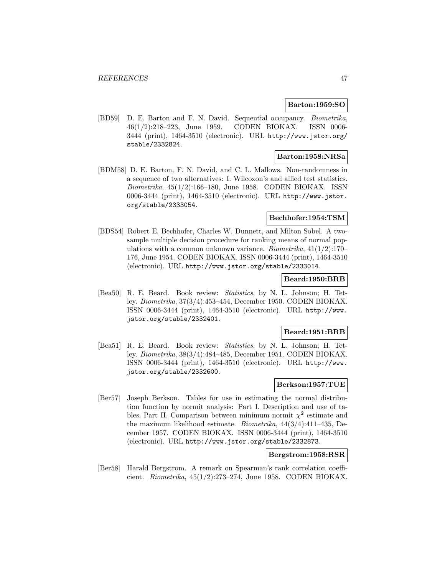### **Barton:1959:SO**

[BD59] D. E. Barton and F. N. David. Sequential occupancy. Biometrika, 46(1/2):218–223, June 1959. CODEN BIOKAX. ISSN 0006- 3444 (print), 1464-3510 (electronic). URL http://www.jstor.org/ stable/2332824.

## **Barton:1958:NRSa**

[BDM58] D. E. Barton, F. N. David, and C. L. Mallows. Non-randomness in a sequence of two alternatives: I. Wilcoxon's and allied test statistics. Biometrika, 45(1/2):166–180, June 1958. CODEN BIOKAX. ISSN 0006-3444 (print), 1464-3510 (electronic). URL http://www.jstor. org/stable/2333054.

## **Bechhofer:1954:TSM**

[BDS54] Robert E. Bechhofer, Charles W. Dunnett, and Milton Sobel. A twosample multiple decision procedure for ranking means of normal populations with a common unknown variance. *Biometrika*,  $41(1/2)$ :170– 176, June 1954. CODEN BIOKAX. ISSN 0006-3444 (print), 1464-3510 (electronic). URL http://www.jstor.org/stable/2333014.

## **Beard:1950:BRB**

[Bea50] R. E. Beard. Book review: Statistics, by N. L. Johnson; H. Tetley. Biometrika, 37(3/4):453–454, December 1950. CODEN BIOKAX. ISSN 0006-3444 (print), 1464-3510 (electronic). URL http://www. jstor.org/stable/2332401.

### **Beard:1951:BRB**

[Bea51] R. E. Beard. Book review: Statistics, by N. L. Johnson; H. Tetley. Biometrika, 38(3/4):484–485, December 1951. CODEN BIOKAX. ISSN 0006-3444 (print), 1464-3510 (electronic). URL http://www. jstor.org/stable/2332600.

## **Berkson:1957:TUE**

[Ber57] Joseph Berkson. Tables for use in estimating the normal distribution function by normit analysis: Part I. Description and use of tables. Part II. Comparison between minimum normit  $\chi^2$  estimate and the maximum likelihood estimate. Biometrika, 44(3/4):411–435, December 1957. CODEN BIOKAX. ISSN 0006-3444 (print), 1464-3510 (electronic). URL http://www.jstor.org/stable/2332873.

# **Bergstrom:1958:RSR**

[Ber58] Harald Bergstrom. A remark on Spearman's rank correlation coefficient. *Biometrika*,  $45(1/2):273-274$ , June 1958. CODEN BIOKAX.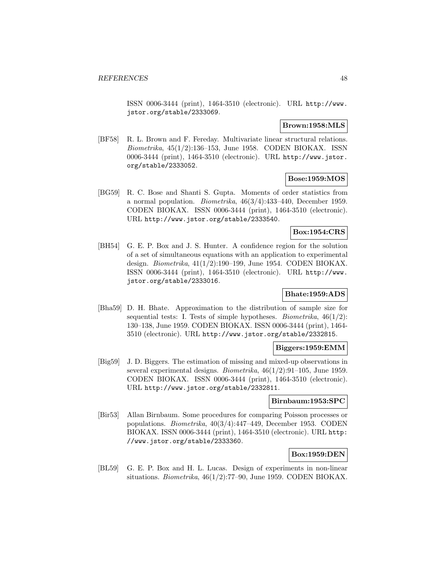ISSN 0006-3444 (print), 1464-3510 (electronic). URL http://www. jstor.org/stable/2333069.

### **Brown:1958:MLS**

[BF58] R. L. Brown and F. Fereday. Multivariate linear structural relations. Biometrika, 45(1/2):136–153, June 1958. CODEN BIOKAX. ISSN 0006-3444 (print), 1464-3510 (electronic). URL http://www.jstor. org/stable/2333052.

# **Bose:1959:MOS**

[BG59] R. C. Bose and Shanti S. Gupta. Moments of order statistics from a normal population. Biometrika, 46(3/4):433–440, December 1959. CODEN BIOKAX. ISSN 0006-3444 (print), 1464-3510 (electronic). URL http://www.jstor.org/stable/2333540.

## **Box:1954:CRS**

[BH54] G. E. P. Box and J. S. Hunter. A confidence region for the solution of a set of simultaneous equations with an application to experimental design. Biometrika, 41(1/2):190–199, June 1954. CODEN BIOKAX. ISSN 0006-3444 (print), 1464-3510 (electronic). URL http://www. jstor.org/stable/2333016.

# **Bhate:1959:ADS**

[Bha59] D. H. Bhate. Approximation to the distribution of sample size for sequential tests: I. Tests of simple hypotheses. *Biometrika*,  $46(1/2)$ : 130–138, June 1959. CODEN BIOKAX. ISSN 0006-3444 (print), 1464- 3510 (electronic). URL http://www.jstor.org/stable/2332815.

## **Biggers:1959:EMM**

[Big59] J. D. Biggers. The estimation of missing and mixed-up observations in several experimental designs. Biometrika, 46(1/2):91–105, June 1959. CODEN BIOKAX. ISSN 0006-3444 (print), 1464-3510 (electronic). URL http://www.jstor.org/stable/2332811.

# **Birnbaum:1953:SPC**

[Bir53] Allan Birnbaum. Some procedures for comparing Poisson processes or populations. Biometrika, 40(3/4):447–449, December 1953. CODEN BIOKAX. ISSN 0006-3444 (print), 1464-3510 (electronic). URL http: //www.jstor.org/stable/2333360.

## **Box:1959:DEN**

[BL59] G. E. P. Box and H. L. Lucas. Design of experiments in non-linear situations. *Biometrika*,  $46(1/2)$ :77–90, June 1959. CODEN BIOKAX.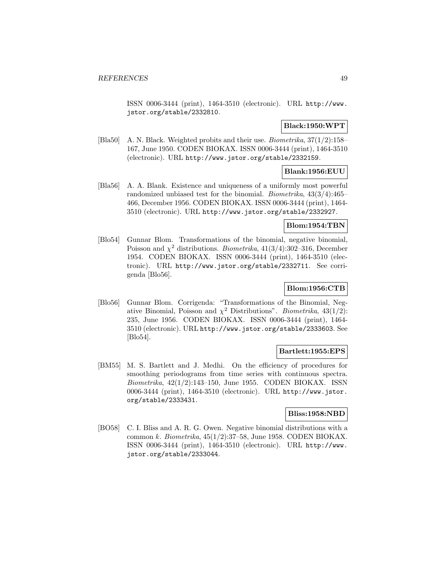ISSN 0006-3444 (print), 1464-3510 (electronic). URL http://www. jstor.org/stable/2332810.

## **Black:1950:WPT**

[Bla50] A. N. Black. Weighted probits and their use. Biometrika, 37(1/2):158– 167, June 1950. CODEN BIOKAX. ISSN 0006-3444 (print), 1464-3510 (electronic). URL http://www.jstor.org/stable/2332159.

# **Blank:1956:EUU**

[Bla56] A. A. Blank. Existence and uniqueness of a uniformly most powerful randomized unbiased test for the binomial. Biometrika, 43(3/4):465– 466, December 1956. CODEN BIOKAX. ISSN 0006-3444 (print), 1464- 3510 (electronic). URL http://www.jstor.org/stable/2332927.

## **Blom:1954:TBN**

[Blo54] Gunnar Blom. Transformations of the binomial, negative binomial, Poisson and  $\chi^2$  distributions. *Biometrika*, 41(3/4):302–316, December 1954. CODEN BIOKAX. ISSN 0006-3444 (print), 1464-3510 (electronic). URL http://www.jstor.org/stable/2332711. See corrigenda [Blo56].

# **Blom:1956:CTB**

[Blo56] Gunnar Blom. Corrigenda: "Transformations of the Binomial, Negative Binomial, Poisson and  $\chi^2$  Distributions". *Biometrika*, 43(1/2): 235, June 1956. CODEN BIOKAX. ISSN 0006-3444 (print), 1464- 3510 (electronic). URL http://www.jstor.org/stable/2333603. See [Blo54].

## **Bartlett:1955:EPS**

[BM55] M. S. Bartlett and J. Medhi. On the efficiency of procedures for smoothing periodograms from time series with continuous spectra. Biometrika, 42(1/2):143–150, June 1955. CODEN BIOKAX. ISSN 0006-3444 (print), 1464-3510 (electronic). URL http://www.jstor. org/stable/2333431.

## **Bliss:1958:NBD**

[BO58] C. I. Bliss and A. R. G. Owen. Negative binomial distributions with a common k. Biometrika,  $45(1/2)$ :37–58, June 1958. CODEN BIOKAX. ISSN 0006-3444 (print), 1464-3510 (electronic). URL http://www. jstor.org/stable/2333044.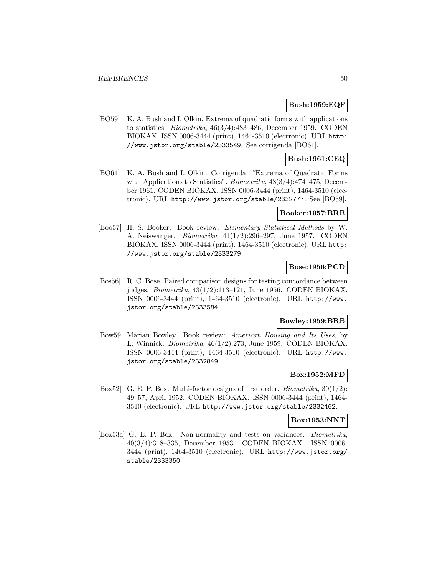## **Bush:1959:EQF**

[BO59] K. A. Bush and I. Olkin. Extrema of quadratic forms with applications to statistics. Biometrika, 46(3/4):483–486, December 1959. CODEN BIOKAX. ISSN 0006-3444 (print), 1464-3510 (electronic). URL http: //www.jstor.org/stable/2333549. See corrigenda [BO61].

# **Bush:1961:CEQ**

[BO61] K. A. Bush and I. Olkin. Corrigenda: "Extrema of Quadratic Forms with Applications to Statistics". *Biometrika*,  $48(3/4):474-475$ , December 1961. CODEN BIOKAX. ISSN 0006-3444 (print), 1464-3510 (electronic). URL http://www.jstor.org/stable/2332777. See [BO59].

## **Booker:1957:BRB**

[Boo57] H. S. Booker. Book review: Elementary Statistical Methods by W. A. Neiswanger. Biometrika, 44(1/2):296–297, June 1957. CODEN BIOKAX. ISSN 0006-3444 (print), 1464-3510 (electronic). URL http: //www.jstor.org/stable/2333279.

## **Bose:1956:PCD**

[Bos56] R. C. Bose. Paired comparison designs for testing concordance between judges. Biometrika, 43(1/2):113–121, June 1956. CODEN BIOKAX. ISSN 0006-3444 (print), 1464-3510 (electronic). URL http://www. jstor.org/stable/2333584.

### **Bowley:1959:BRB**

[Bow59] Marian Bowley. Book review: American Housing and Its Uses, by L. Winnick. Biometrika, 46(1/2):273, June 1959. CODEN BIOKAX. ISSN 0006-3444 (print), 1464-3510 (electronic). URL http://www. jstor.org/stable/2332849.

## **Box:1952:MFD**

[Box52] G. E. P. Box. Multi-factor designs of first order. *Biometrika*,  $39(1/2)$ : 49–57, April 1952. CODEN BIOKAX. ISSN 0006-3444 (print), 1464- 3510 (electronic). URL http://www.jstor.org/stable/2332462.

## **Box:1953:NNT**

[Box53a] G. E. P. Box. Non-normality and tests on variances. Biometrika, 40(3/4):318–335, December 1953. CODEN BIOKAX. ISSN 0006- 3444 (print), 1464-3510 (electronic). URL http://www.jstor.org/ stable/2333350.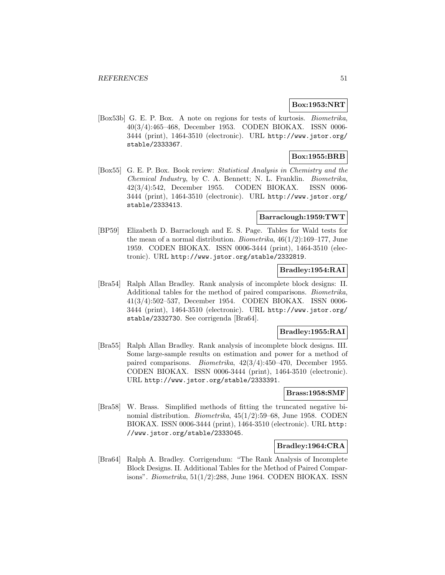## **Box:1953:NRT**

[Box53b] G. E. P. Box. A note on regions for tests of kurtosis. Biometrika, 40(3/4):465–468, December 1953. CODEN BIOKAX. ISSN 0006- 3444 (print), 1464-3510 (electronic). URL http://www.jstor.org/ stable/2333367.

# **Box:1955:BRB**

[Box55] G. E. P. Box. Book review: Statistical Analysis in Chemistry and the Chemical Industry, by C. A. Bennett; N. L. Franklin. Biometrika, 42(3/4):542, December 1955. CODEN BIOKAX. ISSN 0006- 3444 (print), 1464-3510 (electronic). URL http://www.jstor.org/ stable/2333413.

## **Barraclough:1959:TWT**

[BP59] Elizabeth D. Barraclough and E. S. Page. Tables for Wald tests for the mean of a normal distribution. *Biometrika*,  $46(1/2):169-177$ , June 1959. CODEN BIOKAX. ISSN 0006-3444 (print), 1464-3510 (electronic). URL http://www.jstor.org/stable/2332819.

# **Bradley:1954:RAI**

[Bra54] Ralph Allan Bradley. Rank analysis of incomplete block designs: II. Additional tables for the method of paired comparisons. Biometrika, 41(3/4):502–537, December 1954. CODEN BIOKAX. ISSN 0006- 3444 (print), 1464-3510 (electronic). URL http://www.jstor.org/ stable/2332730. See corrigenda [Bra64].

## **Bradley:1955:RAI**

[Bra55] Ralph Allan Bradley. Rank analysis of incomplete block designs. III. Some large-sample results on estimation and power for a method of paired comparisons. Biometrika, 42(3/4):450–470, December 1955. CODEN BIOKAX. ISSN 0006-3444 (print), 1464-3510 (electronic). URL http://www.jstor.org/stable/2333391.

## **Brass:1958:SMF**

[Bra58] W. Brass. Simplified methods of fitting the truncated negative binomial distribution. Biometrika, 45(1/2):59–68, June 1958. CODEN BIOKAX. ISSN 0006-3444 (print), 1464-3510 (electronic). URL http: //www.jstor.org/stable/2333045.

## **Bradley:1964:CRA**

[Bra64] Ralph A. Bradley. Corrigendum: "The Rank Analysis of Incomplete Block Designs. II. Additional Tables for the Method of Paired Comparisons". *Biometrika*,  $51(1/2)$ :288, June 1964. CODEN BIOKAX. ISSN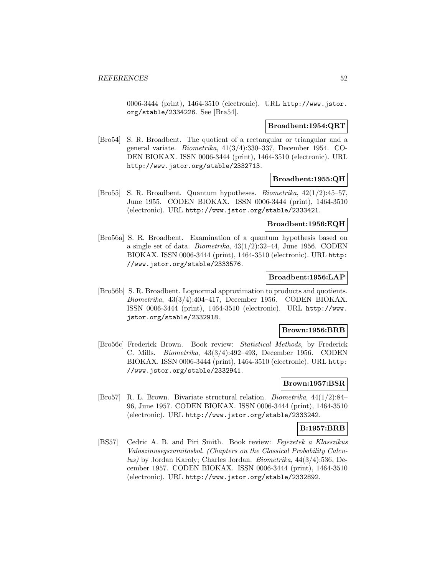0006-3444 (print), 1464-3510 (electronic). URL http://www.jstor. org/stable/2334226. See [Bra54].

### **Broadbent:1954:QRT**

[Bro54] S. R. Broadbent. The quotient of a rectangular or triangular and a general variate. Biometrika, 41(3/4):330–337, December 1954. CO-DEN BIOKAX. ISSN 0006-3444 (print), 1464-3510 (electronic). URL http://www.jstor.org/stable/2332713.

# **Broadbent:1955:QH**

[Bro55] S. R. Broadbent. Quantum hypotheses. Biometrika, 42(1/2):45–57, June 1955. CODEN BIOKAX. ISSN 0006-3444 (print), 1464-3510 (electronic). URL http://www.jstor.org/stable/2333421.

## **Broadbent:1956:EQH**

[Bro56a] S. R. Broadbent. Examination of a quantum hypothesis based on a single set of data. *Biometrika*,  $43(1/2):32-44$ , June 1956. CODEN BIOKAX. ISSN 0006-3444 (print), 1464-3510 (electronic). URL http: //www.jstor.org/stable/2333576.

## **Broadbent:1956:LAP**

[Bro56b] S. R. Broadbent. Lognormal approximation to products and quotients. Biometrika, 43(3/4):404–417, December 1956. CODEN BIOKAX. ISSN 0006-3444 (print), 1464-3510 (electronic). URL http://www. jstor.org/stable/2332918.

### **Brown:1956:BRB**

[Bro56c] Frederick Brown. Book review: Statistical Methods, by Frederick C. Mills. Biometrika, 43(3/4):492–493, December 1956. CODEN BIOKAX. ISSN 0006-3444 (print), 1464-3510 (electronic). URL http: //www.jstor.org/stable/2332941.

# **Brown:1957:BSR**

[Bro57] R. L. Brown. Bivariate structural relation. Biometrika, 44(1/2):84– 96, June 1957. CODEN BIOKAX. ISSN 0006-3444 (print), 1464-3510 (electronic). URL http://www.jstor.org/stable/2333242.

## **B:1957:BRB**

[BS57] Cedric A. B. and Piri Smith. Book review: Fejezetek a Klasszikus Valoszinusegszamitasbol. (Chapters on the Classical Probability Calculus) by Jordan Karoly; Charles Jordan. Biometrika, 44(3/4):536, December 1957. CODEN BIOKAX. ISSN 0006-3444 (print), 1464-3510 (electronic). URL http://www.jstor.org/stable/2332892.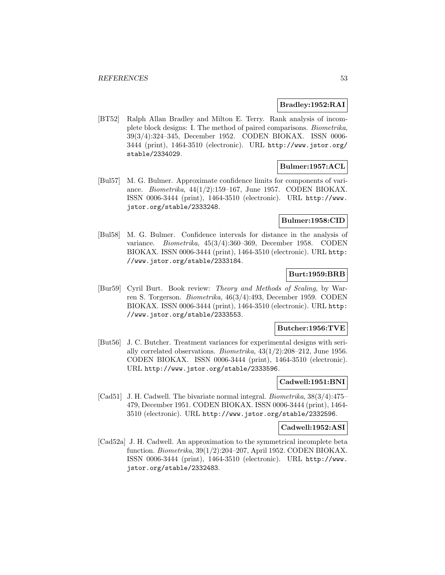## **Bradley:1952:RAI**

[BT52] Ralph Allan Bradley and Milton E. Terry. Rank analysis of incomplete block designs: I. The method of paired comparisons. Biometrika, 39(3/4):324–345, December 1952. CODEN BIOKAX. ISSN 0006- 3444 (print), 1464-3510 (electronic). URL http://www.jstor.org/ stable/2334029.

## **Bulmer:1957:ACL**

[Bul57] M. G. Bulmer. Approximate confidence limits for components of variance. Biometrika, 44(1/2):159–167, June 1957. CODEN BIOKAX. ISSN 0006-3444 (print), 1464-3510 (electronic). URL http://www. jstor.org/stable/2333248.

## **Bulmer:1958:CID**

[Bul58] M. G. Bulmer. Confidence intervals for distance in the analysis of variance. Biometrika, 45(3/4):360–369, December 1958. CODEN BIOKAX. ISSN 0006-3444 (print), 1464-3510 (electronic). URL http: //www.jstor.org/stable/2333184.

# **Burt:1959:BRB**

[Bur59] Cyril Burt. Book review: Theory and Methods of Scaling, by Warren S. Torgerson. Biometrika, 46(3/4):493, December 1959. CODEN BIOKAX. ISSN 0006-3444 (print), 1464-3510 (electronic). URL http: //www.jstor.org/stable/2333553.

### **Butcher:1956:TVE**

[But56] J. C. Butcher. Treatment variances for experimental designs with serially correlated observations. *Biometrika*,  $43(1/2):208-212$ , June 1956. CODEN BIOKAX. ISSN 0006-3444 (print), 1464-3510 (electronic). URL http://www.jstor.org/stable/2333596.

# **Cadwell:1951:BNI**

[Cad51] J. H. Cadwell. The bivariate normal integral. Biometrika, 38(3/4):475– 479, December 1951. CODEN BIOKAX. ISSN 0006-3444 (print), 1464- 3510 (electronic). URL http://www.jstor.org/stable/2332596.

## **Cadwell:1952:ASI**

[Cad52a] J. H. Cadwell. An approximation to the symmetrical incomplete beta function. Biometrika, 39(1/2):204–207, April 1952. CODEN BIOKAX. ISSN 0006-3444 (print), 1464-3510 (electronic). URL http://www. jstor.org/stable/2332483.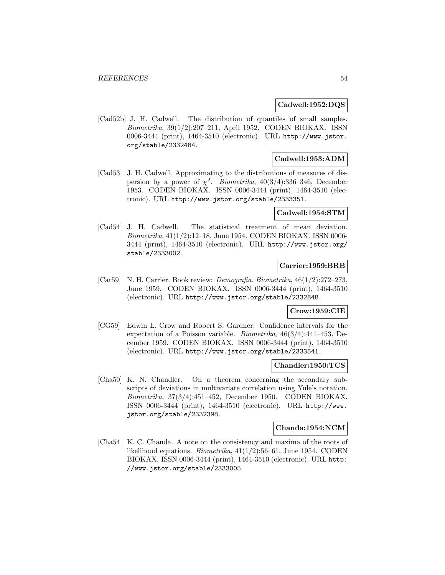### **Cadwell:1952:DQS**

[Cad52b] J. H. Cadwell. The distribution of quantiles of small samples. Biometrika, 39(1/2):207–211, April 1952. CODEN BIOKAX. ISSN 0006-3444 (print), 1464-3510 (electronic). URL http://www.jstor. org/stable/2332484.

## **Cadwell:1953:ADM**

[Cad53] J. H. Cadwell. Approximating to the distributions of measures of dispersion by a power of  $\chi^2$ . Biometrika, 40(3/4):336-346, December 1953. CODEN BIOKAX. ISSN 0006-3444 (print), 1464-3510 (electronic). URL http://www.jstor.org/stable/2333351.

## **Cadwell:1954:STM**

[Cad54] J. H. Cadwell. The statistical treatment of mean deviation. Biometrika, 41(1/2):12–18, June 1954. CODEN BIOKAX. ISSN 0006- 3444 (print), 1464-3510 (electronic). URL http://www.jstor.org/ stable/2333002.

### **Carrier:1959:BRB**

[Car59] N. H. Carrier. Book review: *Demografia. Biometrika*,  $46(1/2):272-273$ , June 1959. CODEN BIOKAX. ISSN 0006-3444 (print), 1464-3510 (electronic). URL http://www.jstor.org/stable/2332848.

# **Crow:1959:CIE**

[CG59] Edwin L. Crow and Robert S. Gardner. Confidence intervals for the expectation of a Poisson variable. Biometrika, 46(3/4):441–453, December 1959. CODEN BIOKAX. ISSN 0006-3444 (print), 1464-3510 (electronic). URL http://www.jstor.org/stable/2333541.

#### **Chandler:1950:TCS**

[Cha50] K. N. Chandler. On a theorem concerning the secondary subscripts of deviations in multivariate correlation using Yule's notation. Biometrika, 37(3/4):451–452, December 1950. CODEN BIOKAX. ISSN 0006-3444 (print), 1464-3510 (electronic). URL http://www. jstor.org/stable/2332398.

#### **Chanda:1954:NCM**

[Cha54] K. C. Chanda. A note on the consistency and maxima of the roots of likelihood equations. Biometrika, 41(1/2):56–61, June 1954. CODEN BIOKAX. ISSN 0006-3444 (print), 1464-3510 (electronic). URL http: //www.jstor.org/stable/2333005.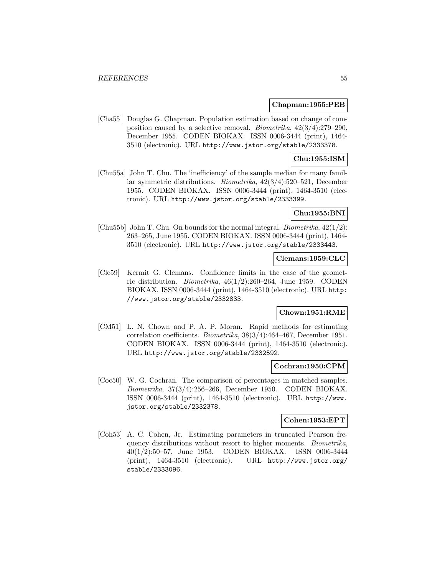#### **Chapman:1955:PEB**

[Cha55] Douglas G. Chapman. Population estimation based on change of composition caused by a selective removal. *Biometrika*,  $42(3/4):279-290$ , December 1955. CODEN BIOKAX. ISSN 0006-3444 (print), 1464- 3510 (electronic). URL http://www.jstor.org/stable/2333378.

## **Chu:1955:ISM**

[Chu55a] John T. Chu. The 'inefficiency' of the sample median for many familiar symmetric distributions. Biometrika, 42(3/4):520–521, December 1955. CODEN BIOKAX. ISSN 0006-3444 (print), 1464-3510 (electronic). URL http://www.jstor.org/stable/2333399.

## **Chu:1955:BNI**

[Chu55b] John T. Chu. On bounds for the normal integral. Biometrika, 42(1/2): 263–265, June 1955. CODEN BIOKAX. ISSN 0006-3444 (print), 1464- 3510 (electronic). URL http://www.jstor.org/stable/2333443.

### **Clemans:1959:CLC**

[Cle59] Kermit G. Clemans. Confidence limits in the case of the geometric distribution. *Biometrika*,  $46(1/2)$ :260–264, June 1959. CODEN BIOKAX. ISSN 0006-3444 (print), 1464-3510 (electronic). URL http: //www.jstor.org/stable/2332833.

## **Chown:1951:RME**

[CM51] L. N. Chown and P. A. P. Moran. Rapid methods for estimating correlation coefficients. Biometrika, 38(3/4):464–467, December 1951. CODEN BIOKAX. ISSN 0006-3444 (print), 1464-3510 (electronic). URL http://www.jstor.org/stable/2332592.

#### **Cochran:1950:CPM**

[Coc50] W. G. Cochran. The comparison of percentages in matched samples. Biometrika, 37(3/4):256–266, December 1950. CODEN BIOKAX. ISSN 0006-3444 (print), 1464-3510 (electronic). URL http://www. jstor.org/stable/2332378.

## **Cohen:1953:EPT**

[Coh53] A. C. Cohen, Jr. Estimating parameters in truncated Pearson frequency distributions without resort to higher moments. Biometrika, 40(1/2):50–57, June 1953. CODEN BIOKAX. ISSN 0006-3444 (print), 1464-3510 (electronic). URL http://www.jstor.org/ stable/2333096.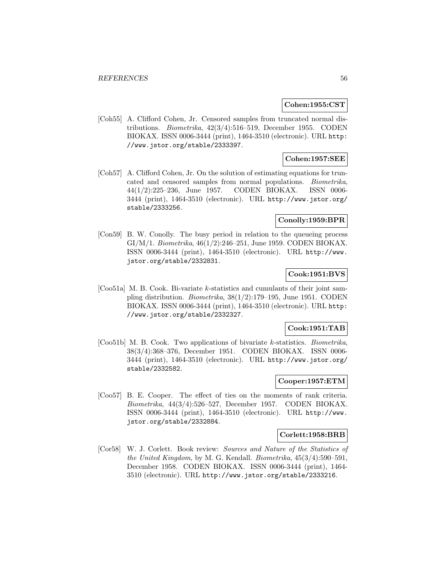### **Cohen:1955:CST**

[Coh55] A. Clifford Cohen, Jr. Censored samples from truncated normal distributions. Biometrika, 42(3/4):516–519, December 1955. CODEN BIOKAX. ISSN 0006-3444 (print), 1464-3510 (electronic). URL http: //www.jstor.org/stable/2333397.

# **Cohen:1957:SEE**

[Coh57] A. Clifford Cohen, Jr. On the solution of estimating equations for truncated and censored samples from normal populations. Biometrika, 44(1/2):225–236, June 1957. CODEN BIOKAX. ISSN 0006- 3444 (print), 1464-3510 (electronic). URL http://www.jstor.org/ stable/2333256.

## **Conolly:1959:BPR**

[Con59] B. W. Conolly. The busy period in relation to the queueing process GI/M/1. Biometrika, 46(1/2):246–251, June 1959. CODEN BIOKAX. ISSN 0006-3444 (print), 1464-3510 (electronic). URL http://www. jstor.org/stable/2332831.

# **Cook:1951:BVS**

[Coo51a] M. B. Cook. Bi-variate k-statistics and cumulants of their joint sampling distribution. Biometrika, 38(1/2):179–195, June 1951. CODEN BIOKAX. ISSN 0006-3444 (print), 1464-3510 (electronic). URL http: //www.jstor.org/stable/2332327.

### **Cook:1951:TAB**

[Coo51b] M. B. Cook. Two applications of bivariate k-statistics. Biometrika, 38(3/4):368–376, December 1951. CODEN BIOKAX. ISSN 0006- 3444 (print), 1464-3510 (electronic). URL http://www.jstor.org/ stable/2332582.

#### **Cooper:1957:ETM**

[Coo57] B. E. Cooper. The effect of ties on the moments of rank criteria. Biometrika, 44(3/4):526–527, December 1957. CODEN BIOKAX. ISSN 0006-3444 (print), 1464-3510 (electronic). URL http://www. jstor.org/stable/2332884.

#### **Corlett:1958:BRB**

[Cor58] W. J. Corlett. Book review: Sources and Nature of the Statistics of the United Kingdom, by M. G. Kendall. Biometrika, 45(3/4):590–591, December 1958. CODEN BIOKAX. ISSN 0006-3444 (print), 1464- 3510 (electronic). URL http://www.jstor.org/stable/2333216.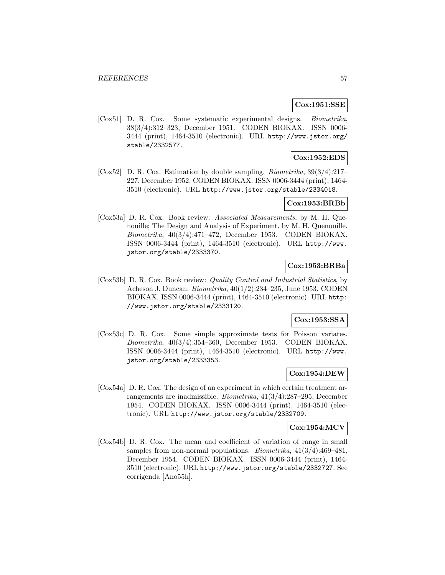## **Cox:1951:SSE**

[Cox51] D. R. Cox. Some systematic experimental designs. Biometrika, 38(3/4):312–323, December 1951. CODEN BIOKAX. ISSN 0006- 3444 (print), 1464-3510 (electronic). URL http://www.jstor.org/ stable/2332577.

# **Cox:1952:EDS**

[Cox52] D. R. Cox. Estimation by double sampling. Biometrika, 39(3/4):217– 227, December 1952. CODEN BIOKAX. ISSN 0006-3444 (print), 1464- 3510 (electronic). URL http://www.jstor.org/stable/2334018.

## **Cox:1953:BRBb**

[Cox53a] D. R. Cox. Book review: Associated Measurements, by M. H. Quenouille; The Design and Analysis of Experiment. by M. H. Quenouille. Biometrika, 40(3/4):471–472, December 1953. CODEN BIOKAX. ISSN 0006-3444 (print), 1464-3510 (electronic). URL http://www. jstor.org/stable/2333370.

## **Cox:1953:BRBa**

[Cox53b] D. R. Cox. Book review: Quality Control and Industrial Statistics, by Acheson J. Duncan. Biometrika, 40(1/2):234–235, June 1953. CODEN BIOKAX. ISSN 0006-3444 (print), 1464-3510 (electronic). URL http: //www.jstor.org/stable/2333120.

# **Cox:1953:SSA**

[Cox53c] D. R. Cox. Some simple approximate tests for Poisson variates. Biometrika, 40(3/4):354–360, December 1953. CODEN BIOKAX. ISSN 0006-3444 (print), 1464-3510 (electronic). URL http://www. jstor.org/stable/2333353.

## **Cox:1954:DEW**

[Cox54a] D. R. Cox. The design of an experiment in which certain treatment arrangements are inadmissible. Biometrika, 41(3/4):287–295, December 1954. CODEN BIOKAX. ISSN 0006-3444 (print), 1464-3510 (electronic). URL http://www.jstor.org/stable/2332709.

#### **Cox:1954:MCV**

[Cox54b] D. R. Cox. The mean and coefficient of variation of range in small samples from non-normal populations. Biometrika, 41(3/4):469–481, December 1954. CODEN BIOKAX. ISSN 0006-3444 (print), 1464- 3510 (electronic). URL http://www.jstor.org/stable/2332727. See corrigenda [Ano55h].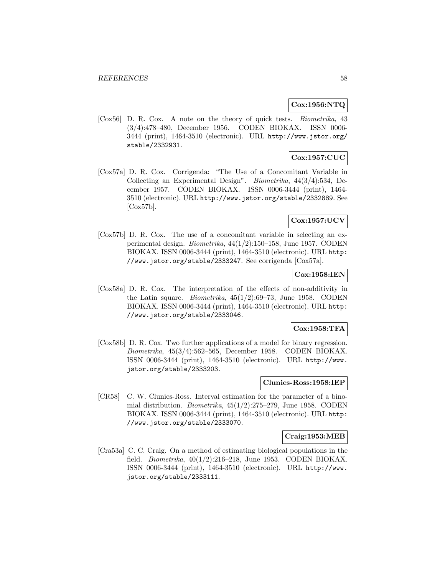## **Cox:1956:NTQ**

[Cox56] D. R. Cox. A note on the theory of quick tests. Biometrika, 43 (3/4):478–480, December 1956. CODEN BIOKAX. ISSN 0006- 3444 (print), 1464-3510 (electronic). URL http://www.jstor.org/ stable/2332931.

# **Cox:1957:CUC**

[Cox57a] D. R. Cox. Corrigenda: "The Use of a Concomitant Variable in Collecting an Experimental Design". Biometrika, 44(3/4):534, December 1957. CODEN BIOKAX. ISSN 0006-3444 (print), 1464- 3510 (electronic). URL http://www.jstor.org/stable/2332889. See  $[Cox57b]$ .

# **Cox:1957:UCV**

[Cox57b] D. R. Cox. The use of a concomitant variable in selecting an experimental design. Biometrika, 44(1/2):150–158, June 1957. CODEN BIOKAX. ISSN 0006-3444 (print), 1464-3510 (electronic). URL http: //www.jstor.org/stable/2333247. See corrigenda [Cox57a].

# **Cox:1958:IEN**

[Cox58a] D. R. Cox. The interpretation of the effects of non-additivity in the Latin square. *Biometrika*,  $45(1/2):69-73$ , June 1958. CODEN BIOKAX. ISSN 0006-3444 (print), 1464-3510 (electronic). URL http: //www.jstor.org/stable/2333046.

## **Cox:1958:TFA**

[Cox58b] D. R. Cox. Two further applications of a model for binary regression. Biometrika, 45(3/4):562–565, December 1958. CODEN BIOKAX. ISSN 0006-3444 (print), 1464-3510 (electronic). URL http://www. jstor.org/stable/2333203.

## **Clunies-Ross:1958:IEP**

[CR58] C. W. Clunies-Ross. Interval estimation for the parameter of a binomial distribution. Biometrika, 45(1/2):275–279, June 1958. CODEN BIOKAX. ISSN 0006-3444 (print), 1464-3510 (electronic). URL http: //www.jstor.org/stable/2333070.

#### **Craig:1953:MEB**

[Cra53a] C. C. Craig. On a method of estimating biological populations in the field. Biometrika, 40(1/2):216–218, June 1953. CODEN BIOKAX. ISSN 0006-3444 (print), 1464-3510 (electronic). URL http://www. jstor.org/stable/2333111.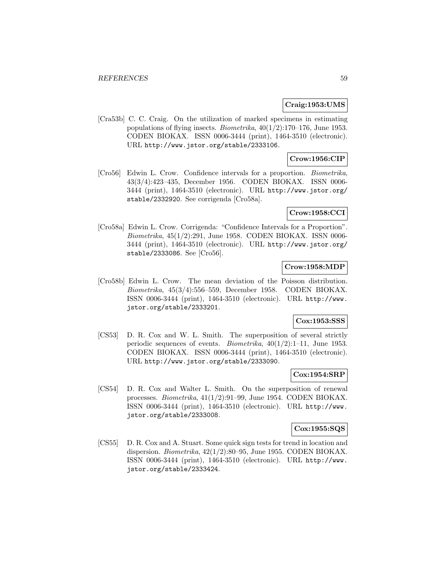## **Craig:1953:UMS**

[Cra53b] C. C. Craig. On the utilization of marked specimens in estimating populations of flying insects. *Biometrika*,  $40(1/2):170-176$ , June 1953. CODEN BIOKAX. ISSN 0006-3444 (print), 1464-3510 (electronic). URL http://www.jstor.org/stable/2333106.

## **Crow:1956:CIP**

[Cro56] Edwin L. Crow. Confidence intervals for a proportion. Biometrika, 43(3/4):423–435, December 1956. CODEN BIOKAX. ISSN 0006- 3444 (print), 1464-3510 (electronic). URL http://www.jstor.org/ stable/2332920. See corrigenda [Cro58a].

## **Crow:1958:CCI**

[Cro58a] Edwin L. Crow. Corrigenda: "Confidence Intervals for a Proportion". Biometrika, 45(1/2):291, June 1958. CODEN BIOKAX. ISSN 0006- 3444 (print), 1464-3510 (electronic). URL http://www.jstor.org/ stable/2333086. See [Cro56].

## **Crow:1958:MDP**

[Cro58b] Edwin L. Crow. The mean deviation of the Poisson distribution. Biometrika, 45(3/4):556–559, December 1958. CODEN BIOKAX. ISSN 0006-3444 (print), 1464-3510 (electronic). URL http://www. jstor.org/stable/2333201.

## **Cox:1953:SSS**

[CS53] D. R. Cox and W. L. Smith. The superposition of several strictly periodic sequences of events. Biometrika, 40(1/2):1–11, June 1953. CODEN BIOKAX. ISSN 0006-3444 (print), 1464-3510 (electronic). URL http://www.jstor.org/stable/2333090.

### **Cox:1954:SRP**

[CS54] D. R. Cox and Walter L. Smith. On the superposition of renewal processes. Biometrika, 41(1/2):91–99, June 1954. CODEN BIOKAX. ISSN 0006-3444 (print), 1464-3510 (electronic). URL http://www. jstor.org/stable/2333008.

## **Cox:1955:SQS**

[CS55] D. R. Cox and A. Stuart. Some quick sign tests for trend in location and dispersion. Biometrika, 42(1/2):80–95, June 1955. CODEN BIOKAX. ISSN 0006-3444 (print), 1464-3510 (electronic). URL http://www. jstor.org/stable/2333424.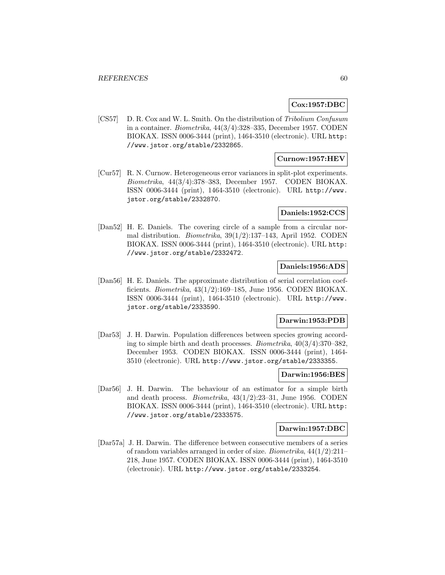## **Cox:1957:DBC**

[CS57] D. R. Cox and W. L. Smith. On the distribution of Tribolium Confusum in a container. Biometrika, 44(3/4):328–335, December 1957. CODEN BIOKAX. ISSN 0006-3444 (print), 1464-3510 (electronic). URL http: //www.jstor.org/stable/2332865.

## **Curnow:1957:HEV**

[Cur57] R. N. Curnow. Heterogeneous error variances in split-plot experiments. Biometrika, 44(3/4):378–383, December 1957. CODEN BIOKAX. ISSN 0006-3444 (print), 1464-3510 (electronic). URL http://www. jstor.org/stable/2332870.

## **Daniels:1952:CCS**

[Dan52] H. E. Daniels. The covering circle of a sample from a circular normal distribution. Biometrika, 39(1/2):137–143, April 1952. CODEN BIOKAX. ISSN 0006-3444 (print), 1464-3510 (electronic). URL http: //www.jstor.org/stable/2332472.

## **Daniels:1956:ADS**

[Dan56] H. E. Daniels. The approximate distribution of serial correlation coefficients. Biometrika, 43(1/2):169–185, June 1956. CODEN BIOKAX. ISSN 0006-3444 (print), 1464-3510 (electronic). URL http://www. jstor.org/stable/2333590.

## **Darwin:1953:PDB**

[Dar53] J. H. Darwin. Population differences between species growing according to simple birth and death processes. Biometrika, 40(3/4):370–382, December 1953. CODEN BIOKAX. ISSN 0006-3444 (print), 1464- 3510 (electronic). URL http://www.jstor.org/stable/2333355.

#### **Darwin:1956:BES**

[Dar56] J. H. Darwin. The behaviour of an estimator for a simple birth and death process. Biometrika, 43(1/2):23–31, June 1956. CODEN BIOKAX. ISSN 0006-3444 (print), 1464-3510 (electronic). URL http: //www.jstor.org/stable/2333575.

#### **Darwin:1957:DBC**

[Dar57a] J. H. Darwin. The difference between consecutive members of a series of random variables arranged in order of size. Biometrika, 44(1/2):211– 218, June 1957. CODEN BIOKAX. ISSN 0006-3444 (print), 1464-3510 (electronic). URL http://www.jstor.org/stable/2333254.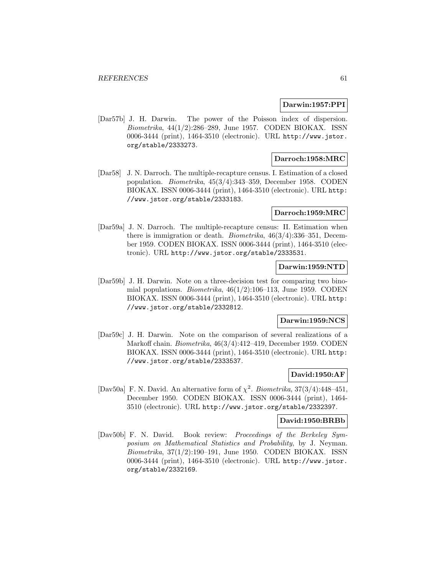#### **Darwin:1957:PPI**

[Dar57b] J. H. Darwin. The power of the Poisson index of dispersion. Biometrika, 44(1/2):286–289, June 1957. CODEN BIOKAX. ISSN 0006-3444 (print), 1464-3510 (electronic). URL http://www.jstor. org/stable/2333273.

# **Darroch:1958:MRC**

[Dar58] J. N. Darroch. The multiple-recapture census. I. Estimation of a closed population. Biometrika, 45(3/4):343–359, December 1958. CODEN BIOKAX. ISSN 0006-3444 (print), 1464-3510 (electronic). URL http: //www.jstor.org/stable/2333183.

### **Darroch:1959:MRC**

[Dar59a] J. N. Darroch. The multiple-recapture census: II. Estimation when there is immigration or death. Biometrika, 46(3/4):336–351, December 1959. CODEN BIOKAX. ISSN 0006-3444 (print), 1464-3510 (electronic). URL http://www.jstor.org/stable/2333531.

## **Darwin:1959:NTD**

[Dar59b] J. H. Darwin. Note on a three-decision test for comparing two binomial populations. *Biometrika*,  $46(1/2):106-113$ , June 1959. CODEN BIOKAX. ISSN 0006-3444 (print), 1464-3510 (electronic). URL http: //www.jstor.org/stable/2332812.

## **Darwin:1959:NCS**

[Dar59c] J. H. Darwin. Note on the comparison of several realizations of a Markoff chain. Biometrika, 46(3/4):412–419, December 1959. CODEN BIOKAX. ISSN 0006-3444 (print), 1464-3510 (electronic). URL http: //www.jstor.org/stable/2333537.

## **David:1950:AF**

[Dav50a] F. N. David. An alternative form of  $\chi^2$ . Biometrika, 37(3/4):448-451, December 1950. CODEN BIOKAX. ISSN 0006-3444 (print), 1464- 3510 (electronic). URL http://www.jstor.org/stable/2332397.

### **David:1950:BRBb**

[Dav50b] F. N. David. Book review: Proceedings of the Berkeley Symposium on Mathematical Statistics and Probability, by J. Neyman. Biometrika, 37(1/2):190–191, June 1950. CODEN BIOKAX. ISSN 0006-3444 (print), 1464-3510 (electronic). URL http://www.jstor. org/stable/2332169.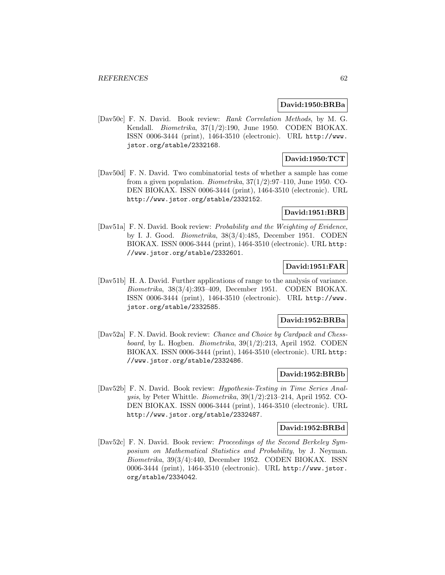#### **David:1950:BRBa**

[Dav50c] F. N. David. Book review: Rank Correlation Methods, by M. G. Kendall. Biometrika, 37(1/2):190, June 1950. CODEN BIOKAX. ISSN 0006-3444 (print), 1464-3510 (electronic). URL http://www. jstor.org/stable/2332168.

# **David:1950:TCT**

[Dav50d] F. N. David. Two combinatorial tests of whether a sample has come from a given population. *Biometrika*,  $37(1/2)$ :97–110, June 1950. CO-DEN BIOKAX. ISSN 0006-3444 (print), 1464-3510 (electronic). URL http://www.jstor.org/stable/2332152.

## **David:1951:BRB**

[Dav51a] F. N. David. Book review: Probability and the Weighting of Evidence, by I. J. Good. Biometrika, 38(3/4):485, December 1951. CODEN BIOKAX. ISSN 0006-3444 (print), 1464-3510 (electronic). URL http: //www.jstor.org/stable/2332601.

## **David:1951:FAR**

[Dav51b] H. A. David. Further applications of range to the analysis of variance. Biometrika, 38(3/4):393–409, December 1951. CODEN BIOKAX. ISSN 0006-3444 (print), 1464-3510 (electronic). URL http://www. jstor.org/stable/2332585.

## **David:1952:BRBa**

[Dav52a] F. N. David. Book review: Chance and Choice by Cardpack and Chessboard, by L. Hogben. Biometrika, 39(1/2):213, April 1952. CODEN BIOKAX. ISSN 0006-3444 (print), 1464-3510 (electronic). URL http: //www.jstor.org/stable/2332486.

### **David:1952:BRBb**

[Dav52b] F. N. David. Book review: Hypothesis-Testing in Time Series Analysis, by Peter Whittle. Biometrika, 39(1/2):213–214, April 1952. CO-DEN BIOKAX. ISSN 0006-3444 (print), 1464-3510 (electronic). URL http://www.jstor.org/stable/2332487.

### **David:1952:BRBd**

[Dav52c] F. N. David. Book review: Proceedings of the Second Berkeley Symposium on Mathematical Statistics and Probability, by J. Neyman. Biometrika, 39(3/4):440, December 1952. CODEN BIOKAX. ISSN 0006-3444 (print), 1464-3510 (electronic). URL http://www.jstor. org/stable/2334042.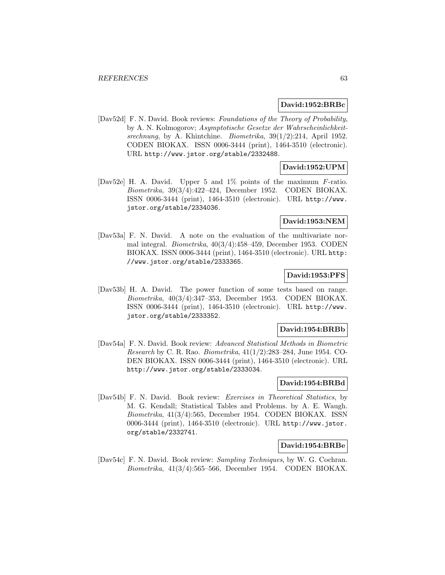#### **David:1952:BRBc**

[Dav52d] F. N. David. Book reviews: Foundations of the Theory of Probability, by A. N. Kolmogorov; Asymptotische Gesetze der Wahrscheinlichkeitsrechnung, by A. Khintchine. Biometrika, 39(1/2):214, April 1952. CODEN BIOKAX. ISSN 0006-3444 (print), 1464-3510 (electronic). URL http://www.jstor.org/stable/2332488.

## **David:1952:UPM**

[Dav52e] H. A. David. Upper 5 and 1% points of the maximum F-ratio. Biometrika, 39(3/4):422–424, December 1952. CODEN BIOKAX. ISSN 0006-3444 (print), 1464-3510 (electronic). URL http://www. jstor.org/stable/2334036.

## **David:1953:NEM**

[Dav53a] F. N. David. A note on the evaluation of the multivariate normal integral. Biometrika, 40(3/4):458–459, December 1953. CODEN BIOKAX. ISSN 0006-3444 (print), 1464-3510 (electronic). URL http: //www.jstor.org/stable/2333365.

## **David:1953:PFS**

[Dav53b] H. A. David. The power function of some tests based on range. Biometrika, 40(3/4):347–353, December 1953. CODEN BIOKAX. ISSN 0006-3444 (print), 1464-3510 (electronic). URL http://www. jstor.org/stable/2333352.

#### **David:1954:BRBb**

[Dav54a] F. N. David. Book review: Advanced Statistical Methods in Biometric Research by C. R. Rao. Biometrika, 41(1/2):283–284, June 1954. CO-DEN BIOKAX. ISSN 0006-3444 (print), 1464-3510 (electronic). URL http://www.jstor.org/stable/2333034.

## **David:1954:BRBd**

[Dav54b] F. N. David. Book review: Exercises in Theoretical Statistics, by M. G. Kendall; Statistical Tables and Problems. by A. E. Waugh. Biometrika, 41(3/4):565, December 1954. CODEN BIOKAX. ISSN 0006-3444 (print), 1464-3510 (electronic). URL http://www.jstor. org/stable/2332741.

### **David:1954:BRBe**

[Dav54c] F. N. David. Book review: Sampling Techniques, by W. G. Cochran. Biometrika, 41(3/4):565–566, December 1954. CODEN BIOKAX.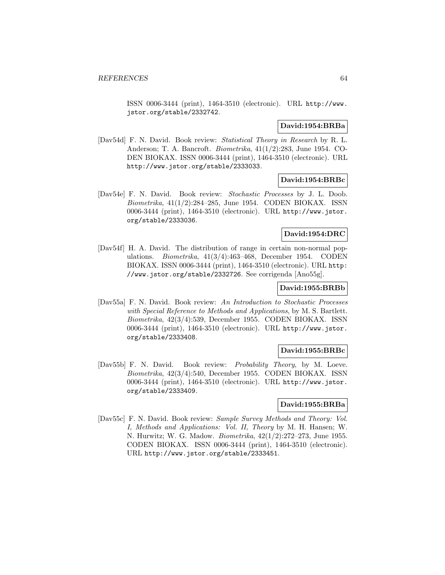ISSN 0006-3444 (print), 1464-3510 (electronic). URL http://www. jstor.org/stable/2332742.

### **David:1954:BRBa**

[Dav54d] F. N. David. Book review: Statistical Theory in Research by R. L. Anderson; T. A. Bancroft. Biometrika, 41(1/2):283, June 1954. CO-DEN BIOKAX. ISSN 0006-3444 (print), 1464-3510 (electronic). URL http://www.jstor.org/stable/2333033.

### **David:1954:BRBc**

[Dav54e] F. N. David. Book review: Stochastic Processes by J. L. Doob. Biometrika, 41(1/2):284–285, June 1954. CODEN BIOKAX. ISSN 0006-3444 (print), 1464-3510 (electronic). URL http://www.jstor. org/stable/2333036.

## **David:1954:DRC**

[Dav54f] H. A. David. The distribution of range in certain non-normal populations. Biometrika, 41(3/4):463–468, December 1954. CODEN BIOKAX. ISSN 0006-3444 (print), 1464-3510 (electronic). URL http: //www.jstor.org/stable/2332726. See corrigenda [Ano55g].

# **David:1955:BRBb**

[Dav55a] F. N. David. Book review: An Introduction to Stochastic Processes with Special Reference to Methods and Applications, by M. S. Bartlett. Biometrika, 42(3/4):539, December 1955. CODEN BIOKAX. ISSN 0006-3444 (print), 1464-3510 (electronic). URL http://www.jstor. org/stable/2333408.

## **David:1955:BRBc**

[Dav55b] F. N. David. Book review: Probability Theory, by M. Loeve. Biometrika, 42(3/4):540, December 1955. CODEN BIOKAX. ISSN 0006-3444 (print), 1464-3510 (electronic). URL http://www.jstor. org/stable/2333409.

#### **David:1955:BRBa**

[Dav55c] F. N. David. Book review: Sample Survey Methods and Theory: Vol. I, Methods and Applications: Vol. II, Theory by M. H. Hansen; W. N. Hurwitz; W. G. Madow. Biometrika, 42(1/2):272–273, June 1955. CODEN BIOKAX. ISSN 0006-3444 (print), 1464-3510 (electronic). URL http://www.jstor.org/stable/2333451.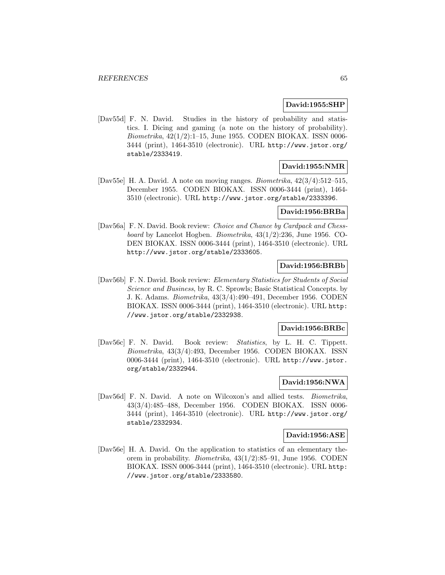## **David:1955:SHP**

[Dav55d] F. N. David. Studies in the history of probability and statistics. I. Dicing and gaming (a note on the history of probability). Biometrika, 42(1/2):1–15, June 1955. CODEN BIOKAX. ISSN 0006- 3444 (print), 1464-3510 (electronic). URL http://www.jstor.org/ stable/2333419.

## **David:1955:NMR**

[Dav55e] H. A. David. A note on moving ranges. Biometrika, 42(3/4):512–515, December 1955. CODEN BIOKAX. ISSN 0006-3444 (print), 1464- 3510 (electronic). URL http://www.jstor.org/stable/2333396.

### **David:1956:BRBa**

[Dav56a] F. N. David. Book review: Choice and Chance by Cardpack and Chessboard by Lancelot Hogben. Biometrika, 43(1/2):236, June 1956. CO-DEN BIOKAX. ISSN 0006-3444 (print), 1464-3510 (electronic). URL http://www.jstor.org/stable/2333605.

## **David:1956:BRBb**

[Dav56b] F. N. David. Book review: Elementary Statistics for Students of Social Science and Business, by R. C. Sprowls; Basic Statistical Concepts. by J. K. Adams. Biometrika, 43(3/4):490–491, December 1956. CODEN BIOKAX. ISSN 0006-3444 (print), 1464-3510 (electronic). URL http: //www.jstor.org/stable/2332938.

#### **David:1956:BRBc**

[Dav56c] F. N. David. Book review: Statistics, by L. H. C. Tippett. Biometrika, 43(3/4):493, December 1956. CODEN BIOKAX. ISSN 0006-3444 (print), 1464-3510 (electronic). URL http://www.jstor. org/stable/2332944.

# **David:1956:NWA**

[Dav56d] F. N. David. A note on Wilcoxon's and allied tests. Biometrika, 43(3/4):485–488, December 1956. CODEN BIOKAX. ISSN 0006- 3444 (print), 1464-3510 (electronic). URL http://www.jstor.org/ stable/2332934.

## **David:1956:ASE**

[Dav56e] H. A. David. On the application to statistics of an elementary theorem in probability. Biometrika, 43(1/2):85–91, June 1956. CODEN BIOKAX. ISSN 0006-3444 (print), 1464-3510 (electronic). URL http: //www.jstor.org/stable/2333580.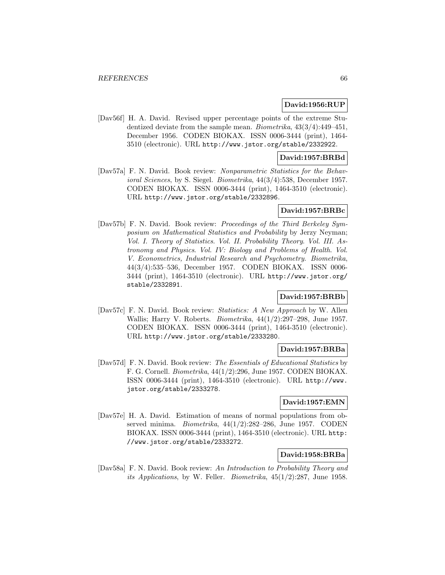### **David:1956:RUP**

[Dav56f] H. A. David. Revised upper percentage points of the extreme Studentized deviate from the sample mean. Biometrika, 43(3/4):449–451, December 1956. CODEN BIOKAX. ISSN 0006-3444 (print), 1464- 3510 (electronic). URL http://www.jstor.org/stable/2332922.

## **David:1957:BRBd**

[Dav57a] F. N. David. Book review: Nonparametric Statistics for the Behavioral Sciences, by S. Siegel. Biometrika, 44(3/4):538, December 1957. CODEN BIOKAX. ISSN 0006-3444 (print), 1464-3510 (electronic). URL http://www.jstor.org/stable/2332896.

## **David:1957:BRBc**

[Dav57b] F. N. David. Book review: Proceedings of the Third Berkeley Symposium on Mathematical Statistics and Probability by Jerzy Neyman; Vol. I. Theory of Statistics. Vol. II. Probability Theory. Vol. III. Astronomy and Physics. Vol. IV: Biology and Problems of Health. Vol. V. Econometrics, Industrial Research and Psychometry. Biometrika, 44(3/4):535–536, December 1957. CODEN BIOKAX. ISSN 0006- 3444 (print), 1464-3510 (electronic). URL http://www.jstor.org/ stable/2332891.

### **David:1957:BRBb**

[Dav57c] F. N. David. Book review: Statistics: A New Approach by W. Allen Wallis; Harry V. Roberts. Biometrika, 44(1/2):297–298, June 1957. CODEN BIOKAX. ISSN 0006-3444 (print), 1464-3510 (electronic). URL http://www.jstor.org/stable/2333280.

### **David:1957:BRBa**

[Dav57d] F. N. David. Book review: The Essentials of Educational Statistics by F. G. Cornell. Biometrika, 44(1/2):296, June 1957. CODEN BIOKAX. ISSN 0006-3444 (print), 1464-3510 (electronic). URL http://www. jstor.org/stable/2333278.

### **David:1957:EMN**

[Dav57e] H. A. David. Estimation of means of normal populations from observed minima. Biometrika, 44(1/2):282–286, June 1957. CODEN BIOKAX. ISSN 0006-3444 (print), 1464-3510 (electronic). URL http: //www.jstor.org/stable/2333272.

## **David:1958:BRBa**

[Dav58a] F. N. David. Book review: An Introduction to Probability Theory and its Applications, by W. Feller. Biometrika, 45(1/2):287, June 1958.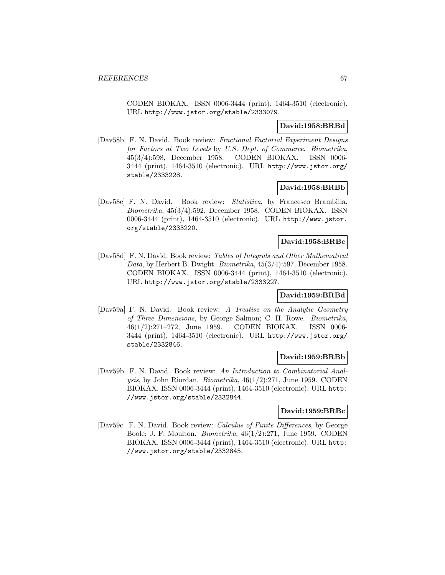CODEN BIOKAX. ISSN 0006-3444 (print), 1464-3510 (electronic). URL http://www.jstor.org/stable/2333079.

## **David:1958:BRBd**

[Dav58b] F. N. David. Book review: Fractional Factorial Experiment Designs for Factors at Two Levels by U.S. Dept. of Commerce. Biometrika, 45(3/4):598, December 1958. CODEN BIOKAX. ISSN 0006- 3444 (print), 1464-3510 (electronic). URL http://www.jstor.org/ stable/2333228.

## **David:1958:BRBb**

[Dav58c] F. N. David. Book review: Statistica, by Francesco Brambilla. Biometrika, 45(3/4):592, December 1958. CODEN BIOKAX. ISSN 0006-3444 (print), 1464-3510 (electronic). URL http://www.jstor. org/stable/2333220.

## **David:1958:BRBc**

[Dav58d] F. N. David. Book review: Tables of Integrals and Other Mathematical Data, by Herbert B. Dwight. Biometrika, 45(3/4):597, December 1958. CODEN BIOKAX. ISSN 0006-3444 (print), 1464-3510 (electronic). URL http://www.jstor.org/stable/2333227.

## **David:1959:BRBd**

[Dav59a] F. N. David. Book review: A Treatise on the Analytic Geometry of Three Dimensions, by George Salmon; C. H. Rowe. Biometrika, 46(1/2):271–272, June 1959. CODEN BIOKAX. ISSN 0006- 3444 (print), 1464-3510 (electronic). URL http://www.jstor.org/ stable/2332846.

#### **David:1959:BRBb**

[Dav59b] F. N. David. Book review: An Introduction to Combinatorial Analysis, by John Riordan. Biometrika, 46(1/2):271, June 1959. CODEN BIOKAX. ISSN 0006-3444 (print), 1464-3510 (electronic). URL http: //www.jstor.org/stable/2332844.

## **David:1959:BRBc**

[Dav59c] F. N. David. Book review: Calculus of Finite Differences, by George Boole; J. F. Moulton. Biometrika, 46(1/2):271, June 1959. CODEN BIOKAX. ISSN 0006-3444 (print), 1464-3510 (electronic). URL http: //www.jstor.org/stable/2332845.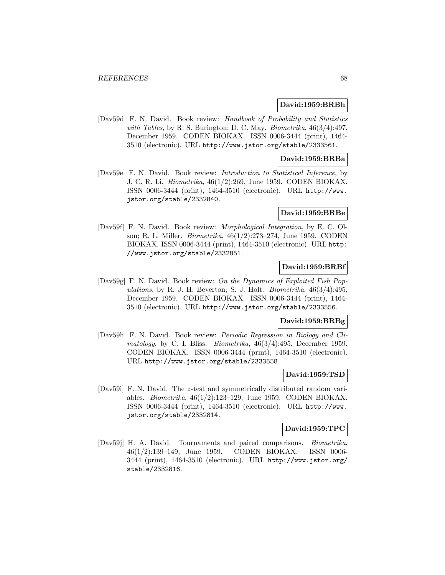#### **David:1959:BRBh**

[Dav59d] F. N. David. Book review: Handbook of Probability and Statistics with Tables, by R. S. Burington; D. C. May. Biometrika,  $46(3/4):497$ , December 1959. CODEN BIOKAX. ISSN 0006-3444 (print), 1464- 3510 (electronic). URL http://www.jstor.org/stable/2333561.

#### **David:1959:BRBa**

[Dav59e] F. N. David. Book review: Introduction to Statistical Inference, by J. C. R. Li. Biometrika, 46(1/2):269, June 1959. CODEN BIOKAX. ISSN 0006-3444 (print), 1464-3510 (electronic). URL http://www. jstor.org/stable/2332840.

#### **David:1959:BRBe**

[Dav59f] F. N. David. Book review: Morphological Integration, by E. C. Olson; R. L. Miller. Biometrika, 46(1/2):273–274, June 1959. CODEN BIOKAX. ISSN 0006-3444 (print), 1464-3510 (electronic). URL http: //www.jstor.org/stable/2332851.

## **David:1959:BRBf**

[Dav59g] F. N. David. Book review: On the Dynamics of Exploited Fish Populations, by R. J. H. Beverton; S. J. Holt. Biometrika,  $46(3/4):495$ , December 1959. CODEN BIOKAX. ISSN 0006-3444 (print), 1464- 3510 (electronic). URL http://www.jstor.org/stable/2333556.

#### **David:1959:BRBg**

[Dav59h] F. N. David. Book review: Periodic Regression in Biology and Climatology, by C. I. Bliss. Biometrika, 46(3/4):495, December 1959. CODEN BIOKAX. ISSN 0006-3444 (print), 1464-3510 (electronic). URL http://www.jstor.org/stable/2333558.

#### **David:1959:TSD**

[Dav59i] F. N. David. The z-test and symmetrically distributed random variables. Biometrika, 46(1/2):123–129, June 1959. CODEN BIOKAX. ISSN 0006-3444 (print), 1464-3510 (electronic). URL http://www. jstor.org/stable/2332814.

#### **David:1959:TPC**

[Dav59j] H. A. David. Tournaments and paired comparisons. Biometrika, 46(1/2):139–149, June 1959. CODEN BIOKAX. ISSN 0006- 3444 (print), 1464-3510 (electronic). URL http://www.jstor.org/ stable/2332816.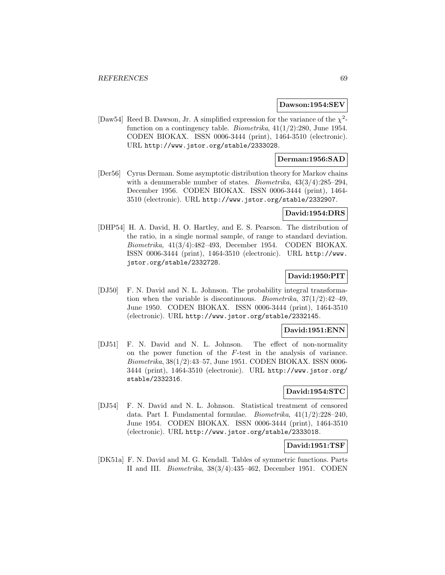#### **Dawson:1954:SEV**

[Daw54] Reed B. Dawson, Jr. A simplified expression for the variance of the  $\chi^2$ function on a contingency table. *Biometrika*,  $41(1/2):280$ , June 1954. CODEN BIOKAX. ISSN 0006-3444 (print), 1464-3510 (electronic). URL http://www.jstor.org/stable/2333028.

## **Derman:1956:SAD**

[Der56] Cyrus Derman. Some asymptotic distribution theory for Markov chains with a denumerable number of states. *Biometrika*,  $43(3/4):285-294$ , December 1956. CODEN BIOKAX. ISSN 0006-3444 (print), 1464- 3510 (electronic). URL http://www.jstor.org/stable/2332907.

## **David:1954:DRS**

[DHP54] H. A. David, H. O. Hartley, and E. S. Pearson. The distribution of the ratio, in a single normal sample, of range to standard deviation. Biometrika, 41(3/4):482–493, December 1954. CODEN BIOKAX. ISSN 0006-3444 (print), 1464-3510 (electronic). URL http://www. jstor.org/stable/2332728.

# **David:1950:PIT**

[DJ50] F. N. David and N. L. Johnson. The probability integral transformation when the variable is discontinuous. *Biometrika*,  $37(1/2)$ :42-49, June 1950. CODEN BIOKAX. ISSN 0006-3444 (print), 1464-3510 (electronic). URL http://www.jstor.org/stable/2332145.

#### **David:1951:ENN**

[DJ51] F. N. David and N. L. Johnson. The effect of non-normality on the power function of the F-test in the analysis of variance. Biometrika, 38(1/2):43–57, June 1951. CODEN BIOKAX. ISSN 0006- 3444 (print), 1464-3510 (electronic). URL http://www.jstor.org/ stable/2332316.

# **David:1954:STC**

[DJ54] F. N. David and N. L. Johnson. Statistical treatment of censored data. Part I. Fundamental formulae. Biometrika, 41(1/2):228–240, June 1954. CODEN BIOKAX. ISSN 0006-3444 (print), 1464-3510 (electronic). URL http://www.jstor.org/stable/2333018.

## **David:1951:TSF**

[DK51a] F. N. David and M. G. Kendall. Tables of symmetric functions. Parts II and III. Biometrika, 38(3/4):435–462, December 1951. CODEN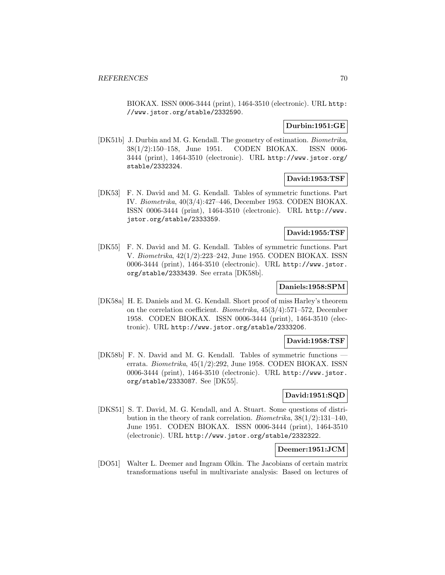BIOKAX. ISSN 0006-3444 (print), 1464-3510 (electronic). URL http: //www.jstor.org/stable/2332590.

# **Durbin:1951:GE**

[DK51b] J. Durbin and M. G. Kendall. The geometry of estimation. Biometrika, 38(1/2):150–158, June 1951. CODEN BIOKAX. ISSN 0006- 3444 (print), 1464-3510 (electronic). URL http://www.jstor.org/ stable/2332324.

# **David:1953:TSF**

[DK53] F. N. David and M. G. Kendall. Tables of symmetric functions. Part IV. Biometrika, 40(3/4):427–446, December 1953. CODEN BIOKAX. ISSN 0006-3444 (print), 1464-3510 (electronic). URL http://www. jstor.org/stable/2333359.

### **David:1955:TSF**

[DK55] F. N. David and M. G. Kendall. Tables of symmetric functions. Part V. Biometrika, 42(1/2):223–242, June 1955. CODEN BIOKAX. ISSN 0006-3444 (print), 1464-3510 (electronic). URL http://www.jstor. org/stable/2333439. See errata [DK58b].

## **Daniels:1958:SPM**

[DK58a] H. E. Daniels and M. G. Kendall. Short proof of miss Harley's theorem on the correlation coefficient. Biometrika, 45(3/4):571–572, December 1958. CODEN BIOKAX. ISSN 0006-3444 (print), 1464-3510 (electronic). URL http://www.jstor.org/stable/2333206.

#### **David:1958:TSF**

[DK58b] F. N. David and M. G. Kendall. Tables of symmetric functions errata. Biometrika, 45(1/2):292, June 1958. CODEN BIOKAX. ISSN 0006-3444 (print), 1464-3510 (electronic). URL http://www.jstor. org/stable/2333087. See [DK55].

# **David:1951:SQD**

[DKS51] S. T. David, M. G. Kendall, and A. Stuart. Some questions of distribution in the theory of rank correlation. Biometrika,  $38(1/2)$ :131–140, June 1951. CODEN BIOKAX. ISSN 0006-3444 (print), 1464-3510 (electronic). URL http://www.jstor.org/stable/2332322.

### **Deemer:1951:JCM**

[DO51] Walter L. Deemer and Ingram Olkin. The Jacobians of certain matrix transformations useful in multivariate analysis: Based on lectures of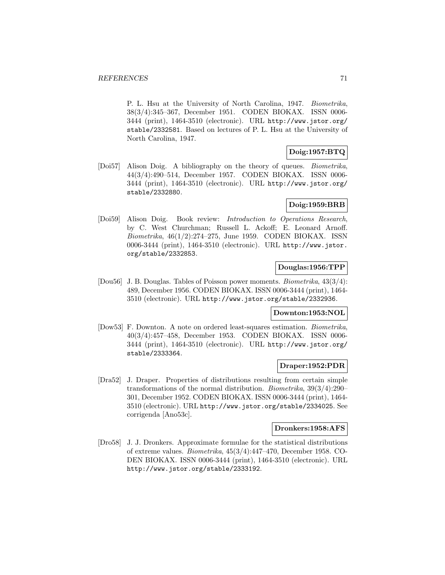P. L. Hsu at the University of North Carolina, 1947. Biometrika, 38(3/4):345–367, December 1951. CODEN BIOKAX. ISSN 0006- 3444 (print), 1464-3510 (electronic). URL http://www.jstor.org/ stable/2332581. Based on lectures of P. L. Hsu at the University of North Carolina, 1947.

# **Doig:1957:BTQ**

[Doi57] Alison Doig. A bibliography on the theory of queues. Biometrika, 44(3/4):490–514, December 1957. CODEN BIOKAX. ISSN 0006- 3444 (print), 1464-3510 (electronic). URL http://www.jstor.org/ stable/2332880.

# **Doig:1959:BRB**

[Doi59] Alison Doig. Book review: Introduction to Operations Research, by C. West Churchman; Russell L. Ackoff; E. Leonard Arnoff. Biometrika, 46(1/2):274–275, June 1959. CODEN BIOKAX. ISSN 0006-3444 (print), 1464-3510 (electronic). URL http://www.jstor. org/stable/2332853.

# **Douglas:1956:TPP**

[Dou56] J. B. Douglas. Tables of Poisson power moments. Biometrika, 43(3/4): 489, December 1956. CODEN BIOKAX. ISSN 0006-3444 (print), 1464- 3510 (electronic). URL http://www.jstor.org/stable/2332936.

## **Downton:1953:NOL**

[Dow53] F. Downton. A note on ordered least-squares estimation. Biometrika, 40(3/4):457–458, December 1953. CODEN BIOKAX. ISSN 0006- 3444 (print), 1464-3510 (electronic). URL http://www.jstor.org/ stable/2333364.

## **Draper:1952:PDR**

[Dra52] J. Draper. Properties of distributions resulting from certain simple transformations of the normal distribution. Biometrika, 39(3/4):290– 301, December 1952. CODEN BIOKAX. ISSN 0006-3444 (print), 1464- 3510 (electronic). URL http://www.jstor.org/stable/2334025. See corrigenda [Ano53c].

#### **Dronkers:1958:AFS**

[Dro58] J. J. Dronkers. Approximate formulae for the statistical distributions of extreme values. Biometrika, 45(3/4):447–470, December 1958. CO-DEN BIOKAX. ISSN 0006-3444 (print), 1464-3510 (electronic). URL http://www.jstor.org/stable/2333192.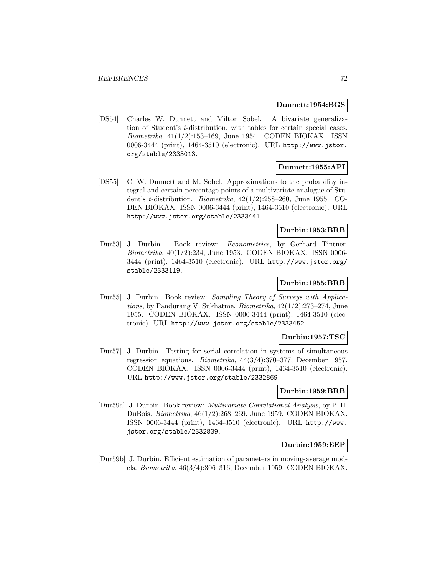#### **Dunnett:1954:BGS**

[DS54] Charles W. Dunnett and Milton Sobel. A bivariate generalization of Student's t-distribution, with tables for certain special cases. Biometrika, 41(1/2):153–169, June 1954. CODEN BIOKAX. ISSN 0006-3444 (print), 1464-3510 (electronic). URL http://www.jstor. org/stable/2333013.

# **Dunnett:1955:API**

[DS55] C. W. Dunnett and M. Sobel. Approximations to the probability integral and certain percentage points of a multivariate analogue of Student's t-distribution. Biometrika, 42(1/2):258–260, June 1955. CO-DEN BIOKAX. ISSN 0006-3444 (print), 1464-3510 (electronic). URL http://www.jstor.org/stable/2333441.

## **Durbin:1953:BRB**

[Dur53] J. Durbin. Book review: Econometrics, by Gerhard Tintner. Biometrika, 40(1/2):234, June 1953. CODEN BIOKAX. ISSN 0006- 3444 (print), 1464-3510 (electronic). URL http://www.jstor.org/ stable/2333119.

### **Durbin:1955:BRB**

[Dur55] J. Durbin. Book review: Sampling Theory of Surveys with Applications, by Pandurang V. Sukhatme. Biometrika, 42(1/2):273–274, June 1955. CODEN BIOKAX. ISSN 0006-3444 (print), 1464-3510 (electronic). URL http://www.jstor.org/stable/2333452.

#### **Durbin:1957:TSC**

[Dur57] J. Durbin. Testing for serial correlation in systems of simultaneous regression equations. Biometrika, 44(3/4):370–377, December 1957. CODEN BIOKAX. ISSN 0006-3444 (print), 1464-3510 (electronic). URL http://www.jstor.org/stable/2332869.

### **Durbin:1959:BRB**

[Dur59a] J. Durbin. Book review: Multivariate Correlational Analysis, by P. H. DuBois. Biometrika, 46(1/2):268–269, June 1959. CODEN BIOKAX. ISSN 0006-3444 (print), 1464-3510 (electronic). URL http://www. jstor.org/stable/2332839.

### **Durbin:1959:EEP**

[Dur59b] J. Durbin. Efficient estimation of parameters in moving-average models. Biometrika, 46(3/4):306–316, December 1959. CODEN BIOKAX.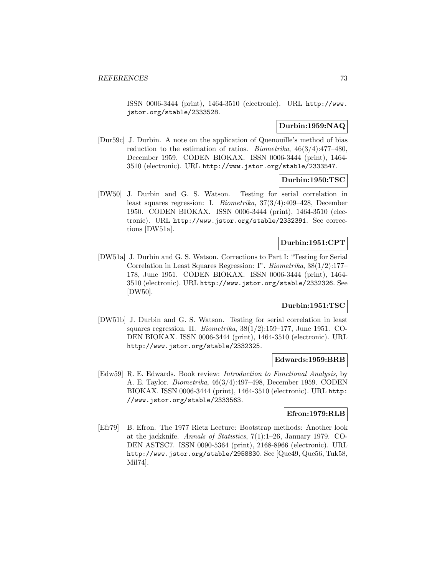ISSN 0006-3444 (print), 1464-3510 (electronic). URL http://www. jstor.org/stable/2333528.

# **Durbin:1959:NAQ**

[Dur59c] J. Durbin. A note on the application of Quenouille's method of bias reduction to the estimation of ratios. *Biometrika*,  $46(3/4):477-480$ , December 1959. CODEN BIOKAX. ISSN 0006-3444 (print), 1464- 3510 (electronic). URL http://www.jstor.org/stable/2333547.

## **Durbin:1950:TSC**

[DW50] J. Durbin and G. S. Watson. Testing for serial correlation in least squares regression: I. Biometrika, 37(3/4):409–428, December 1950. CODEN BIOKAX. ISSN 0006-3444 (print), 1464-3510 (electronic). URL http://www.jstor.org/stable/2332391. See corrections [DW51a].

# **Durbin:1951:CPT**

[DW51a] J. Durbin and G. S. Watson. Corrections to Part I: "Testing for Serial Correlation in Least Squares Regression: I". Biometrika, 38(1/2):177– 178, June 1951. CODEN BIOKAX. ISSN 0006-3444 (print), 1464- 3510 (electronic). URL http://www.jstor.org/stable/2332326. See [DW50].

# **Durbin:1951:TSC**

[DW51b] J. Durbin and G. S. Watson. Testing for serial correlation in least squares regression. II. *Biometrika*,  $38(1/2):159-177$ , June 1951. CO-DEN BIOKAX. ISSN 0006-3444 (print), 1464-3510 (electronic). URL http://www.jstor.org/stable/2332325.

#### **Edwards:1959:BRB**

[Edw59] R. E. Edwards. Book review: Introduction to Functional Analysis, by A. E. Taylor. Biometrika, 46(3/4):497–498, December 1959. CODEN BIOKAX. ISSN 0006-3444 (print), 1464-3510 (electronic). URL http: //www.jstor.org/stable/2333563.

## **Efron:1979:RLB**

[Efr79] B. Efron. The 1977 Rietz Lecture: Bootstrap methods: Another look at the jackknife. Annals of Statistics, 7(1):1–26, January 1979. CO-DEN ASTSC7. ISSN 0090-5364 (print), 2168-8966 (electronic). URL http://www.jstor.org/stable/2958830. See [Que49, Que56, Tuk58, Mil74].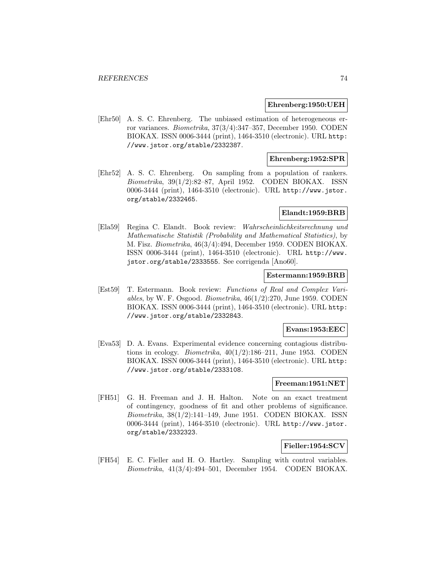#### **Ehrenberg:1950:UEH**

[Ehr50] A. S. C. Ehrenberg. The unbiased estimation of heterogeneous error variances. Biometrika, 37(3/4):347–357, December 1950. CODEN BIOKAX. ISSN 0006-3444 (print), 1464-3510 (electronic). URL http: //www.jstor.org/stable/2332387.

### **Ehrenberg:1952:SPR**

[Ehr52] A. S. C. Ehrenberg. On sampling from a population of rankers. Biometrika, 39(1/2):82–87, April 1952. CODEN BIOKAX. ISSN 0006-3444 (print), 1464-3510 (electronic). URL http://www.jstor. org/stable/2332465.

#### **Elandt:1959:BRB**

[Ela59] Regina C. Elandt. Book review: Wahrscheinlichkeitsrechnung und Mathematische Statistik (Probability and Mathematical Statistics), by M. Fisz. Biometrika, 46(3/4):494, December 1959. CODEN BIOKAX. ISSN 0006-3444 (print), 1464-3510 (electronic). URL http://www. jstor.org/stable/2333555. See corrigenda [Ano60].

#### **Estermann:1959:BRB**

[Est59] T. Estermann. Book review: Functions of Real and Complex Variables, by W. F. Osgood. Biometrika,  $46(1/2):270$ , June 1959. CODEN BIOKAX. ISSN 0006-3444 (print), 1464-3510 (electronic). URL http: //www.jstor.org/stable/2332843.

## **Evans:1953:EEC**

[Eva53] D. A. Evans. Experimental evidence concerning contagious distributions in ecology. *Biometrika*,  $40(1/2)$ :186–211, June 1953. CODEN BIOKAX. ISSN 0006-3444 (print), 1464-3510 (electronic). URL http: //www.jstor.org/stable/2333108.

# **Freeman:1951:NET**

[FH51] G. H. Freeman and J. H. Halton. Note on an exact treatment of contingency, goodness of fit and other problems of significance. Biometrika, 38(1/2):141–149, June 1951. CODEN BIOKAX. ISSN 0006-3444 (print), 1464-3510 (electronic). URL http://www.jstor. org/stable/2332323.

## **Fieller:1954:SCV**

[FH54] E. C. Fieller and H. O. Hartley. Sampling with control variables. Biometrika, 41(3/4):494–501, December 1954. CODEN BIOKAX.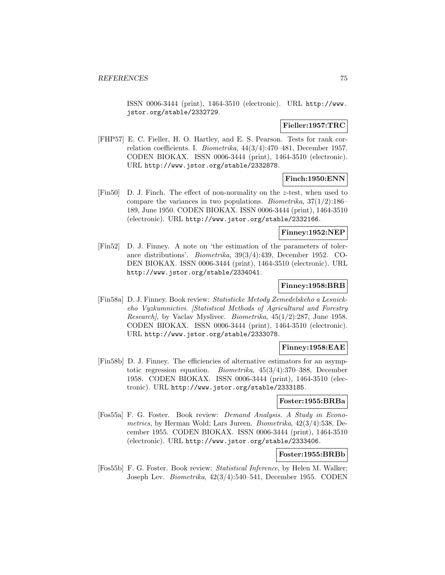ISSN 0006-3444 (print), 1464-3510 (electronic). URL http://www. jstor.org/stable/2332729.

# **Fieller:1957:TRC**

[FHP57] E. C. Fieller, H. O. Hartley, and E. S. Pearson. Tests for rank correlation coefficients. I. Biometrika, 44(3/4):470–481, December 1957. CODEN BIOKAX. ISSN 0006-3444 (print), 1464-3510 (electronic). URL http://www.jstor.org/stable/2332878.

# **Finch:1950:ENN**

[Fin50] D. J. Finch. The effect of non-normality on the z-test, when used to compare the variances in two populations. *Biometrika*,  $37(1/2)$ :186– 189, June 1950. CODEN BIOKAX. ISSN 0006-3444 (print), 1464-3510 (electronic). URL http://www.jstor.org/stable/2332166.

# **Finney:1952:NEP**

[Fin52] D. J. Finney. A note on 'the estimation of the parameters of tolerance distributions'. Biometrika, 39(3/4):439, December 1952. CO-DEN BIOKAX. ISSN 0006-3444 (print), 1464-3510 (electronic). URL http://www.jstor.org/stable/2334041.

## **Finney:1958:BRB**

[Fin58a] D. J. Finney. Book review: Statisticke Metody Zemedelskeho a Lesnickeho Vyzkumnictivi. [Statistical Methods of Agricultural and Forestry Research], by Vaclav Myslivec. Biometrika, 45(1/2):287, June 1958. CODEN BIOKAX. ISSN 0006-3444 (print), 1464-3510 (electronic). URL http://www.jstor.org/stable/2333078.

## **Finney:1958:EAE**

[Fin58b] D. J. Finney. The efficiencies of alternative estimators for an asymptotic regression equation. Biometrika, 45(3/4):370–388, December 1958. CODEN BIOKAX. ISSN 0006-3444 (print), 1464-3510 (electronic). URL http://www.jstor.org/stable/2333185.

#### **Foster:1955:BRBa**

[Fos55a] F. G. Foster. Book review: Demand Analysis. A Study in Econometrics, by Herman Wold; Lars Jureen. Biometrika, 42(3/4):538, December 1955. CODEN BIOKAX. ISSN 0006-3444 (print), 1464-3510 (electronic). URL http://www.jstor.org/stable/2333406.

# **Foster:1955:BRBb**

[Fos55b] F. G. Foster. Book review: Statistical Inference, by Helen M. Walker; Joseph Lev. Biometrika, 42(3/4):540–541, December 1955. CODEN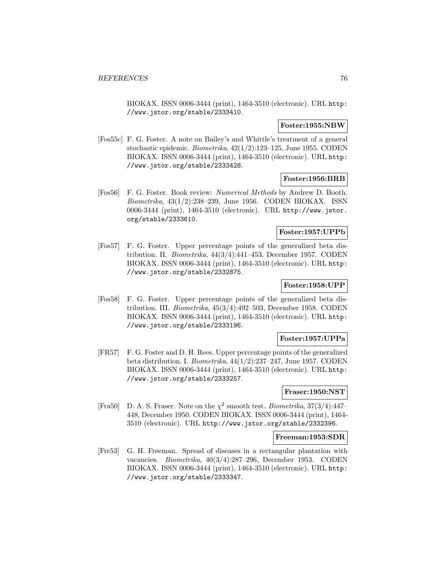BIOKAX. ISSN 0006-3444 (print), 1464-3510 (electronic). URL http: //www.jstor.org/stable/2333410.

#### **Foster:1955:NBW**

[Fos55c] F. G. Foster. A note on Bailey's and Whittle's treatment of a general stochastic epidemic. Biometrika, 42(1/2):123–125, June 1955. CODEN BIOKAX. ISSN 0006-3444 (print), 1464-3510 (electronic). URL http: //www.jstor.org/stable/2333428.

# **Foster:1956:BRB**

[Fos56] F. G. Foster. Book review: Numerical Methods by Andrew D. Booth. Biometrika, 43(1/2):238–239, June 1956. CODEN BIOKAX. ISSN 0006-3444 (print), 1464-3510 (electronic). URL http://www.jstor. org/stable/2333610.

## **Foster:1957:UPPb**

[Fos57] F. G. Foster. Upper percentage points of the generalized beta distribution. II. Biometrika, 44(3/4):441–453, December 1957. CODEN BIOKAX. ISSN 0006-3444 (print), 1464-3510 (electronic). URL http: //www.jstor.org/stable/2332875.

#### **Foster:1958:UPP**

[Fos58] F. G. Foster. Upper percentage points of the generalized beta distribution. III. Biometrika, 45(3/4):492–503, December 1958. CODEN BIOKAX. ISSN 0006-3444 (print), 1464-3510 (electronic). URL http: //www.jstor.org/stable/2333196.

#### **Foster:1957:UPPa**

[FR57] F. G. Foster and D. H. Rees. Upper percentage points of the generalized beta distribution. I. Biometrika, 44(1/2):237–247, June 1957. CODEN BIOKAX. ISSN 0006-3444 (print), 1464-3510 (electronic). URL http: //www.jstor.org/stable/2333257.

# **Fraser:1950:NST**

[Fra50] D. A. S. Fraser. Note on the  $\chi^2$  smooth test. *Biometrika*,  $37(3/4):447-$ 448, December 1950. CODEN BIOKAX. ISSN 0006-3444 (print), 1464- 3510 (electronic). URL http://www.jstor.org/stable/2332396.

#### **Freeman:1953:SDR**

[Fre53] G. H. Freeman. Spread of diseases in a rectangular plantation with vacancies. Biometrika, 40(3/4):287–296, December 1953. CODEN BIOKAX. ISSN 0006-3444 (print), 1464-3510 (electronic). URL http: //www.jstor.org/stable/2333347.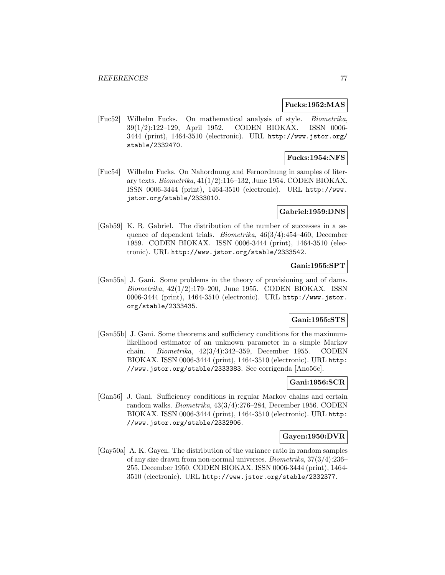#### **Fucks:1952:MAS**

[Fuc52] Wilhelm Fucks. On mathematical analysis of style. Biometrika, 39(1/2):122–129, April 1952. CODEN BIOKAX. ISSN 0006- 3444 (print), 1464-3510 (electronic). URL http://www.jstor.org/ stable/2332470.

# **Fucks:1954:NFS**

[Fuc54] Wilhelm Fucks. On Nahordnung and Fernordnung in samples of literary texts. Biometrika, 41(1/2):116–132, June 1954. CODEN BIOKAX. ISSN 0006-3444 (print), 1464-3510 (electronic). URL http://www. jstor.org/stable/2333010.

#### **Gabriel:1959:DNS**

[Gab59] K. R. Gabriel. The distribution of the number of successes in a sequence of dependent trials. Biometrika, 46(3/4):454–460, December 1959. CODEN BIOKAX. ISSN 0006-3444 (print), 1464-3510 (electronic). URL http://www.jstor.org/stable/2333542.

## **Gani:1955:SPT**

[Gan55a] J. Gani. Some problems in the theory of provisioning and of dams. Biometrika, 42(1/2):179–200, June 1955. CODEN BIOKAX. ISSN 0006-3444 (print), 1464-3510 (electronic). URL http://www.jstor. org/stable/2333435.

# **Gani:1955:STS**

[Gan55b] J. Gani. Some theorems and sufficiency conditions for the maximumlikelihood estimator of an unknown parameter in a simple Markov chain. Biometrika, 42(3/4):342–359, December 1955. CODEN BIOKAX. ISSN 0006-3444 (print), 1464-3510 (electronic). URL http: //www.jstor.org/stable/2333383. See corrigenda [Ano56c].

# **Gani:1956:SCR**

[Gan56] J. Gani. Sufficiency conditions in regular Markov chains and certain random walks. Biometrika, 43(3/4):276–284, December 1956. CODEN BIOKAX. ISSN 0006-3444 (print), 1464-3510 (electronic). URL http: //www.jstor.org/stable/2332906.

#### **Gayen:1950:DVR**

[Gay50a] A. K. Gayen. The distribution of the variance ratio in random samples of any size drawn from non-normal universes. Biometrika, 37(3/4):236– 255, December 1950. CODEN BIOKAX. ISSN 0006-3444 (print), 1464- 3510 (electronic). URL http://www.jstor.org/stable/2332377.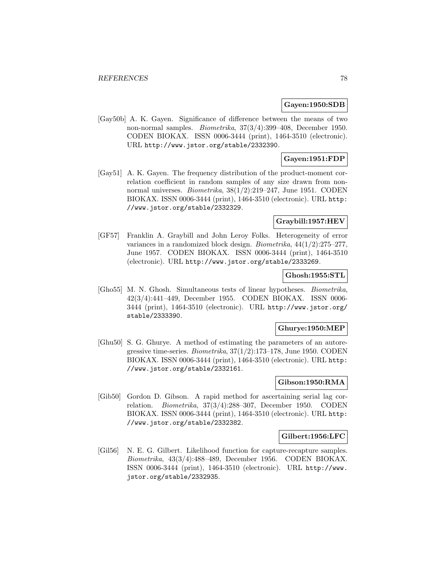#### **Gayen:1950:SDB**

[Gay50b] A. K. Gayen. Significance of difference between the means of two non-normal samples. Biometrika, 37(3/4):399–408, December 1950. CODEN BIOKAX. ISSN 0006-3444 (print), 1464-3510 (electronic). URL http://www.jstor.org/stable/2332390.

# **Gayen:1951:FDP**

[Gay51] A. K. Gayen. The frequency distribution of the product-moment correlation coefficient in random samples of any size drawn from nonnormal universes. Biometrika, 38(1/2):219–247, June 1951. CODEN BIOKAX. ISSN 0006-3444 (print), 1464-3510 (electronic). URL http: //www.jstor.org/stable/2332329.

# **Graybill:1957:HEV**

[GF57] Franklin A. Graybill and John Leroy Folks. Heterogeneity of error variances in a randomized block design. Biometrika, 44(1/2):275–277, June 1957. CODEN BIOKAX. ISSN 0006-3444 (print), 1464-3510 (electronic). URL http://www.jstor.org/stable/2333269.

# **Ghosh:1955:STL**

[Gho55] M. N. Ghosh. Simultaneous tests of linear hypotheses. Biometrika, 42(3/4):441–449, December 1955. CODEN BIOKAX. ISSN 0006- 3444 (print), 1464-3510 (electronic). URL http://www.jstor.org/ stable/2333390.

# **Ghurye:1950:MEP**

[Ghu50] S. G. Ghurye. A method of estimating the parameters of an autoregressive time-series. Biometrika, 37(1/2):173–178, June 1950. CODEN BIOKAX. ISSN 0006-3444 (print), 1464-3510 (electronic). URL http: //www.jstor.org/stable/2332161.

# **Gibson:1950:RMA**

[Gib50] Gordon D. Gibson. A rapid method for ascertaining serial lag correlation. Biometrika, 37(3/4):288–307, December 1950. CODEN BIOKAX. ISSN 0006-3444 (print), 1464-3510 (electronic). URL http: //www.jstor.org/stable/2332382.

#### **Gilbert:1956:LFC**

[Gil56] N. E. G. Gilbert. Likelihood function for capture-recapture samples. Biometrika, 43(3/4):488–489, December 1956. CODEN BIOKAX. ISSN 0006-3444 (print), 1464-3510 (electronic). URL http://www. jstor.org/stable/2332935.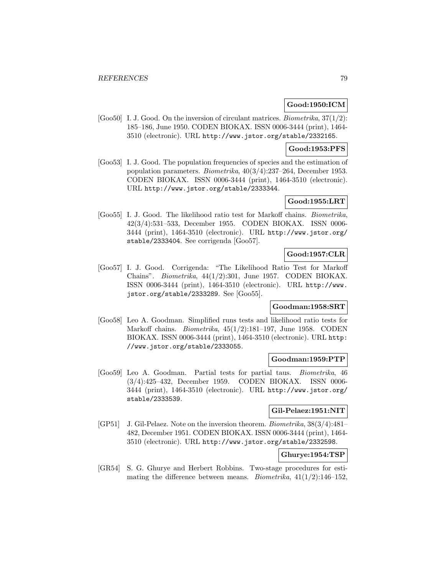# **Good:1950:ICM**

[Goo50] I. J. Good. On the inversion of circulant matrices. *Biometrika*,  $37(1/2)$ : 185–186, June 1950. CODEN BIOKAX. ISSN 0006-3444 (print), 1464- 3510 (electronic). URL http://www.jstor.org/stable/2332165.

#### **Good:1953:PFS**

[Goo53] I. J. Good. The population frequencies of species and the estimation of population parameters. Biometrika, 40(3/4):237–264, December 1953. CODEN BIOKAX. ISSN 0006-3444 (print), 1464-3510 (electronic). URL http://www.jstor.org/stable/2333344.

## **Good:1955:LRT**

[Goo55] I. J. Good. The likelihood ratio test for Markoff chains. Biometrika, 42(3/4):531–533, December 1955. CODEN BIOKAX. ISSN 0006- 3444 (print), 1464-3510 (electronic). URL http://www.jstor.org/ stable/2333404. See corrigenda [Goo57].

# **Good:1957:CLR**

[Goo57] I. J. Good. Corrigenda: "The Likelihood Ratio Test for Markoff Chains". Biometrika, 44(1/2):301, June 1957. CODEN BIOKAX. ISSN 0006-3444 (print), 1464-3510 (electronic). URL http://www. jstor.org/stable/2333289. See [Goo55].

## **Goodman:1958:SRT**

[Goo58] Leo A. Goodman. Simplified runs tests and likelihood ratio tests for Markoff chains. Biometrika, 45(1/2):181–197, June 1958. CODEN BIOKAX. ISSN 0006-3444 (print), 1464-3510 (electronic). URL http: //www.jstor.org/stable/2333055.

## **Goodman:1959:PTP**

[Goo59] Leo A. Goodman. Partial tests for partial taus. Biometrika, 46 (3/4):425–432, December 1959. CODEN BIOKAX. ISSN 0006- 3444 (print), 1464-3510 (electronic). URL http://www.jstor.org/ stable/2333539.

# **Gil-Pelaez:1951:NIT**

[GP51] J. Gil-Pelaez. Note on the inversion theorem. Biometrika, 38(3/4):481– 482, December 1951. CODEN BIOKAX. ISSN 0006-3444 (print), 1464- 3510 (electronic). URL http://www.jstor.org/stable/2332598.

# **Ghurye:1954:TSP**

[GR54] S. G. Ghurye and Herbert Robbins. Two-stage procedures for estimating the difference between means. *Biometrika*,  $41(1/2):146-152$ ,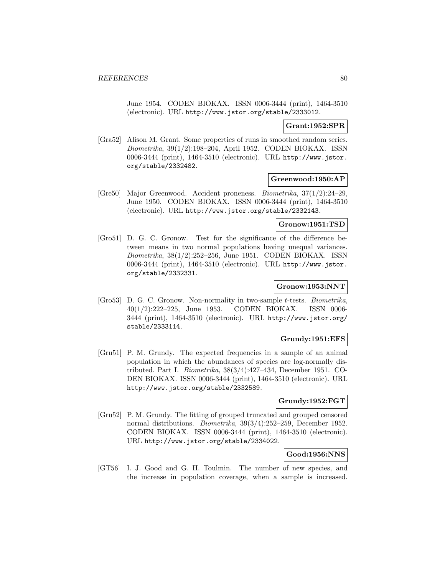June 1954. CODEN BIOKAX. ISSN 0006-3444 (print), 1464-3510 (electronic). URL http://www.jstor.org/stable/2333012.

#### **Grant:1952:SPR**

[Gra52] Alison M. Grant. Some properties of runs in smoothed random series. Biometrika, 39(1/2):198–204, April 1952. CODEN BIOKAX. ISSN 0006-3444 (print), 1464-3510 (electronic). URL http://www.jstor. org/stable/2332482.

#### **Greenwood:1950:AP**

[Gre50] Major Greenwood. Accident proneness. Biometrika, 37(1/2):24–29, June 1950. CODEN BIOKAX. ISSN 0006-3444 (print), 1464-3510 (electronic). URL http://www.jstor.org/stable/2332143.

## **Gronow:1951:TSD**

[Gro51] D. G. C. Gronow. Test for the significance of the difference between means in two normal populations having unequal variances. Biometrika, 38(1/2):252–256, June 1951. CODEN BIOKAX. ISSN 0006-3444 (print), 1464-3510 (electronic). URL http://www.jstor. org/stable/2332331.

# **Gronow:1953:NNT**

[Gro53] D. G. C. Gronow. Non-normality in two-sample t-tests. Biometrika, 40(1/2):222–225, June 1953. CODEN BIOKAX. ISSN 0006- 3444 (print), 1464-3510 (electronic). URL http://www.jstor.org/ stable/2333114.

## **Grundy:1951:EFS**

[Gru51] P. M. Grundy. The expected frequencies in a sample of an animal population in which the abundances of species are log-normally distributed. Part I. Biometrika, 38(3/4):427–434, December 1951. CO-DEN BIOKAX. ISSN 0006-3444 (print), 1464-3510 (electronic). URL http://www.jstor.org/stable/2332589.

## **Grundy:1952:FGT**

[Gru52] P. M. Grundy. The fitting of grouped truncated and grouped censored normal distributions. Biometrika, 39(3/4):252–259, December 1952. CODEN BIOKAX. ISSN 0006-3444 (print), 1464-3510 (electronic). URL http://www.jstor.org/stable/2334022.

# **Good:1956:NNS**

[GT56] I. J. Good and G. H. Toulmin. The number of new species, and the increase in population coverage, when a sample is increased.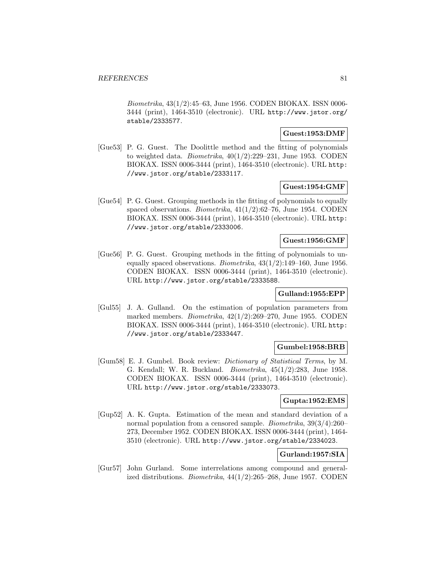Biometrika, 43(1/2):45–63, June 1956. CODEN BIOKAX. ISSN 0006- 3444 (print), 1464-3510 (electronic). URL http://www.jstor.org/ stable/2333577.

## **Guest:1953:DMF**

[Gue53] P. G. Guest. The Doolittle method and the fitting of polynomials to weighted data. *Biometrika*,  $40(1/2):229-231$ , June 1953. CODEN BIOKAX. ISSN 0006-3444 (print), 1464-3510 (electronic). URL http: //www.jstor.org/stable/2333117.

#### **Guest:1954:GMF**

[Gue54] P. G. Guest. Grouping methods in the fitting of polynomials to equally spaced observations. Biometrika, 41(1/2):62–76, June 1954. CODEN BIOKAX. ISSN 0006-3444 (print), 1464-3510 (electronic). URL http: //www.jstor.org/stable/2333006.

## **Guest:1956:GMF**

[Gue56] P. G. Guest. Grouping methods in the fitting of polynomials to unequally spaced observations. Biometrika,  $43(1/2)$ :149–160, June 1956. CODEN BIOKAX. ISSN 0006-3444 (print), 1464-3510 (electronic). URL http://www.jstor.org/stable/2333588.

## **Gulland:1955:EPP**

[Gul55] J. A. Gulland. On the estimation of population parameters from marked members. Biometrika, 42(1/2):269–270, June 1955. CODEN BIOKAX. ISSN 0006-3444 (print), 1464-3510 (electronic). URL http: //www.jstor.org/stable/2333447.

# **Gumbel:1958:BRB**

[Gum58] E. J. Gumbel. Book review: Dictionary of Statistical Terms, by M. G. Kendall; W. R. Buckland. Biometrika, 45(1/2):283, June 1958. CODEN BIOKAX. ISSN 0006-3444 (print), 1464-3510 (electronic). URL http://www.jstor.org/stable/2333073.

# **Gupta:1952:EMS**

[Gup52] A. K. Gupta. Estimation of the mean and standard deviation of a normal population from a censored sample. Biometrika, 39(3/4):260– 273, December 1952. CODEN BIOKAX. ISSN 0006-3444 (print), 1464- 3510 (electronic). URL http://www.jstor.org/stable/2334023.

# **Gurland:1957:SIA**

[Gur57] John Gurland. Some interrelations among compound and generalized distributions. *Biometrika*,  $44(1/2):265-268$ , June 1957. CODEN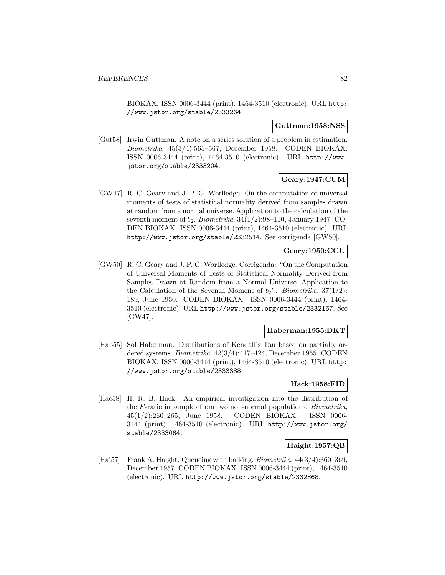BIOKAX. ISSN 0006-3444 (print), 1464-3510 (electronic). URL http: //www.jstor.org/stable/2333264.

#### **Guttman:1958:NSS**

[Gut58] Irwin Guttman. A note on a series solution of a problem in estimation. Biometrika, 45(3/4):565–567, December 1958. CODEN BIOKAX. ISSN 0006-3444 (print), 1464-3510 (electronic). URL http://www. jstor.org/stable/2333204.

# **Geary:1947:CUM**

[GW47] R. C. Geary and J. P. G. Worlledge. On the computation of universal moments of tests of statistical normality derived from samples drawn at random from a normal universe. Application to the calculation of the seventh moment of  $b_2$ . Biometrika, 34(1/2):98–110, January 1947. CO-DEN BIOKAX. ISSN 0006-3444 (print), 1464-3510 (electronic). URL http://www.jstor.org/stable/2332514. See corrigenda [GW50].

# **Geary:1950:CCU**

[GW50] R. C. Geary and J. P. G. Worlledge. Corrigenda: "On the Computation of Universal Moments of Tests of Statistical Normality Derived from Samples Drawn at Random from a Normal Universe. Application to the Calculation of the Seventh Moment of  $b_2$ ". Biometrika, 37(1/2): 189, June 1950. CODEN BIOKAX. ISSN 0006-3444 (print), 1464- 3510 (electronic). URL http://www.jstor.org/stable/2332167. See [GW47].

#### **Haberman:1955:DKT**

[Hab55] Sol Haberman. Distributions of Kendall's Tau based on partially ordered systems. Biometrika, 42(3/4):417–424, December 1955. CODEN BIOKAX. ISSN 0006-3444 (print), 1464-3510 (electronic). URL http: //www.jstor.org/stable/2333388.

# **Hack:1958:EID**

[Hac58] H. R. B. Hack. An empirical investigation into the distribution of the F-ratio in samples from two non-normal populations. Biometrika, 45(1/2):260–265, June 1958. CODEN BIOKAX. ISSN 0006- 3444 (print), 1464-3510 (electronic). URL http://www.jstor.org/ stable/2333064.

# **Haight:1957:QB**

[Hai57] Frank A. Haight. Queueing with balking. *Biometrika*,  $44(3/4)$ :360–369. December 1957. CODEN BIOKAX. ISSN 0006-3444 (print), 1464-3510 (electronic). URL http://www.jstor.org/stable/2332868.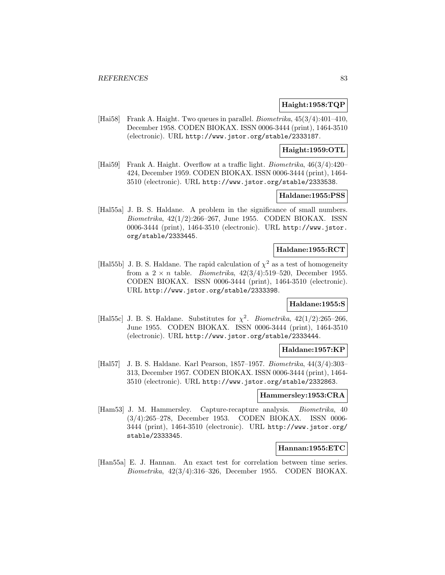## **Haight:1958:TQP**

[Hai58] Frank A. Haight. Two queues in parallel. Biometrika, 45(3/4):401–410, December 1958. CODEN BIOKAX. ISSN 0006-3444 (print), 1464-3510 (electronic). URL http://www.jstor.org/stable/2333187.

# **Haight:1959:OTL**

[Hai59] Frank A. Haight. Overflow at a traffic light. Biometrika, 46(3/4):420– 424, December 1959. CODEN BIOKAX. ISSN 0006-3444 (print), 1464- 3510 (electronic). URL http://www.jstor.org/stable/2333538.

## **Haldane:1955:PSS**

[Hal55a] J. B. S. Haldane. A problem in the significance of small numbers. Biometrika, 42(1/2):266–267, June 1955. CODEN BIOKAX. ISSN 0006-3444 (print), 1464-3510 (electronic). URL http://www.jstor. org/stable/2333445.

## **Haldane:1955:RCT**

[Hal55b] J. B. S. Haldane. The rapid calculation of  $\chi^2$  as a test of homogeneity from a  $2 \times n$  table. *Biometrika*,  $42(3/4):519-520$ , December 1955. CODEN BIOKAX. ISSN 0006-3444 (print), 1464-3510 (electronic). URL http://www.jstor.org/stable/2333398.

# **Haldane:1955:S**

[Hal55c] J. B. S. Haldane. Substitutes for  $\chi^2$ . Biometrika, 42(1/2):265–266, June 1955. CODEN BIOKAX. ISSN 0006-3444 (print), 1464-3510 (electronic). URL http://www.jstor.org/stable/2333444.

#### **Haldane:1957:KP**

[Hal57] J. B. S. Haldane. Karl Pearson, 1857–1957. Biometrika, 44(3/4):303– 313, December 1957. CODEN BIOKAX. ISSN 0006-3444 (print), 1464- 3510 (electronic). URL http://www.jstor.org/stable/2332863.

#### **Hammersley:1953:CRA**

[Ham53] J. M. Hammersley. Capture-recapture analysis. Biometrika, 40 (3/4):265–278, December 1953. CODEN BIOKAX. ISSN 0006- 3444 (print), 1464-3510 (electronic). URL http://www.jstor.org/ stable/2333345.

## **Hannan:1955:ETC**

[Han55a] E. J. Hannan. An exact test for correlation between time series. Biometrika, 42(3/4):316–326, December 1955. CODEN BIOKAX.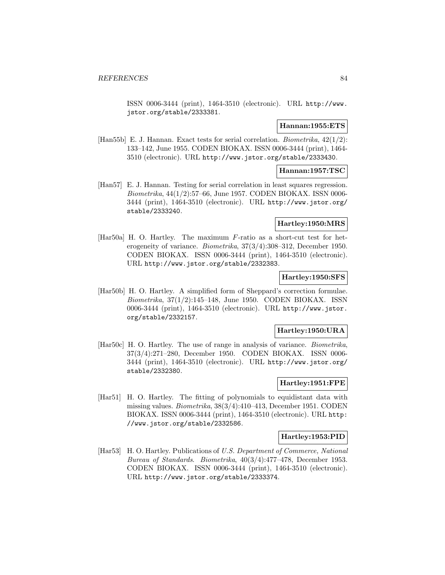ISSN 0006-3444 (print), 1464-3510 (electronic). URL http://www. jstor.org/stable/2333381.

#### **Hannan:1955:ETS**

[Han55b] E. J. Hannan. Exact tests for serial correlation. *Biometrika*,  $42(1/2)$ : 133–142, June 1955. CODEN BIOKAX. ISSN 0006-3444 (print), 1464- 3510 (electronic). URL http://www.jstor.org/stable/2333430.

# **Hannan:1957:TSC**

[Han57] E. J. Hannan. Testing for serial correlation in least squares regression. Biometrika, 44(1/2):57–66, June 1957. CODEN BIOKAX. ISSN 0006- 3444 (print), 1464-3510 (electronic). URL http://www.jstor.org/ stable/2333240.

#### **Hartley:1950:MRS**

[Har50a] H. O. Hartley. The maximum F-ratio as a short-cut test for heterogeneity of variance. Biometrika, 37(3/4):308–312, December 1950. CODEN BIOKAX. ISSN 0006-3444 (print), 1464-3510 (electronic). URL http://www.jstor.org/stable/2332383.

#### **Hartley:1950:SFS**

[Har50b] H. O. Hartley. A simplified form of Sheppard's correction formulae. Biometrika, 37(1/2):145–148, June 1950. CODEN BIOKAX. ISSN 0006-3444 (print), 1464-3510 (electronic). URL http://www.jstor. org/stable/2332157.

# **Hartley:1950:URA**

[Har50c] H. O. Hartley. The use of range in analysis of variance. Biometrika, 37(3/4):271–280, December 1950. CODEN BIOKAX. ISSN 0006- 3444 (print), 1464-3510 (electronic). URL http://www.jstor.org/ stable/2332380.

# **Hartley:1951:FPE**

[Har51] H. O. Hartley. The fitting of polynomials to equidistant data with missing values. Biometrika, 38(3/4):410–413, December 1951. CODEN BIOKAX. ISSN 0006-3444 (print), 1464-3510 (electronic). URL http: //www.jstor.org/stable/2332586.

## **Hartley:1953:PID**

[Har53] H. O. Hartley. Publications of U.S. Department of Commerce, National Bureau of Standards. Biometrika, 40(3/4):477–478, December 1953. CODEN BIOKAX. ISSN 0006-3444 (print), 1464-3510 (electronic). URL http://www.jstor.org/stable/2333374.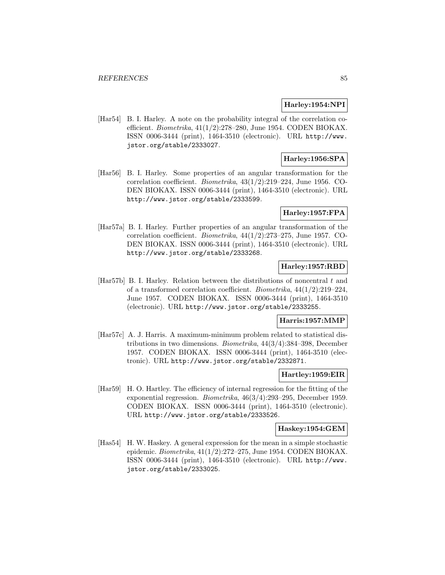#### **Harley:1954:NPI**

[Har54] B. I. Harley. A note on the probability integral of the correlation coefficient. Biometrika, 41(1/2):278–280, June 1954. CODEN BIOKAX. ISSN 0006-3444 (print), 1464-3510 (electronic). URL http://www. jstor.org/stable/2333027.

# **Harley:1956:SPA**

[Har56] B. I. Harley. Some properties of an angular transformation for the correlation coefficient. Biometrika, 43(1/2):219–224, June 1956. CO-DEN BIOKAX. ISSN 0006-3444 (print), 1464-3510 (electronic). URL http://www.jstor.org/stable/2333599.

# **Harley:1957:FPA**

[Har57a] B. I. Harley. Further properties of an angular transformation of the correlation coefficient. Biometrika, 44(1/2):273–275, June 1957. CO-DEN BIOKAX. ISSN 0006-3444 (print), 1464-3510 (electronic). URL http://www.jstor.org/stable/2333268.

# **Harley:1957:RBD**

[Har57b] B. I. Harley. Relation between the distributions of noncentral  $t$  and of a transformed correlation coefficient. Biometrika, 44(1/2):219–224, June 1957. CODEN BIOKAX. ISSN 0006-3444 (print), 1464-3510 (electronic). URL http://www.jstor.org/stable/2333255.

## **Harris:1957:MMP**

[Har57c] A. J. Harris. A maximum-minimum problem related to statistical distributions in two dimensions. Biometrika, 44(3/4):384–398, December 1957. CODEN BIOKAX. ISSN 0006-3444 (print), 1464-3510 (electronic). URL http://www.jstor.org/stable/2332871.

## **Hartley:1959:EIR**

[Har59] H. O. Hartley. The efficiency of internal regression for the fitting of the exponential regression. Biometrika, 46(3/4):293–295, December 1959. CODEN BIOKAX. ISSN 0006-3444 (print), 1464-3510 (electronic). URL http://www.jstor.org/stable/2333526.

#### **Haskey:1954:GEM**

[Has54] H. W. Haskey. A general expression for the mean in a simple stochastic epidemic. Biometrika, 41(1/2):272–275, June 1954. CODEN BIOKAX. ISSN 0006-3444 (print), 1464-3510 (electronic). URL http://www. jstor.org/stable/2333025.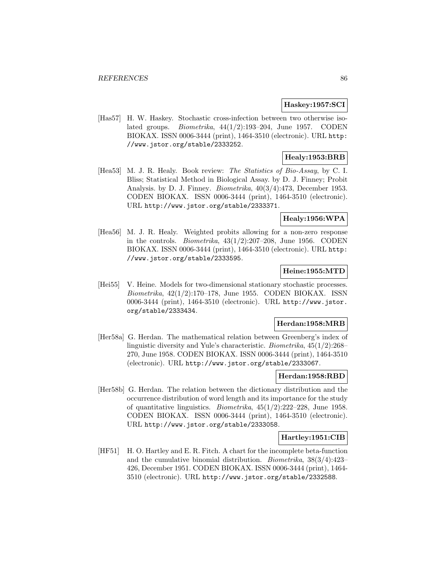## **Haskey:1957:SCI**

[Has57] H. W. Haskey. Stochastic cross-infection between two otherwise isolated groups. Biometrika, 44(1/2):193–204, June 1957. CODEN BIOKAX. ISSN 0006-3444 (print), 1464-3510 (electronic). URL http: //www.jstor.org/stable/2333252.

# **Healy:1953:BRB**

[Hea53] M. J. R. Healy. Book review: The Statistics of Bio-Assay, by C. I. Bliss; Statistical Method in Biological Assay. by D. J. Finney; Probit Analysis. by D. J. Finney. Biometrika, 40(3/4):473, December 1953. CODEN BIOKAX. ISSN 0006-3444 (print), 1464-3510 (electronic). URL http://www.jstor.org/stable/2333371.

# **Healy:1956:WPA**

[Hea56] M. J. R. Healy. Weighted probits allowing for a non-zero response in the controls. *Biometrika*,  $43(1/2):207-208$ , June 1956. CODEN BIOKAX. ISSN 0006-3444 (print), 1464-3510 (electronic). URL http: //www.jstor.org/stable/2333595.

## **Heine:1955:MTD**

[Hei55] V. Heine. Models for two-dimensional stationary stochastic processes. Biometrika, 42(1/2):170–178, June 1955. CODEN BIOKAX. ISSN 0006-3444 (print), 1464-3510 (electronic). URL http://www.jstor. org/stable/2333434.

# **Herdan:1958:MRB**

[Her58a] G. Herdan. The mathematical relation between Greenberg's index of linguistic diversity and Yule's characteristic. Biometrika, 45(1/2):268– 270, June 1958. CODEN BIOKAX. ISSN 0006-3444 (print), 1464-3510 (electronic). URL http://www.jstor.org/stable/2333067.

#### **Herdan:1958:RBD**

[Her58b] G. Herdan. The relation between the dictionary distribution and the occurrence distribution of word length and its importance for the study of quantitative linguistics. *Biometrika*,  $45(1/2):222-228$ , June 1958. CODEN BIOKAX. ISSN 0006-3444 (print), 1464-3510 (electronic). URL http://www.jstor.org/stable/2333058.

## **Hartley:1951:CIB**

[HF51] H. O. Hartley and E. R. Fitch. A chart for the incomplete beta-function and the cumulative binomial distribution. Biometrika, 38(3/4):423– 426, December 1951. CODEN BIOKAX. ISSN 0006-3444 (print), 1464- 3510 (electronic). URL http://www.jstor.org/stable/2332588.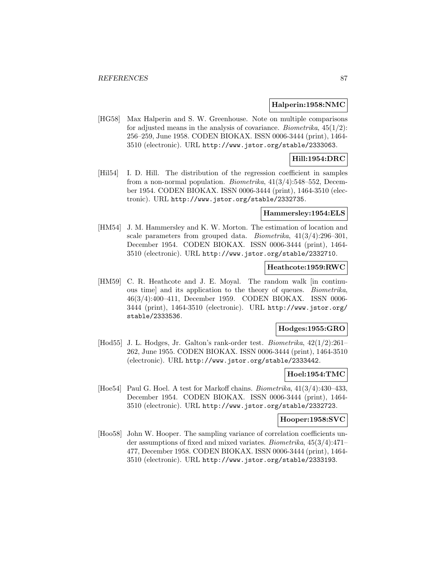#### **Halperin:1958:NMC**

[HG58] Max Halperin and S. W. Greenhouse. Note on multiple comparisons for adjusted means in the analysis of covariance. *Biometrika*,  $45(1/2)$ : 256–259, June 1958. CODEN BIOKAX. ISSN 0006-3444 (print), 1464- 3510 (electronic). URL http://www.jstor.org/stable/2333063.

## **Hill:1954:DRC**

[Hil54] I. D. Hill. The distribution of the regression coefficient in samples from a non-normal population. *Biometrika*,  $41(3/4)$ :548–552, December 1954. CODEN BIOKAX. ISSN 0006-3444 (print), 1464-3510 (electronic). URL http://www.jstor.org/stable/2332735.

### **Hammersley:1954:ELS**

[HM54] J. M. Hammersley and K. W. Morton. The estimation of location and scale parameters from grouped data. Biometrika, 41(3/4):296–301, December 1954. CODEN BIOKAX. ISSN 0006-3444 (print), 1464- 3510 (electronic). URL http://www.jstor.org/stable/2332710.

### **Heathcote:1959:RWC**

[HM59] C. R. Heathcote and J. E. Moyal. The random walk [in continuous time] and its application to the theory of queues. Biometrika, 46(3/4):400–411, December 1959. CODEN BIOKAX. ISSN 0006- 3444 (print), 1464-3510 (electronic). URL http://www.jstor.org/ stable/2333536.

# **Hodges:1955:GRO**

[Hod55] J. L. Hodges, Jr. Galton's rank-order test. Biometrika, 42(1/2):261– 262, June 1955. CODEN BIOKAX. ISSN 0006-3444 (print), 1464-3510 (electronic). URL http://www.jstor.org/stable/2333442.

#### **Hoel:1954:TMC**

[Hoe54] Paul G. Hoel. A test for Markoff chains. Biometrika, 41(3/4):430–433, December 1954. CODEN BIOKAX. ISSN 0006-3444 (print), 1464- 3510 (electronic). URL http://www.jstor.org/stable/2332723.

## **Hooper:1958:SVC**

[Hoo58] John W. Hooper. The sampling variance of correlation coefficients under assumptions of fixed and mixed variates. Biometrika, 45(3/4):471– 477, December 1958. CODEN BIOKAX. ISSN 0006-3444 (print), 1464- 3510 (electronic). URL http://www.jstor.org/stable/2333193.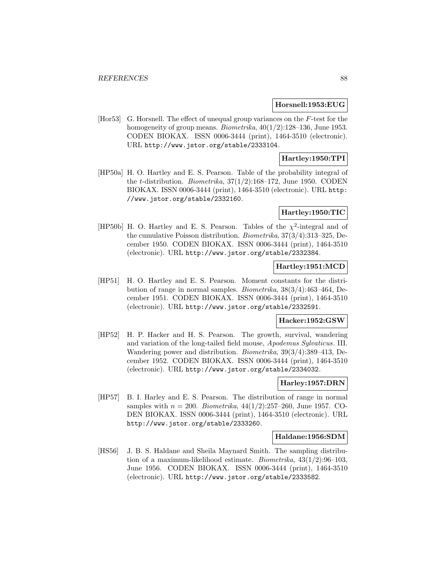#### **Horsnell:1953:EUG**

[Hor53] G. Horsnell. The effect of unequal group variances on the F-test for the homogeneity of group means. *Biometrika*,  $40(1/2):128-136$ , June 1953. CODEN BIOKAX. ISSN 0006-3444 (print), 1464-3510 (electronic). URL http://www.jstor.org/stable/2333104.

# **Hartley:1950:TPI**

[HP50a] H. O. Hartley and E. S. Pearson. Table of the probability integral of the t-distribution. Biometrika, 37(1/2):168–172, June 1950. CODEN BIOKAX. ISSN 0006-3444 (print), 1464-3510 (electronic). URL http: //www.jstor.org/stable/2332160.

## **Hartley:1950:TIC**

[HP50b] H. O. Hartley and E. S. Pearson. Tables of the  $\chi^2$ -integral and of the cumulative Poisson distribution. Biometrika, 37(3/4):313–325, December 1950. CODEN BIOKAX. ISSN 0006-3444 (print), 1464-3510 (electronic). URL http://www.jstor.org/stable/2332384.

# **Hartley:1951:MCD**

[HP51] H. O. Hartley and E. S. Pearson. Moment constants for the distribution of range in normal samples. Biometrika, 38(3/4):463–464, December 1951. CODEN BIOKAX. ISSN 0006-3444 (print), 1464-3510 (electronic). URL http://www.jstor.org/stable/2332591.

# **Hacker:1952:GSW**

[HP52] H. P. Hacker and H. S. Pearson. The growth, survival, wandering and variation of the long-tailed field mouse, Apodemus Sylvaticus. III. Wandering power and distribution. Biometrika, 39(3/4):389–413, December 1952. CODEN BIOKAX. ISSN 0006-3444 (print), 1464-3510 (electronic). URL http://www.jstor.org/stable/2334032.

## **Harley:1957:DRN**

[HP57] B. I. Harley and E. S. Pearson. The distribution of range in normal samples with  $n = 200$ . Biometrika,  $44(1/2)$ :257–260, June 1957. CO-DEN BIOKAX. ISSN 0006-3444 (print), 1464-3510 (electronic). URL http://www.jstor.org/stable/2333260.

#### **Haldane:1956:SDM**

[HS56] J. B. S. Haldane and Sheila Maynard Smith. The sampling distribution of a maximum-likelihood estimate. Biometrika, 43(1/2):96–103, June 1956. CODEN BIOKAX. ISSN 0006-3444 (print), 1464-3510 (electronic). URL http://www.jstor.org/stable/2333582.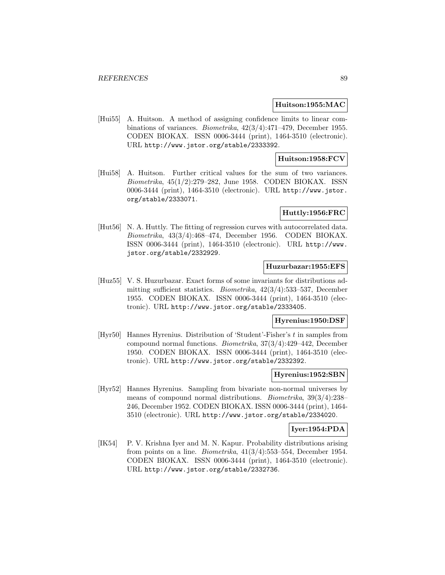#### **Huitson:1955:MAC**

[Hui55] A. Huitson. A method of assigning confidence limits to linear combinations of variances. Biometrika, 42(3/4):471–479, December 1955. CODEN BIOKAX. ISSN 0006-3444 (print), 1464-3510 (electronic). URL http://www.jstor.org/stable/2333392.

### **Huitson:1958:FCV**

[Hui58] A. Huitson. Further critical values for the sum of two variances. Biometrika, 45(1/2):279–282, June 1958. CODEN BIOKAX. ISSN 0006-3444 (print), 1464-3510 (electronic). URL http://www.jstor. org/stable/2333071.

## **Huttly:1956:FRC**

[Hut56] N. A. Huttly. The fitting of regression curves with autocorrelated data. Biometrika, 43(3/4):468–474, December 1956. CODEN BIOKAX. ISSN 0006-3444 (print), 1464-3510 (electronic). URL http://www. jstor.org/stable/2332929.

### **Huzurbazar:1955:EFS**

[Huz55] V. S. Huzurbazar. Exact forms of some invariants for distributions admitting sufficient statistics. Biometrika, 42(3/4):533–537, December 1955. CODEN BIOKAX. ISSN 0006-3444 (print), 1464-3510 (electronic). URL http://www.jstor.org/stable/2333405.

#### **Hyrenius:1950:DSF**

[Hyr50] Hannes Hyrenius. Distribution of 'Student'-Fisher's t in samples from compound normal functions. Biometrika, 37(3/4):429–442, December 1950. CODEN BIOKAX. ISSN 0006-3444 (print), 1464-3510 (electronic). URL http://www.jstor.org/stable/2332392.

#### **Hyrenius:1952:SBN**

[Hyr52] Hannes Hyrenius. Sampling from bivariate non-normal universes by means of compound normal distributions. Biometrika, 39(3/4):238– 246, December 1952. CODEN BIOKAX. ISSN 0006-3444 (print), 1464- 3510 (electronic). URL http://www.jstor.org/stable/2334020.

## **Iyer:1954:PDA**

[IK54] P. V. Krishna Iyer and M. N. Kapur. Probability distributions arising from points on a line. Biometrika, 41(3/4):553–554, December 1954. CODEN BIOKAX. ISSN 0006-3444 (print), 1464-3510 (electronic). URL http://www.jstor.org/stable/2332736.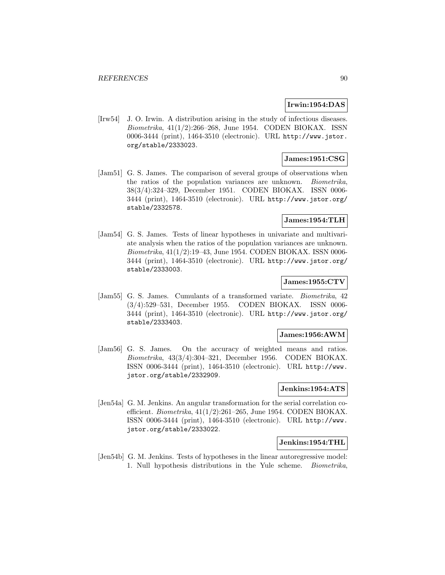## **Irwin:1954:DAS**

[Irw54] J. O. Irwin. A distribution arising in the study of infectious diseases. Biometrika, 41(1/2):266–268, June 1954. CODEN BIOKAX. ISSN 0006-3444 (print), 1464-3510 (electronic). URL http://www.jstor. org/stable/2333023.

# **James:1951:CSG**

[Jam51] G. S. James. The comparison of several groups of observations when the ratios of the population variances are unknown. Biometrika, 38(3/4):324–329, December 1951. CODEN BIOKAX. ISSN 0006- 3444 (print), 1464-3510 (electronic). URL http://www.jstor.org/ stable/2332578.

# **James:1954:TLH**

[Jam54] G. S. James. Tests of linear hypotheses in univariate and multivariate analysis when the ratios of the population variances are unknown. Biometrika, 41(1/2):19–43, June 1954. CODEN BIOKAX. ISSN 0006- 3444 (print), 1464-3510 (electronic). URL http://www.jstor.org/ stable/2333003.

## **James:1955:CTV**

[Jam55] G. S. James. Cumulants of a transformed variate. Biometrika, 42 (3/4):529–531, December 1955. CODEN BIOKAX. ISSN 0006- 3444 (print), 1464-3510 (electronic). URL http://www.jstor.org/ stable/2333403.

## **James:1956:AWM**

[Jam56] G. S. James. On the accuracy of weighted means and ratios. Biometrika, 43(3/4):304–321, December 1956. CODEN BIOKAX. ISSN 0006-3444 (print), 1464-3510 (electronic). URL http://www. jstor.org/stable/2332909.

#### **Jenkins:1954:ATS**

[Jen54a] G. M. Jenkins. An angular transformation for the serial correlation coefficient. Biometrika, 41(1/2):261–265, June 1954. CODEN BIOKAX. ISSN 0006-3444 (print), 1464-3510 (electronic). URL http://www. jstor.org/stable/2333022.

#### **Jenkins:1954:THL**

[Jen54b] G. M. Jenkins. Tests of hypotheses in the linear autoregressive model: 1. Null hypothesis distributions in the Yule scheme. Biometrika,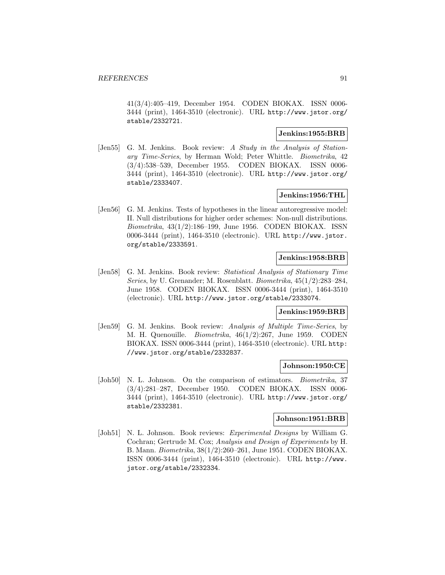41(3/4):405–419, December 1954. CODEN BIOKAX. ISSN 0006- 3444 (print), 1464-3510 (electronic). URL http://www.jstor.org/ stable/2332721.

# **Jenkins:1955:BRB**

[Jen55] G. M. Jenkins. Book review: A Study in the Analysis of Stationary Time-Series, by Herman Wold; Peter Whittle. Biometrika, 42 (3/4):538–539, December 1955. CODEN BIOKAX. ISSN 0006- 3444 (print), 1464-3510 (electronic). URL http://www.jstor.org/ stable/2333407.

# **Jenkins:1956:THL**

[Jen56] G. M. Jenkins. Tests of hypotheses in the linear autoregressive model: II. Null distributions for higher order schemes: Non-null distributions. Biometrika, 43(1/2):186–199, June 1956. CODEN BIOKAX. ISSN 0006-3444 (print), 1464-3510 (electronic). URL http://www.jstor. org/stable/2333591.

## **Jenkins:1958:BRB**

[Jen58] G. M. Jenkins. Book review: Statistical Analysis of Stationary Time Series, by U. Grenander; M. Rosenblatt. Biometrika, 45(1/2):283–284, June 1958. CODEN BIOKAX. ISSN 0006-3444 (print), 1464-3510 (electronic). URL http://www.jstor.org/stable/2333074.

# **Jenkins:1959:BRB**

[Jen59] G. M. Jenkins. Book review: Analysis of Multiple Time-Series, by M. H. Quenouille. Biometrika, 46(1/2):267, June 1959. CODEN BIOKAX. ISSN 0006-3444 (print), 1464-3510 (electronic). URL http: //www.jstor.org/stable/2332837.

## **Johnson:1950:CE**

[Joh50] N. L. Johnson. On the comparison of estimators. *Biometrika*, 37 (3/4):281–287, December 1950. CODEN BIOKAX. ISSN 0006- 3444 (print), 1464-3510 (electronic). URL http://www.jstor.org/ stable/2332381.

# **Johnson:1951:BRB**

[Joh51] N. L. Johnson. Book reviews: Experimental Designs by William G. Cochran; Gertrude M. Cox; Analysis and Design of Experiments by H. B. Mann. Biometrika, 38(1/2):260–261, June 1951. CODEN BIOKAX. ISSN 0006-3444 (print), 1464-3510 (electronic). URL http://www. jstor.org/stable/2332334.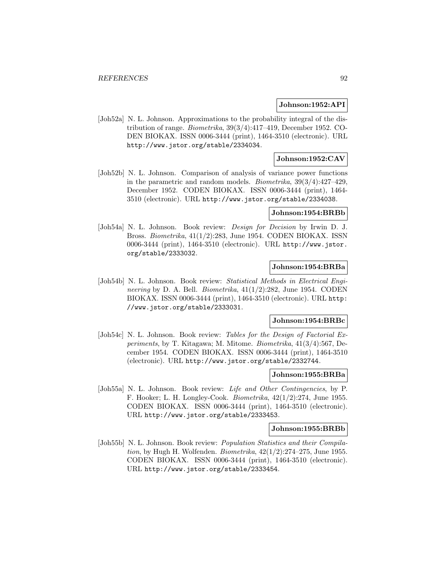#### **Johnson:1952:API**

[Joh52a] N. L. Johnson. Approximations to the probability integral of the distribution of range. Biometrika, 39(3/4):417–419, December 1952. CO-DEN BIOKAX. ISSN 0006-3444 (print), 1464-3510 (electronic). URL http://www.jstor.org/stable/2334034.

## **Johnson:1952:CAV**

[Joh52b] N. L. Johnson. Comparison of analysis of variance power functions in the parametric and random models. Biometrika, 39(3/4):427–429, December 1952. CODEN BIOKAX. ISSN 0006-3444 (print), 1464- 3510 (electronic). URL http://www.jstor.org/stable/2334038.

### **Johnson:1954:BRBb**

[Joh54a] N. L. Johnson. Book review: Design for Decision by Irwin D. J. Bross. Biometrika, 41(1/2):283, June 1954. CODEN BIOKAX. ISSN 0006-3444 (print), 1464-3510 (electronic). URL http://www.jstor. org/stable/2333032.

## **Johnson:1954:BRBa**

[Joh54b] N. L. Johnson. Book review: Statistical Methods in Electrical Engineering by D. A. Bell. *Biometrika*,  $41(1/2):282$ , June 1954. CODEN BIOKAX. ISSN 0006-3444 (print), 1464-3510 (electronic). URL http: //www.jstor.org/stable/2333031.

## **Johnson:1954:BRBc**

[Joh54c] N. L. Johnson. Book review: Tables for the Design of Factorial Experiments, by T. Kitagawa; M. Mitome. Biometrika, 41(3/4):567, December 1954. CODEN BIOKAX. ISSN 0006-3444 (print), 1464-3510 (electronic). URL http://www.jstor.org/stable/2332744.

#### **Johnson:1955:BRBa**

[Joh55a] N. L. Johnson. Book review: Life and Other Contingencies, by P. F. Hooker; L. H. Longley-Cook. Biometrika, 42(1/2):274, June 1955. CODEN BIOKAX. ISSN 0006-3444 (print), 1464-3510 (electronic). URL http://www.jstor.org/stable/2333453.

#### **Johnson:1955:BRBb**

[Joh55b] N. L. Johnson. Book review: Population Statistics and their Compilation, by Hugh H. Wolfenden. Biometrika,  $42(1/2)$ :274–275, June 1955. CODEN BIOKAX. ISSN 0006-3444 (print), 1464-3510 (electronic). URL http://www.jstor.org/stable/2333454.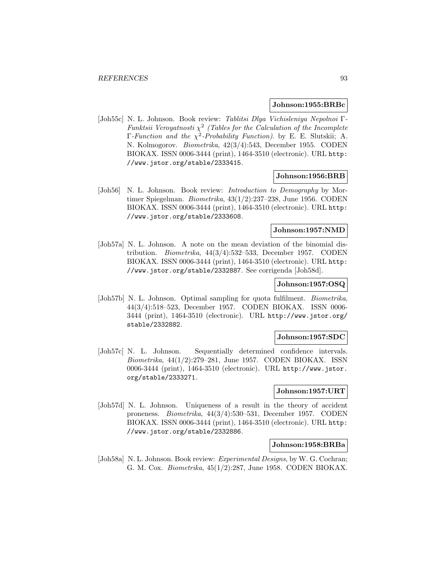#### **Johnson:1955:BRBc**

[Joh55c] N. L. Johnson. Book review: Tablitsi Dlya Vichisleniya Nepolnoi Γ-Funktsii Veroyatnosti  $\chi^2$  (Tables for the Calculation of the Incomplete  $\Gamma$ -Function and the  $\chi^2$ -Probability Function). by E. E. Slutskii; A. N. Kolmogorov. Biometrika, 42(3/4):543, December 1955. CODEN BIOKAX. ISSN 0006-3444 (print), 1464-3510 (electronic). URL http: //www.jstor.org/stable/2333415.

## **Johnson:1956:BRB**

[Joh56] N. L. Johnson. Book review: *Introduction to Demography* by Mortimer Spiegelman. Biometrika, 43(1/2):237–238, June 1956. CODEN BIOKAX. ISSN 0006-3444 (print), 1464-3510 (electronic). URL http: //www.jstor.org/stable/2333608.

# **Johnson:1957:NMD**

[Joh57a] N. L. Johnson. A note on the mean deviation of the binomial distribution. Biometrika, 44(3/4):532–533, December 1957. CODEN BIOKAX. ISSN 0006-3444 (print), 1464-3510 (electronic). URL http: //www.jstor.org/stable/2332887. See corrigenda [Joh58d].

#### **Johnson:1957:OSQ**

[Joh57b] N. L. Johnson. Optimal sampling for quota fulfilment. *Biometrika*, 44(3/4):518–523, December 1957. CODEN BIOKAX. ISSN 0006- 3444 (print), 1464-3510 (electronic). URL http://www.jstor.org/ stable/2332882.

#### **Johnson:1957:SDC**

[Joh57c] N. L. Johnson. Sequentially determined confidence intervals. Biometrika, 44(1/2):279–281, June 1957. CODEN BIOKAX. ISSN 0006-3444 (print), 1464-3510 (electronic). URL http://www.jstor. org/stable/2333271.

#### **Johnson:1957:URT**

[Joh57d] N. L. Johnson. Uniqueness of a result in the theory of accident proneness. Biometrika, 44(3/4):530–531, December 1957. CODEN BIOKAX. ISSN 0006-3444 (print), 1464-3510 (electronic). URL http: //www.jstor.org/stable/2332886.

## **Johnson:1958:BRBa**

[Joh58a] N. L. Johnson. Book review: *Experimental Designs*, by W. G. Cochran; G. M. Cox. Biometrika, 45(1/2):287, June 1958. CODEN BIOKAX.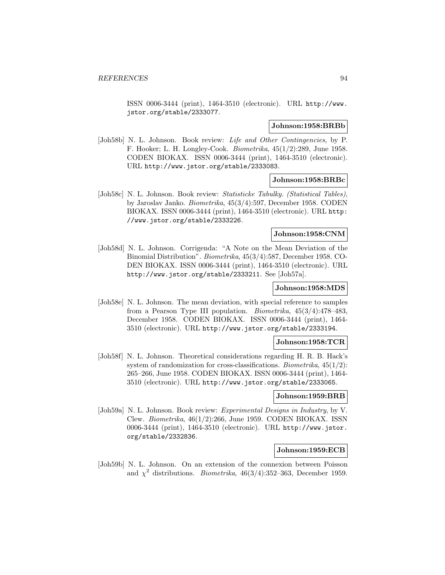ISSN 0006-3444 (print), 1464-3510 (electronic). URL http://www. jstor.org/stable/2333077.

#### **Johnson:1958:BRBb**

[Joh58b] N. L. Johnson. Book review: Life and Other Contingencies, by P. F. Hooker; L. H. Longley-Cook. Biometrika, 45(1/2):289, June 1958. CODEN BIOKAX. ISSN 0006-3444 (print), 1464-3510 (electronic). URL http://www.jstor.org/stable/2333083.

#### **Johnson:1958:BRBc**

[Joh58c] N. L. Johnson. Book review: Statisticke Tabulky. (Statistical Tables), by Jaroslav Janko. Biometrika, 45(3/4):597, December 1958. CODEN BIOKAX. ISSN 0006-3444 (print), 1464-3510 (electronic). URL http: //www.jstor.org/stable/2333226.

#### **Johnson:1958:CNM**

[Joh58d] N. L. Johnson. Corrigenda: "A Note on the Mean Deviation of the Binomial Distribution". Biometrika, 45(3/4):587, December 1958. CO-DEN BIOKAX. ISSN 0006-3444 (print), 1464-3510 (electronic). URL http://www.jstor.org/stable/2333211. See [Joh57a].

# **Johnson:1958:MDS**

[Joh58e] N. L. Johnson. The mean deviation, with special reference to samples from a Pearson Type III population. Biometrika, 45(3/4):478–483, December 1958. CODEN BIOKAX. ISSN 0006-3444 (print), 1464- 3510 (electronic). URL http://www.jstor.org/stable/2333194.

# **Johnson:1958:TCR**

[Joh58f] N. L. Johnson. Theoretical considerations regarding H. R. B. Hack's system of randomization for cross-classifications. *Biometrika*,  $45(1/2)$ : 265–266, June 1958. CODEN BIOKAX. ISSN 0006-3444 (print), 1464- 3510 (electronic). URL http://www.jstor.org/stable/2333065.

#### **Johnson:1959:BRB**

[Joh59a] N. L. Johnson. Book review: *Experimental Designs in Industry*, by V. Clew. Biometrika, 46(1/2):266, June 1959. CODEN BIOKAX. ISSN 0006-3444 (print), 1464-3510 (electronic). URL http://www.jstor. org/stable/2332836.

#### **Johnson:1959:ECB**

[Joh59b] N. L. Johnson. On an extension of the connexion between Poisson and  $\chi^2$  distributions. *Biometrika*, 46(3/4):352-363, December 1959.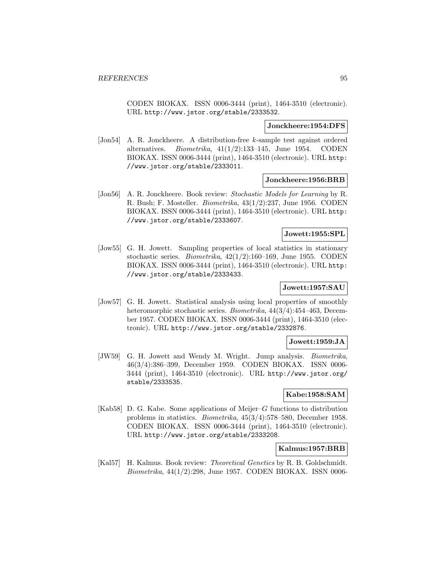CODEN BIOKAX. ISSN 0006-3444 (print), 1464-3510 (electronic). URL http://www.jstor.org/stable/2333532.

#### **Jonckheere:1954:DFS**

[Jon54] A. R. Jonckheere. A distribution-free k-sample test against ordered alternatives. *Biometrika*,  $41(1/2):133-145$ , June 1954. CODEN BIOKAX. ISSN 0006-3444 (print), 1464-3510 (electronic). URL http: //www.jstor.org/stable/2333011.

#### **Jonckheere:1956:BRB**

[Jon56] A. R. Jonckheere. Book review: Stochastic Models for Learning by R. R. Bush; F. Mosteller. Biometrika, 43(1/2):237, June 1956. CODEN BIOKAX. ISSN 0006-3444 (print), 1464-3510 (electronic). URL http: //www.jstor.org/stable/2333607.

#### **Jowett:1955:SPL**

[Jow55] G. H. Jowett. Sampling properties of local statistics in stationary stochastic series. Biometrika, 42(1/2):160–169, June 1955. CODEN BIOKAX. ISSN 0006-3444 (print), 1464-3510 (electronic). URL http: //www.jstor.org/stable/2333433.

# **Jowett:1957:SAU**

[Jow57] G. H. Jowett. Statistical analysis using local properties of smoothly heteromorphic stochastic series. Biometrika, 44(3/4):454–463, December 1957. CODEN BIOKAX. ISSN 0006-3444 (print), 1464-3510 (electronic). URL http://www.jstor.org/stable/2332876.

## **Jowett:1959:JA**

[JW59] G. H. Jowett and Wendy M. Wright. Jump analysis. Biometrika, 46(3/4):386–399, December 1959. CODEN BIOKAX. ISSN 0006- 3444 (print), 1464-3510 (electronic). URL http://www.jstor.org/ stable/2333535.

# **Kabe:1958:SAM**

[Kab58] D. G. Kabe. Some applications of Meijer–G functions to distribution problems in statistics. Biometrika, 45(3/4):578–580, December 1958. CODEN BIOKAX. ISSN 0006-3444 (print), 1464-3510 (electronic). URL http://www.jstor.org/stable/2333208.

#### **Kalmus:1957:BRB**

[Kal57] H. Kalmus. Book review: Theoretical Genetics by R. B. Goldschmidt. Biometrika, 44(1/2):298, June 1957. CODEN BIOKAX. ISSN 0006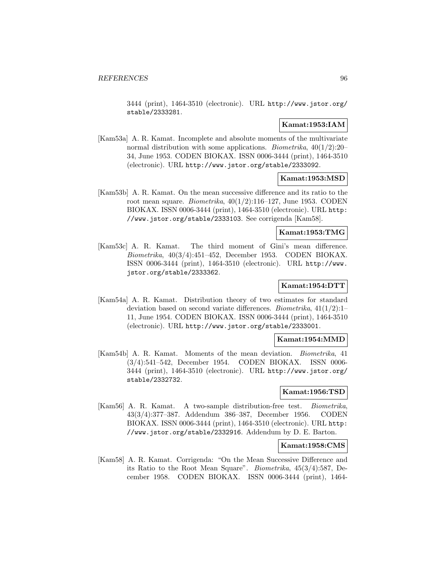3444 (print), 1464-3510 (electronic). URL http://www.jstor.org/ stable/2333281.

# **Kamat:1953:IAM**

[Kam53a] A. R. Kamat. Incomplete and absolute moments of the multivariate normal distribution with some applications. Biometrika, 40(1/2):20– 34, June 1953. CODEN BIOKAX. ISSN 0006-3444 (print), 1464-3510 (electronic). URL http://www.jstor.org/stable/2333092.

## **Kamat:1953:MSD**

[Kam53b] A. R. Kamat. On the mean successive difference and its ratio to the root mean square. Biometrika, 40(1/2):116–127, June 1953. CODEN BIOKAX. ISSN 0006-3444 (print), 1464-3510 (electronic). URL http: //www.jstor.org/stable/2333103. See corrigenda [Kam58].

#### **Kamat:1953:TMG**

[Kam53c] A. R. Kamat. The third moment of Gini's mean difference. Biometrika, 40(3/4):451–452, December 1953. CODEN BIOKAX. ISSN 0006-3444 (print), 1464-3510 (electronic). URL http://www. jstor.org/stable/2333362.

# **Kamat:1954:DTT**

[Kam54a] A. R. Kamat. Distribution theory of two estimates for standard deviation based on second variate differences. Biometrika, 41(1/2):1– 11, June 1954. CODEN BIOKAX. ISSN 0006-3444 (print), 1464-3510 (electronic). URL http://www.jstor.org/stable/2333001.

# **Kamat:1954:MMD**

[Kam54b] A. R. Kamat. Moments of the mean deviation. Biometrika, 41 (3/4):541–542, December 1954. CODEN BIOKAX. ISSN 0006- 3444 (print), 1464-3510 (electronic). URL http://www.jstor.org/ stable/2332732.

# **Kamat:1956:TSD**

[Kam56] A. R. Kamat. A two-sample distribution-free test. Biometrika, 43(3/4):377–387. Addendum 386–387, December 1956. CODEN BIOKAX. ISSN 0006-3444 (print), 1464-3510 (electronic). URL http: //www.jstor.org/stable/2332916. Addendum by D. E. Barton.

#### **Kamat:1958:CMS**

[Kam58] A. R. Kamat. Corrigenda: "On the Mean Successive Difference and its Ratio to the Root Mean Square". Biometrika, 45(3/4):587, December 1958. CODEN BIOKAX. ISSN 0006-3444 (print), 1464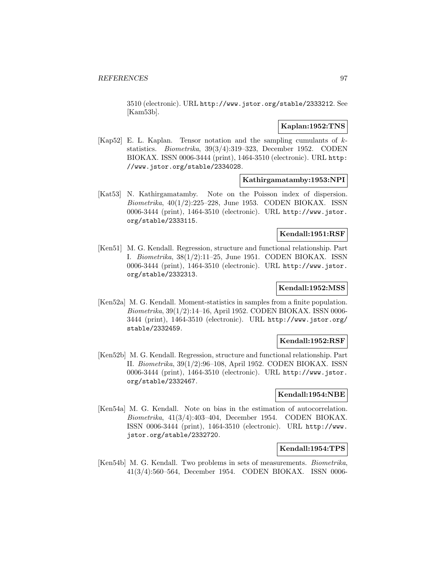3510 (electronic). URL http://www.jstor.org/stable/2333212. See [Kam53b].

## **Kaplan:1952:TNS**

[Kap52] E. L. Kaplan. Tensor notation and the sampling cumulants of kstatistics. Biometrika, 39(3/4):319–323, December 1952. CODEN BIOKAX. ISSN 0006-3444 (print), 1464-3510 (electronic). URL http: //www.jstor.org/stable/2334028.

## **Kathirgamatamby:1953:NPI**

[Kat53] N. Kathirgamatamby. Note on the Poisson index of dispersion. Biometrika, 40(1/2):225–228, June 1953. CODEN BIOKAX. ISSN 0006-3444 (print), 1464-3510 (electronic). URL http://www.jstor. org/stable/2333115.

## **Kendall:1951:RSF**

[Ken51] M. G. Kendall. Regression, structure and functional relationship. Part I. Biometrika, 38(1/2):11–25, June 1951. CODEN BIOKAX. ISSN 0006-3444 (print), 1464-3510 (electronic). URL http://www.jstor. org/stable/2332313.

# **Kendall:1952:MSS**

[Ken52a] M. G. Kendall. Moment-statistics in samples from a finite population. Biometrika, 39(1/2):14–16, April 1952. CODEN BIOKAX. ISSN 0006- 3444 (print), 1464-3510 (electronic). URL http://www.jstor.org/ stable/2332459.

#### **Kendall:1952:RSF**

[Ken52b] M. G. Kendall. Regression, structure and functional relationship. Part II. Biometrika, 39(1/2):96–108, April 1952. CODEN BIOKAX. ISSN 0006-3444 (print), 1464-3510 (electronic). URL http://www.jstor. org/stable/2332467.

## **Kendall:1954:NBE**

[Ken54a] M. G. Kendall. Note on bias in the estimation of autocorrelation. Biometrika, 41(3/4):403–404, December 1954. CODEN BIOKAX. ISSN 0006-3444 (print), 1464-3510 (electronic). URL http://www. jstor.org/stable/2332720.

#### **Kendall:1954:TPS**

[Ken54b] M. G. Kendall. Two problems in sets of measurements. Biometrika, 41(3/4):560–564, December 1954. CODEN BIOKAX. ISSN 0006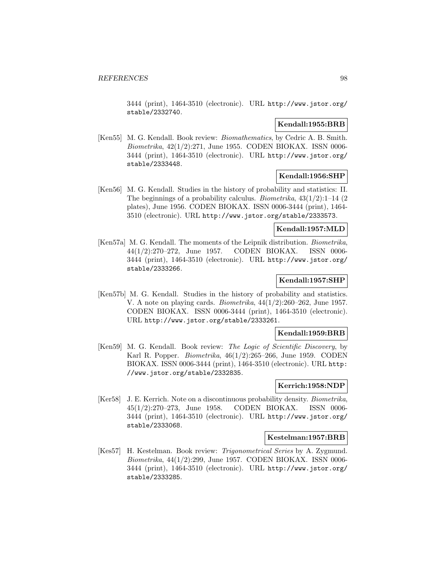3444 (print), 1464-3510 (electronic). URL http://www.jstor.org/ stable/2332740.

# **Kendall:1955:BRB**

[Ken55] M. G. Kendall. Book review: Biomathematics, by Cedric A. B. Smith. Biometrika, 42(1/2):271, June 1955. CODEN BIOKAX. ISSN 0006- 3444 (print), 1464-3510 (electronic). URL http://www.jstor.org/ stable/2333448.

## **Kendall:1956:SHP**

[Ken56] M. G. Kendall. Studies in the history of probability and statistics: II. The beginnings of a probability calculus. *Biometrika*,  $43(1/2):1-14$  (2) plates), June 1956. CODEN BIOKAX. ISSN 0006-3444 (print), 1464- 3510 (electronic). URL http://www.jstor.org/stable/2333573.

#### **Kendall:1957:MLD**

[Ken57a] M. G. Kendall. The moments of the Leipnik distribution. Biometrika, 44(1/2):270–272, June 1957. CODEN BIOKAX. ISSN 0006- 3444 (print), 1464-3510 (electronic). URL http://www.jstor.org/ stable/2333266.

# **Kendall:1957:SHP**

[Ken57b] M. G. Kendall. Studies in the history of probability and statistics. V. A note on playing cards. Biometrika, 44(1/2):260–262, June 1957. CODEN BIOKAX. ISSN 0006-3444 (print), 1464-3510 (electronic). URL http://www.jstor.org/stable/2333261.

#### **Kendall:1959:BRB**

[Ken59] M. G. Kendall. Book review: The Logic of Scientific Discovery, by Karl R. Popper. Biometrika, 46(1/2):265–266, June 1959. CODEN BIOKAX. ISSN 0006-3444 (print), 1464-3510 (electronic). URL http: //www.jstor.org/stable/2332835.

## **Kerrich:1958:NDP**

[Ker58] J. E. Kerrich. Note on a discontinuous probability density. Biometrika, 45(1/2):270–273, June 1958. CODEN BIOKAX. ISSN 0006- 3444 (print), 1464-3510 (electronic). URL http://www.jstor.org/ stable/2333068.

#### **Kestelman:1957:BRB**

[Kes57] H. Kestelman. Book review: Trigonometrical Series by A. Zygmund. Biometrika, 44(1/2):299, June 1957. CODEN BIOKAX. ISSN 0006- 3444 (print), 1464-3510 (electronic). URL http://www.jstor.org/ stable/2333285.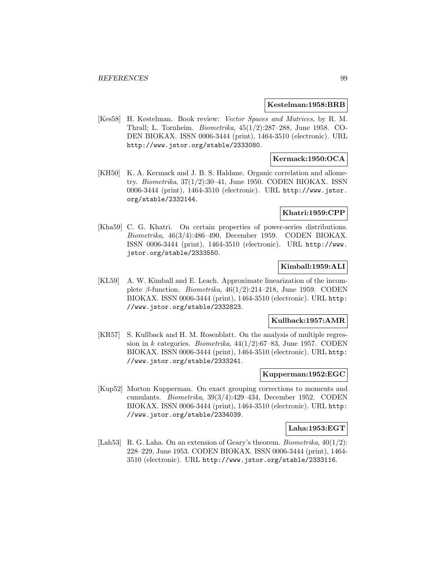## **Kestelman:1958:BRB**

[Kes58] H. Kestelman. Book review: Vector Spaces and Matrices, by R. M. Thrall; L. Tornheim. Biometrika, 45(1/2):287–288, June 1958. CO-DEN BIOKAX. ISSN 0006-3444 (print), 1464-3510 (electronic). URL http://www.jstor.org/stable/2333080.

# **Kermack:1950:OCA**

[KH50] K. A. Kermack and J. B. S. Haldane. Organic correlation and allometry. Biometrika, 37(1/2):30–41, June 1950. CODEN BIOKAX. ISSN 0006-3444 (print), 1464-3510 (electronic). URL http://www.jstor. org/stable/2332144.

## **Khatri:1959:CPP**

[Kha59] C. G. Khatri. On certain properties of power-series distributions. Biometrika, 46(3/4):486–490, December 1959. CODEN BIOKAX. ISSN 0006-3444 (print), 1464-3510 (electronic). URL http://www. jstor.org/stable/2333550.

## **Kimball:1959:ALI**

[KL59] A. W. Kimball and E. Leach. Approximate linearization of the incomplete  $\beta$ -function. *Biometrika*, 46(1/2):214–218, June 1959. CODEN BIOKAX. ISSN 0006-3444 (print), 1464-3510 (electronic). URL http: //www.jstor.org/stable/2332823.

#### **Kullback:1957:AMR**

[KR57] S. Kullback and H. M. Rosenblatt. On the analysis of multiple regression in k categories. Biometrika,  $44(1/2)$ :67–83, June 1957. CODEN BIOKAX. ISSN 0006-3444 (print), 1464-3510 (electronic). URL http: //www.jstor.org/stable/2333241.

#### **Kupperman:1952:EGC**

[Kup52] Morton Kupperman. On exact grouping corrections to moments and cumulants. Biometrika, 39(3/4):429–434, December 1952. CODEN BIOKAX. ISSN 0006-3444 (print), 1464-3510 (electronic). URL http: //www.jstor.org/stable/2334039.

#### **Laha:1953:EGT**

[Lah53] R. G. Laha. On an extension of Geary's theorem. *Biometrika*,  $40(1/2)$ : 228–229, June 1953. CODEN BIOKAX. ISSN 0006-3444 (print), 1464- 3510 (electronic). URL http://www.jstor.org/stable/2333116.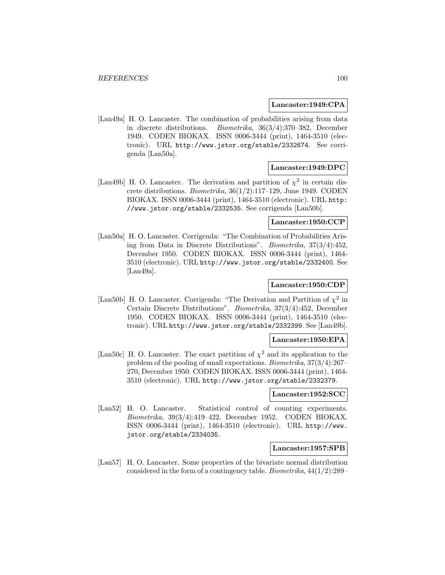#### **Lancaster:1949:CPA**

[Lan49a] H. O. Lancaster. The combination of probabilities arising from data in discrete distributions. Biometrika, 36(3/4):370–382, December 1949. CODEN BIOKAX. ISSN 0006-3444 (print), 1464-3510 (electronic). URL http://www.jstor.org/stable/2332674. See corrigenda [Lan50a].

## **Lancaster:1949:DPC**

[Lan49b] H. O. Lancaster. The derivation and partition of  $\chi^2$  in certain discrete distributions. Biometrika, 36(1/2):117–129, June 1949. CODEN BIOKAX. ISSN 0006-3444 (print), 1464-3510 (electronic). URL http: //www.jstor.org/stable/2332535. See corrigenda [Lan50b].

# **Lancaster:1950:CCP**

[Lan50a] H. O. Lancaster. Corrigenda: "The Combination of Probabilities Arising from Data in Discrete Distributions". Biometrika, 37(3/4):452, December 1950. CODEN BIOKAX. ISSN 0006-3444 (print), 1464- 3510 (electronic). URL http://www.jstor.org/stable/2332400. See [Lan49a].

# **Lancaster:1950:CDP**

[Lan50b] H. O. Lancaster. Corrigenda: "The Derivation and Partition of  $\chi^2$  in Certain Discrete Distributions". Biometrika, 37(3/4):452, December 1950. CODEN BIOKAX. ISSN 0006-3444 (print), 1464-3510 (electronic). URL http://www.jstor.org/stable/2332399. See [Lan49b].

## **Lancaster:1950:EPA**

[Lan50c] H. O. Lancaster. The exact partition of  $\chi^2$  and its application to the problem of the pooling of small expectations. Biometrika, 37(3/4):267– 270, December 1950. CODEN BIOKAX. ISSN 0006-3444 (print), 1464- 3510 (electronic). URL http://www.jstor.org/stable/2332379.

## **Lancaster:1952:SCC**

[Lan52] H. O. Lancaster. Statistical control of counting experiments. Biometrika, 39(3/4):419–422, December 1952. CODEN BIOKAX. ISSN 0006-3444 (print), 1464-3510 (electronic). URL http://www. jstor.org/stable/2334035.

#### **Lancaster:1957:SPB**

[Lan57] H. O. Lancaster. Some properties of the bivariate normal distribution considered in the form of a contingency table. Biometrika, 44(1/2):289–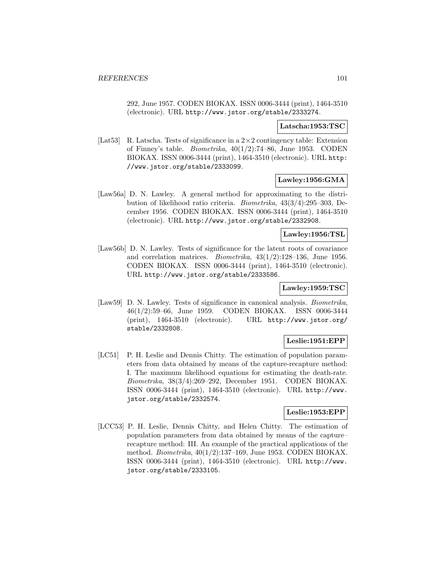292, June 1957. CODEN BIOKAX. ISSN 0006-3444 (print), 1464-3510 (electronic). URL http://www.jstor.org/stable/2333274.

#### **Latscha:1953:TSC**

[Lat53] R. Latscha. Tests of significance in a 2×2 contingency table: Extension of Finney's table. *Biometrika*,  $40(1/2)$ :74–86, June 1953. CODEN BIOKAX. ISSN 0006-3444 (print), 1464-3510 (electronic). URL http: //www.jstor.org/stable/2333099.

## **Lawley:1956:GMA**

[Law56a] D. N. Lawley. A general method for approximating to the distribution of likelihood ratio criteria. Biometrika, 43(3/4):295–303, December 1956. CODEN BIOKAX. ISSN 0006-3444 (print), 1464-3510 (electronic). URL http://www.jstor.org/stable/2332908.

#### **Lawley:1956:TSL**

[Law56b] D. N. Lawley. Tests of significance for the latent roots of covariance and correlation matrices. Biometrika, 43(1/2):128–136, June 1956. CODEN BIOKAX. ISSN 0006-3444 (print), 1464-3510 (electronic). URL http://www.jstor.org/stable/2333586.

# **Lawley:1959:TSC**

[Law59] D. N. Lawley. Tests of significance in canonical analysis. Biometrika, 46(1/2):59–66, June 1959. CODEN BIOKAX. ISSN 0006-3444 (print), 1464-3510 (electronic). URL http://www.jstor.org/ stable/2332808.

## **Leslie:1951:EPP**

[LC51] P. H. Leslie and Dennis Chitty. The estimation of population parameters from data obtained by means of the capture-recapture method: I. The maximum likelihood equations for estimating the death-rate. Biometrika, 38(3/4):269–292, December 1951. CODEN BIOKAX. ISSN 0006-3444 (print), 1464-3510 (electronic). URL http://www. jstor.org/stable/2332574.

## **Leslie:1953:EPP**

[LCC53] P. H. Leslie, Dennis Chitty, and Helen Chitty. The estimation of population parameters from data obtained by means of the capture– recapture method: III. An example of the practical applications of the method. Biometrika, 40(1/2):137–169, June 1953. CODEN BIOKAX. ISSN 0006-3444 (print), 1464-3510 (electronic). URL http://www. jstor.org/stable/2333105.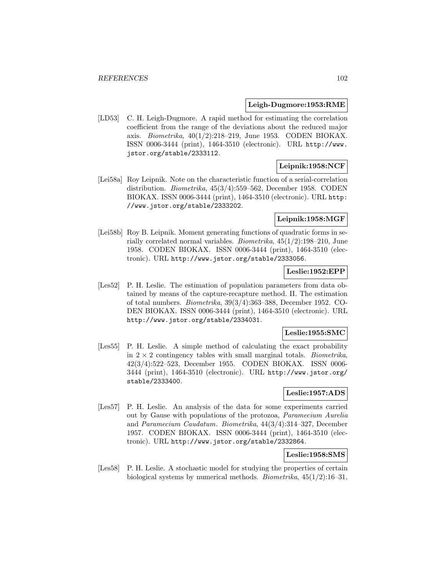#### **Leigh-Dugmore:1953:RME**

[LD53] C. H. Leigh-Dugmore. A rapid method for estimating the correlation coefficient from the range of the deviations about the reduced major axis. Biometrika, 40(1/2):218–219, June 1953. CODEN BIOKAX. ISSN 0006-3444 (print), 1464-3510 (electronic). URL http://www. jstor.org/stable/2333112.

# **Leipnik:1958:NCF**

[Lei58a] Roy Leipnik. Note on the characteristic function of a serial-correlation distribution. Biometrika, 45(3/4):559–562, December 1958. CODEN BIOKAX. ISSN 0006-3444 (print), 1464-3510 (electronic). URL http: //www.jstor.org/stable/2333202.

# **Leipnik:1958:MGF**

[Lei58b] Roy B. Leipnik. Moment generating functions of quadratic forms in serially correlated normal variables. Biometrika, 45(1/2):198–210, June 1958. CODEN BIOKAX. ISSN 0006-3444 (print), 1464-3510 (electronic). URL http://www.jstor.org/stable/2333056.

# **Leslie:1952:EPP**

[Les52] P. H. Leslie. The estimation of population parameters from data obtained by means of the capture-recapture method. II. The estimation of total numbers. Biometrika, 39(3/4):363–388, December 1952. CO-DEN BIOKAX. ISSN 0006-3444 (print), 1464-3510 (electronic). URL http://www.jstor.org/stable/2334031.

## **Leslie:1955:SMC**

[Les55] P. H. Leslie. A simple method of calculating the exact probability in  $2 \times 2$  contingency tables with small marginal totals. *Biometrika*, 42(3/4):522–523, December 1955. CODEN BIOKAX. ISSN 0006- 3444 (print), 1464-3510 (electronic). URL http://www.jstor.org/ stable/2333400.

# **Leslie:1957:ADS**

[Les57] P. H. Leslie. An analysis of the data for some experiments carried out by Gause with populations of the protozoa, Paramecium Aurelia and Paramecium Caudatum. Biometrika, 44(3/4):314–327, December 1957. CODEN BIOKAX. ISSN 0006-3444 (print), 1464-3510 (electronic). URL http://www.jstor.org/stable/2332864.

#### **Leslie:1958:SMS**

[Les58] P. H. Leslie. A stochastic model for studying the properties of certain biological systems by numerical methods. *Biometrika*,  $45(1/2):16-31$ ,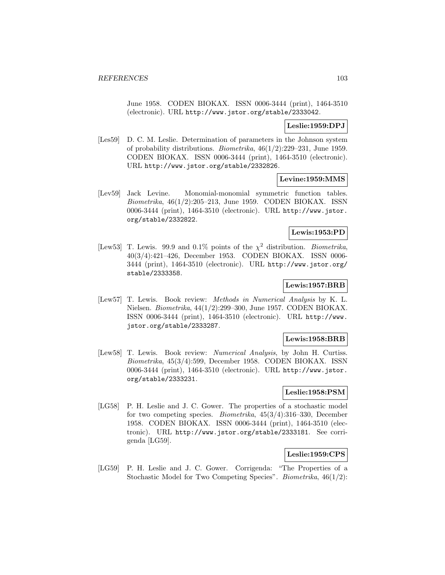June 1958. CODEN BIOKAX. ISSN 0006-3444 (print), 1464-3510 (electronic). URL http://www.jstor.org/stable/2333042.

## **Leslie:1959:DPJ**

[Les59] D. C. M. Leslie. Determination of parameters in the Johnson system of probability distributions. Biometrika, 46(1/2):229–231, June 1959. CODEN BIOKAX. ISSN 0006-3444 (print), 1464-3510 (electronic). URL http://www.jstor.org/stable/2332826.

#### **Levine:1959:MMS**

[Lev59] Jack Levine. Monomial-monomial symmetric function tables. Biometrika, 46(1/2):205–213, June 1959. CODEN BIOKAX. ISSN 0006-3444 (print), 1464-3510 (electronic). URL http://www.jstor. org/stable/2332822.

# **Lewis:1953:PD**

[Lew53] T. Lewis. 99.9 and 0.1% points of the  $\chi^2$  distribution. *Biometrika*, 40(3/4):421–426, December 1953. CODEN BIOKAX. ISSN 0006- 3444 (print), 1464-3510 (electronic). URL http://www.jstor.org/ stable/2333358.

# **Lewis:1957:BRB**

[Lew57] T. Lewis. Book review: Methods in Numerical Analysis by K. L. Nielsen. Biometrika, 44(1/2):299–300, June 1957. CODEN BIOKAX. ISSN 0006-3444 (print), 1464-3510 (electronic). URL http://www. jstor.org/stable/2333287.

## **Lewis:1958:BRB**

[Lew58] T. Lewis. Book review: Numerical Analysis, by John H. Curtiss. Biometrika, 45(3/4):599, December 1958. CODEN BIOKAX. ISSN 0006-3444 (print), 1464-3510 (electronic). URL http://www.jstor. org/stable/2333231.

# **Leslie:1958:PSM**

[LG58] P. H. Leslie and J. C. Gower. The properties of a stochastic model for two competing species. Biometrika, 45(3/4):316–330, December 1958. CODEN BIOKAX. ISSN 0006-3444 (print), 1464-3510 (electronic). URL http://www.jstor.org/stable/2333181. See corrigenda [LG59].

# **Leslie:1959:CPS**

[LG59] P. H. Leslie and J. C. Gower. Corrigenda: "The Properties of a Stochastic Model for Two Competing Species". *Biometrika*,  $46(1/2)$ :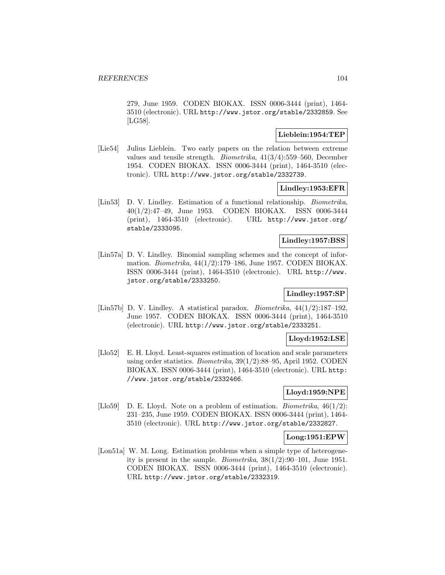279, June 1959. CODEN BIOKAX. ISSN 0006-3444 (print), 1464- 3510 (electronic). URL http://www.jstor.org/stable/2332859. See [LG58].

# **Lieblein:1954:TEP**

[Lie54] Julius Lieblein. Two early papers on the relation between extreme values and tensile strength. Biometrika, 41(3/4):559–560, December 1954. CODEN BIOKAX. ISSN 0006-3444 (print), 1464-3510 (electronic). URL http://www.jstor.org/stable/2332739.

## **Lindley:1953:EFR**

[Lin53] D. V. Lindley. Estimation of a functional relationship. *Biometrika*, 40(1/2):47–49, June 1953. CODEN BIOKAX. ISSN 0006-3444 (print), 1464-3510 (electronic). URL http://www.jstor.org/ stable/2333095.

# **Lindley:1957:BSS**

[Lin57a] D. V. Lindley. Binomial sampling schemes and the concept of information. Biometrika, 44(1/2):179–186, June 1957. CODEN BIOKAX. ISSN 0006-3444 (print), 1464-3510 (electronic). URL http://www. jstor.org/stable/2333250.

# **Lindley:1957:SP**

[Lin57b] D. V. Lindley. A statistical paradox. *Biometrika*,  $44(1/2):187-192$ , June 1957. CODEN BIOKAX. ISSN 0006-3444 (print), 1464-3510 (electronic). URL http://www.jstor.org/stable/2333251.

# **Lloyd:1952:LSE**

[Llo52] E. H. Lloyd. Least-squares estimation of location and scale parameters using order statistics. Biometrika, 39(1/2):88–95, April 1952. CODEN BIOKAX. ISSN 0006-3444 (print), 1464-3510 (electronic). URL http: //www.jstor.org/stable/2332466.

# **Lloyd:1959:NPE**

[Llo59] D. E. Lloyd. Note on a problem of estimation. *Biometrika*,  $46(1/2)$ : 231–235, June 1959. CODEN BIOKAX. ISSN 0006-3444 (print), 1464- 3510 (electronic). URL http://www.jstor.org/stable/2332827.

## **Long:1951:EPW**

[Lon51a] W. M. Long. Estimation problems when a simple type of heterogeneity is present in the sample. *Biometrika*,  $38(1/2):90-101$ , June 1951. CODEN BIOKAX. ISSN 0006-3444 (print), 1464-3510 (electronic). URL http://www.jstor.org/stable/2332319.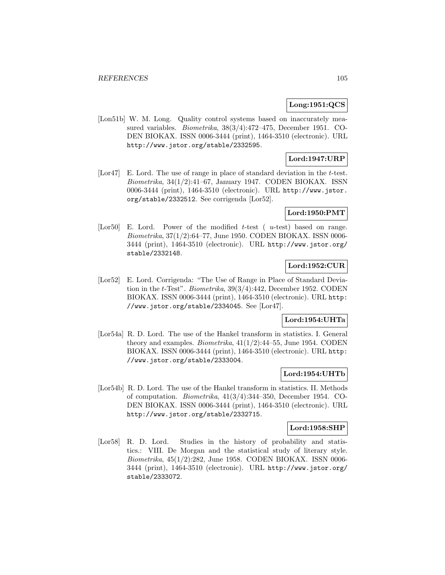#### **Long:1951:QCS**

[Lon51b] W. M. Long. Quality control systems based on inaccurately measured variables. Biometrika, 38(3/4):472–475, December 1951. CO-DEN BIOKAX. ISSN 0006-3444 (print), 1464-3510 (electronic). URL http://www.jstor.org/stable/2332595.

# **Lord:1947:URP**

[Lor47] E. Lord. The use of range in place of standard deviation in the t-test.  $Biometrika$ ,  $34(1/2):41-67$ , January 1947. CODEN BIOKAX. ISSN 0006-3444 (print), 1464-3510 (electronic). URL http://www.jstor. org/stable/2332512. See corrigenda [Lor52].

## **Lord:1950:PMT**

[Lor50] E. Lord. Power of the modified t-test ( $u$ -test) based on range. Biometrika, 37(1/2):64–77, June 1950. CODEN BIOKAX. ISSN 0006- 3444 (print), 1464-3510 (electronic). URL http://www.jstor.org/ stable/2332148.

# **Lord:1952:CUR**

[Lor52] E. Lord. Corrigenda: "The Use of Range in Place of Standard Deviation in the t-Test". Biometrika, 39(3/4):442, December 1952. CODEN BIOKAX. ISSN 0006-3444 (print), 1464-3510 (electronic). URL http: //www.jstor.org/stable/2334045. See [Lor47].

## **Lord:1954:UHTa**

[Lor54a] R. D. Lord. The use of the Hankel transform in statistics. I. General theory and examples. *Biometrika*,  $41(1/2)$ : $44-55$ , June 1954. CODEN BIOKAX. ISSN 0006-3444 (print), 1464-3510 (electronic). URL http: //www.jstor.org/stable/2333004.

# **Lord:1954:UHTb**

[Lor54b] R. D. Lord. The use of the Hankel transform in statistics. II. Methods of computation. Biometrika, 41(3/4):344–350, December 1954. CO-DEN BIOKAX. ISSN 0006-3444 (print), 1464-3510 (electronic). URL http://www.jstor.org/stable/2332715.

#### **Lord:1958:SHP**

[Lor58] R. D. Lord. Studies in the history of probability and statistics.: VIII. De Morgan and the statistical study of literary style. Biometrika, 45(1/2):282, June 1958. CODEN BIOKAX. ISSN 0006- 3444 (print), 1464-3510 (electronic). URL http://www.jstor.org/ stable/2333072.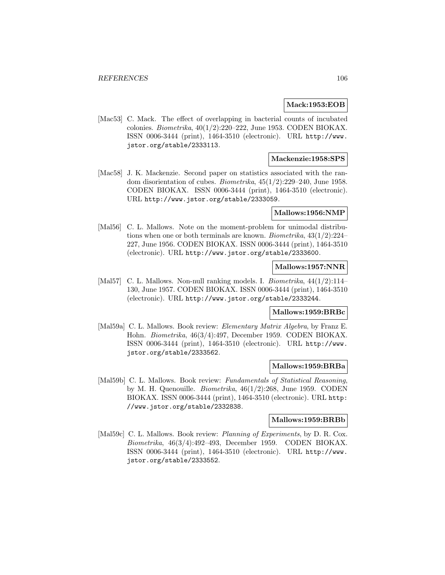## **Mack:1953:EOB**

[Mac53] C. Mack. The effect of overlapping in bacterial counts of incubated colonies. Biometrika,  $40(1/2):220-222$ , June 1953. CODEN BIOKAX. ISSN 0006-3444 (print), 1464-3510 (electronic). URL http://www. jstor.org/stable/2333113.

### **Mackenzie:1958:SPS**

[Mac58] J. K. Mackenzie. Second paper on statistics associated with the random disorientation of cubes. *Biometrika*,  $45(1/2)$ :  $229-240$ , June 1958. CODEN BIOKAX. ISSN 0006-3444 (print), 1464-3510 (electronic). URL http://www.jstor.org/stable/2333059.

#### **Mallows:1956:NMP**

[Mal56] C. L. Mallows. Note on the moment-problem for unimodal distributions when one or both terminals are known. Biometrika, 43(1/2):224– 227, June 1956. CODEN BIOKAX. ISSN 0006-3444 (print), 1464-3510 (electronic). URL http://www.jstor.org/stable/2333600.

# **Mallows:1957:NNR**

[Mal57] C. L. Mallows. Non-null ranking models. I. *Biometrika*,  $44(1/2)$ :114– 130, June 1957. CODEN BIOKAX. ISSN 0006-3444 (print), 1464-3510 (electronic). URL http://www.jstor.org/stable/2333244.

## **Mallows:1959:BRBc**

[Mal59a] C. L. Mallows. Book review: *Elementary Matrix Algebra*, by Franz E. Hohn. Biometrika, 46(3/4):497, December 1959. CODEN BIOKAX. ISSN 0006-3444 (print), 1464-3510 (electronic). URL http://www. jstor.org/stable/2333562.

#### **Mallows:1959:BRBa**

[Mal59b] C. L. Mallows. Book review: Fundamentals of Statistical Reasoning, by M. H. Quenouille. Biometrika, 46(1/2):268, June 1959. CODEN BIOKAX. ISSN 0006-3444 (print), 1464-3510 (electronic). URL http: //www.jstor.org/stable/2332838.

# **Mallows:1959:BRBb**

[Mal59c] C. L. Mallows. Book review: *Planning of Experiments*, by D. R. Cox. Biometrika, 46(3/4):492–493, December 1959. CODEN BIOKAX. ISSN 0006-3444 (print), 1464-3510 (electronic). URL http://www. jstor.org/stable/2333552.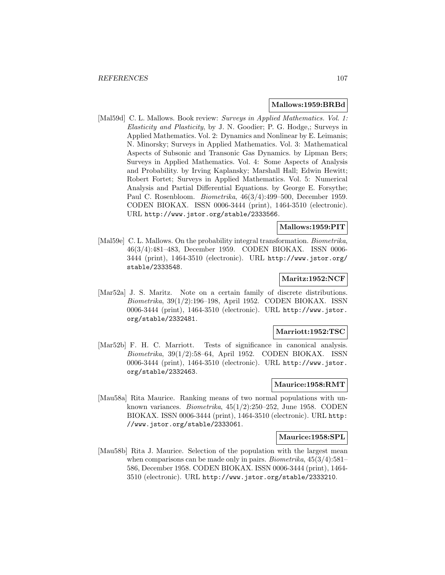#### **Mallows:1959:BRBd**

[Mal59d] C. L. Mallows. Book review: Surveys in Applied Mathematics. Vol. 1: Elasticity and Plasticity, by J. N. Goodier; P. G. Hodge,; Surveys in Applied Mathematics. Vol. 2: Dynamics and Nonlinear by E. Leimanis; N. Minorsky; Surveys in Applied Mathematics. Vol. 3: Mathematical Aspects of Subsonic and Transonic Gas Dynamics. by Lipman Bers; Surveys in Applied Mathematics. Vol. 4: Some Aspects of Analysis and Probability. by Irving Kaplansky; Marshall Hall; Edwin Hewitt; Robert Fortet; Surveys in Applied Mathematics. Vol. 5: Numerical Analysis and Partial Differential Equations. by George E. Forsythe; Paul C. Rosenbloom. Biometrika, 46(3/4):499–500, December 1959. CODEN BIOKAX. ISSN 0006-3444 (print), 1464-3510 (electronic). URL http://www.jstor.org/stable/2333566.

# **Mallows:1959:PIT**

[Mal59e] C. L. Mallows. On the probability integral transformation. Biometrika, 46(3/4):481–483, December 1959. CODEN BIOKAX. ISSN 0006- 3444 (print), 1464-3510 (electronic). URL http://www.jstor.org/ stable/2333548.

# **Maritz:1952:NCF**

[Mar52a] J. S. Maritz. Note on a certain family of discrete distributions. Biometrika, 39(1/2):196–198, April 1952. CODEN BIOKAX. ISSN 0006-3444 (print), 1464-3510 (electronic). URL http://www.jstor. org/stable/2332481.

#### **Marriott:1952:TSC**

[Mar52b] F. H. C. Marriott. Tests of significance in canonical analysis. Biometrika, 39(1/2):58–64, April 1952. CODEN BIOKAX. ISSN 0006-3444 (print), 1464-3510 (electronic). URL http://www.jstor. org/stable/2332463.

# **Maurice:1958:RMT**

[Mau58a] Rita Maurice. Ranking means of two normal populations with unknown variances. Biometrika, 45(1/2):250–252, June 1958. CODEN BIOKAX. ISSN 0006-3444 (print), 1464-3510 (electronic). URL http: //www.jstor.org/stable/2333061.

#### **Maurice:1958:SPL**

[Mau58b] Rita J. Maurice. Selection of the population with the largest mean when comparisons can be made only in pairs. *Biometrika*,  $45(3/4):581-$ 586, December 1958. CODEN BIOKAX. ISSN 0006-3444 (print), 1464- 3510 (electronic). URL http://www.jstor.org/stable/2333210.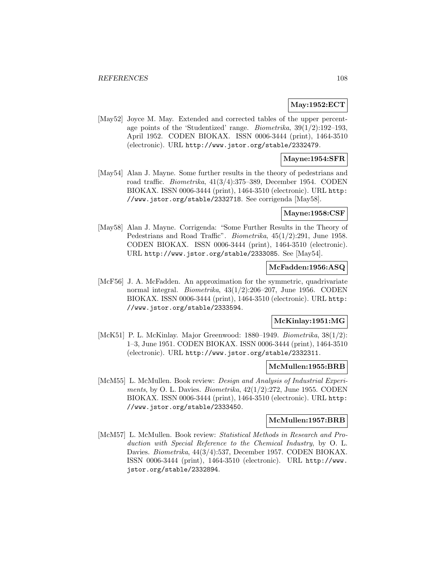# **May:1952:ECT**

[May52] Joyce M. May. Extended and corrected tables of the upper percentage points of the 'Studentized' range. *Biometrika*,  $39(1/2):192-193$ , April 1952. CODEN BIOKAX. ISSN 0006-3444 (print), 1464-3510 (electronic). URL http://www.jstor.org/stable/2332479.

# **Mayne:1954:SFR**

[May54] Alan J. Mayne. Some further results in the theory of pedestrians and road traffic. Biometrika, 41(3/4):375–389, December 1954. CODEN BIOKAX. ISSN 0006-3444 (print), 1464-3510 (electronic). URL http: //www.jstor.org/stable/2332718. See corrigenda [May58].

### **Mayne:1958:CSF**

[May58] Alan J. Mayne. Corrigenda: "Some Further Results in the Theory of Pedestrians and Road Traffic". Biometrika, 45(1/2):291, June 1958. CODEN BIOKAX. ISSN 0006-3444 (print), 1464-3510 (electronic). URL http://www.jstor.org/stable/2333085. See [May54].

# **McFadden:1956:ASQ**

[McF56] J. A. McFadden. An approximation for the symmetric, quadrivariate normal integral. Biometrika, 43(1/2):206–207, June 1956. CODEN BIOKAX. ISSN 0006-3444 (print), 1464-3510 (electronic). URL http: //www.jstor.org/stable/2333594.

## **McKinlay:1951:MG**

[McK51] P. L. McKinlay. Major Greenwood: 1880–1949. Biometrika, 38(1/2): 1–3, June 1951. CODEN BIOKAX. ISSN 0006-3444 (print), 1464-3510 (electronic). URL http://www.jstor.org/stable/2332311.

# **McMullen:1955:BRB**

[McM55] L. McMullen. Book review: Design and Analysis of Industrial Experiments, by O. L. Davies. Biometrika,  $42(1/2):272$ , June 1955. CODEN BIOKAX. ISSN 0006-3444 (print), 1464-3510 (electronic). URL http: //www.jstor.org/stable/2333450.

# **McMullen:1957:BRB**

[McM57] L. McMullen. Book review: Statistical Methods in Research and Production with Special Reference to the Chemical Industry, by O. L. Davies. Biometrika, 44(3/4):537, December 1957. CODEN BIOKAX. ISSN 0006-3444 (print), 1464-3510 (electronic). URL http://www. jstor.org/stable/2332894.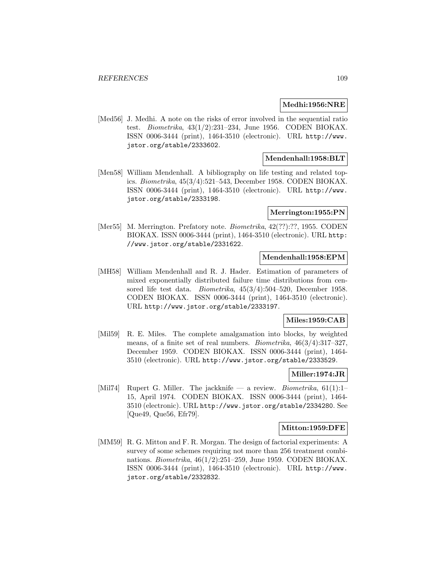#### **Medhi:1956:NRE**

[Med56] J. Medhi. A note on the risks of error involved in the sequential ratio test. Biometrika, 43(1/2):231–234, June 1956. CODEN BIOKAX. ISSN 0006-3444 (print), 1464-3510 (electronic). URL http://www. jstor.org/stable/2333602.

# **Mendenhall:1958:BLT**

[Men58] William Mendenhall. A bibliography on life testing and related topics. Biometrika, 45(3/4):521–543, December 1958. CODEN BIOKAX. ISSN 0006-3444 (print), 1464-3510 (electronic). URL http://www. jstor.org/stable/2333198.

#### **Merrington:1955:PN**

[Mer55] M. Merrington. Prefatory note. Biometrika, 42(??):??, 1955. CODEN BIOKAX. ISSN 0006-3444 (print), 1464-3510 (electronic). URL http: //www.jstor.org/stable/2331622.

## **Mendenhall:1958:EPM**

[MH58] William Mendenhall and R. J. Hader. Estimation of parameters of mixed exponentially distributed failure time distributions from censored life test data. Biometrika, 45(3/4):504–520, December 1958. CODEN BIOKAX. ISSN 0006-3444 (print), 1464-3510 (electronic). URL http://www.jstor.org/stable/2333197.

# **Miles:1959:CAB**

[Mil59] R. E. Miles. The complete amalgamation into blocks, by weighted means, of a finite set of real numbers. Biometrika, 46(3/4):317–327, December 1959. CODEN BIOKAX. ISSN 0006-3444 (print), 1464- 3510 (electronic). URL http://www.jstor.org/stable/2333529.

#### **Miller:1974:JR**

[Mil74] Rupert G. Miller. The jackknife — a review. Biometrika, 61(1):1– 15, April 1974. CODEN BIOKAX. ISSN 0006-3444 (print), 1464- 3510 (electronic). URL http://www.jstor.org/stable/2334280. See [Que49, Que56, Efr79].

#### **Mitton:1959:DFE**

[MM59] R. G. Mitton and F. R. Morgan. The design of factorial experiments: A survey of some schemes requiring not more than 256 treatment combinations. Biometrika, 46(1/2):251–259, June 1959. CODEN BIOKAX. ISSN 0006-3444 (print), 1464-3510 (electronic). URL http://www. jstor.org/stable/2332832.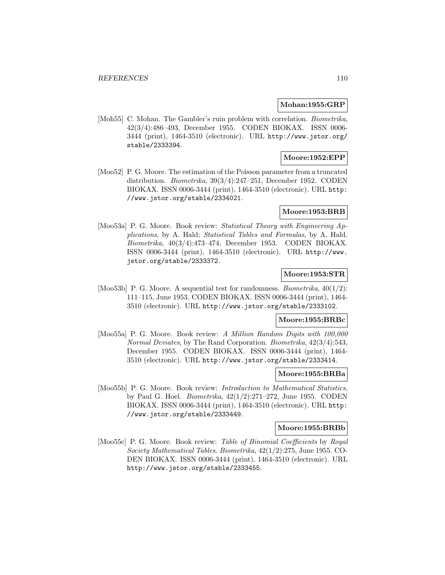#### **Mohan:1955:GRP**

[Moh55] C. Mohan. The Gambler's ruin problem with correlation. *Biometrika*, 42(3/4):486–493, December 1955. CODEN BIOKAX. ISSN 0006- 3444 (print), 1464-3510 (electronic). URL http://www.jstor.org/ stable/2333394.

# **Moore:1952:EPP**

[Moo52] P. G. Moore. The estimation of the Poisson parameter from a truncated distribution. Biometrika, 39(3/4):247–251, December 1952. CODEN BIOKAX. ISSN 0006-3444 (print), 1464-3510 (electronic). URL http: //www.jstor.org/stable/2334021.

# **Moore:1953:BRB**

[Moo53a] P. G. Moore. Book review: Statistical Theory with Engineering Applications, by A. Hald; Statistical Tables and Formulas, by A. Hald. Biometrika, 40(3/4):473–474, December 1953. CODEN BIOKAX. ISSN 0006-3444 (print), 1464-3510 (electronic). URL http://www. jstor.org/stable/2333372.

# **Moore:1953:STR**

[Moo53b] P. G. Moore. A sequential test for randomness. *Biometrika*,  $40(1/2)$ : 111–115, June 1953. CODEN BIOKAX. ISSN 0006-3444 (print), 1464- 3510 (electronic). URL http://www.jstor.org/stable/2333102.

## **Moore:1955:BRBc**

[Moo55a] P. G. Moore. Book review: A Million Random Digits with 100,000 Normal Deviates, by The Rand Corporation. Biometrika, 42(3/4):543, December 1955. CODEN BIOKAX. ISSN 0006-3444 (print), 1464- 3510 (electronic). URL http://www.jstor.org/stable/2333414.

#### **Moore:1955:BRBa**

[Moo55b] P. G. Moore. Book review: *Introduction to Mathematical Statistics*, by Paul G. Hoel. Biometrika, 42(1/2):271–272, June 1955. CODEN BIOKAX. ISSN 0006-3444 (print), 1464-3510 (electronic). URL http: //www.jstor.org/stable/2333449.

#### **Moore:1955:BRBb**

[Moo55c] P. G. Moore. Book review: Table of Binomial Coefficients by Royal Society Mathematical Tables. Biometrika, 42(1/2):275, June 1955. CO-DEN BIOKAX. ISSN 0006-3444 (print), 1464-3510 (electronic). URL http://www.jstor.org/stable/2333455.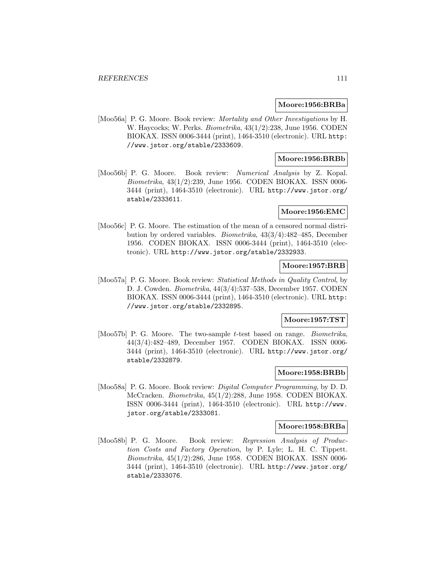#### **Moore:1956:BRBa**

[Moo56a] P. G. Moore. Book review: Mortality and Other Investigations by H. W. Haycocks; W. Perks. Biometrika, 43(1/2):238, June 1956. CODEN BIOKAX. ISSN 0006-3444 (print), 1464-3510 (electronic). URL http: //www.jstor.org/stable/2333609.

# **Moore:1956:BRBb**

[Moo56b] P. G. Moore. Book review: Numerical Analysis by Z. Kopal. Biometrika, 43(1/2):239, June 1956. CODEN BIOKAX. ISSN 0006- 3444 (print), 1464-3510 (electronic). URL http://www.jstor.org/ stable/2333611.

#### **Moore:1956:EMC**

[Moo56c] P. G. Moore. The estimation of the mean of a censored normal distribution by ordered variables. Biometrika, 43(3/4):482–485, December 1956. CODEN BIOKAX. ISSN 0006-3444 (print), 1464-3510 (electronic). URL http://www.jstor.org/stable/2332933.

# **Moore:1957:BRB**

[Moo57a] P. G. Moore. Book review: Statistical Methods in Quality Control, by D. J. Cowden. Biometrika, 44(3/4):537–538, December 1957. CODEN BIOKAX. ISSN 0006-3444 (print), 1464-3510 (electronic). URL http: //www.jstor.org/stable/2332895.

## **Moore:1957:TST**

[Moo57b] P. G. Moore. The two-sample t-test based on range. *Biometrika*, 44(3/4):482–489, December 1957. CODEN BIOKAX. ISSN 0006- 3444 (print), 1464-3510 (electronic). URL http://www.jstor.org/ stable/2332879.

## **Moore:1958:BRBb**

[Moo58a] P. G. Moore. Book review: Digital Computer Programming, by D. D. McCracken. Biometrika, 45(1/2):288, June 1958. CODEN BIOKAX. ISSN 0006-3444 (print), 1464-3510 (electronic). URL http://www. jstor.org/stable/2333081.

# **Moore:1958:BRBa**

[Moo58b] P. G. Moore. Book review: Regression Analysis of Production Costs and Factory Operation, by P. Lyle; L. H. C. Tippett. Biometrika, 45(1/2):286, June 1958. CODEN BIOKAX. ISSN 0006- 3444 (print), 1464-3510 (electronic). URL http://www.jstor.org/ stable/2333076.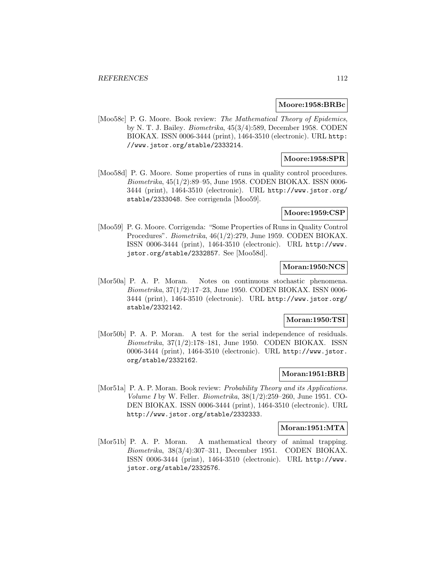#### **Moore:1958:BRBc**

[Moo58c] P. G. Moore. Book review: The Mathematical Theory of Epidemics, by N. T. J. Bailey. Biometrika, 45(3/4):589, December 1958. CODEN BIOKAX. ISSN 0006-3444 (print), 1464-3510 (electronic). URL http: //www.jstor.org/stable/2333214.

# **Moore:1958:SPR**

[Moo58d] P. G. Moore. Some properties of runs in quality control procedures. Biometrika, 45(1/2):89–95, June 1958. CODEN BIOKAX. ISSN 0006- 3444 (print), 1464-3510 (electronic). URL http://www.jstor.org/ stable/2333048. See corrigenda [Moo59].

#### **Moore:1959:CSP**

[Moo59] P. G. Moore. Corrigenda: "Some Properties of Runs in Quality Control Procedures". Biometrika, 46(1/2):279, June 1959. CODEN BIOKAX. ISSN 0006-3444 (print), 1464-3510 (electronic). URL http://www. jstor.org/stable/2332857. See [Moo58d].

# **Moran:1950:NCS**

[Mor50a] P. A. P. Moran. Notes on continuous stochastic phenomena. Biometrika, 37(1/2):17–23, June 1950. CODEN BIOKAX. ISSN 0006- 3444 (print), 1464-3510 (electronic). URL http://www.jstor.org/ stable/2332142.

## **Moran:1950:TSI**

[Mor50b] P. A. P. Moran. A test for the serial independence of residuals. Biometrika, 37(1/2):178–181, June 1950. CODEN BIOKAX. ISSN 0006-3444 (print), 1464-3510 (electronic). URL http://www.jstor. org/stable/2332162.

# **Moran:1951:BRB**

[Mor51a] P. A. P. Moran. Book review: Probability Theory and its Applications. Volume I by W. Feller. Biometrika, 38(1/2):259–260, June 1951. CO-DEN BIOKAX. ISSN 0006-3444 (print), 1464-3510 (electronic). URL http://www.jstor.org/stable/2332333.

#### **Moran:1951:MTA**

[Mor51b] P. A. P. Moran. A mathematical theory of animal trapping. Biometrika, 38(3/4):307–311, December 1951. CODEN BIOKAX. ISSN 0006-3444 (print), 1464-3510 (electronic). URL http://www. jstor.org/stable/2332576.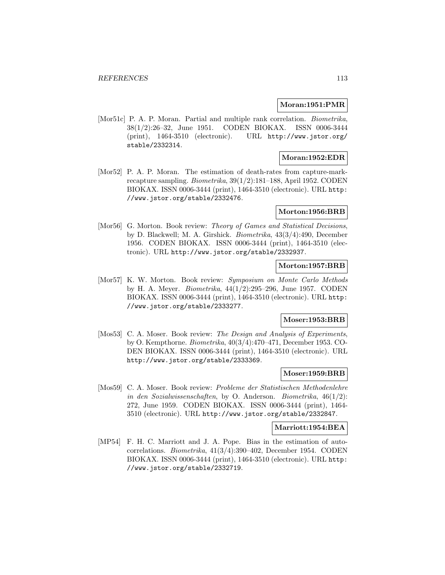#### **Moran:1951:PMR**

[Mor51c] P. A. P. Moran. Partial and multiple rank correlation. *Biometrika*, 38(1/2):26–32, June 1951. CODEN BIOKAX. ISSN 0006-3444 (print), 1464-3510 (electronic). URL http://www.jstor.org/ stable/2332314.

## **Moran:1952:EDR**

[Mor52] P. A. P. Moran. The estimation of death-rates from capture-markrecapture sampling. Biometrika, 39(1/2):181–188, April 1952. CODEN BIOKAX. ISSN 0006-3444 (print), 1464-3510 (electronic). URL http: //www.jstor.org/stable/2332476.

#### **Morton:1956:BRB**

[Mor56] G. Morton. Book review: Theory of Games and Statistical Decisions, by D. Blackwell; M. A. Girshick. Biometrika, 43(3/4):490, December 1956. CODEN BIOKAX. ISSN 0006-3444 (print), 1464-3510 (electronic). URL http://www.jstor.org/stable/2332937.

## **Morton:1957:BRB**

[Mor57] K. W. Morton. Book review: Symposium on Monte Carlo Methods by H. A. Meyer. Biometrika, 44(1/2):295–296, June 1957. CODEN BIOKAX. ISSN 0006-3444 (print), 1464-3510 (electronic). URL http: //www.jstor.org/stable/2333277.

## **Moser:1953:BRB**

[Mos53] C. A. Moser. Book review: The Design and Analysis of Experiments, by O. Kempthorne. Biometrika, 40(3/4):470–471, December 1953. CO-DEN BIOKAX. ISSN 0006-3444 (print), 1464-3510 (electronic). URL http://www.jstor.org/stable/2333369.

## **Moser:1959:BRB**

[Mos59] C. A. Moser. Book review: Probleme der Statistischen Methodenlehre in den Sozialwissenschaften, by O. Anderson. Biometrika,  $46(1/2)$ : 272, June 1959. CODEN BIOKAX. ISSN 0006-3444 (print), 1464- 3510 (electronic). URL http://www.jstor.org/stable/2332847.

# **Marriott:1954:BEA**

[MP54] F. H. C. Marriott and J. A. Pope. Bias in the estimation of autocorrelations. Biometrika, 41(3/4):390–402, December 1954. CODEN BIOKAX. ISSN 0006-3444 (print), 1464-3510 (electronic). URL http: //www.jstor.org/stable/2332719.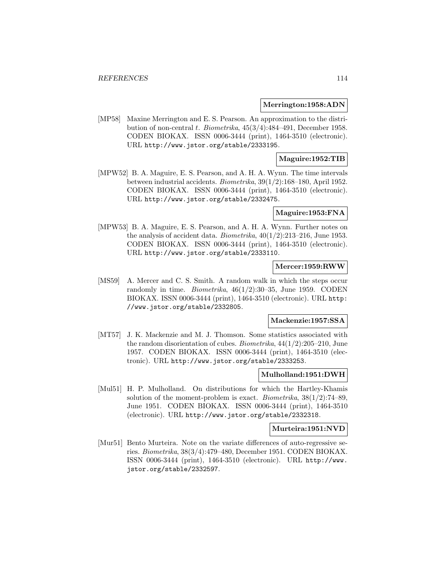#### **Merrington:1958:ADN**

[MP58] Maxine Merrington and E. S. Pearson. An approximation to the distribution of non-central t. Biometrika, 45(3/4):484–491, December 1958. CODEN BIOKAX. ISSN 0006-3444 (print), 1464-3510 (electronic). URL http://www.jstor.org/stable/2333195.

### **Maguire:1952:TIB**

[MPW52] B. A. Maguire, E. S. Pearson, and A. H. A. Wynn. The time intervals between industrial accidents. Biometrika, 39(1/2):168–180, April 1952. CODEN BIOKAX. ISSN 0006-3444 (print), 1464-3510 (electronic). URL http://www.jstor.org/stable/2332475.

# **Maguire:1953:FNA**

[MPW53] B. A. Maguire, E. S. Pearson, and A. H. A. Wynn. Further notes on the analysis of accident data. Biometrika,  $40(1/2):213-216$ , June 1953. CODEN BIOKAX. ISSN 0006-3444 (print), 1464-3510 (electronic). URL http://www.jstor.org/stable/2333110.

#### **Mercer:1959:RWW**

[MS59] A. Mercer and C. S. Smith. A random walk in which the steps occur randomly in time. *Biometrika*,  $46(1/2):30-35$ , June 1959. CODEN BIOKAX. ISSN 0006-3444 (print), 1464-3510 (electronic). URL http: //www.jstor.org/stable/2332805.

#### **Mackenzie:1957:SSA**

[MT57] J. K. Mackenzie and M. J. Thomson. Some statistics associated with the random disorientation of cubes. Biometrika, 44(1/2):205–210, June 1957. CODEN BIOKAX. ISSN 0006-3444 (print), 1464-3510 (electronic). URL http://www.jstor.org/stable/2333253.

#### **Mulholland:1951:DWH**

[Mul51] H. P. Mulholland. On distributions for which the Hartley-Khamis solution of the moment-problem is exact. Biometrika,  $38(1/2)$ :74–89, June 1951. CODEN BIOKAX. ISSN 0006-3444 (print), 1464-3510 (electronic). URL http://www.jstor.org/stable/2332318.

#### **Murteira:1951:NVD**

[Mur51] Bento Murteira. Note on the variate differences of auto-regressive series. Biometrika, 38(3/4):479–480, December 1951. CODEN BIOKAX. ISSN 0006-3444 (print), 1464-3510 (electronic). URL http://www. jstor.org/stable/2332597.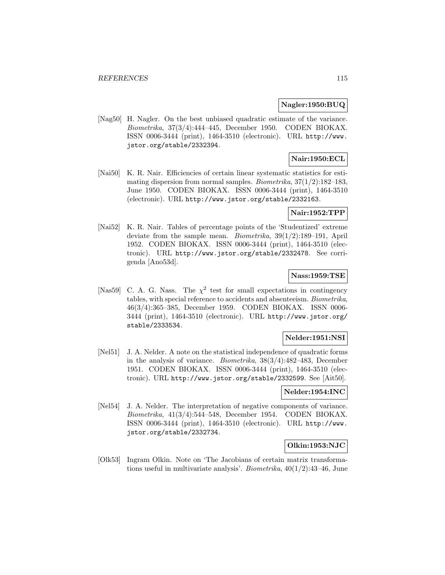## **Nagler:1950:BUQ**

[Nag50] H. Nagler. On the best unbiased quadratic estimate of the variance. Biometrika, 37(3/4):444–445, December 1950. CODEN BIOKAX. ISSN 0006-3444 (print), 1464-3510 (electronic). URL http://www. jstor.org/stable/2332394.

# **Nair:1950:ECL**

[Nai50] K. R. Nair. Efficiencies of certain linear systematic statistics for estimating dispersion from normal samples. *Biometrika*,  $37(1/2)$ :182–183, June 1950. CODEN BIOKAX. ISSN 0006-3444 (print), 1464-3510 (electronic). URL http://www.jstor.org/stable/2332163.

#### **Nair:1952:TPP**

[Nai52] K. R. Nair. Tables of percentage points of the 'Studentized' extreme deviate from the sample mean. Biometrika, 39(1/2):189–191, April 1952. CODEN BIOKAX. ISSN 0006-3444 (print), 1464-3510 (electronic). URL http://www.jstor.org/stable/2332478. See corrigenda [Ano53d].

# **Nass:1959:TSE**

[Nas59] C. A. G. Nass. The  $\chi^2$  test for small expectations in contingency tables, with special reference to accidents and absenteeism. Biometrika, 46(3/4):365–385, December 1959. CODEN BIOKAX. ISSN 0006- 3444 (print), 1464-3510 (electronic). URL http://www.jstor.org/ stable/2333534.

# **Nelder:1951:NSI**

[Nel51] J. A. Nelder. A note on the statistical independence of quadratic forms in the analysis of variance. Biometrika, 38(3/4):482–483, December 1951. CODEN BIOKAX. ISSN 0006-3444 (print), 1464-3510 (electronic). URL http://www.jstor.org/stable/2332599. See [Ait50].

#### **Nelder:1954:INC**

[Nel54] J. A. Nelder. The interpretation of negative components of variance. Biometrika, 41(3/4):544–548, December 1954. CODEN BIOKAX. ISSN 0006-3444 (print), 1464-3510 (electronic). URL http://www. jstor.org/stable/2332734.

## **Olkin:1953:NJC**

[Olk53] Ingram Olkin. Note on 'The Jacobians of certain matrix transformations useful in multivariate analysis'. *Biometrika*,  $40(1/2):43-46$ , June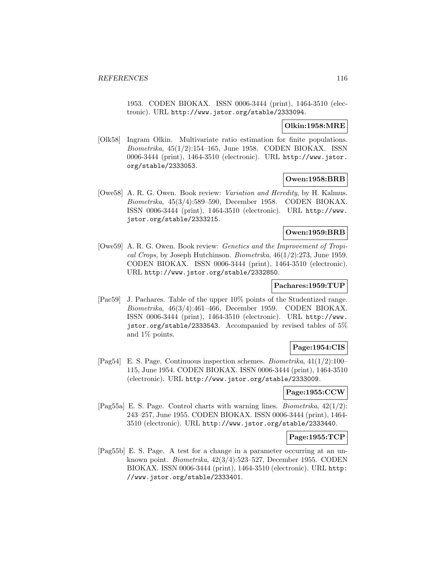1953. CODEN BIOKAX. ISSN 0006-3444 (print), 1464-3510 (electronic). URL http://www.jstor.org/stable/2333094.

#### **Olkin:1958:MRE**

[Olk58] Ingram Olkin. Multivariate ratio estimation for finite populations. Biometrika, 45(1/2):154–165, June 1958. CODEN BIOKAX. ISSN 0006-3444 (print), 1464-3510 (electronic). URL http://www.jstor. org/stable/2333053.

# **Owen:1958:BRB**

[Owe58] A. R. G. Owen. Book review: Variation and Heredity, by H. Kalmus. Biometrika, 45(3/4):589–590, December 1958. CODEN BIOKAX. ISSN 0006-3444 (print), 1464-3510 (electronic). URL http://www. jstor.org/stable/2333215.

# **Owen:1959:BRB**

[Owe59] A. R. G. Owen. Book review: Genetics and the Improvement of Tropical Crops, by Joseph Hutchinson. Biometrika, 46(1/2):273, June 1959. CODEN BIOKAX. ISSN 0006-3444 (print), 1464-3510 (electronic). URL http://www.jstor.org/stable/2332850.

#### **Pachares:1959:TUP**

[Pac59] J. Pachares. Table of the upper 10% points of the Studentized range. Biometrika, 46(3/4):461–466, December 1959. CODEN BIOKAX. ISSN 0006-3444 (print), 1464-3510 (electronic). URL http://www. jstor.org/stable/2333543. Accompanied by revised tables of 5% and 1% points.

# **Page:1954:CIS**

[Pag54] E. S. Page. Continuous inspection schemes. *Biometrika*,  $41(1/2):100-$ 115, June 1954. CODEN BIOKAX. ISSN 0006-3444 (print), 1464-3510 (electronic). URL http://www.jstor.org/stable/2333009.

#### **Page:1955:CCW**

[Pag55a] E. S. Page. Control charts with warning lines. Biometrika, 42(1/2): 243–257, June 1955. CODEN BIOKAX. ISSN 0006-3444 (print), 1464- 3510 (electronic). URL http://www.jstor.org/stable/2333440.

## **Page:1955:TCP**

[Pag55b] E. S. Page. A test for a change in a parameter occurring at an unknown point. Biometrika, 42(3/4):523–527, December 1955. CODEN BIOKAX. ISSN 0006-3444 (print), 1464-3510 (electronic). URL http: //www.jstor.org/stable/2333401.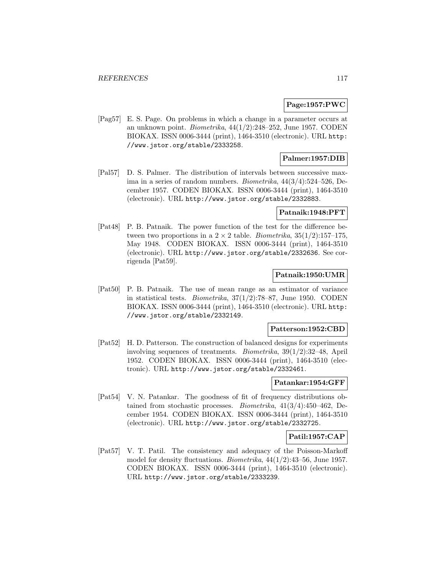## **Page:1957:PWC**

[Pag57] E. S. Page. On problems in which a change in a parameter occurs at an unknown point. *Biometrika*,  $44(1/2):248-252$ , June 1957. CODEN BIOKAX. ISSN 0006-3444 (print), 1464-3510 (electronic). URL http: //www.jstor.org/stable/2333258.

# **Palmer:1957:DIB**

[Pal57] D. S. Palmer. The distribution of intervals between successive maxima in a series of random numbers. Biometrika, 44(3/4):524–526, December 1957. CODEN BIOKAX. ISSN 0006-3444 (print), 1464-3510 (electronic). URL http://www.jstor.org/stable/2332883.

#### **Patnaik:1948:PFT**

[Pat48] P. B. Patnaik. The power function of the test for the difference between two proportions in a  $2 \times 2$  table. *Biometrika*,  $35(1/2)$ :157–175, May 1948. CODEN BIOKAX. ISSN 0006-3444 (print), 1464-3510 (electronic). URL http://www.jstor.org/stable/2332636. See corrigenda [Pat59].

# **Patnaik:1950:UMR**

[Pat50] P. B. Patnaik. The use of mean range as an estimator of variance in statistical tests. *Biometrika*,  $37(1/2)$ :78–87, June 1950. CODEN BIOKAX. ISSN 0006-3444 (print), 1464-3510 (electronic). URL http: //www.jstor.org/stable/2332149.

#### **Patterson:1952:CBD**

[Pat52] H. D. Patterson. The construction of balanced designs for experiments involving sequences of treatments. Biometrika, 39(1/2):32–48, April 1952. CODEN BIOKAX. ISSN 0006-3444 (print), 1464-3510 (electronic). URL http://www.jstor.org/stable/2332461.

# **Patankar:1954:GFF**

[Pat54] V. N. Patankar. The goodness of fit of frequency distributions obtained from stochastic processes. Biometrika, 41(3/4):450–462, December 1954. CODEN BIOKAX. ISSN 0006-3444 (print), 1464-3510 (electronic). URL http://www.jstor.org/stable/2332725.

## **Patil:1957:CAP**

[Pat57] V. T. Patil. The consistency and adequacy of the Poisson-Markoff model for density fluctuations. Biometrika, 44(1/2):43–56, June 1957. CODEN BIOKAX. ISSN 0006-3444 (print), 1464-3510 (electronic). URL http://www.jstor.org/stable/2333239.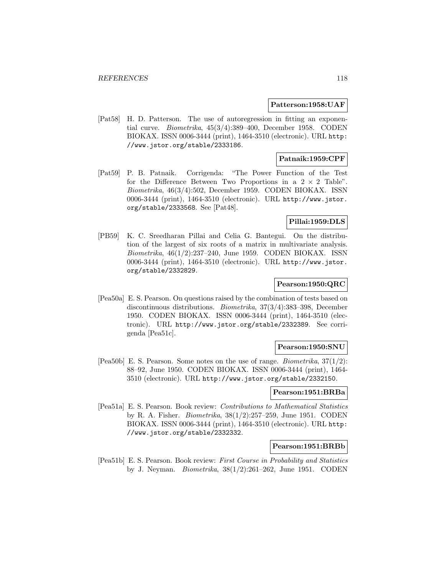#### **Patterson:1958:UAF**

[Pat58] H. D. Patterson. The use of autoregression in fitting an exponential curve. Biometrika, 45(3/4):389–400, December 1958. CODEN BIOKAX. ISSN 0006-3444 (print), 1464-3510 (electronic). URL http: //www.jstor.org/stable/2333186.

# **Patnaik:1959:CPF**

[Pat59] P. B. Patnaik. Corrigenda: "The Power Function of the Test for the Difference Between Two Proportions in a  $2 \times 2$  Table". Biometrika, 46(3/4):502, December 1959. CODEN BIOKAX. ISSN 0006-3444 (print), 1464-3510 (electronic). URL http://www.jstor. org/stable/2333568. See [Pat48].

## **Pillai:1959:DLS**

[PB59] K. C. Sreedharan Pillai and Celia G. Bantegui. On the distribution of the largest of six roots of a matrix in multivariate analysis. Biometrika, 46(1/2):237–240, June 1959. CODEN BIOKAX. ISSN 0006-3444 (print), 1464-3510 (electronic). URL http://www.jstor. org/stable/2332829.

## **Pearson:1950:QRC**

[Pea50a] E. S. Pearson. On questions raised by the combination of tests based on discontinuous distributions. Biometrika, 37(3/4):383–398, December 1950. CODEN BIOKAX. ISSN 0006-3444 (print), 1464-3510 (electronic). URL http://www.jstor.org/stable/2332389. See corrigenda [Pea51c].

## **Pearson:1950:SNU**

[Pea50b] E. S. Pearson. Some notes on the use of range. *Biometrika*,  $37(1/2)$ : 88–92, June 1950. CODEN BIOKAX. ISSN 0006-3444 (print), 1464- 3510 (electronic). URL http://www.jstor.org/stable/2332150.

#### **Pearson:1951:BRBa**

[Pea51a] E. S. Pearson. Book review: Contributions to Mathematical Statistics by R. A. Fisher. Biometrika, 38(1/2):257–259, June 1951. CODEN BIOKAX. ISSN 0006-3444 (print), 1464-3510 (electronic). URL http: //www.jstor.org/stable/2332332.

#### **Pearson:1951:BRBb**

[Pea51b] E. S. Pearson. Book review: First Course in Probability and Statistics by J. Neyman. Biometrika, 38(1/2):261–262, June 1951. CODEN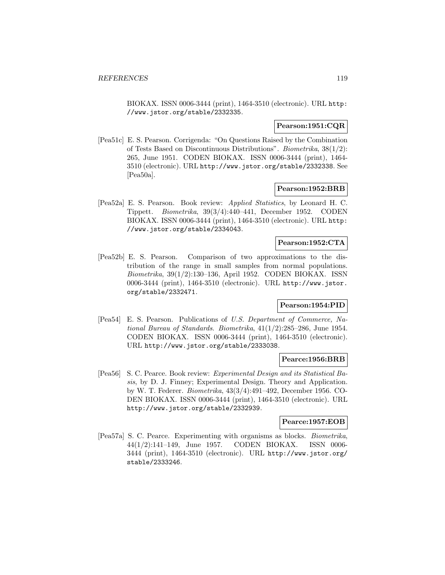BIOKAX. ISSN 0006-3444 (print), 1464-3510 (electronic). URL http: //www.jstor.org/stable/2332335.

#### **Pearson:1951:CQR**

[Pea51c] E. S. Pearson. Corrigenda: "On Questions Raised by the Combination of Tests Based on Discontinuous Distributions". Biometrika, 38(1/2): 265, June 1951. CODEN BIOKAX. ISSN 0006-3444 (print), 1464- 3510 (electronic). URL http://www.jstor.org/stable/2332338. See [Pea50a].

#### **Pearson:1952:BRB**

[Pea52a] E. S. Pearson. Book review: Applied Statistics, by Leonard H. C. Tippett. Biometrika, 39(3/4):440–441, December 1952. CODEN BIOKAX. ISSN 0006-3444 (print), 1464-3510 (electronic). URL http: //www.jstor.org/stable/2334043.

# **Pearson:1952:CTA**

[Pea52b] E. S. Pearson. Comparison of two approximations to the distribution of the range in small samples from normal populations. Biometrika, 39(1/2):130–136, April 1952. CODEN BIOKAX. ISSN 0006-3444 (print), 1464-3510 (electronic). URL http://www.jstor. org/stable/2332471.

#### **Pearson:1954:PID**

[Pea54] E. S. Pearson. Publications of U.S. Department of Commerce, National Bureau of Standards. Biometrika, 41(1/2):285–286, June 1954. CODEN BIOKAX. ISSN 0006-3444 (print), 1464-3510 (electronic). URL http://www.jstor.org/stable/2333038.

# **Pearce:1956:BRB**

[Pea56] S. C. Pearce. Book review: Experimental Design and its Statistical Basis, by D. J. Finney; Experimental Design. Theory and Application. by W. T. Federer. Biometrika, 43(3/4):491–492, December 1956. CO-DEN BIOKAX. ISSN 0006-3444 (print), 1464-3510 (electronic). URL http://www.jstor.org/stable/2332939.

# **Pearce:1957:EOB**

[Pea57a] S. C. Pearce. Experimenting with organisms as blocks. Biometrika, 44(1/2):141–149, June 1957. CODEN BIOKAX. ISSN 0006- 3444 (print), 1464-3510 (electronic). URL http://www.jstor.org/ stable/2333246.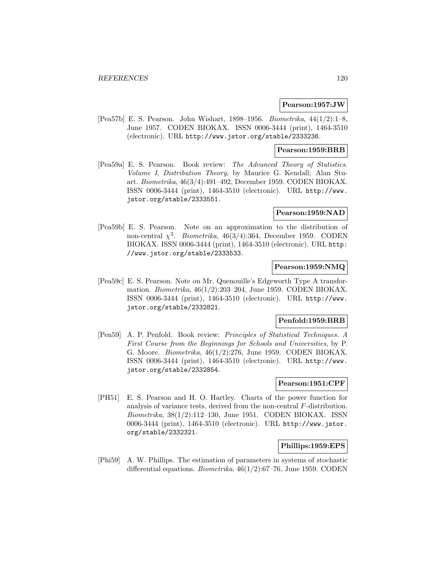#### **Pearson:1957:JW**

[Pea57b] E. S. Pearson. John Wishart, 1898–1956. Biometrika, 44(1/2):1–8, June 1957. CODEN BIOKAX. ISSN 0006-3444 (print), 1464-3510 (electronic). URL http://www.jstor.org/stable/2333236.

# **Pearson:1959:BRB**

[Pea59a] E. S. Pearson. Book review: The Advanced Theory of Statistics. Volume I, Distribution Theory, by Maurice G. Kendall; Alan Stuart. Biometrika, 46(3/4):491–492, December 1959. CODEN BIOKAX. ISSN 0006-3444 (print), 1464-3510 (electronic). URL http://www. jstor.org/stable/2333551.

# **Pearson:1959:NAD**

[Pea59b] E. S. Pearson. Note on an approximation to the distribution of non-central  $\chi^2$ . Biometrika, 46(3/4):364, December 1959. CODEN BIOKAX. ISSN 0006-3444 (print), 1464-3510 (electronic). URL http: //www.jstor.org/stable/2333533.

# **Pearson:1959:NMQ**

[Pea59c] E. S. Pearson. Note on Mr. Quenouille's Edgeworth Type A transformation. Biometrika, 46(1/2):203–204, June 1959. CODEN BIOKAX. ISSN 0006-3444 (print), 1464-3510 (electronic). URL http://www. jstor.org/stable/2332821.

#### **Penfold:1959:BRB**

[Pen59] A. P. Penfold. Book review: Principles of Statistical Techniques. A First Course from the Beginnings for Schools and Universities, by P. G. Moore. Biometrika, 46(1/2):276, June 1959. CODEN BIOKAX. ISSN 0006-3444 (print), 1464-3510 (electronic). URL http://www. jstor.org/stable/2332854.

# **Pearson:1951:CPF**

[PH51] E. S. Pearson and H. O. Hartley. Charts of the power function for analysis of variance tests, derived from the non-central F-distribution. Biometrika, 38(1/2):112–130, June 1951. CODEN BIOKAX. ISSN 0006-3444 (print), 1464-3510 (electronic). URL http://www.jstor. org/stable/2332321.

## **Phillips:1959:EPS**

[Phi59] A. W. Phillips. The estimation of parameters in systems of stochastic differential equations. Biometrika, 46(1/2):67–76, June 1959. CODEN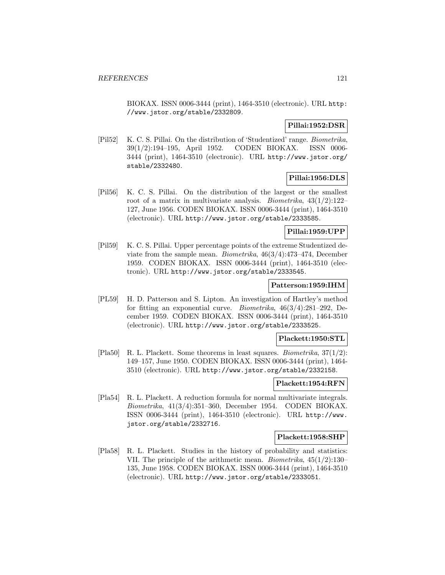BIOKAX. ISSN 0006-3444 (print), 1464-3510 (electronic). URL http: //www.jstor.org/stable/2332809.

# **Pillai:1952:DSR**

[Pil52] K. C. S. Pillai. On the distribution of 'Studentized' range. Biometrika, 39(1/2):194–195, April 1952. CODEN BIOKAX. ISSN 0006- 3444 (print), 1464-3510 (electronic). URL http://www.jstor.org/ stable/2332480.

# **Pillai:1956:DLS**

[Pil56] K. C. S. Pillai. On the distribution of the largest or the smallest root of a matrix in multivariate analysis. *Biometrika*,  $43(1/2):122-$ 127, June 1956. CODEN BIOKAX. ISSN 0006-3444 (print), 1464-3510 (electronic). URL http://www.jstor.org/stable/2333585.

# **Pillai:1959:UPP**

[Pil59] K. C. S. Pillai. Upper percentage points of the extreme Studentized deviate from the sample mean. Biometrika, 46(3/4):473–474, December 1959. CODEN BIOKAX. ISSN 0006-3444 (print), 1464-3510 (electronic). URL http://www.jstor.org/stable/2333545.

#### **Patterson:1959:IHM**

[PL59] H. D. Patterson and S. Lipton. An investigation of Hartley's method for fitting an exponential curve. Biometrika, 46(3/4):281–292, December 1959. CODEN BIOKAX. ISSN 0006-3444 (print), 1464-3510 (electronic). URL http://www.jstor.org/stable/2333525.

#### **Plackett:1950:STL**

[Pla50] R. L. Plackett. Some theorems in least squares. *Biometrika*,  $37(1/2)$ : 149–157, June 1950. CODEN BIOKAX. ISSN 0006-3444 (print), 1464- 3510 (electronic). URL http://www.jstor.org/stable/2332158.

## **Plackett:1954:RFN**

[Pla54] R. L. Plackett. A reduction formula for normal multivariate integrals. Biometrika, 41(3/4):351–360, December 1954. CODEN BIOKAX. ISSN 0006-3444 (print), 1464-3510 (electronic). URL http://www. jstor.org/stable/2332716.

#### **Plackett:1958:SHP**

[Pla58] R. L. Plackett. Studies in the history of probability and statistics: VII. The principle of the arithmetic mean. Biometrika, 45(1/2):130– 135, June 1958. CODEN BIOKAX. ISSN 0006-3444 (print), 1464-3510 (electronic). URL http://www.jstor.org/stable/2333051.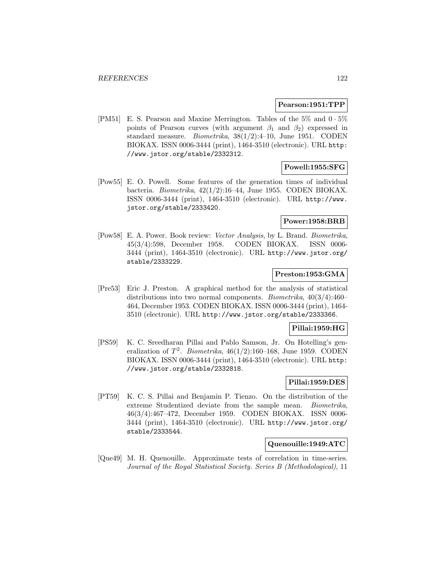#### **Pearson:1951:TPP**

[PM51] E. S. Pearson and Maxine Merrington. Tables of the 5% and 0 · 5% points of Pearson curves (with argument  $\beta_1$  and  $\beta_2$ ) expressed in standard measure. Biometrika, 38(1/2):4–10, June 1951. CODEN BIOKAX. ISSN 0006-3444 (print), 1464-3510 (electronic). URL http: //www.jstor.org/stable/2332312.

# **Powell:1955:SFG**

[Pow55] E. O. Powell. Some features of the generation times of individual bacteria. Biometrika, 42(1/2):16–44, June 1955. CODEN BIOKAX. ISSN 0006-3444 (print), 1464-3510 (electronic). URL http://www. jstor.org/stable/2333420.

## **Power:1958:BRB**

[Pow58] E. A. Power. Book review: Vector Analysis, by L. Brand. Biometrika, 45(3/4):598, December 1958. CODEN BIOKAX. ISSN 0006- 3444 (print), 1464-3510 (electronic). URL http://www.jstor.org/ stable/2333229.

# **Preston:1953:GMA**

[Pre53] Eric J. Preston. A graphical method for the analysis of statistical distributions into two normal components. Biometrika, 40(3/4):460– 464, December 1953. CODEN BIOKAX. ISSN 0006-3444 (print), 1464- 3510 (electronic). URL http://www.jstor.org/stable/2333366.

# **Pillai:1959:HG**

[PS59] K. C. Sreedharan Pillai and Pablo Samson, Jr. On Hotelling's generalization of  $T^2$ . Biometrika, 46(1/2):160–168, June 1959. CODEN BIOKAX. ISSN 0006-3444 (print), 1464-3510 (electronic). URL http: //www.jstor.org/stable/2332818.

# **Pillai:1959:DES**

[PT59] K. C. S. Pillai and Benjamin P. Tienzo. On the distribution of the extreme Studentized deviate from the sample mean. Biometrika, 46(3/4):467–472, December 1959. CODEN BIOKAX. ISSN 0006- 3444 (print), 1464-3510 (electronic). URL http://www.jstor.org/ stable/2333544.

## **Quenouille:1949:ATC**

[Que49] M. H. Quenouille. Approximate tests of correlation in time-series. Journal of the Royal Statistical Society. Series B (Methodological), 11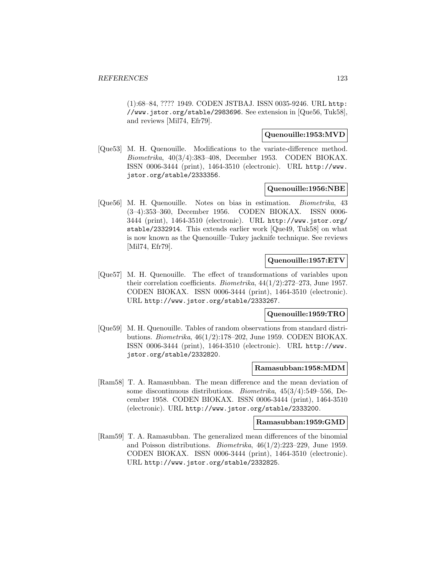(1):68–84, ???? 1949. CODEN JSTBAJ. ISSN 0035-9246. URL http: //www.jstor.org/stable/2983696. See extension in [Que56, Tuk58], and reviews [Mil74, Efr79].

# **Quenouille:1953:MVD**

[Que53] M. H. Quenouille. Modifications to the variate-difference method. Biometrika, 40(3/4):383–408, December 1953. CODEN BIOKAX. ISSN 0006-3444 (print), 1464-3510 (electronic). URL http://www. jstor.org/stable/2333356.

#### **Quenouille:1956:NBE**

[Que56] M. H. Quenouille. Notes on bias in estimation. Biometrika, 43 (3–4):353–360, December 1956. CODEN BIOKAX. ISSN 0006- 3444 (print), 1464-3510 (electronic). URL http://www.jstor.org/ stable/2332914. This extends earlier work [Que49, Tuk58] on what is now known as the Quenouille–Tukey jacknife technique. See reviews [Mil74, Efr79].

## **Quenouille:1957:ETV**

[Que57] M. H. Quenouille. The effect of transformations of variables upon their correlation coefficients. Biometrika, 44(1/2):272–273, June 1957. CODEN BIOKAX. ISSN 0006-3444 (print), 1464-3510 (electronic). URL http://www.jstor.org/stable/2333267.

## **Quenouille:1959:TRO**

[Que59] M. H. Quenouille. Tables of random observations from standard distributions. *Biometrika*,  $46(1/2)$ :178–202, June 1959. CODEN BIOKAX. ISSN 0006-3444 (print), 1464-3510 (electronic). URL http://www. jstor.org/stable/2332820.

#### **Ramasubban:1958:MDM**

[Ram58] T. A. Ramasubban. The mean difference and the mean deviation of some discontinuous distributions. Biometrika, 45(3/4):549–556, December 1958. CODEN BIOKAX. ISSN 0006-3444 (print), 1464-3510 (electronic). URL http://www.jstor.org/stable/2333200.

# **Ramasubban:1959:GMD**

[Ram59] T. A. Ramasubban. The generalized mean differences of the binomial and Poisson distributions. Biometrika, 46(1/2):223–229, June 1959. CODEN BIOKAX. ISSN 0006-3444 (print), 1464-3510 (electronic). URL http://www.jstor.org/stable/2332825.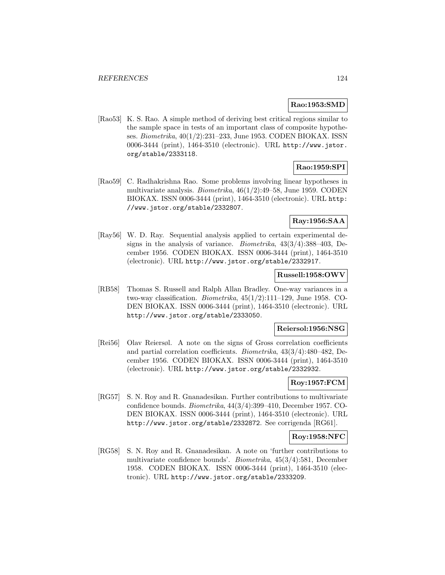# **Rao:1953:SMD**

[Rao53] K. S. Rao. A simple method of deriving best critical regions similar to the sample space in tests of an important class of composite hypotheses. Biometrika, 40(1/2):231–233, June 1953. CODEN BIOKAX. ISSN 0006-3444 (print), 1464-3510 (electronic). URL http://www.jstor. org/stable/2333118.

# **Rao:1959:SPI**

[Rao59] C. Radhakrishna Rao. Some problems involving linear hypotheses in multivariate analysis. Biometrika, 46(1/2):49–58, June 1959. CODEN BIOKAX. ISSN 0006-3444 (print), 1464-3510 (electronic). URL http: //www.jstor.org/stable/2332807.

# **Ray:1956:SAA**

[Ray56] W. D. Ray. Sequential analysis applied to certain experimental designs in the analysis of variance. Biometrika, 43(3/4):388–403, December 1956. CODEN BIOKAX. ISSN 0006-3444 (print), 1464-3510 (electronic). URL http://www.jstor.org/stable/2332917.

# **Russell:1958:OWV**

[RB58] Thomas S. Russell and Ralph Allan Bradley. One-way variances in a two-way classification. Biometrika, 45(1/2):111–129, June 1958. CO-DEN BIOKAX. ISSN 0006-3444 (print), 1464-3510 (electronic). URL http://www.jstor.org/stable/2333050.

#### **Reiersol:1956:NSG**

[Rei56] Olav Reiersøl. A note on the signs of Gross correlation coefficients and partial correlation coefficients. Biometrika, 43(3/4):480–482, December 1956. CODEN BIOKAX. ISSN 0006-3444 (print), 1464-3510 (electronic). URL http://www.jstor.org/stable/2332932.

# **Roy:1957:FCM**

[RG57] S. N. Roy and R. Gnanadesikan. Further contributions to multivariate confidence bounds. Biometrika, 44(3/4):399–410, December 1957. CO-DEN BIOKAX. ISSN 0006-3444 (print), 1464-3510 (electronic). URL http://www.jstor.org/stable/2332872. See corrigenda [RG61].

## **Roy:1958:NFC**

[RG58] S. N. Roy and R. Gnanadesikan. A note on 'further contributions to multivariate confidence bounds'. Biometrika, 45(3/4):581, December 1958. CODEN BIOKAX. ISSN 0006-3444 (print), 1464-3510 (electronic). URL http://www.jstor.org/stable/2333209.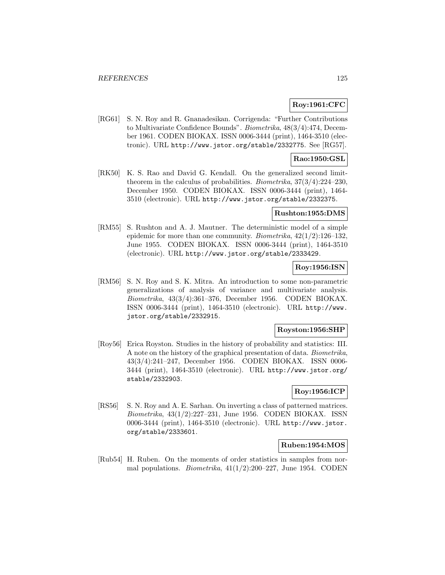# **Roy:1961:CFC**

[RG61] S. N. Roy and R. Gnanadesikan. Corrigenda: "Further Contributions to Multivariate Confidence Bounds". Biometrika, 48(3/4):474, December 1961. CODEN BIOKAX. ISSN 0006-3444 (print), 1464-3510 (electronic). URL http://www.jstor.org/stable/2332775. See [RG57].

# **Rao:1950:GSL**

[RK50] K. S. Rao and David G. Kendall. On the generalized second limittheorem in the calculus of probabilities. Biometrika, 37(3/4):224–230, December 1950. CODEN BIOKAX. ISSN 0006-3444 (print), 1464- 3510 (electronic). URL http://www.jstor.org/stable/2332375.

# **Rushton:1955:DMS**

[RM55] S. Rushton and A. J. Mautner. The deterministic model of a simple epidemic for more than one community. Biometrika,  $42(1/2):126-132$ , June 1955. CODEN BIOKAX. ISSN 0006-3444 (print), 1464-3510 (electronic). URL http://www.jstor.org/stable/2333429.

## **Roy:1956:ISN**

[RM56] S. N. Roy and S. K. Mitra. An introduction to some non-parametric generalizations of analysis of variance and multivariate analysis. Biometrika, 43(3/4):361–376, December 1956. CODEN BIOKAX. ISSN 0006-3444 (print), 1464-3510 (electronic). URL http://www. jstor.org/stable/2332915.

#### **Royston:1956:SHP**

[Roy56] Erica Royston. Studies in the history of probability and statistics: III. A note on the history of the graphical presentation of data. Biometrika, 43(3/4):241–247, December 1956. CODEN BIOKAX. ISSN 0006- 3444 (print), 1464-3510 (electronic). URL http://www.jstor.org/ stable/2332903.

# **Roy:1956:ICP**

[RS56] S. N. Roy and A. E. Sarhan. On inverting a class of patterned matrices. Biometrika, 43(1/2):227–231, June 1956. CODEN BIOKAX. ISSN 0006-3444 (print), 1464-3510 (electronic). URL http://www.jstor. org/stable/2333601.

## **Ruben:1954:MOS**

[Rub54] H. Ruben. On the moments of order statistics in samples from normal populations. *Biometrika*,  $41(1/2):200-227$ , June 1954. CODEN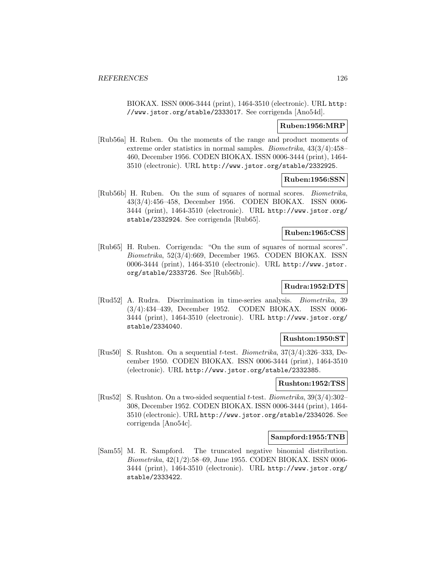BIOKAX. ISSN 0006-3444 (print), 1464-3510 (electronic). URL http: //www.jstor.org/stable/2333017. See corrigenda [Ano54d].

### **Ruben:1956:MRP**

[Rub56a] H. Ruben. On the moments of the range and product moments of extreme order statistics in normal samples. Biometrika, 43(3/4):458– 460, December 1956. CODEN BIOKAX. ISSN 0006-3444 (print), 1464- 3510 (electronic). URL http://www.jstor.org/stable/2332925.

## **Ruben:1956:SSN**

[Rub56b] H. Ruben. On the sum of squares of normal scores. Biometrika, 43(3/4):456–458, December 1956. CODEN BIOKAX. ISSN 0006- 3444 (print), 1464-3510 (electronic). URL http://www.jstor.org/ stable/2332924. See corrigenda [Rub65].

#### **Ruben:1965:CSS**

[Rub65] H. Ruben. Corrigenda: "On the sum of squares of normal scores". Biometrika, 52(3/4):669, December 1965. CODEN BIOKAX. ISSN 0006-3444 (print), 1464-3510 (electronic). URL http://www.jstor. org/stable/2333726. See [Rub56b].

# **Rudra:1952:DTS**

[Rud52] A. Rudra. Discrimination in time-series analysis. Biometrika, 39 (3/4):434–439, December 1952. CODEN BIOKAX. ISSN 0006- 3444 (print), 1464-3510 (electronic). URL http://www.jstor.org/ stable/2334040.

#### **Rushton:1950:ST**

[Rus50] S. Rushton. On a sequential t-test. Biometrika, 37(3/4):326–333, December 1950. CODEN BIOKAX. ISSN 0006-3444 (print), 1464-3510 (electronic). URL http://www.jstor.org/stable/2332385.

#### **Rushton:1952:TSS**

[Rus52] S. Rushton. On a two-sided sequential t-test. Biometrika, 39(3/4):302– 308, December 1952. CODEN BIOKAX. ISSN 0006-3444 (print), 1464- 3510 (electronic). URL http://www.jstor.org/stable/2334026. See corrigenda [Ano54c].

#### **Sampford:1955:TNB**

[Sam55] M. R. Sampford. The truncated negative binomial distribution. Biometrika, 42(1/2):58–69, June 1955. CODEN BIOKAX. ISSN 0006- 3444 (print), 1464-3510 (electronic). URL http://www.jstor.org/ stable/2333422.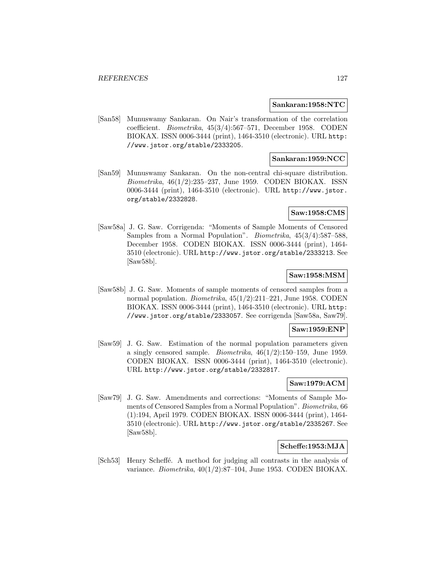#### **Sankaran:1958:NTC**

[San58] Munuswamy Sankaran. On Nair's transformation of the correlation coefficient. Biometrika, 45(3/4):567–571, December 1958. CODEN BIOKAX. ISSN 0006-3444 (print), 1464-3510 (electronic). URL http: //www.jstor.org/stable/2333205.

# **Sankaran:1959:NCC**

[San59] Munuswamy Sankaran. On the non-central chi-square distribution.  $Biometrika$ ,  $46(1/2):235-237$ , June 1959. CODEN BIOKAX. ISSN 0006-3444 (print), 1464-3510 (electronic). URL http://www.jstor. org/stable/2332828.

# **Saw:1958:CMS**

[Saw58a] J. G. Saw. Corrigenda: "Moments of Sample Moments of Censored Samples from a Normal Population". Biometrika, 45(3/4):587–588, December 1958. CODEN BIOKAX. ISSN 0006-3444 (print), 1464- 3510 (electronic). URL http://www.jstor.org/stable/2333213. See [Saw58b].

# **Saw:1958:MSM**

[Saw58b] J. G. Saw. Moments of sample moments of censored samples from a normal population. Biometrika, 45(1/2):211–221, June 1958. CODEN BIOKAX. ISSN 0006-3444 (print), 1464-3510 (electronic). URL http: //www.jstor.org/stable/2333057. See corrigenda [Saw58a, Saw79].

#### **Saw:1959:ENP**

[Saw59] J. G. Saw. Estimation of the normal population parameters given a singly censored sample. *Biometrika*,  $46(1/2):150-159$ , June 1959. CODEN BIOKAX. ISSN 0006-3444 (print), 1464-3510 (electronic). URL http://www.jstor.org/stable/2332817.

# **Saw:1979:ACM**

[Saw79] J. G. Saw. Amendments and corrections: "Moments of Sample Moments of Censored Samples from a Normal Population". Biometrika, 66 (1):194, April 1979. CODEN BIOKAX. ISSN 0006-3444 (print), 1464- 3510 (electronic). URL http://www.jstor.org/stable/2335267. See [Saw58b].

#### **Scheffe:1953:MJA**

[Sch<sub>53</sub>] Henry Scheffé. A method for judging all contrasts in the analysis of variance. Biometrika,  $40(1/2):87-104$ , June 1953. CODEN BIOKAX.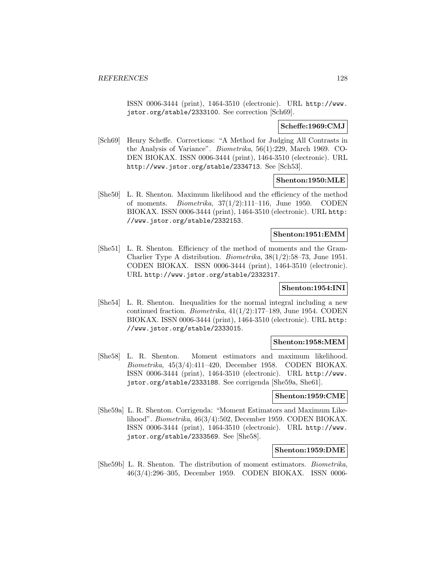ISSN 0006-3444 (print), 1464-3510 (electronic). URL http://www. jstor.org/stable/2333100. See correction [Sch69].

# **Scheffe:1969:CMJ**

[Sch69] Henry Scheffe. Corrections: "A Method for Judging All Contrasts in the Analysis of Variance". Biometrika, 56(1):229, March 1969. CO-DEN BIOKAX. ISSN 0006-3444 (print), 1464-3510 (electronic). URL http://www.jstor.org/stable/2334713. See [Sch53].

## **Shenton:1950:MLE**

[She50] L. R. Shenton. Maximum likelihood and the efficiency of the method of moments. Biometrika, 37(1/2):111–116, June 1950. CODEN BIOKAX. ISSN 0006-3444 (print), 1464-3510 (electronic). URL http: //www.jstor.org/stable/2332153.

#### **Shenton:1951:EMM**

[She51] L. R. Shenton. Efficiency of the method of moments and the Gram-Charlier Type A distribution. Biometrika, 38(1/2):58–73, June 1951. CODEN BIOKAX. ISSN 0006-3444 (print), 1464-3510 (electronic). URL http://www.jstor.org/stable/2332317.

# **Shenton:1954:INI**

[She54] L. R. Shenton. Inequalities for the normal integral including a new continued fraction. *Biometrika*,  $41(1/2)$ :177–189, June 1954. CODEN BIOKAX. ISSN 0006-3444 (print), 1464-3510 (electronic). URL http: //www.jstor.org/stable/2333015.

## **Shenton:1958:MEM**

[She58] L. R. Shenton. Moment estimators and maximum likelihood. Biometrika, 45(3/4):411–420, December 1958. CODEN BIOKAX. ISSN 0006-3444 (print), 1464-3510 (electronic). URL http://www. jstor.org/stable/2333188. See corrigenda [She59a, She61].

#### **Shenton:1959:CME**

[She59a] L. R. Shenton. Corrigenda: "Moment Estimators and Maximum Likelihood". Biometrika, 46(3/4):502, December 1959. CODEN BIOKAX. ISSN 0006-3444 (print), 1464-3510 (electronic). URL http://www. jstor.org/stable/2333569. See [She58].

#### **Shenton:1959:DME**

[She59b] L. R. Shenton. The distribution of moment estimators. Biometrika, 46(3/4):296–305, December 1959. CODEN BIOKAX. ISSN 0006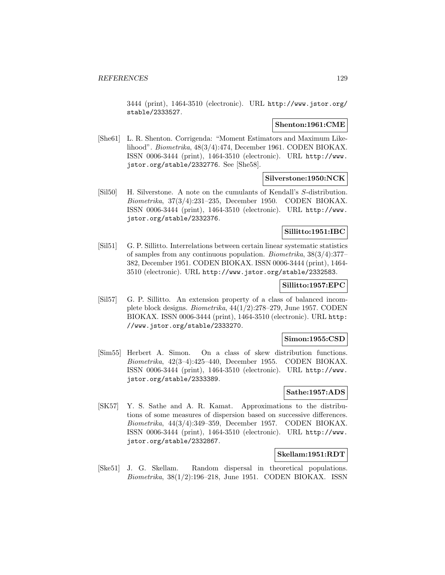3444 (print), 1464-3510 (electronic). URL http://www.jstor.org/ stable/2333527.

#### **Shenton:1961:CME**

[She61] L. R. Shenton. Corrigenda: "Moment Estimators and Maximum Likelihood". Biometrika, 48(3/4):474, December 1961. CODEN BIOKAX. ISSN 0006-3444 (print), 1464-3510 (electronic). URL http://www. jstor.org/stable/2332776. See [She58].

# **Silverstone:1950:NCK**

[Sil50] H. Silverstone. A note on the cumulants of Kendall's S-distribution. Biometrika, 37(3/4):231–235, December 1950. CODEN BIOKAX. ISSN 0006-3444 (print), 1464-3510 (electronic). URL http://www. jstor.org/stable/2332376.

# **Sillitto:1951:IBC**

[Sil51] G. P. Sillitto. Interrelations between certain linear systematic statistics of samples from any continuous population. Biometrika, 38(3/4):377– 382, December 1951. CODEN BIOKAX. ISSN 0006-3444 (print), 1464- 3510 (electronic). URL http://www.jstor.org/stable/2332583.

# **Sillitto:1957:EPC**

[Sil57] G. P. Sillitto. An extension property of a class of balanced incomplete block designs. Biometrika, 44(1/2):278–279, June 1957. CODEN BIOKAX. ISSN 0006-3444 (print), 1464-3510 (electronic). URL http: //www.jstor.org/stable/2333270.

#### **Simon:1955:CSD**

[Sim55] Herbert A. Simon. On a class of skew distribution functions. Biometrika, 42(3–4):425–440, December 1955. CODEN BIOKAX. ISSN 0006-3444 (print), 1464-3510 (electronic). URL http://www. jstor.org/stable/2333389.

# **Sathe:1957:ADS**

[SK57] Y. S. Sathe and A. R. Kamat. Approximations to the distributions of some measures of dispersion based on successive differences. Biometrika, 44(3/4):349–359, December 1957. CODEN BIOKAX. ISSN 0006-3444 (print), 1464-3510 (electronic). URL http://www. jstor.org/stable/2332867.

# **Skellam:1951:RDT**

[Ske51] J. G. Skellam. Random dispersal in theoretical populations. Biometrika,  $38(1/2)$ :196–218, June 1951. CODEN BIOKAX. ISSN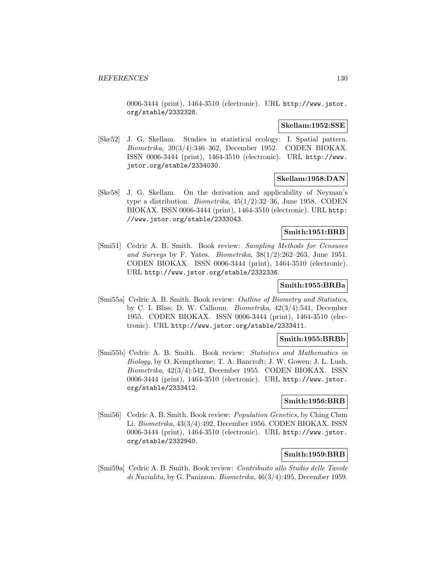#### *REFERENCES* 130

0006-3444 (print), 1464-3510 (electronic). URL http://www.jstor. org/stable/2332328.

#### **Skellam:1952:SSE**

[Ske52] J. G. Skellam. Studies in statistical ecology: I. Spatial pattern. Biometrika, 39(3/4):346–362, December 1952. CODEN BIOKAX. ISSN 0006-3444 (print), 1464-3510 (electronic). URL http://www. jstor.org/stable/2334030.

# **Skellam:1958:DAN**

[Ske58] J. G. Skellam. On the derivation and applicability of Neyman's type a distribution. Biometrika, 45(1/2):32–36, June 1958. CODEN BIOKAX. ISSN 0006-3444 (print), 1464-3510 (electronic). URL http: //www.jstor.org/stable/2333043.

## **Smith:1951:BRB**

[Smi51] Cedric A. B. Smith. Book review: Sampling Methods for Censuses and Surveys by F. Yates. Biometrika,  $38(1/2):262-263$ , June 1951. CODEN BIOKAX. ISSN 0006-3444 (print), 1464-3510 (electronic). URL http://www.jstor.org/stable/2332336.

# **Smith:1955:BRBa**

[Smi55a] Cedric A. B. Smith. Book review: Outline of Biometry and Statistics, by C. I. Bliss; D. W. Calhoun. Biometrika, 42(3/4):541, December 1955. CODEN BIOKAX. ISSN 0006-3444 (print), 1464-3510 (electronic). URL http://www.jstor.org/stable/2333411.

## **Smith:1955:BRBb**

[Smi55b] Cedric A. B. Smith. Book review: Statistics and Mathematics in Biology, by O. Kempthorne; T. A. Bancroft; J. W. Gowen; J. L. Lush. Biometrika, 42(3/4):542, December 1955. CODEN BIOKAX. ISSN 0006-3444 (print), 1464-3510 (electronic). URL http://www.jstor. org/stable/2333412.

# **Smith:1956:BRB**

[Smi56] Cedric A. B. Smith. Book review: Population Genetics, by Ching Chun Li. Biometrika, 43(3/4):492, December 1956. CODEN BIOKAX. ISSN 0006-3444 (print), 1464-3510 (electronic). URL http://www.jstor. org/stable/2332940.

# **Smith:1959:BRB**

[Smi59a] Cedric A. B. Smith. Book review: Contribuito allo Studio delle Tavole di Nuzialita, by G. Panizzon. Biometrika, 46(3/4):495, December 1959.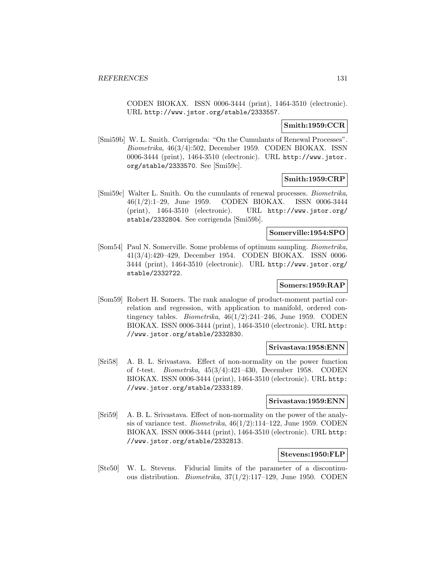CODEN BIOKAX. ISSN 0006-3444 (print), 1464-3510 (electronic). URL http://www.jstor.org/stable/2333557.

# **Smith:1959:CCR**

[Smi59b] W. L. Smith. Corrigenda: "On the Cumulants of Renewal Processes". Biometrika, 46(3/4):502, December 1959. CODEN BIOKAX. ISSN 0006-3444 (print), 1464-3510 (electronic). URL http://www.jstor. org/stable/2333570. See [Smi59c].

# **Smith:1959:CRP**

[Smi59c] Walter L. Smith. On the cumulants of renewal processes. Biometrika, 46(1/2):1–29, June 1959. CODEN BIOKAX. ISSN 0006-3444 (print), 1464-3510 (electronic). URL http://www.jstor.org/ stable/2332804. See corrigenda [Smi59b].

#### **Somerville:1954:SPO**

[Som54] Paul N. Somerville. Some problems of optimum sampling. Biometrika, 41(3/4):420–429, December 1954. CODEN BIOKAX. ISSN 0006- 3444 (print), 1464-3510 (electronic). URL http://www.jstor.org/ stable/2332722.

## **Somers:1959:RAP**

[Som59] Robert H. Somers. The rank analogue of product-moment partial correlation and regression, with application to manifold, ordered contingency tables. *Biometrika*,  $46(1/2):241-246$ , June 1959. CODEN BIOKAX. ISSN 0006-3444 (print), 1464-3510 (electronic). URL http: //www.jstor.org/stable/2332830.

#### **Srivastava:1958:ENN**

[Sri58] A. B. L. Srivastava. Effect of non-normality on the power function of t-test. Biometrika, 45(3/4):421–430, December 1958. CODEN BIOKAX. ISSN 0006-3444 (print), 1464-3510 (electronic). URL http: //www.jstor.org/stable/2333189.

# **Srivastava:1959:ENN**

[Sri59] A. B. L. Srivastava. Effect of non-normality on the power of the analysis of variance test. *Biometrika*,  $46(1/2)$ :114–122, June 1959. CODEN BIOKAX. ISSN 0006-3444 (print), 1464-3510 (electronic). URL http: //www.jstor.org/stable/2332813.

# **Stevens:1950:FLP**

[Ste50] W. L. Stevens. Fiducial limits of the parameter of a discontinuous distribution. *Biometrika*,  $37(1/2)$ :117–129, June 1950. CODEN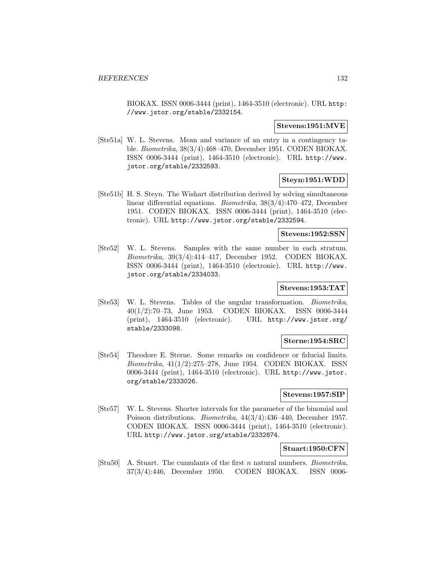BIOKAX. ISSN 0006-3444 (print), 1464-3510 (electronic). URL http: //www.jstor.org/stable/2332154.

#### **Stevens:1951:MVE**

[Ste51a] W. L. Stevens. Mean and variance of an entry in a contingency table. Biometrika, 38(3/4):468–470, December 1951. CODEN BIOKAX. ISSN 0006-3444 (print), 1464-3510 (electronic). URL http://www. jstor.org/stable/2332593.

## **Steyn:1951:WDD**

[Ste51b] H. S. Steyn. The Wishart distribution derived by solving simultaneous linear differential equations. Biometrika, 38(3/4):470–472, December 1951. CODEN BIOKAX. ISSN 0006-3444 (print), 1464-3510 (electronic). URL http://www.jstor.org/stable/2332594.

#### **Stevens:1952:SSN**

[Ste52] W. L. Stevens. Samples with the same number in each stratum. Biometrika, 39(3/4):414–417, December 1952. CODEN BIOKAX. ISSN 0006-3444 (print), 1464-3510 (electronic). URL http://www. jstor.org/stable/2334033.

#### **Stevens:1953:TAT**

[Ste53] W. L. Stevens. Tables of the angular transformation. Biometrika, 40(1/2):70–73, June 1953. CODEN BIOKAX. ISSN 0006-3444 (print), 1464-3510 (electronic). URL http://www.jstor.org/ stable/2333098.

#### **Sterne:1954:SRC**

[Ste54] Theodore E. Sterne. Some remarks on confidence or fiducial limits. Biometrika, 41(1/2):275–278, June 1954. CODEN BIOKAX. ISSN 0006-3444 (print), 1464-3510 (electronic). URL http://www.jstor. org/stable/2333026.

# **Stevens:1957:SIP**

[Ste57] W. L. Stevens. Shorter intervals for the parameter of the binomial and Poisson distributions. Biometrika, 44(3/4):436–440, December 1957. CODEN BIOKAX. ISSN 0006-3444 (print), 1464-3510 (electronic). URL http://www.jstor.org/stable/2332874.

#### **Stuart:1950:CFN**

[Stu50] A. Stuart. The cumulants of the first n natural numbers. Biometrika, 37(3/4):446, December 1950. CODEN BIOKAX. ISSN 0006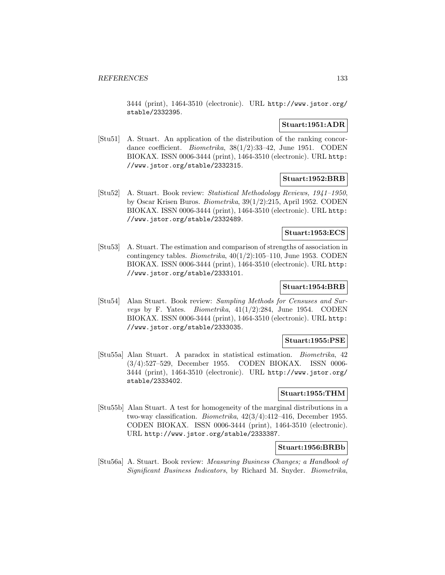3444 (print), 1464-3510 (electronic). URL http://www.jstor.org/ stable/2332395.

# **Stuart:1951:ADR**

[Stu51] A. Stuart. An application of the distribution of the ranking concordance coefficient. *Biometrika*,  $38(1/2):33-42$ , June 1951. CODEN BIOKAX. ISSN 0006-3444 (print), 1464-3510 (electronic). URL http: //www.jstor.org/stable/2332315.

# **Stuart:1952:BRB**

[Stu52] A. Stuart. Book review: Statistical Methodology Reviews, 1941–1950, by Oscar Krisen Buros. Biometrika, 39(1/2):215, April 1952. CODEN BIOKAX. ISSN 0006-3444 (print), 1464-3510 (electronic). URL http: //www.jstor.org/stable/2332489.

#### **Stuart:1953:ECS**

[Stu53] A. Stuart. The estimation and comparison of strengths of association in contingency tables. *Biometrika*,  $40(1/2):105-110$ , June 1953. CODEN BIOKAX. ISSN 0006-3444 (print), 1464-3510 (electronic). URL http: //www.jstor.org/stable/2333101.

# **Stuart:1954:BRB**

[Stu54] Alan Stuart. Book review: Sampling Methods for Censuses and Surveys by F. Yates. Biometrika,  $41(1/2):284$ , June 1954. CODEN BIOKAX. ISSN 0006-3444 (print), 1464-3510 (electronic). URL http: //www.jstor.org/stable/2333035.

#### **Stuart:1955:PSE**

[Stu55a] Alan Stuart. A paradox in statistical estimation. Biometrika, 42 (3/4):527–529, December 1955. CODEN BIOKAX. ISSN 0006- 3444 (print), 1464-3510 (electronic). URL http://www.jstor.org/ stable/2333402.

# **Stuart:1955:THM**

[Stu55b] Alan Stuart. A test for homogeneity of the marginal distributions in a two-way classification. Biometrika, 42(3/4):412–416, December 1955. CODEN BIOKAX. ISSN 0006-3444 (print), 1464-3510 (electronic). URL http://www.jstor.org/stable/2333387.

#### **Stuart:1956:BRBb**

[Stu56a] A. Stuart. Book review: Measuring Business Changes; a Handbook of Significant Business Indicators, by Richard M. Snyder. Biometrika,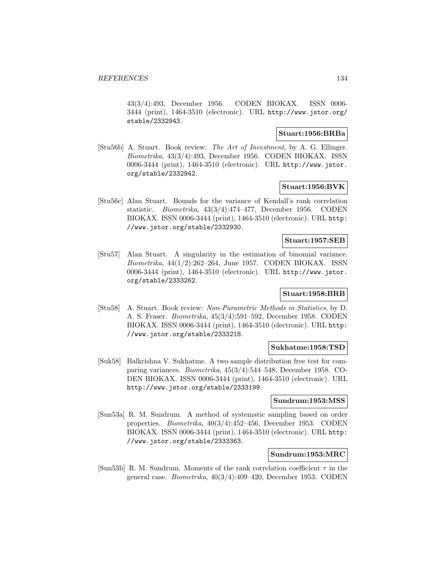43(3/4):493, December 1956. CODEN BIOKAX. ISSN 0006- 3444 (print), 1464-3510 (electronic). URL http://www.jstor.org/ stable/2332943.

# **Stuart:1956:BRBa**

[Stu56b] A. Stuart. Book review: The Art of Investment, by A. G. Ellinger. Biometrika, 43(3/4):493, December 1956. CODEN BIOKAX. ISSN 0006-3444 (print), 1464-3510 (electronic). URL http://www.jstor. org/stable/2332942.

# **Stuart:1956:BVK**

[Stu56c] Alan Stuart. Bounds for the variance of Kendall's rank correlation statistic. Biometrika, 43(3/4):474–477, December 1956. CODEN BIOKAX. ISSN 0006-3444 (print), 1464-3510 (electronic). URL http: //www.jstor.org/stable/2332930.

# **Stuart:1957:SEB**

[Stu57] Alan Stuart. A singularity in the estimation of binomial variance. Biometrika, 44(1/2):262–264, June 1957. CODEN BIOKAX. ISSN 0006-3444 (print), 1464-3510 (electronic). URL http://www.jstor. org/stable/2333262.

# **Stuart:1958:BRB**

[Stu58] A. Stuart. Book review: Non-Parametric Methods in Statistics, by D. A. S. Fraser. Biometrika, 45(3/4):591–592, December 1958. CODEN BIOKAX. ISSN 0006-3444 (print), 1464-3510 (electronic). URL http: //www.jstor.org/stable/2333218.

# **Sukhatme:1958:TSD**

[Suk58] Balkrishna V. Sukhatme. A two sample distribution free test for comparing variances. Biometrika, 45(3/4):544–548, December 1958. CO-DEN BIOKAX. ISSN 0006-3444 (print), 1464-3510 (electronic). URL http://www.jstor.org/stable/2333199.

#### **Sundrum:1953:MSS**

[Sun53a] R. M. Sundrum. A method of systematic sampling based on order properties. Biometrika, 40(3/4):452–456, December 1953. CODEN BIOKAX. ISSN 0006-3444 (print), 1464-3510 (electronic). URL http: //www.jstor.org/stable/2333363.

# **Sundrum:1953:MRC**

[Sun53b] R. M. Sundrum. Moments of the rank correlation coefficient  $\tau$  in the general case. Biometrika, 40(3/4):409–420, December 1953. CODEN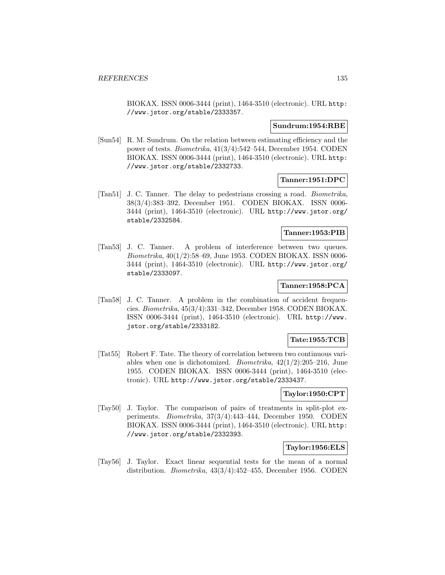BIOKAX. ISSN 0006-3444 (print), 1464-3510 (electronic). URL http: //www.jstor.org/stable/2333357.

#### **Sundrum:1954:RBE**

[Sun54] R. M. Sundrum. On the relation between estimating efficiency and the power of tests. Biometrika, 41(3/4):542–544, December 1954. CODEN BIOKAX. ISSN 0006-3444 (print), 1464-3510 (electronic). URL http: //www.jstor.org/stable/2332733.

#### **Tanner:1951:DPC**

[Tan51] J. C. Tanner. The delay to pedestrians crossing a road. Biometrika, 38(3/4):383–392, December 1951. CODEN BIOKAX. ISSN 0006- 3444 (print), 1464-3510 (electronic). URL http://www.jstor.org/ stable/2332584.

#### **Tanner:1953:PIB**

[Tan53] J. C. Tanner. A problem of interference between two queues. Biometrika, 40(1/2):58–69, June 1953. CODEN BIOKAX. ISSN 0006- 3444 (print), 1464-3510 (electronic). URL http://www.jstor.org/ stable/2333097.

# **Tanner:1958:PCA**

[Tan58] J. C. Tanner. A problem in the combination of accident frequencies. Biometrika, 45(3/4):331–342, December 1958. CODEN BIOKAX. ISSN 0006-3444 (print), 1464-3510 (electronic). URL http://www. jstor.org/stable/2333182.

# **Tate:1955:TCB**

[Tat55] Robert F. Tate. The theory of correlation between two continuous variables when one is dichotomized. *Biometrika*,  $42(1/2):205-216$ , June 1955. CODEN BIOKAX. ISSN 0006-3444 (print), 1464-3510 (electronic). URL http://www.jstor.org/stable/2333437.

# **Taylor:1950:CPT**

[Tay50] J. Taylor. The comparison of pairs of treatments in split-plot experiments. Biometrika, 37(3/4):443–444, December 1950. CODEN BIOKAX. ISSN 0006-3444 (print), 1464-3510 (electronic). URL http: //www.jstor.org/stable/2332393.

# **Taylor:1956:ELS**

[Tay56] J. Taylor. Exact linear sequential tests for the mean of a normal distribution. Biometrika, 43(3/4):452–455, December 1956. CODEN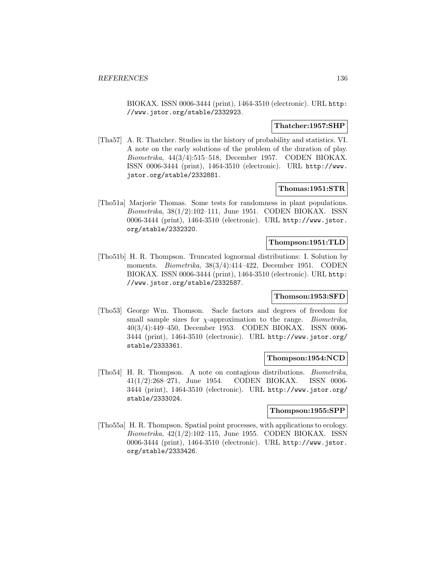BIOKAX. ISSN 0006-3444 (print), 1464-3510 (electronic). URL http: //www.jstor.org/stable/2332923.

## **Thatcher:1957:SHP**

[Tha57] A. R. Thatcher. Studies in the history of probability and statistics. VI. A note on the early solutions of the problem of the duration of play. Biometrika, 44(3/4):515–518, December 1957. CODEN BIOKAX. ISSN 0006-3444 (print), 1464-3510 (electronic). URL http://www. jstor.org/stable/2332881.

#### **Thomas:1951:STR**

[Tho51a] Marjorie Thomas. Some tests for randomness in plant populations. Biometrika, 38(1/2):102–111, June 1951. CODEN BIOKAX. ISSN 0006-3444 (print), 1464-3510 (electronic). URL http://www.jstor. org/stable/2332320.

# **Thompson:1951:TLD**

[Tho51b] H. R. Thompson. Truncated lognormal distributions: I. Solution by moments. Biometrika, 38(3/4):414–422, December 1951. CODEN BIOKAX. ISSN 0006-3444 (print), 1464-3510 (electronic). URL http: //www.jstor.org/stable/2332587.

#### **Thomson:1953:SFD**

[Tho53] George Wm. Thomson. Sacle factors and degrees of freedom for small sample sizes for  $\chi$ -approximation to the range. *Biometrika*, 40(3/4):449–450, December 1953. CODEN BIOKAX. ISSN 0006- 3444 (print), 1464-3510 (electronic). URL http://www.jstor.org/ stable/2333361.

#### **Thompson:1954:NCD**

[Tho54] H. R. Thompson. A note on contagious distributions. Biometrika, 41(1/2):268–271, June 1954. CODEN BIOKAX. ISSN 0006- 3444 (print), 1464-3510 (electronic). URL http://www.jstor.org/ stable/2333024.

#### **Thompson:1955:SPP**

[Tho55a] H. R. Thompson. Spatial point processes, with applications to ecology. Biometrika, 42(1/2):102–115, June 1955. CODEN BIOKAX. ISSN 0006-3444 (print), 1464-3510 (electronic). URL http://www.jstor. org/stable/2333426.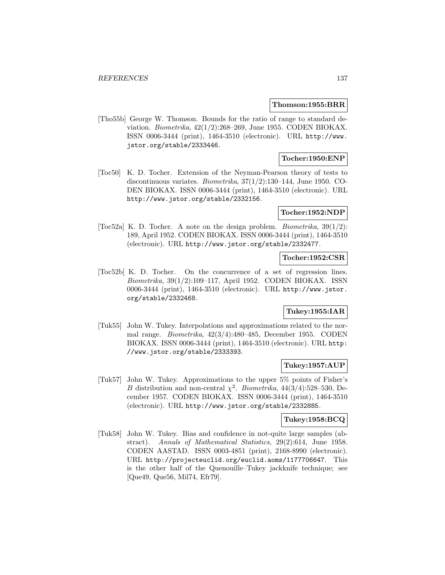#### **Thomson:1955:BRR**

[Tho55b] George W. Thomson. Bounds for the ratio of range to standard deviation. *Biometrika*,  $42(1/2):268-269$ , June 1955. CODEN BIOKAX. ISSN 0006-3444 (print), 1464-3510 (electronic). URL http://www. jstor.org/stable/2333446.

# **Tocher:1950:ENP**

[Toc50] K. D. Tocher. Extension of the Neyman-Pearson theory of tests to discontinuous variates. Biometrika, 37(1/2):130–144, June 1950. CO-DEN BIOKAX. ISSN 0006-3444 (print), 1464-3510 (electronic). URL http://www.jstor.org/stable/2332156.

## **Tocher:1952:NDP**

[Toc52a] K. D. Tocher. A note on the design problem. *Biometrika*,  $39(1/2)$ : 189, April 1952. CODEN BIOKAX. ISSN 0006-3444 (print), 1464-3510 (electronic). URL http://www.jstor.org/stable/2332477.

## **Tocher:1952:CSR**

[Toc52b] K. D. Tocher. On the concurrence of a set of regression lines. Biometrika, 39(1/2):109–117, April 1952. CODEN BIOKAX. ISSN 0006-3444 (print), 1464-3510 (electronic). URL http://www.jstor. org/stable/2332468.

# **Tukey:1955:IAR**

[Tuk55] John W. Tukey. Interpolations and approximations related to the normal range. Biometrika, 42(3/4):480–485, December 1955. CODEN BIOKAX. ISSN 0006-3444 (print), 1464-3510 (electronic). URL http: //www.jstor.org/stable/2333393.

## **Tukey:1957:AUP**

[Tuk57] John W. Tukey. Approximations to the upper 5% points of Fisher's B distribution and non-central  $\chi^2$ . Biometrika, 44(3/4):528–530, December 1957. CODEN BIOKAX. ISSN 0006-3444 (print), 1464-3510 (electronic). URL http://www.jstor.org/stable/2332885.

# **Tukey:1958:BCQ**

[Tuk58] John W. Tukey. Bias and confidence in not-quite large samples (abstract). Annals of Mathematical Statistics, 29(2):614, June 1958. CODEN AASTAD. ISSN 0003-4851 (print), 2168-8990 (electronic). URL http://projecteuclid.org/euclid.aoms/1177706647. This is the other half of the Quenouille–Tukey jackknife technique; see [Que49, Que56, Mil74, Efr79].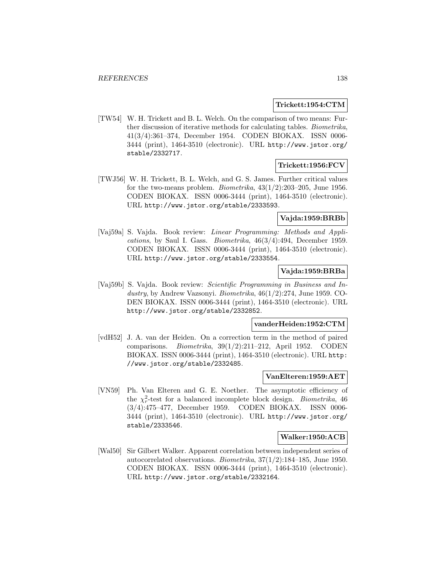## **Trickett:1954:CTM**

[TW54] W. H. Trickett and B. L. Welch. On the comparison of two means: Further discussion of iterative methods for calculating tables. Biometrika, 41(3/4):361–374, December 1954. CODEN BIOKAX. ISSN 0006- 3444 (print), 1464-3510 (electronic). URL http://www.jstor.org/ stable/2332717.

## **Trickett:1956:FCV**

[TWJ56] W. H. Trickett, B. L. Welch, and G. S. James. Further critical values for the two-means problem. *Biometrika*,  $43(1/2):203-205$ , June 1956. CODEN BIOKAX. ISSN 0006-3444 (print), 1464-3510 (electronic). URL http://www.jstor.org/stable/2333593.

#### **Vajda:1959:BRBb**

[Vaj59a] S. Vajda. Book review: Linear Programming: Methods and Applications, by Saul I. Gass. Biometrika, 46(3/4):494, December 1959. CODEN BIOKAX. ISSN 0006-3444 (print), 1464-3510 (electronic). URL http://www.jstor.org/stable/2333554.

## **Vajda:1959:BRBa**

[Vaj59b] S. Vajda. Book review: Scientific Programming in Business and Industry, by Andrew Vazsonyi. Biometrika, 46(1/2):274, June 1959. CO-DEN BIOKAX. ISSN 0006-3444 (print), 1464-3510 (electronic). URL http://www.jstor.org/stable/2332852.

#### **vanderHeiden:1952:CTM**

[vdH52] J. A. van der Heiden. On a correction term in the method of paired comparisons. Biometrika, 39(1/2):211–212, April 1952. CODEN BIOKAX. ISSN 0006-3444 (print), 1464-3510 (electronic). URL http: //www.jstor.org/stable/2332485.

#### **VanElteren:1959:AET**

[VN59] Ph. Van Elteren and G. E. Noether. The asymptotic efficiency of the  $\chi^2_r$ -test for a balanced incomplete block design. *Biometrika*, 46 (3/4):475–477, December 1959. CODEN BIOKAX. ISSN 0006- 3444 (print), 1464-3510 (electronic). URL http://www.jstor.org/ stable/2333546.

#### **Walker:1950:ACB**

[Wal50] Sir Gilbert Walker. Apparent correlation between independent series of autocorrelated observations. Biometrika, 37(1/2):184–185, June 1950. CODEN BIOKAX. ISSN 0006-3444 (print), 1464-3510 (electronic). URL http://www.jstor.org/stable/2332164.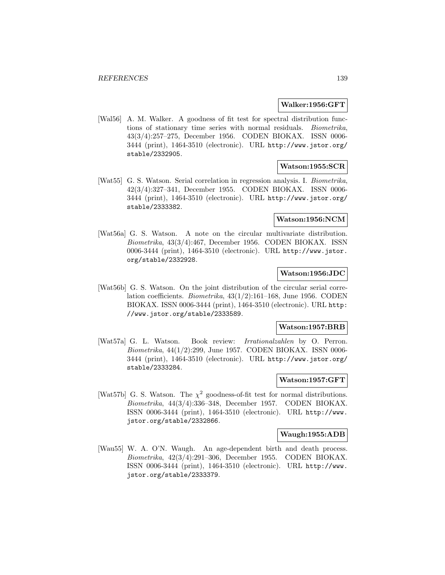#### **Walker:1956:GFT**

[Wal56] A. M. Walker. A goodness of fit test for spectral distribution functions of stationary time series with normal residuals. Biometrika, 43(3/4):257–275, December 1956. CODEN BIOKAX. ISSN 0006- 3444 (print), 1464-3510 (electronic). URL http://www.jstor.org/ stable/2332905.

#### **Watson:1955:SCR**

[Wat55] G. S. Watson. Serial correlation in regression analysis. I. Biometrika, 42(3/4):327–341, December 1955. CODEN BIOKAX. ISSN 0006- 3444 (print), 1464-3510 (electronic). URL http://www.jstor.org/ stable/2333382.

# **Watson:1956:NCM**

[Wat56a] G. S. Watson. A note on the circular multivariate distribution. Biometrika, 43(3/4):467, December 1956. CODEN BIOKAX. ISSN 0006-3444 (print), 1464-3510 (electronic). URL http://www.jstor. org/stable/2332928.

#### **Watson:1956:JDC**

[Wat56b] G. S. Watson. On the joint distribution of the circular serial correlation coefficients. Biometrika, 43(1/2):161–168, June 1956. CODEN BIOKAX. ISSN 0006-3444 (print), 1464-3510 (electronic). URL http: //www.jstor.org/stable/2333589.

## **Watson:1957:BRB**

[Wat57a] G. L. Watson. Book review: Irrationalzahlen by O. Perron. Biometrika, 44(1/2):299, June 1957. CODEN BIOKAX. ISSN 0006- 3444 (print), 1464-3510 (electronic). URL http://www.jstor.org/ stable/2333284.

#### **Watson:1957:GFT**

[Wat57b] G. S. Watson. The  $\chi^2$  goodness-of-fit test for normal distributions. Biometrika, 44(3/4):336–348, December 1957. CODEN BIOKAX. ISSN 0006-3444 (print), 1464-3510 (electronic). URL http://www. jstor.org/stable/2332866.

#### **Waugh:1955:ADB**

[Wau55] W. A. O'N. Waugh. An age-dependent birth and death process. Biometrika, 42(3/4):291–306, December 1955. CODEN BIOKAX. ISSN 0006-3444 (print), 1464-3510 (electronic). URL http://www. jstor.org/stable/2333379.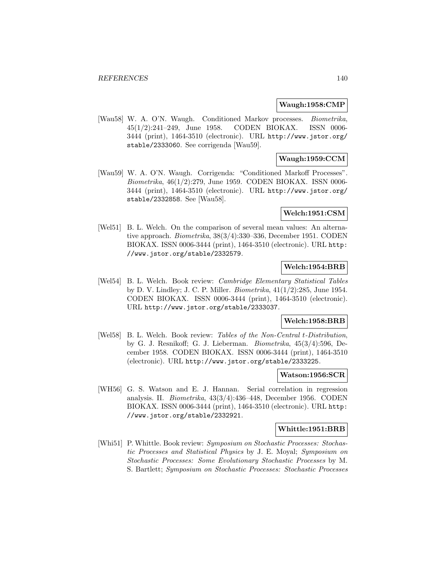#### **Waugh:1958:CMP**

[Wau58] W. A. O'N. Waugh. Conditioned Markov processes. Biometrika, 45(1/2):241–249, June 1958. CODEN BIOKAX. ISSN 0006- 3444 (print), 1464-3510 (electronic). URL http://www.jstor.org/ stable/2333060. See corrigenda [Wau59].

# **Waugh:1959:CCM**

[Wau59] W. A. O'N. Waugh. Corrigenda: "Conditioned Markoff Processes". Biometrika, 46(1/2):279, June 1959. CODEN BIOKAX. ISSN 0006- 3444 (print), 1464-3510 (electronic). URL http://www.jstor.org/ stable/2332858. See [Wau58].

# **Welch:1951:CSM**

[Wel51] B. L. Welch. On the comparison of several mean values: An alternative approach. Biometrika, 38(3/4):330–336, December 1951. CODEN BIOKAX. ISSN 0006-3444 (print), 1464-3510 (electronic). URL http: //www.jstor.org/stable/2332579.

# **Welch:1954:BRB**

[Wel54] B. L. Welch. Book review: Cambridge Elementary Statistical Tables by D. V. Lindley; J. C. P. Miller. Biometrika, 41(1/2):285, June 1954. CODEN BIOKAX. ISSN 0006-3444 (print), 1464-3510 (electronic). URL http://www.jstor.org/stable/2333037.

## **Welch:1958:BRB**

[Wel58] B. L. Welch. Book review: Tables of the Non-Central t-Distribution, by G. J. Resnikoff; G. J. Lieberman. Biometrika, 45(3/4):596, December 1958. CODEN BIOKAX. ISSN 0006-3444 (print), 1464-3510 (electronic). URL http://www.jstor.org/stable/2333225.

#### **Watson:1956:SCR**

[WH56] G. S. Watson and E. J. Hannan. Serial correlation in regression analysis. II. Biometrika, 43(3/4):436–448, December 1956. CODEN BIOKAX. ISSN 0006-3444 (print), 1464-3510 (electronic). URL http: //www.jstor.org/stable/2332921.

#### **Whittle:1951:BRB**

[Whi51] P. Whittle. Book review: Symposium on Stochastic Processes: Stochastic Processes and Statistical Physics by J. E. Moyal; Symposium on Stochastic Processes: Some Evolutionary Stochastic Processes by M. S. Bartlett; Symposium on Stochastic Processes: Stochastic Processes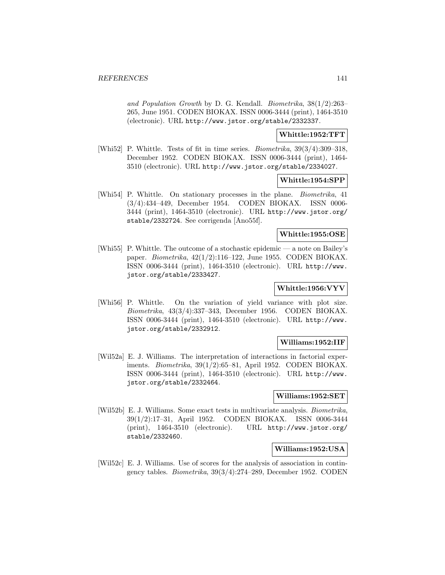and Population Growth by D. G. Kendall. Biometrika, 38(1/2):263– 265, June 1951. CODEN BIOKAX. ISSN 0006-3444 (print), 1464-3510 (electronic). URL http://www.jstor.org/stable/2332337.

### **Whittle:1952:TFT**

[Whi52] P. Whittle. Tests of fit in time series. Biometrika, 39(3/4):309–318, December 1952. CODEN BIOKAX. ISSN 0006-3444 (print), 1464- 3510 (electronic). URL http://www.jstor.org/stable/2334027.

#### **Whittle:1954:SPP**

[Whi54] P. Whittle. On stationary processes in the plane. Biometrika, 41 (3/4):434–449, December 1954. CODEN BIOKAX. ISSN 0006- 3444 (print), 1464-3510 (electronic). URL http://www.jstor.org/ stable/2332724. See corrigenda [Ano55f].

#### **Whittle:1955:OSE**

[Whi55] P. Whittle. The outcome of a stochastic epidemic — a note on Bailey's paper. Biometrika, 42(1/2):116–122, June 1955. CODEN BIOKAX. ISSN 0006-3444 (print), 1464-3510 (electronic). URL http://www. jstor.org/stable/2333427.

# **Whittle:1956:VYV**

[Whi56] P. Whittle. On the variation of yield variance with plot size. Biometrika, 43(3/4):337–343, December 1956. CODEN BIOKAX. ISSN 0006-3444 (print), 1464-3510 (electronic). URL http://www. jstor.org/stable/2332912.

# **Williams:1952:IIF**

[Wil52a] E. J. Williams. The interpretation of interactions in factorial experiments. Biometrika, 39(1/2):65–81, April 1952. CODEN BIOKAX. ISSN 0006-3444 (print), 1464-3510 (electronic). URL http://www. jstor.org/stable/2332464.

#### **Williams:1952:SET**

[Wil52b] E. J. Williams. Some exact tests in multivariate analysis. Biometrika, 39(1/2):17–31, April 1952. CODEN BIOKAX. ISSN 0006-3444 (print), 1464-3510 (electronic). URL http://www.jstor.org/ stable/2332460.

# **Williams:1952:USA**

[Wil52c] E. J. Williams. Use of scores for the analysis of association in contingency tables. Biometrika, 39(3/4):274–289, December 1952. CODEN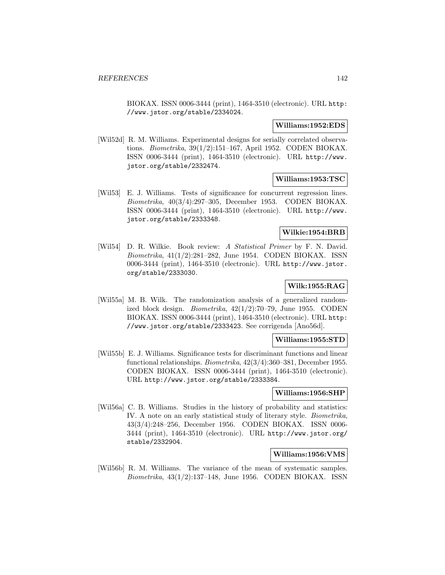BIOKAX. ISSN 0006-3444 (print), 1464-3510 (electronic). URL http: //www.jstor.org/stable/2334024.

#### **Williams:1952:EDS**

[Wil52d] R. M. Williams. Experimental designs for serially correlated observations. Biometrika, 39(1/2):151–167, April 1952. CODEN BIOKAX. ISSN 0006-3444 (print), 1464-3510 (electronic). URL http://www. jstor.org/stable/2332474.

# **Williams:1953:TSC**

[Wil53] E. J. Williams. Tests of significance for concurrent regression lines. Biometrika, 40(3/4):297–305, December 1953. CODEN BIOKAX. ISSN 0006-3444 (print), 1464-3510 (electronic). URL http://www. jstor.org/stable/2333348.

## **Wilkie:1954:BRB**

[Wil54] D. R. Wilkie. Book review: A Statistical Primer by F. N. David. Biometrika, 41(1/2):281–282, June 1954. CODEN BIOKAX. ISSN 0006-3444 (print), 1464-3510 (electronic). URL http://www.jstor. org/stable/2333030.

# **Wilk:1955:RAG**

[Wil55a] M. B. Wilk. The randomization analysis of a generalized randomized block design. Biometrika, 42(1/2):70–79, June 1955. CODEN BIOKAX. ISSN 0006-3444 (print), 1464-3510 (electronic). URL http: //www.jstor.org/stable/2333423. See corrigenda [Ano56d].

# **Williams:1955:STD**

[Wil55b] E. J. Williams. Significance tests for discriminant functions and linear functional relationships. Biometrika, 42(3/4):360–381, December 1955. CODEN BIOKAX. ISSN 0006-3444 (print), 1464-3510 (electronic). URL http://www.jstor.org/stable/2333384.

#### **Williams:1956:SHP**

[Wil56a] C. B. Williams. Studies in the history of probability and statistics: IV. A note on an early statistical study of literary style. Biometrika, 43(3/4):248–256, December 1956. CODEN BIOKAX. ISSN 0006- 3444 (print), 1464-3510 (electronic). URL http://www.jstor.org/ stable/2332904.

# **Williams:1956:VMS**

[Wil56b] R. M. Williams. The variance of the mean of systematic samples.  $Biometrika$ ,  $43(1/2):137-148$ , June 1956. CODEN BIOKAX. ISSN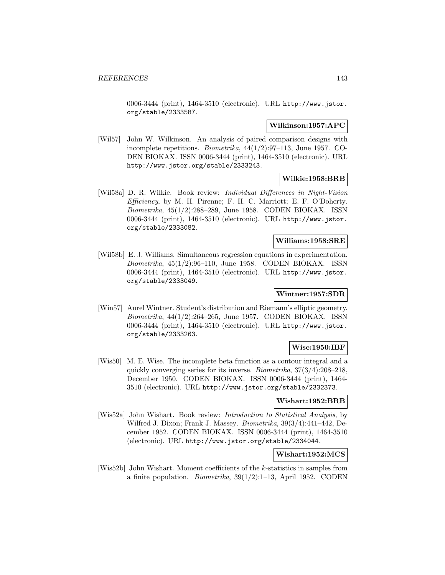0006-3444 (print), 1464-3510 (electronic). URL http://www.jstor. org/stable/2333587.

#### **Wilkinson:1957:APC**

[Wil57] John W. Wilkinson. An analysis of paired comparison designs with incomplete repetitions. Biometrika, 44(1/2):97–113, June 1957. CO-DEN BIOKAX. ISSN 0006-3444 (print), 1464-3510 (electronic). URL http://www.jstor.org/stable/2333243.

# **Wilkie:1958:BRB**

[Wil58a] D. R. Wilkie. Book review: Individual Differences in Night-Vision  $Efficiency$ , by M. H. Pirenne; F. H. C. Marriott; E. F. O'Doherty. Biometrika, 45(1/2):288–289, June 1958. CODEN BIOKAX. ISSN 0006-3444 (print), 1464-3510 (electronic). URL http://www.jstor. org/stable/2333082.

# **Williams:1958:SRE**

[Wil58b] E. J. Williams. Simultaneous regression equations in experimentation. Biometrika, 45(1/2):96–110, June 1958. CODEN BIOKAX. ISSN 0006-3444 (print), 1464-3510 (electronic). URL http://www.jstor. org/stable/2333049.

# **Wintner:1957:SDR**

[Win57] Aurel Wintner. Student's distribution and Riemann's elliptic geometry. Biometrika, 44(1/2):264–265, June 1957. CODEN BIOKAX. ISSN 0006-3444 (print), 1464-3510 (electronic). URL http://www.jstor. org/stable/2333263.

# **Wise:1950:IBF**

[Wis50] M. E. Wise. The incomplete beta function as a contour integral and a quickly converging series for its inverse. Biometrika, 37(3/4):208–218, December 1950. CODEN BIOKAX. ISSN 0006-3444 (print), 1464- 3510 (electronic). URL http://www.jstor.org/stable/2332373.

## **Wishart:1952:BRB**

[Wis52a] John Wishart. Book review: Introduction to Statistical Analysis, by Wilfred J. Dixon; Frank J. Massey. Biometrika, 39(3/4):441–442, December 1952. CODEN BIOKAX. ISSN 0006-3444 (print), 1464-3510 (electronic). URL http://www.jstor.org/stable/2334044.

# **Wishart:1952:MCS**

[Wis52b] John Wishart. Moment coefficients of the k-statistics in samples from a finite population. *Biometrika*,  $39(1/2):1-13$ , April 1952. CODEN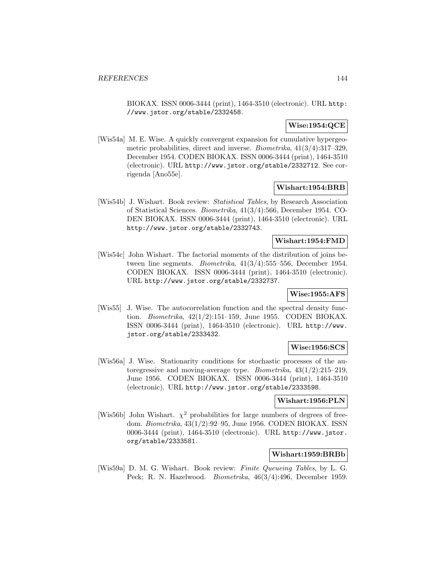BIOKAX. ISSN 0006-3444 (print), 1464-3510 (electronic). URL http: //www.jstor.org/stable/2332458.

# **Wise:1954:QCE**

[Wis54a] M. E. Wise. A quickly convergent expansion for cumulative hypergeometric probabilities, direct and inverse. Biometrika, 41(3/4):317–329, December 1954. CODEN BIOKAX. ISSN 0006-3444 (print), 1464-3510 (electronic). URL http://www.jstor.org/stable/2332712. See corrigenda [Ano55e].

## **Wishart:1954:BRB**

[Wis54b] J. Wishart. Book review: Statistical Tables, by Research Association of Statistical Sciences. Biometrika, 41(3/4):566, December 1954. CO-DEN BIOKAX. ISSN 0006-3444 (print), 1464-3510 (electronic). URL http://www.jstor.org/stable/2332743.

## **Wishart:1954:FMD**

[Wis54c] John Wishart. The factorial moments of the distribution of joins between line segments. Biometrika,  $41(3/4)$ :555–556, December 1954. CODEN BIOKAX. ISSN 0006-3444 (print), 1464-3510 (electronic). URL http://www.jstor.org/stable/2332737.

# **Wise:1955:AFS**

[Wis55] J. Wise. The autocorrelation function and the spectral density function. Biometrika, 42(1/2):151–159, June 1955. CODEN BIOKAX. ISSN 0006-3444 (print), 1464-3510 (electronic). URL http://www. jstor.org/stable/2333432.

# **Wise:1956:SCS**

[Wis56a] J. Wise. Stationarity conditions for stochastic processes of the autoregressive and moving-average type. Biometrika, 43(1/2):215–219, June 1956. CODEN BIOKAX. ISSN 0006-3444 (print), 1464-3510 (electronic). URL http://www.jstor.org/stable/2333598.

# **Wishart:1956:PLN**

[Wis56b] John Wishart.  $\chi^2$  probabilities for large numbers of degrees of freedom. Biometrika, 43(1/2):92–95, June 1956. CODEN BIOKAX. ISSN 0006-3444 (print), 1464-3510 (electronic). URL http://www.jstor. org/stable/2333581.

# **Wishart:1959:BRBb**

[Wis59a] D. M. G. Wishart. Book review: Finite Queueing Tables, by L. G. Peck; R. N. Hazelwood. Biometrika, 46(3/4):496, December 1959.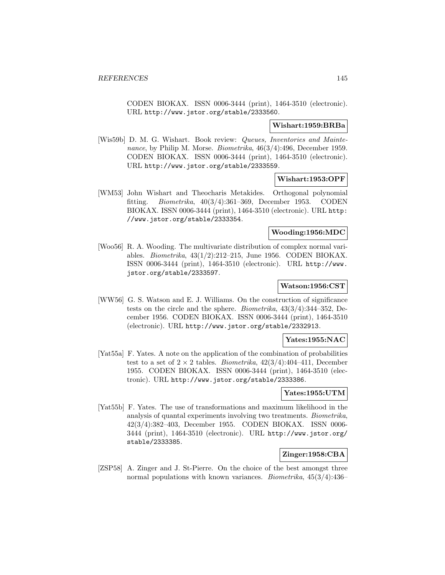CODEN BIOKAX. ISSN 0006-3444 (print), 1464-3510 (electronic). URL http://www.jstor.org/stable/2333560.

#### **Wishart:1959:BRBa**

[Wis59b] D. M. G. Wishart. Book review: Queues, Inventories and Maintenance, by Philip M. Morse. Biometrika, 46(3/4):496, December 1959. CODEN BIOKAX. ISSN 0006-3444 (print), 1464-3510 (electronic). URL http://www.jstor.org/stable/2333559.

## **Wishart:1953:OPF**

[WM53] John Wishart and Theocharis Metakides. Orthogonal polynomial fitting. Biometrika, 40(3/4):361–369, December 1953. CODEN BIOKAX. ISSN 0006-3444 (print), 1464-3510 (electronic). URL http: //www.jstor.org/stable/2333354.

### **Wooding:1956:MDC**

[Woo56] R. A. Wooding. The multivariate distribution of complex normal variables. Biometrika, 43(1/2):212–215, June 1956. CODEN BIOKAX. ISSN 0006-3444 (print), 1464-3510 (electronic). URL http://www. jstor.org/stable/2333597.

#### **Watson:1956:CST**

[WW56] G. S. Watson and E. J. Williams. On the construction of significance tests on the circle and the sphere. Biometrika, 43(3/4):344–352, December 1956. CODEN BIOKAX. ISSN 0006-3444 (print), 1464-3510 (electronic). URL http://www.jstor.org/stable/2332913.

# **Yates:1955:NAC**

[Yat55a] F. Yates. A note on the application of the combination of probabilities test to a set of  $2 \times 2$  tables. *Biometrika*,  $42(3/4):404-411$ , December 1955. CODEN BIOKAX. ISSN 0006-3444 (print), 1464-3510 (electronic). URL http://www.jstor.org/stable/2333386.

### **Yates:1955:UTM**

[Yat55b] F. Yates. The use of transformations and maximum likelihood in the analysis of quantal experiments involving two treatments. Biometrika, 42(3/4):382–403, December 1955. CODEN BIOKAX. ISSN 0006- 3444 (print), 1464-3510 (electronic). URL http://www.jstor.org/ stable/2333385.

## **Zinger:1958:CBA**

[ZSP58] A. Zinger and J. St-Pierre. On the choice of the best amongst three normal populations with known variances. Biometrika, 45(3/4):436–